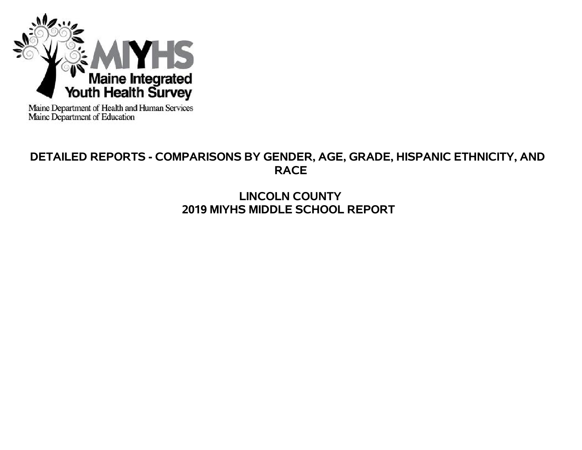

Maine Department of Health and Human Services<br>Maine Department of Education

# **DETAILED REPORTS - COMPARISONS BY GENDER, AGE, GRADE, HISPANIC ETHNICITY, AND RACE**

# **LINCOLN COUNTY 2019 MIYHS MIDDLE SCHOOL REPORT**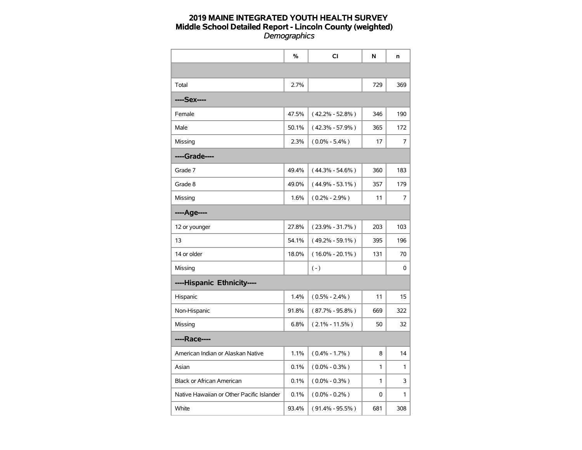|                                           | %     | <b>CI</b>           | N   | n   |
|-------------------------------------------|-------|---------------------|-----|-----|
|                                           |       |                     |     |     |
| Total                                     | 2.7%  |                     | 729 | 369 |
| ----Sex----                               |       |                     |     |     |
| Female                                    | 47.5% | $(42.2\% - 52.8\%)$ | 346 | 190 |
| Male                                      | 50.1% | $(42.3\% - 57.9\%)$ | 365 | 172 |
| Missing                                   | 2.3%  | $(0.0\% - 5.4\%)$   | 17  | 7   |
| ----Grade----                             |       |                     |     |     |
| Grade 7                                   | 49.4% | $(44.3\% - 54.6\%)$ | 360 | 183 |
| Grade 8                                   | 49.0% | $(44.9\% - 53.1\%)$ | 357 | 179 |
| Missing                                   | 1.6%  | $(0.2\% - 2.9\%)$   | 11  | 7   |
| ----Age----                               |       |                     |     |     |
| 12 or younger                             | 27.8% | $(23.9\% - 31.7\%)$ | 203 | 103 |
| 13                                        | 54.1% | $(49.2\% - 59.1\%)$ | 395 | 196 |
| 14 or older                               | 18.0% | $(16.0\% - 20.1\%)$ | 131 | 70  |
| Missing                                   |       | $(-)$               |     | 0   |
| ----Hispanic Ethnicity----                |       |                     |     |     |
| Hispanic                                  | 1.4%  | $(0.5\% - 2.4\%)$   | 11  | 15  |
| Non-Hispanic                              | 91.8% | $(87.7\% - 95.8\%)$ | 669 | 322 |
| Missing                                   | 6.8%  | $(2.1\% - 11.5\%)$  | 50  | 32  |
| ----Race----                              |       |                     |     |     |
| American Indian or Alaskan Native         | 1.1%  | $(0.4\% - 1.7\%)$   | 8   | 14  |
| Asian                                     | 0.1%  | $(0.0\% - 0.3\%)$   | 1   | 1   |
| <b>Black or African American</b>          | 0.1%  | $(0.0\% - 0.3\%)$   | 1   | 3   |
| Native Hawaiian or Other Pacific Islander | 0.1%  | $(0.0\% - 0.2\%)$   | 0   | 1   |
| White                                     | 93.4% | $(91.4\% - 95.5\%)$ | 681 | 308 |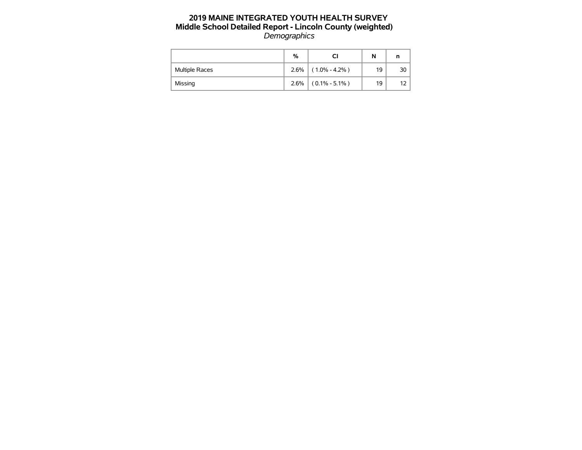|                       | %    |                   | N  | n  |
|-----------------------|------|-------------------|----|----|
| <b>Multiple Races</b> | 2.6% | $(1.0\% - 4.2\%)$ | 19 | 30 |
| Missing               | 2.6% | $(0.1\% - 5.1\%)$ | 19 |    |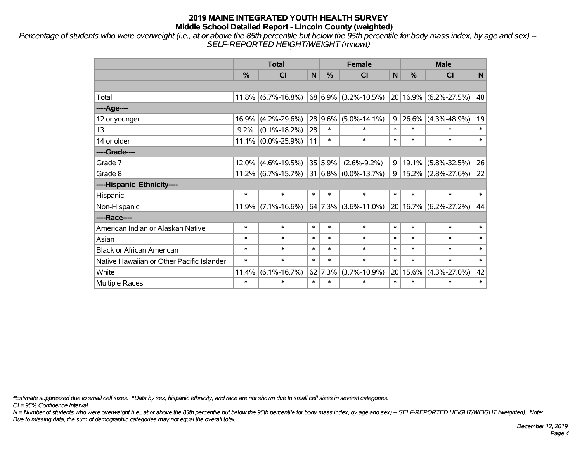*Percentage of students who were overweight (i.e., at or above the 85th percentile but below the 95th percentile for body mass index, by age and sex) -- SELF-REPORTED HEIGHT/WEIGHT (mnowt)*

|                                           |        | <b>Total</b>          |        |             | <b>Female</b>                 |        | <b>Male</b> |                                |              |
|-------------------------------------------|--------|-----------------------|--------|-------------|-------------------------------|--------|-------------|--------------------------------|--------------|
|                                           | %      | <b>CI</b>             | N      | $\%$        | <b>CI</b>                     | N      | %           | <b>CI</b>                      | $\mathsf{N}$ |
|                                           |        |                       |        |             |                               |        |             |                                |              |
| Total                                     |        | $11.8\%$ (6.7%-16.8%) |        |             | $68 6.9\% $ (3.2%-10.5%)      |        |             | $ 20 16.9\%  (6.2\% - 27.5\%)$ | 48           |
| ----Age----                               |        |                       |        |             |                               |        |             |                                |              |
| 12 or younger                             | 16.9%  | $(4.2\% - 29.6\%)$    |        | $28 9.6\% $ | $(5.0\% - 14.1\%)$            | 9      | $26.6\%$    | $(4.3\% - 48.9\%)$             | 19           |
| 13                                        | 9.2%   | $(0.1\% - 18.2\%)$    | 28     | $\ast$      | $\ast$                        | $\ast$ | $\ast$      | $\ast$                         | $\ast$       |
| 14 or older                               |        | $11.1\%$ (0.0%-25.9%) | 11     | $\ast$      | $\ast$                        | $\ast$ | $\ast$      | $\ast$                         | $\ast$       |
| ----Grade----                             |        |                       |        |             |                               |        |             |                                |              |
| Grade 7                                   | 12.0%  | $(4.6\% - 19.5\%)$    |        | 35 5.9%     | $(2.6\% - 9.2\%)$             | 9      | 19.1%       | $(5.8\% - 32.5\%)$             | 26           |
| Grade 8                                   |        | $11.2\%$ (6.7%-15.7%) |        |             | $ 31 6.8\%  (0.0\% - 13.7\%)$ |        |             | $9 15.2\% (2.8\% - 27.6\%)$    | 22           |
| ----Hispanic Ethnicity----                |        |                       |        |             |                               |        |             |                                |              |
| Hispanic                                  | $\ast$ | $\ast$                | $\ast$ | $\ast$      | $\ast$                        | $\ast$ | $\ast$      | $\ast$                         | $\ast$       |
| Non-Hispanic                              | 11.9%  | $(7.1\% - 16.6\%)$    |        |             | $64$ 7.3% (3.6%-11.0%)        |        |             | $ 20 16.7\%  (6.2\% - 27.2\%)$ | 44           |
| ----Race----                              |        |                       |        |             |                               |        |             |                                |              |
| American Indian or Alaskan Native         | $\ast$ | $\ast$                | $\ast$ | $\ast$      | $\ast$                        | $\ast$ | $\ast$      | $\ast$                         | $\ast$       |
| Asian                                     | $\ast$ | $\ast$                | $\ast$ | $\ast$      | $\ast$                        | $\ast$ | $\ast$      | $\ast$                         | $\ast$       |
| <b>Black or African American</b>          | $\ast$ | $\ast$                | $\ast$ | $\ast$      | $\ast$                        | $\ast$ | $\ast$      | $\ast$                         | $\ast$       |
| Native Hawaiian or Other Pacific Islander | $\ast$ | $\ast$                | $\ast$ | $\ast$      | $\ast$                        | $\ast$ | $\ast$      | $\ast$                         | $\ast$       |
| White                                     | 11.4%  | $(6.1\% - 16.7\%)$    | 62     | 7.3%        | $(3.7\% - 10.9\%)$            |        | 20 15.6%    | $(4.3\% - 27.0\%)$             | 42           |
| Multiple Races                            | $\ast$ | $\ast$                | $\ast$ | $\ast$      | $\ast$                        | $\ast$ | $\ast$      | $\ast$                         | $\ast$       |

*\*Estimate suppressed due to small cell sizes. ^Data by sex, hispanic ethnicity, and race are not shown due to small cell sizes in several categories.*

*CI = 95% Confidence Interval*

*N = Number of students who were overweight (i.e., at or above the 85th percentile but below the 95th percentile for body mass index, by age and sex) -- SELF-REPORTED HEIGHT/WEIGHT (weighted). Note: Due to missing data, the sum of demographic categories may not equal the overall total.*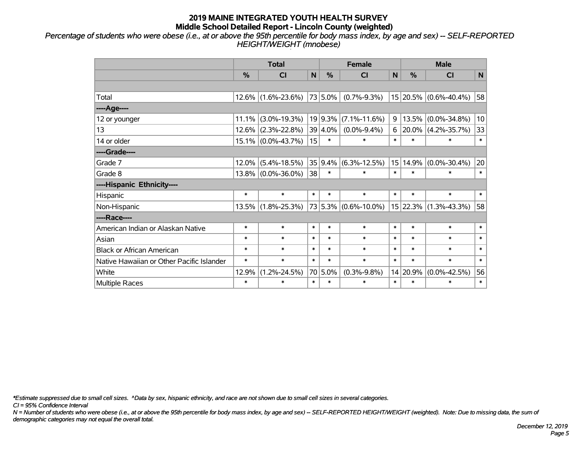*Percentage of students who were obese (i.e., at or above the 95th percentile for body mass index, by age and sex) -- SELF-REPORTED HEIGHT/WEIGHT (mnobese)*

|                                           |                                                                  | <b>Total</b>          |                       |               | <b>Female</b>        |        | <b>Male</b> |                       |        |  |
|-------------------------------------------|------------------------------------------------------------------|-----------------------|-----------------------|---------------|----------------------|--------|-------------|-----------------------|--------|--|
|                                           | %                                                                | CI                    | N                     | $\frac{0}{0}$ | <b>CI</b>            | N      | %           | <b>CI</b>             | N      |  |
|                                           |                                                                  |                       |                       |               |                      |        |             |                       |        |  |
| Total                                     | 12.6%                                                            | $(1.6\% - 23.6\%)$    |                       | 73 5.0%       | $(0.7\% - 9.3\%)$    |        |             | 15 20.5% (0.6%-40.4%) | 58     |  |
| ----Age----                               |                                                                  |                       |                       |               |                      |        |             |                       |        |  |
| 12 or younger                             | 11.1%                                                            | $(3.0\% - 19.3\%)$    |                       | $19 9.3\% $   | $(7.1\% - 11.6\%)$   | 9      |             | $13.5\%$ (0.0%-34.8%) | 10     |  |
| 13                                        | $(2.3\% - 22.8\%)$<br>39 4.0%<br>$(0.0\% - 9.4\%)$<br>12.6%<br>6 |                       | $20.0\%$ (4.2%-35.7%) | 33            |                      |        |             |                       |        |  |
| 14 or older                               | $\ast$<br>15<br>$15.1\%$ (0.0%-43.7%)<br>$\ast$<br>$\ast$        |                       | $\ast$                | $\ast$        | $\ast$               |        |             |                       |        |  |
| ----Grade----                             |                                                                  |                       |                       |               |                      |        |             |                       |        |  |
| Grade 7                                   | 12.0%                                                            | $(5.4\% - 18.5\%)$    |                       | $35 9.4\% $   | $(6.3\% - 12.5\%)$   | 15     | 14.9%       | $(0.0\% - 30.4\%)$    | 20     |  |
| Grade 8                                   |                                                                  | $13.8\%$ (0.0%-36.0%) | 38                    | $\ast$        | $\ast$               | $\ast$ | $\ast$      | $\ast$                | $\ast$ |  |
| ----Hispanic Ethnicity----                |                                                                  |                       |                       |               |                      |        |             |                       |        |  |
| Hispanic                                  | $\ast$                                                           | $\ast$                | $\ast$                | $\ast$        | $\ast$               | $\ast$ | $\ast$      | $\ast$                | $\ast$ |  |
| Non-Hispanic                              | 13.5%                                                            | $(1.8\% - 25.3\%)$    |                       |               | 73 5.3% (0.6%-10.0%) |        |             | 15 22.3% (1.3%-43.3%) | 58     |  |
| ----Race----                              |                                                                  |                       |                       |               |                      |        |             |                       |        |  |
| American Indian or Alaskan Native         | $\ast$                                                           | $\ast$                | $\ast$                | $\ast$        | $\ast$               | $\ast$ | $\ast$      | $\ast$                | $\ast$ |  |
| Asian                                     | $\ast$                                                           | $\ast$                | $\ast$                | $\ast$        | $\ast$               | $\ast$ | $\ast$      | $\ast$                | $\ast$ |  |
| <b>Black or African American</b>          | $\ast$                                                           | $\ast$                | $\ast$                | $\ast$        | $\ast$               | $\ast$ | $\ast$      | $\ast$                | $\ast$ |  |
| Native Hawaiian or Other Pacific Islander | $\ast$                                                           | $\ast$                | $\ast$                | $\ast$        | $\ast$               | $\ast$ | $\ast$      | $\ast$                | $\ast$ |  |
| White                                     | 12.9%                                                            | $(1.2\% - 24.5\%)$    |                       | 70 5.0%       | $(0.3\% - 9.8\%)$    | 14     | 20.9%       | $(0.0\% - 42.5\%)$    | 56     |  |
| Multiple Races                            | $\ast$                                                           | $\ast$                | $\ast$                | $\ast$        | $\ast$               | $\ast$ | $\ast$      | $\ast$                | $\ast$ |  |

*\*Estimate suppressed due to small cell sizes. ^Data by sex, hispanic ethnicity, and race are not shown due to small cell sizes in several categories.*

*CI = 95% Confidence Interval*

*N = Number of students who were obese (i.e., at or above the 95th percentile for body mass index, by age and sex) -- SELF-REPORTED HEIGHT/WEIGHT (weighted). Note: Due to missing data, the sum of demographic categories may not equal the overall total.*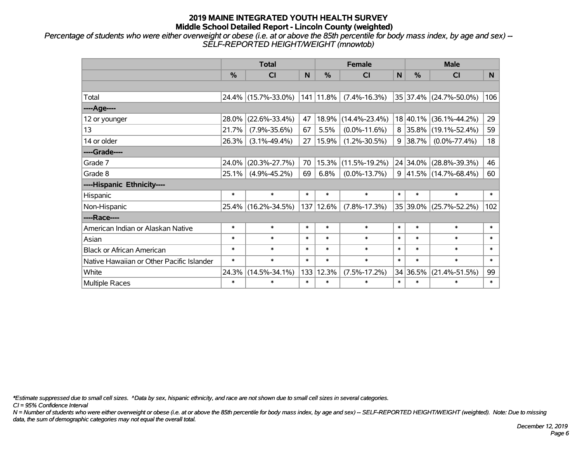*Percentage of students who were either overweight or obese (i.e. at or above the 85th percentile for body mass index, by age and sex) -- SELF-REPORTED HEIGHT/WEIGHT (mnowtob)*

|                                           |        | <b>Total</b>        |        |             | <b>Female</b>       |              | <b>Male</b>   |                                        |        |  |
|-------------------------------------------|--------|---------------------|--------|-------------|---------------------|--------------|---------------|----------------------------------------|--------|--|
|                                           | %      | <b>CI</b>           | N      | %           | <b>CI</b>           | $\mathsf{N}$ | $\frac{0}{0}$ | <b>CI</b>                              | N.     |  |
|                                           |        |                     |        |             |                     |              |               |                                        |        |  |
| Total                                     |        | 24.4% (15.7%-33.0%) |        | 141   11.8% | $(7.4\% - 16.3\%)$  |              |               | 35 37.4% (24.7%-50.0%)                 | 106    |  |
| ----Age----                               |        |                     |        |             |                     |              |               |                                        |        |  |
| 12 or younger                             | 28.0%  | $(22.6\% - 33.4\%)$ | 47     | 18.9%       | $(14.4\% - 23.4\%)$ |              | 18 40.1%      | $(36.1\% - 44.2\%)$                    | 29     |  |
| 13                                        | 21.7%  | $(7.9\% - 35.6\%)$  | 67     | 5.5%        | $(0.0\% - 11.6\%)$  |              | 8 35.8%       | $(19.1\% - 52.4\%)$                    | 59     |  |
| 14 or older                               | 26.3%  | $(3.1\% - 49.4\%)$  | 27     | 15.9%       | $(1.2\% - 30.5\%)$  |              | 9 38.7%       | $(0.0\% - 77.4\%)$                     | 18     |  |
| ----Grade----                             |        |                     |        |             |                     |              |               |                                        |        |  |
| Grade 7                                   | 24.0%  | $(20.3\% - 27.7\%)$ | 70     | 15.3%       | $(11.5\% - 19.2\%)$ |              | 24 34.0%      | $(28.8\% - 39.3\%)$                    | 46     |  |
| Grade 8                                   | 25.1%  | $(4.9\% - 45.2\%)$  | 69     | 6.8%        | $(0.0\% - 13.7\%)$  |              |               | $9 \mid 41.5\% \mid (14.7\% - 68.4\%)$ | 60     |  |
| ----Hispanic Ethnicity----                |        |                     |        |             |                     |              |               |                                        |        |  |
| Hispanic                                  | $\ast$ | $\ast$              | $\ast$ | $\ast$      | $\ast$              | $\ast$       | $\ast$        | $\ast$                                 | $\ast$ |  |
| Non-Hispanic                              | 25.4%  | $(16.2\% - 34.5\%)$ |        | 137 12.6%   | $(7.8\% - 17.3\%)$  |              | 35 39.0%      | $(25.7\% - 52.2\%)$                    | 102    |  |
| ----Race----                              |        |                     |        |             |                     |              |               |                                        |        |  |
| American Indian or Alaskan Native         | $\ast$ | $\ast$              | $\ast$ | $\ast$      | $\ast$              | $\ast$       | $\ast$        | $\ast$                                 | $\ast$ |  |
| Asian                                     | $\ast$ | $\ast$              | $\ast$ | $\ast$      | $\ast$              | $\ast$       | $\ast$        | $\ast$                                 | $\ast$ |  |
| <b>Black or African American</b>          | $\ast$ | $\ast$              | $\ast$ | $\ast$      | $\ast$              | $\ast$       | $\ast$        | $\ast$                                 | $\ast$ |  |
| Native Hawaiian or Other Pacific Islander | $\ast$ | $\ast$              | $\ast$ | $\ast$      | $\ast$              | $\ast$       | $\ast$        | $\ast$                                 | $\ast$ |  |
| White                                     | 24.3%  | $(14.5\% - 34.1\%)$ | 133    | 12.3%       | $(7.5\% - 17.2\%)$  |              | 34 36.5%      | $(21.4\% - 51.5\%)$                    | 99     |  |
| <b>Multiple Races</b>                     | $\ast$ | $\ast$              | $\ast$ | $\ast$      | $\ast$              | $\ast$       | $\ast$        | $\ast$                                 | $\ast$ |  |

*\*Estimate suppressed due to small cell sizes. ^Data by sex, hispanic ethnicity, and race are not shown due to small cell sizes in several categories.*

*CI = 95% Confidence Interval*

*N = Number of students who were either overweight or obese (i.e. at or above the 85th percentile for body mass index, by age and sex) -- SELF-REPORTED HEIGHT/WEIGHT (weighted). Note: Due to missing data, the sum of demographic categories may not equal the overall total.*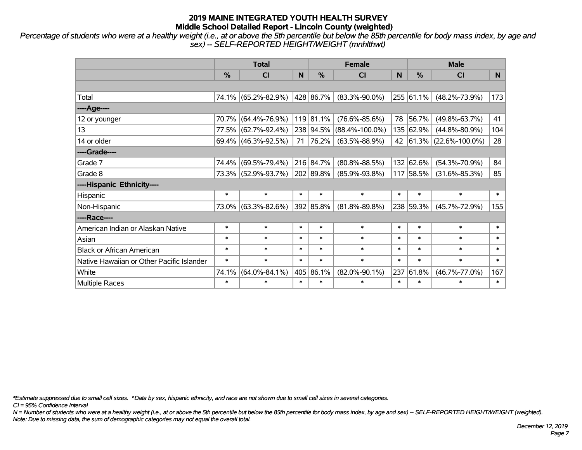*Percentage of students who were at a healthy weight (i.e., at or above the 5th percentile but below the 85th percentile for body mass index, by age and sex) -- SELF-REPORTED HEIGHT/WEIGHT (mnhlthwt)*

|                                           |               | <b>Total</b>        |        |               | <b>Female</b>        |        | <b>Male</b> |                           |        |  |
|-------------------------------------------|---------------|---------------------|--------|---------------|----------------------|--------|-------------|---------------------------|--------|--|
|                                           | $\frac{0}{0}$ | <b>CI</b>           | N      | $\frac{0}{0}$ | CI                   | N      | %           | <b>CI</b>                 | N      |  |
|                                           |               |                     |        |               |                      |        |             |                           |        |  |
| Total                                     |               | 74.1% (65.2%-82.9%) |        | 428 86.7%     | $(83.3\% - 90.0\%)$  |        | 255 61.1%   | $(48.2\% - 73.9\%)$       | 173    |  |
| ----Age----                               |               |                     |        |               |                      |        |             |                           |        |  |
| 12 or younger                             | 70.7%         | $(64.4\% - 76.9\%)$ |        | 119 81.1%     | $(76.6\% - 85.6\%)$  | 78     | 56.7%       | $(49.8\% - 63.7\%)$       | 41     |  |
| 13                                        |               | 77.5% (62.7%-92.4%) |        | 238   94.5%   | $(88.4\% - 100.0\%)$ |        | 135 62.9%   | $(44.8\% - 80.9\%)$       | 104    |  |
| 14 or older                               |               | 69.4% (46.3%-92.5%) | 71     | $ 76.2\% $    | $(63.5\% - 88.9\%)$  | 42     |             | $ 61.3\% $ (22.6%-100.0%) | 28     |  |
| ----Grade----                             |               |                     |        |               |                      |        |             |                           |        |  |
| Grade 7                                   | 74.4%         | $(69.5\% - 79.4\%)$ |        | 216 84.7%     | $(80.8\% - 88.5\%)$  |        | 132 62.6%   | $(54.3\% - 70.9\%)$       | 84     |  |
| Grade 8                                   |               | 73.3% (52.9%-93.7%) |        | 202 89.8%     | $(85.9\% - 93.8\%)$  |        | 117 58.5%   | $(31.6\% - 85.3\%)$       | 85     |  |
| ----Hispanic Ethnicity----                |               |                     |        |               |                      |        |             |                           |        |  |
| Hispanic                                  | $\ast$        | $\ast$              | $\ast$ | $\ast$        | $\ast$               | $\ast$ | $\ast$      | $\ast$                    | $\ast$ |  |
| Non-Hispanic                              |               | 73.0% (63.3%-82.6%) |        | 392 85.8%     | $(81.8\% - 89.8\%)$  |        | 238 59.3%   | $(45.7\% - 72.9\%)$       | 155    |  |
| ----Race----                              |               |                     |        |               |                      |        |             |                           |        |  |
| American Indian or Alaskan Native         | $\ast$        | $\ast$              | $\ast$ | $\ast$        | $\ast$               | $\ast$ | $\ast$      | $\ast$                    | $\ast$ |  |
| Asian                                     | $\ast$        | $\ast$              | $\ast$ | $\ast$        | $\ast$               | $\ast$ | $\ast$      | $\ast$                    | $\ast$ |  |
| <b>Black or African American</b>          | $\ast$        | $\ast$              | $\ast$ | $\ast$        | $\ast$               | $\ast$ | $\ast$      | $\ast$                    | $\ast$ |  |
| Native Hawaiian or Other Pacific Islander | $\ast$        | $\ast$              | $\ast$ | $\ast$        | $\ast$               | $\ast$ | $\ast$      | $\ast$                    | $\ast$ |  |
| White                                     | 74.1%         | $(64.0\% - 84.1\%)$ |        | 405 86.1%     | $(82.0\% - 90.1\%)$  | 237    | 61.8%       | $(46.7\% - 77.0\%)$       | 167    |  |
| <b>Multiple Races</b>                     | $\ast$        | $\ast$              | $\ast$ | $\ast$        | $\ast$               | $\ast$ | $\ast$      | $\ast$                    | $\ast$ |  |

*\*Estimate suppressed due to small cell sizes. ^Data by sex, hispanic ethnicity, and race are not shown due to small cell sizes in several categories.*

*CI = 95% Confidence Interval*

*N = Number of students who were at a healthy weight (i.e., at or above the 5th percentile but below the 85th percentile for body mass index, by age and sex) -- SELF-REPORTED HEIGHT/WEIGHT (weighted). Note: Due to missing data, the sum of demographic categories may not equal the overall total.*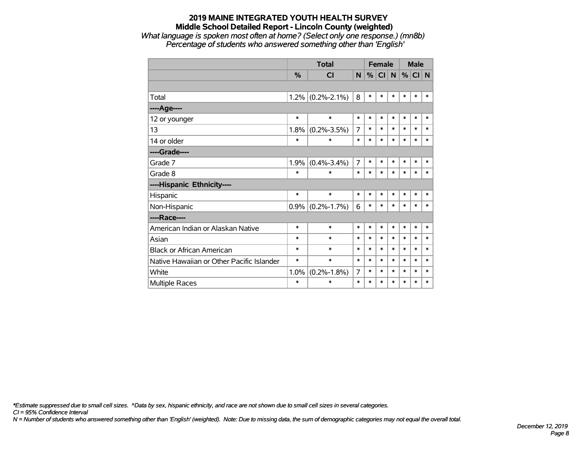# **2019 MAINE INTEGRATED YOUTH HEALTH SURVEY Middle School Detailed Report - Lincoln County (weighted)** *What language is spoken most often at home? (Select only one response.) (mn8b)*

*Percentage of students who answered something other than 'English'*

|                                           |               | <b>Total</b>      |                |        | <b>Female</b> |        |        | <b>Male</b> |        |
|-------------------------------------------|---------------|-------------------|----------------|--------|---------------|--------|--------|-------------|--------|
|                                           | $\frac{0}{0}$ | <b>CI</b>         | N              | %      | CI N          |        | %      | CI N        |        |
|                                           |               |                   |                |        |               |        |        |             |        |
| Total                                     | $1.2\%$       | $(0.2\% - 2.1\%)$ | 8              | $\ast$ | $\ast$        | $\ast$ | *      | *           | $\ast$ |
| ---- Age----                              |               |                   |                |        |               |        |        |             |        |
| 12 or younger                             | $\ast$        | $\ast$            | $\ast$         | $\ast$ | $\ast$        | $\ast$ | $\ast$ | $\ast$      | $\ast$ |
| 13                                        | 1.8%          | $(0.2\% - 3.5\%)$ | $\overline{7}$ | $\ast$ | $\ast$        | $\ast$ | $\ast$ | $\ast$      | *      |
| 14 or older                               | $\ast$        | $\ast$            | $\ast$         | $\ast$ | $\ast$        | $\ast$ | $\ast$ | $\ast$      | *      |
| ----Grade----                             |               |                   |                |        |               |        |        |             |        |
| Grade 7                                   | 1.9%          | $(0.4\% - 3.4\%)$ | 7              | $\ast$ | $\ast$        | $\ast$ | $\ast$ | $\ast$      | $\ast$ |
| Grade 8                                   | $\ast$        | $\ast$            | $\ast$         | $\ast$ | $\ast$        | $\ast$ | $\ast$ | $\ast$      | $\ast$ |
| ----Hispanic Ethnicity----                |               |                   |                |        |               |        |        |             |        |
| Hispanic                                  | $\ast$        | $\ast$            | $\ast$         | $\ast$ | $\ast$        | *      | $\ast$ | *           | *      |
| Non-Hispanic                              | $0.9\%$       | $(0.2\% - 1.7\%)$ | 6              | $\ast$ | $\ast$        | *      | *      | $\ast$      | $\ast$ |
| ----Race----                              |               |                   |                |        |               |        |        |             |        |
| American Indian or Alaskan Native         | $\ast$        | $\ast$            | $\ast$         | $\ast$ | $\ast$        | $\ast$ | $\ast$ | $\ast$      | $\ast$ |
| Asian                                     | $\ast$        | $\ast$            | $\ast$         | $\ast$ | $\ast$        | $\ast$ | $\ast$ | $\ast$      | *      |
| <b>Black or African American</b>          | $\ast$        | $\ast$            | $\ast$         | $\ast$ | $\ast$        | $\ast$ | $\ast$ | $\ast$      | $\ast$ |
| Native Hawaiian or Other Pacific Islander | $\ast$        | $\ast$            | $\ast$         | $\ast$ | $\ast$        | $\ast$ | $\ast$ | $\ast$      | *      |
| White                                     | 1.0%          | $(0.2\% - 1.8\%)$ | 7              | $\ast$ | $\ast$        | $\ast$ | $\ast$ | $\ast$      | $\ast$ |
| <b>Multiple Races</b>                     | $\ast$        | $\ast$            | $\ast$         | $\ast$ | $\ast$        | $\ast$ | $\ast$ | $\ast$      | $\ast$ |

*\*Estimate suppressed due to small cell sizes. ^Data by sex, hispanic ethnicity, and race are not shown due to small cell sizes in several categories.*

*CI = 95% Confidence Interval*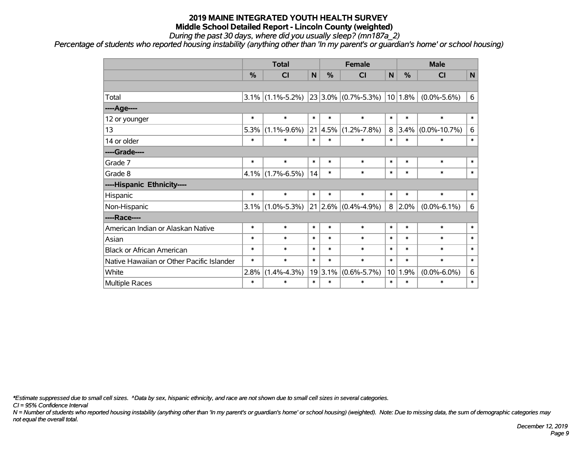*During the past 30 days, where did you usually sleep? (mn187a\_2)*

*Percentage of students who reported housing instability (anything other than 'In my parent's or guardian's home' or school housing)*

|                                           |         | <b>Total</b>        |        |                 | <b>Female</b>            |        |               | <b>Male</b>        |        |  |  |
|-------------------------------------------|---------|---------------------|--------|-----------------|--------------------------|--------|---------------|--------------------|--------|--|--|
|                                           | %       | CI                  | N      | $\%$            | <b>CI</b>                | N      | $\frac{0}{0}$ | <b>CI</b>          | N      |  |  |
|                                           |         |                     |        |                 |                          |        |               |                    |        |  |  |
| Total                                     | $3.1\%$ | $(1.1\% - 5.2\%)$   |        |                 | $ 23 3.0\% $ (0.7%-5.3%) | 10     | 1.8%          | $(0.0\% - 5.6\%)$  | 6      |  |  |
| ----Age----                               |         |                     |        |                 |                          |        |               |                    |        |  |  |
| 12 or younger                             | $\ast$  | $\ast$              | $\ast$ | $\ast$          | $\ast$                   | $\ast$ | $\ast$        | $\ast$             | $\ast$ |  |  |
| 13                                        | 5.3%    | $(1.1\% - 9.6\%)$   |        | $21 \mid 4.5\%$ | $(1.2\% - 7.8\%)$        | 8      | 3.4%          | $(0.0\% - 10.7\%)$ | 6      |  |  |
| 14 or older                               | $\ast$  | $\ast$              | $\ast$ | $\ast$          | $\ast$                   | $\ast$ | $\ast$        | $\ast$             | $\ast$ |  |  |
| ----Grade----                             |         |                     |        |                 |                          |        |               |                    |        |  |  |
| Grade 7                                   | $\ast$  | $\ast$              | $\ast$ | $\ast$          | $\ast$                   | $\ast$ | $\ast$        | $\ast$             | $\ast$ |  |  |
| Grade 8                                   |         | $4.1\%$ (1.7%-6.5%) | 14     | $\ast$          | $\ast$                   | $\ast$ | $\ast$        | $\ast$             | $\ast$ |  |  |
| ----Hispanic Ethnicity----                |         |                     |        |                 |                          |        |               |                    |        |  |  |
| Hispanic                                  | $\ast$  | $\ast$              | $\ast$ | $\ast$          | $\ast$                   | $\ast$ | $\ast$        | $\ast$             | $\ast$ |  |  |
| Non-Hispanic                              | $3.1\%$ | $(1.0\% - 5.3\%)$   |        | 21 2.6%         | $(0.4\% - 4.9\%)$        | 8      | $ 2.0\%$      | $(0.0\% - 6.1\%)$  | $\,6$  |  |  |
| ----Race----                              |         |                     |        |                 |                          |        |               |                    |        |  |  |
| American Indian or Alaskan Native         | $\ast$  | $\ast$              | $\ast$ | $\ast$          | $\ast$                   | $\ast$ | $\ast$        | $\ast$             | $\ast$ |  |  |
| Asian                                     | $\ast$  | $\ast$              | $\ast$ | $\ast$          | $\ast$                   | $\ast$ | $\ast$        | $\ast$             | $\ast$ |  |  |
| <b>Black or African American</b>          | $\ast$  | $\ast$              | $\ast$ | $\ast$          | $\ast$                   | $\ast$ | $\ast$        | $\ast$             | $\ast$ |  |  |
| Native Hawaiian or Other Pacific Islander | $\ast$  | $\ast$              | $\ast$ | $\ast$          | $\ast$                   | $\ast$ | $\ast$        | $\ast$             | $\ast$ |  |  |
| White                                     | 2.8%    | $(1.4\% - 4.3\%)$   |        | 19 3.1%         | $(0.6\% - 5.7\%)$        | 10     | 1.9%          | $(0.0\% - 6.0\%)$  | 6      |  |  |
| Multiple Races                            | $\ast$  | $\ast$              | $\ast$ | $\ast$          | $\ast$                   | $\ast$ | $\ast$        | $\ast$             | $\ast$ |  |  |

*\*Estimate suppressed due to small cell sizes. ^Data by sex, hispanic ethnicity, and race are not shown due to small cell sizes in several categories.*

*CI = 95% Confidence Interval*

*N = Number of students who reported housing instability (anything other than 'In my parent's or guardian's home' or school housing) (weighted). Note: Due to missing data, the sum of demographic categories may not equal the overall total.*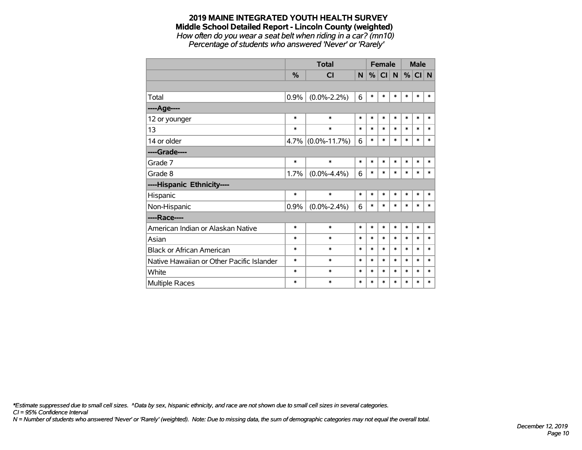# **2019 MAINE INTEGRATED YOUTH HEALTH SURVEY Middle School Detailed Report - Lincoln County (weighted)** *How often do you wear a seat belt when riding in a car? (mn10)*

*Percentage of students who answered 'Never' or 'Rarely'*

|                                           |        | <b>Total</b>         |        | <b>Female</b> |          |        | <b>Male</b> |        |        |
|-------------------------------------------|--------|----------------------|--------|---------------|----------|--------|-------------|--------|--------|
|                                           | %      | <b>CI</b>            | N      |               | %  CI  N |        | $\%$        | CI N   |        |
|                                           |        |                      |        |               |          |        |             |        |        |
| Total                                     | 0.9%   | $(0.0\% - 2.2\%)$    | 6      | $\ast$        | $\ast$   | $\ast$ | $\ast$      | $\ast$ | $\ast$ |
| ---- Age----                              |        |                      |        |               |          |        |             |        |        |
| 12 or younger                             | $\ast$ | $\ast$               | $\ast$ | $\ast$        | $\ast$   | $\ast$ | $\ast$      | $\ast$ | $\ast$ |
| 13                                        | $\ast$ | $\ast$               | $\ast$ | $\ast$        | $\ast$   | $\ast$ | $\ast$      | $\ast$ | $\ast$ |
| 14 or older                               |        | $4.7\%$ (0.0%-11.7%) | 6      | $\ast$        | $\ast$   | $\ast$ | $\ast$      | $\ast$ | $\ast$ |
| ----Grade----                             |        |                      |        |               |          |        |             |        |        |
| Grade 7                                   | $\ast$ | $\ast$               | $\ast$ | $\ast$        | $\ast$   | $\ast$ | $\ast$      | $\ast$ | $\ast$ |
| Grade 8                                   | 1.7%   | $(0.0\% - 4.4\%)$    | 6      | $\ast$        | $\ast$   | $\ast$ | $\ast$      | $\ast$ | $\ast$ |
| ----Hispanic Ethnicity----                |        |                      |        |               |          |        |             |        |        |
| Hispanic                                  | $\ast$ | $\ast$               | $\ast$ | $\ast$        | $\ast$   | $\ast$ | $\ast$      | $\ast$ | ∗      |
| Non-Hispanic                              | 0.9%   | $(0.0\% - 2.4\%)$    | 6      | $\ast$        | $\ast$   | $\ast$ | $\ast$      | $\ast$ | $\ast$ |
| ----Race----                              |        |                      |        |               |          |        |             |        |        |
| American Indian or Alaskan Native         | $\ast$ | $\ast$               | $\ast$ | $\ast$        | $\ast$   | $\ast$ | $\ast$      | $\ast$ | $\ast$ |
| Asian                                     | $\ast$ | $\ast$               | $\ast$ | $\ast$        | $\ast$   | $\ast$ | $\ast$      | $\ast$ | $\ast$ |
| <b>Black or African American</b>          | $\ast$ | $\ast$               | $\ast$ | $\ast$        | $\ast$   | $\ast$ | $\ast$      | $\ast$ | $\ast$ |
| Native Hawaiian or Other Pacific Islander | $\ast$ | $\ast$               | $\ast$ | $\ast$        | $\ast$   | $\ast$ | $\ast$      | $\ast$ | $\ast$ |
| White                                     | $\ast$ | $\ast$               | $\ast$ | $\ast$        | $\ast$   | *      | $\ast$      | $\ast$ | $\ast$ |
| Multiple Races                            | $\ast$ | $\ast$               | $\ast$ | $\ast$        | $\ast$   | $\ast$ | $\ast$      | *      | $\ast$ |

*\*Estimate suppressed due to small cell sizes. ^Data by sex, hispanic ethnicity, and race are not shown due to small cell sizes in several categories.*

*CI = 95% Confidence Interval*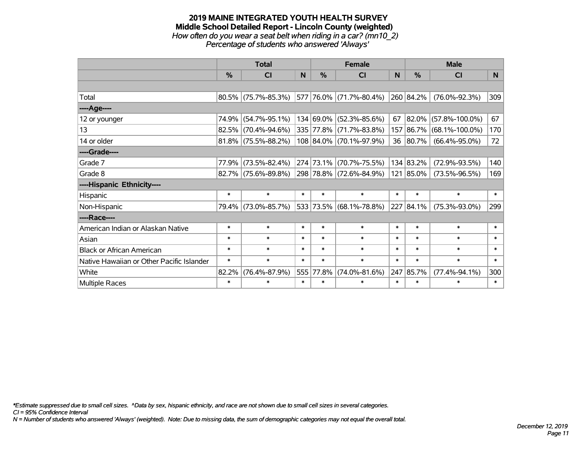#### **2019 MAINE INTEGRATED YOUTH HEALTH SURVEY Middle School Detailed Report - Lincoln County (weighted)** *How often do you wear a seat belt when riding in a car? (mn10\_2) Percentage of students who answered 'Always'*

|                                           |        | <b>Total</b>           |              |           | <b>Female</b>                |        | <b>Male</b>   |                          |        |
|-------------------------------------------|--------|------------------------|--------------|-----------|------------------------------|--------|---------------|--------------------------|--------|
|                                           | %      | <b>CI</b>              | <sub>N</sub> | %         | <b>CI</b>                    | N      | %             | <b>CI</b>                | N.     |
|                                           |        |                        |              |           |                              |        |               |                          |        |
| Total                                     |        | $80.5\%$ (75.7%-85.3%) |              |           | 577 76.0% (71.7%-80.4%)      |        | 260 84.2%     | $(76.0\% - 92.3\%)$      | 309    |
| ----Age----                               |        |                        |              |           |                              |        |               |                          |        |
| 12 or younger                             | 74.9%  | $(54.7\% - 95.1\%)$    |              | 134 69.0% | $(52.3\% - 85.6\%)$          | 67     | $ 82.0\% $    | $(57.8\% - 100.0\%)$     | 67     |
| 13                                        | 82.5%  | $(70.4\% - 94.6\%)$    |              | 335 77.8% | $(71.7\% - 83.8\%)$          |        |               | 157 86.7% (68.1%-100.0%) | 170    |
| 14 or older                               |        | $81.8\%$ (75.5%-88.2%) |              |           | 108 84.0% (70.1%-97.9%)      |        | 36 80.7%      | $(66.4\% - 95.0\%)$      | 72     |
| ----Grade----                             |        |                        |              |           |                              |        |               |                          |        |
| Grade 7                                   | 77.9%  | $(73.5\% - 82.4\%)$    |              | 274 73.1% | $(70.7\% - 75.5\%)$          |        | 134 83.2%     | $(72.9\% - 93.5\%)$      | 140    |
| Grade 8                                   |        | $82.7\%$ (75.6%-89.8%) |              |           | $ 298 78.8\% $ (72.6%-84.9%) |        | $121 85.0\% $ | $(73.5\% - 96.5\%)$      | 169    |
| ----Hispanic Ethnicity----                |        |                        |              |           |                              |        |               |                          |        |
| Hispanic                                  | $\ast$ | $\ast$                 | $\ast$       | $\ast$    | $\ast$                       | $\ast$ | $\ast$        | $\ast$                   | $\ast$ |
| Non-Hispanic                              |        | 79.4% (73.0%-85.7%)    |              |           | 533 73.5% (68.1%-78.8%)      |        | 227 84.1%     | $(75.3\% - 93.0\%)$      | 299    |
| ----Race----                              |        |                        |              |           |                              |        |               |                          |        |
| American Indian or Alaskan Native         | $\ast$ | $\ast$                 | $\ast$       | $\ast$    | $\ast$                       | $\ast$ | $\ast$        | $\ast$                   | $\ast$ |
| Asian                                     | $\ast$ | $\ast$                 | $\ast$       | $\ast$    | $\ast$                       | $\ast$ | $\ast$        | $\ast$                   | $\ast$ |
| <b>Black or African American</b>          | $\ast$ | $\ast$                 | $\ast$       | $\ast$    | $\ast$                       | $\ast$ | $\ast$        | $\ast$                   | $\ast$ |
| Native Hawaiian or Other Pacific Islander | $\ast$ | $\ast$                 | $\ast$       | $\ast$    | $\ast$                       | $\ast$ | $\ast$        | $\ast$                   | $\ast$ |
| White                                     | 82.2%  | $(76.4\% - 87.9\%)$    | 555          | 77.8%     | $(74.0\% - 81.6\%)$          | 247    | 85.7%         | $(77.4\% - 94.1\%)$      | 300    |
| Multiple Races                            | $\ast$ | $\ast$                 | $\ast$       | $\ast$    | $\ast$                       | $\ast$ | $\ast$        | $\ast$                   | $\ast$ |

*\*Estimate suppressed due to small cell sizes. ^Data by sex, hispanic ethnicity, and race are not shown due to small cell sizes in several categories.*

*CI = 95% Confidence Interval*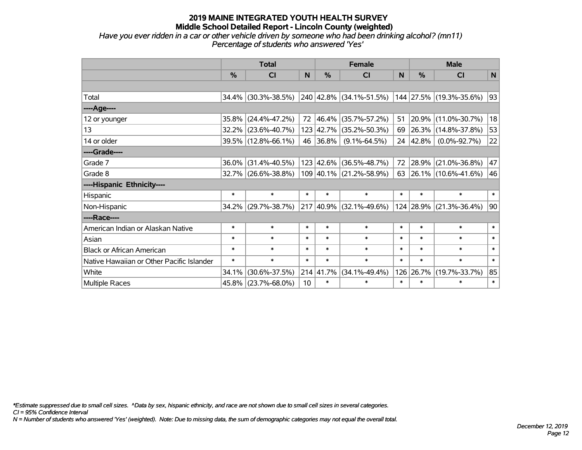*Have you ever ridden in a car or other vehicle driven by someone who had been drinking alcohol? (mn11) Percentage of students who answered 'Yes'*

|                                           |        | <b>Total</b>        |        |           | <b>Female</b>           | <b>Male</b> |               |                          |        |
|-------------------------------------------|--------|---------------------|--------|-----------|-------------------------|-------------|---------------|--------------------------|--------|
|                                           | %      | <b>CI</b>           | N      | %         | <b>CI</b>               | N           | $\frac{0}{0}$ | <b>CI</b>                | N      |
|                                           |        |                     |        |           |                         |             |               |                          |        |
| Total                                     | 34.4%  | $(30.3\% - 38.5\%)$ |        |           | 240 42.8% (34.1%-51.5%) |             |               | 144 27.5% (19.3%-35.6%)  | 93     |
| ----Age----                               |        |                     |        |           |                         |             |               |                          |        |
| 12 or younger                             | 35.8%  | $(24.4\% - 47.2\%)$ | 72     | 46.4%     | $(35.7\% - 57.2\%)$     | 51          |               | 20.9% (11.0%-30.7%)      | 18     |
| 13                                        | 32.2%  | $(23.6\% - 40.7\%)$ |        | 123 42.7% | $(35.2\% - 50.3\%)$     | 69          |               | 26.3% (14.8%-37.8%)      | 53     |
| 14 or older                               |        | 39.5% (12.8%-66.1%) | 46     | 36.8%     | $(9.1\% - 64.5\%)$      |             | 24 42.8%      | $(0.0\% - 92.7\%)$       | 22     |
| ----Grade----                             |        |                     |        |           |                         |             |               |                          |        |
| Grade 7                                   | 36.0%  | $(31.4\% - 40.5\%)$ |        | 123 42.6% | $(36.5\% - 48.7\%)$     | 72          | 28.9%         | $(21.0\% - 36.8\%)$      | 47     |
| Grade 8                                   |        | 32.7% (26.6%-38.8%) |        |           | 109 40.1% (21.2%-58.9%) | 63          |               | $ 26.1\% $ (10.6%-41.6%) | 46     |
| ----Hispanic Ethnicity----                |        |                     |        |           |                         |             |               |                          |        |
| Hispanic                                  | $\ast$ | $\ast$              | $\ast$ | $\ast$    | $\ast$                  | $\ast$      | $\ast$        | $\ast$                   | $\ast$ |
| Non-Hispanic                              | 34.2%  | $(29.7\% - 38.7\%)$ |        | 217 40.9% | $(32.1\% - 49.6\%)$     |             |               | 124 28.9% (21.3%-36.4%)  | 90     |
| ----Race----                              |        |                     |        |           |                         |             |               |                          |        |
| American Indian or Alaskan Native         | $\ast$ | $\ast$              | $\ast$ | $\ast$    | $\ast$                  | $\ast$      | $\ast$        | $\ast$                   | $\ast$ |
| Asian                                     | $\ast$ | $\ast$              | $\ast$ | $\ast$    | $\ast$                  | $\ast$      | $\ast$        | $\ast$                   | $\ast$ |
| <b>Black or African American</b>          | $\ast$ | $\ast$              | $\ast$ | $\ast$    | $\ast$                  | $\ast$      | $\ast$        | $\ast$                   | $\ast$ |
| Native Hawaiian or Other Pacific Islander | $\ast$ | $\ast$              | $\ast$ | $\ast$    | $\ast$                  | $\ast$      | $\ast$        | $\ast$                   | $\ast$ |
| White                                     | 34.1%  | $(30.6\% - 37.5\%)$ |        | 214 41.7% | $(34.1\% - 49.4\%)$     | 126         | 26.7%         | $(19.7\% - 33.7\%)$      | 85     |
| <b>Multiple Races</b>                     | 45.8%  | $(23.7\% - 68.0\%)$ | 10     | $\ast$    | $\ast$                  | $\ast$      | $\ast$        | $\ast$                   | $\ast$ |

*\*Estimate suppressed due to small cell sizes. ^Data by sex, hispanic ethnicity, and race are not shown due to small cell sizes in several categories.*

*CI = 95% Confidence Interval*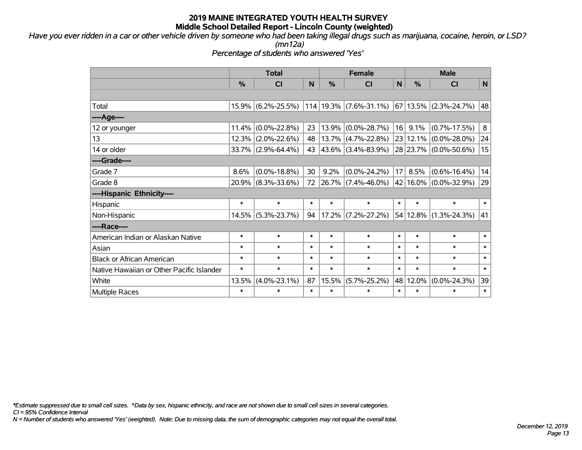*Have you ever ridden in a car or other vehicle driven by someone who had been taking illegal drugs such as marijuana, cocaine, heroin, or LSD? (mn12a)*

*Percentage of students who answered 'Yes'*

|                                           |          | <b>Total</b>       |        | <b>Female</b> | <b>Male</b>                |        |           |                           |             |
|-------------------------------------------|----------|--------------------|--------|---------------|----------------------------|--------|-----------|---------------------------|-------------|
|                                           | %        | <b>CI</b>          | N      | %             | <b>CI</b>                  | N      | %         | <b>CI</b>                 | $\mathbf N$ |
|                                           |          |                    |        |               |                            |        |           |                           |             |
| Total                                     | 15.9%    | $(6.2\% - 25.5\%)$ |        |               | $114 19.3\% $ (7.6%-31.1%) |        |           | $67 13.5\% $ (2.3%-24.7%) | 48          |
| ---- Age----                              |          |                    |        |               |                            |        |           |                           |             |
| 12 or younger                             | 11.4%    | $(0.0\% - 22.8\%)$ | 23     | 13.9%         | $(0.0\% - 28.7\%)$         |        | $16$ 9.1% | $(0.7\% - 17.5\%)$        | 8           |
| 13                                        | 12.3%    | $(2.0\% - 22.6\%)$ | 48     | 13.7%         | $(4.7\% - 22.8\%)$         |        | 23 12.1%  | $(0.0\% - 28.0\%)$        | 24          |
| 14 or older                               | $33.7\%$ | $(2.9\% - 64.4\%)$ | 43     |               | 43.6% (3.4%-83.9%)         |        | 28 23.7%  | $(0.0\% - 50.6\%)$        | 15          |
| ----Grade----                             |          |                    |        |               |                            |        |           |                           |             |
| Grade 7                                   | 8.6%     | $(0.0\% - 18.8\%)$ | 30     | 9.2%          | $(0.0\% - 24.2\%)$         | 17     | 8.5%      | $(0.6\% - 16.4\%)$        | 14          |
| Grade 8                                   | 20.9%    | $(8.3\% - 33.6\%)$ | 72     | $ 26.7\% $    | $(7.4\% - 46.0\%)$         |        | 42 16.0%  | $(0.0\% - 32.9\%)$        | 29          |
| ----Hispanic Ethnicity----                |          |                    |        |               |                            |        |           |                           |             |
| Hispanic                                  | $\ast$   | $\ast$             | $\ast$ | $\ast$        | $\ast$                     | $\ast$ | $\ast$    | $\ast$                    | $\ast$      |
| Non-Hispanic                              | 14.5%    | $(5.3\% - 23.7\%)$ | 94     | 17.2%         | $(7.2\% - 27.2\%)$         |        | 54 12.8%  | $(1.3\% - 24.3\%)$        | 41          |
| ----Race----                              |          |                    |        |               |                            |        |           |                           |             |
| American Indian or Alaskan Native         | $\ast$   | $\ast$             | $\ast$ | $\ast$        | $\ast$                     | $\ast$ | $\ast$    | $\ast$                    | $\ast$      |
| Asian                                     | $\ast$   | $\ast$             | $\ast$ | $\ast$        | $\ast$                     | $\ast$ | $\ast$    | $\ast$                    | $\ast$      |
| <b>Black or African American</b>          | $\ast$   | $\ast$             | $\ast$ | $\ast$        | $\ast$                     | $\ast$ | $\ast$    | $\ast$                    | $\ast$      |
| Native Hawaiian or Other Pacific Islander | $\ast$   | $\ast$             | $\ast$ | $\ast$        | $\ast$                     | $\ast$ | $\ast$    | $\ast$                    | $\ast$      |
| White                                     | 13.5%    | $(4.0\% - 23.1\%)$ | 87     | 15.5%         | $(5.7\% - 25.2\%)$         |        | 48 12.0%  | $(0.0\% - 24.3\%)$        | 39          |
| <b>Multiple Races</b>                     | $\ast$   | $\ast$             | $\ast$ | $\ast$        | $\ast$                     | $\ast$ | $\ast$    | $\ast$                    | $\ast$      |

*\*Estimate suppressed due to small cell sizes. ^Data by sex, hispanic ethnicity, and race are not shown due to small cell sizes in several categories.*

*CI = 95% Confidence Interval*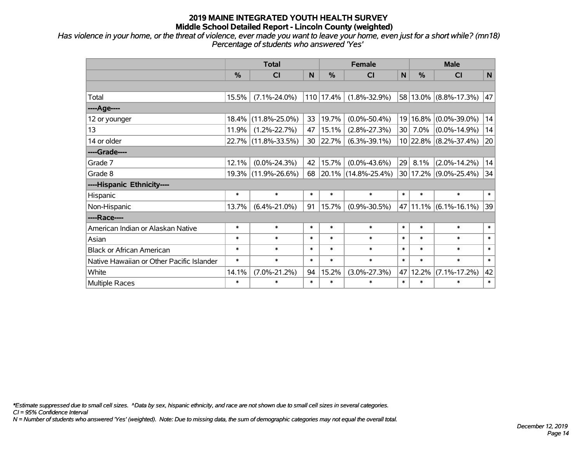*Has violence in your home, or the threat of violence, ever made you want to leave your home, even just for a short while? (mn18) Percentage of students who answered 'Yes'*

|                                           |        | <b>Total</b>        |        |                             | <b>Female</b>            |                  |        | <b>Male</b>           |        |
|-------------------------------------------|--------|---------------------|--------|-----------------------------|--------------------------|------------------|--------|-----------------------|--------|
|                                           | %      | <b>CI</b>           | N      | $\frac{0}{0}$               | <b>CI</b>                | N                | %      | <b>CI</b>             | N      |
|                                           |        |                     |        |                             |                          |                  |        |                       |        |
| Total                                     | 15.5%  | $(7.1\% - 24.0\%)$  |        | 110 17.4%                   | $(1.8\% - 32.9\%)$       |                  |        | 58 13.0% (8.8%-17.3%) | 47     |
| ----Age----                               |        |                     |        |                             |                          |                  |        |                       |        |
| 12 or younger                             | 18.4%  | $(11.8\% - 25.0\%)$ | 33     | 19.7%                       | $(0.0\% - 50.4\%)$       | 19 <sup>1</sup>  | 16.8%  | $(0.0\% - 39.0\%)$    | 14     |
| 13                                        | 11.9%  | $(1.2\% - 22.7\%)$  | 47     | 15.1%                       | $(2.8\% - 27.3\%)$       | 30 <sub>1</sub>  | 7.0%   | $(0.0\% - 14.9\%)$    | 14     |
| 14 or older                               | 22.7%  | $(11.8\% - 33.5\%)$ | 30     | 22.7%                       | $(6.3\% - 39.1\%)$       |                  |        | 10 22.8% (8.2%-37.4%) | 20     |
| ----Grade----                             |        |                     |        |                             |                          |                  |        |                       |        |
| Grade 7                                   | 12.1%  | $(0.0\% - 24.3\%)$  | 42     | 15.7%                       | $(0.0\% - 43.6\%)$       | 29               | 8.1%   | $(2.0\% - 14.2\%)$    | 14     |
| Grade 8                                   |        | 19.3% (11.9%-26.6%) | 68     |                             | $ 20.1\% $ (14.8%-25.4%) |                  |        | 30 17.2% (9.0%-25.4%) | 34     |
| ----Hispanic Ethnicity----                |        |                     |        |                             |                          |                  |        |                       |        |
| Hispanic                                  | $\ast$ | $\ast$              | $\ast$ | $\ast$                      | $\ast$                   | $\ast$           | $\ast$ | $\ast$                | $\ast$ |
| Non-Hispanic                              | 13.7%  | $(6.4\% - 21.0\%)$  | 91     | 15.7%                       | $(0.9\% - 30.5\%)$       |                  |        | 47 11.1% (6.1%-16.1%) | 39     |
| ----Race----                              |        |                     |        |                             |                          |                  |        |                       |        |
| American Indian or Alaskan Native         | $\ast$ | $\ast$              | $\ast$ | $\ast$                      | $\ast$                   | $\ast$           | $\ast$ | $\ast$                | $\ast$ |
| Asian                                     | $\ast$ | $\ast$              | $\ast$ | $\ast$                      | $\ast$                   | $\ast$           | $\ast$ | $\ast$                | $\ast$ |
| <b>Black or African American</b>          | $\ast$ | $\ast$              | $\ast$ | $\ast$                      | $\ast$                   | $\ast$           | $\ast$ | $\ast$                | $\ast$ |
| Native Hawaiian or Other Pacific Islander | $\ast$ | $\ast$              | $\ast$ | $\ast$<br>$\ast$            |                          | $\ast$<br>$\ast$ |        | $\ast$                | $\ast$ |
| White                                     | 14.1%  | $(7.0\% - 21.2\%)$  | 94     | 15.2%<br>$(3.0\% - 27.3\%)$ |                          | 47 <br>12.2%     |        | $(7.1\% - 17.2\%)$    | 42     |
| Multiple Races                            | $\ast$ | $\ast$              | $\ast$ | $\ast$                      | $\ast$                   | $\ast$           | $\ast$ | $\ast$                | $\ast$ |

*\*Estimate suppressed due to small cell sizes. ^Data by sex, hispanic ethnicity, and race are not shown due to small cell sizes in several categories.*

*CI = 95% Confidence Interval*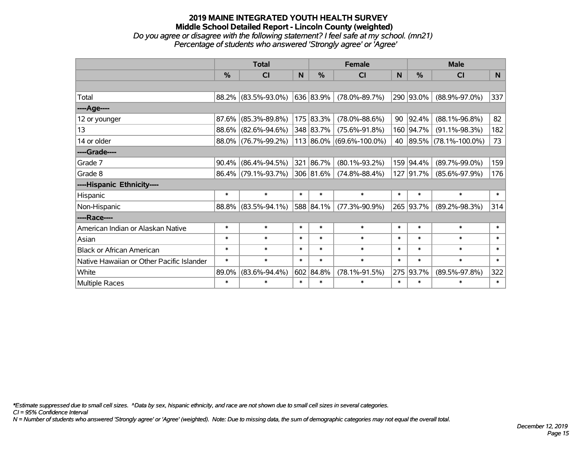## **2019 MAINE INTEGRATED YOUTH HEALTH SURVEY Middle School Detailed Report - Lincoln County (weighted)** *Do you agree or disagree with the following statement? I feel safe at my school. (mn21) Percentage of students who answered 'Strongly agree' or 'Agree'*

|                                           |               | <b>Total</b>        |        |                | <b>Female</b>                |              |               | <b>Male</b>             |        |
|-------------------------------------------|---------------|---------------------|--------|----------------|------------------------------|--------------|---------------|-------------------------|--------|
|                                           | $\frac{0}{0}$ | <b>CI</b>           | N      | %              | <b>CI</b>                    | $\mathsf{N}$ | $\frac{0}{0}$ | <b>CI</b>               | N.     |
|                                           |               |                     |        |                |                              |              |               |                         |        |
| Total                                     |               | 88.2% (83.5%-93.0%) |        | 636 83.9%      | $(78.0\% - 89.7\%)$          |              | 290 93.0%     | $(88.9\% - 97.0\%)$     | 337    |
| ----Age----                               |               |                     |        |                |                              |              |               |                         |        |
| 12 or younger                             | 87.6%         | $(85.3\% - 89.8\%)$ |        | 175 83.3%      | $(78.0\% - 88.6\%)$          | 90           | 92.4%         | $(88.1\% - 96.8\%)$     | 82     |
| 13                                        |               | 88.6% (82.6%-94.6%) |        | 348 83.7%      | $(75.6\% - 91.8\%)$          |              | 160 94.7%     | $(91.1\% - 98.3\%)$     | 182    |
| 14 or older                               |               | 88.0% (76.7%-99.2%) |        |                | 113   86.0%   (69.6%-100.0%) |              |               | 40 89.5% (78.1%-100.0%) | 73     |
| ----Grade----                             |               |                     |        |                |                              |              |               |                         |        |
| Grade 7                                   | 90.4%         | $(86.4\% - 94.5\%)$ | 321    | 86.7%          | $(80.1\% - 93.2\%)$          |              | 159 94.4%     | $(89.7\% - 99.0\%)$     | 159    |
| Grade 8                                   |               | 86.4% (79.1%-93.7%) |        | $ 306 81.6\% $ | $(74.8\% - 88.4\%)$          |              | 127 91.7%     | $(85.6\% - 97.9\%)$     | 176    |
| ----Hispanic Ethnicity----                |               |                     |        |                |                              |              |               |                         |        |
| Hispanic                                  | $\ast$        | $\ast$              | $\ast$ | $\ast$         | $\ast$                       | $\ast$       | $\ast$        | $\ast$                  | $\ast$ |
| Non-Hispanic                              |               | 88.8% (83.5%-94.1%) |        | 588 84.1%      | $(77.3\% - 90.9\%)$          |              | 265 93.7%     | $(89.2\% - 98.3\%)$     | 314    |
| ----Race----                              |               |                     |        |                |                              |              |               |                         |        |
| American Indian or Alaskan Native         | $\ast$        | $\ast$              | $\ast$ | $\ast$         | $\ast$                       | $\ast$       | $\ast$        | $\ast$                  | $\ast$ |
| Asian                                     | $\ast$        | $\ast$              | $\ast$ | $\ast$         | $\ast$                       | $\ast$       | $\ast$        | $\ast$                  | $\ast$ |
| <b>Black or African American</b>          | $\ast$        | $\ast$              | $\ast$ | $\ast$         | $\ast$                       | $\ast$       | $\ast$        | $\ast$                  | $\ast$ |
| Native Hawaiian or Other Pacific Islander | $\ast$        | $\ast$              | $\ast$ | $\ast$         | $\ast$                       | $\ast$       | $\ast$        | $\ast$                  | $\ast$ |
| White                                     | 89.0%         | $(83.6\% - 94.4\%)$ | 602    | 84.8%          | $(78.1\% - 91.5\%)$          | 275          | 93.7%         | $(89.5\% - 97.8\%)$     | 322    |
| Multiple Races                            | $\ast$        | $\ast$              | $\ast$ | $\ast$         | $\ast$                       | $\ast$       | $\ast$        | $\ast$                  | $\ast$ |

*\*Estimate suppressed due to small cell sizes. ^Data by sex, hispanic ethnicity, and race are not shown due to small cell sizes in several categories.*

*CI = 95% Confidence Interval*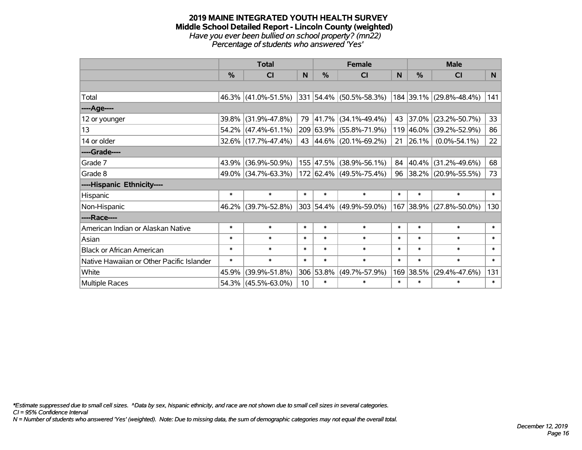#### **2019 MAINE INTEGRATED YOUTH HEALTH SURVEY Middle School Detailed Report - Lincoln County (weighted)** *Have you ever been bullied on school property? (mn22) Percentage of students who answered 'Yes'*

|                                           |          | <b>Total</b>           |        |            | <b>Female</b>             |          |        | <b>Male</b>             |        |
|-------------------------------------------|----------|------------------------|--------|------------|---------------------------|----------|--------|-------------------------|--------|
|                                           | %        | <b>CI</b>              | N      | $\%$       | <b>CI</b>                 | <b>N</b> | %      | <b>CI</b>               | N      |
|                                           |          |                        |        |            |                           |          |        |                         |        |
| Total                                     |          | 46.3% (41.0%-51.5%)    |        |            | 331 54.4% (50.5%-58.3%)   |          |        | 184 39.1% (29.8%-48.4%) | 141    |
| ----Age----                               |          |                        |        |            |                           |          |        |                         |        |
| 12 or younger                             | 39.8%    | $(31.9\% - 47.8\%)$    | 79     | $ 41.7\% $ | $(34.1\% - 49.4\%)$       | 43       | 37.0%  | $(23.2\% - 50.7\%)$     | 33     |
| 13                                        |          | $54.2\%$ (47.4%-61.1%) |        |            | 209 63.9% (55.8%-71.9%)   | 119      |        | 46.0%   (39.2%-52.9%)   | 86     |
| 14 or older                               |          | $32.6\%$ (17.7%-47.4%) |        |            | 43 44.6% (20.1%-69.2%)    | 21       | 26.1%  | $(0.0\% - 54.1\%)$      | 22     |
| ----Grade----                             |          |                        |        |            |                           |          |        |                         |        |
| Grade 7                                   | 43.9%    | $(36.9\% - 50.9\%)$    |        | 155 47.5%  | $(38.9\% - 56.1\%)$       | 84       |        | 40.4% (31.2%-49.6%)     | 68     |
| Grade 8                                   |          | 49.0% (34.7%-63.3%)    |        |            | $172$ 62.4% (49.5%-75.4%) | 96       |        | 38.2% (20.9%-55.5%)     | 73     |
| ----Hispanic Ethnicity----                |          |                        |        |            |                           |          |        |                         |        |
| Hispanic                                  | $\ast$   | $\ast$                 | $\ast$ | ∗          | $\ast$                    | $\ast$   | $\ast$ | $\ast$                  | $\ast$ |
| Non-Hispanic                              | $46.2\%$ | $(39.7\% - 52.8\%)$    |        |            | 303 54.4% (49.9%-59.0%)   |          |        | 167 38.9% (27.8%-50.0%) | 130    |
| ----Race----                              |          |                        |        |            |                           |          |        |                         |        |
| American Indian or Alaskan Native         | $\ast$   | $\ast$                 | $\ast$ | $\ast$     | $\ast$                    | $\ast$   | $\ast$ | $\ast$                  | $\ast$ |
| Asian                                     | $\ast$   | $\ast$                 | $\ast$ | $\ast$     | $\ast$                    | $\ast$   | $\ast$ | $\ast$                  | $\ast$ |
| <b>Black or African American</b>          | $\ast$   | $\ast$                 | $\ast$ | $\ast$     | $\ast$                    | $\ast$   | $\ast$ | $\ast$                  | $\ast$ |
| Native Hawaiian or Other Pacific Islander | $\ast$   | $\ast$                 | $\ast$ | $\ast$     | $\ast$                    | $\ast$   | $\ast$ | $\ast$                  | $\ast$ |
| White                                     | 45.9%    | $(39.9\% - 51.8\%)$    |        | 306 53.8%  | $(49.7\% - 57.9\%)$       | 169      | 38.5%  | $(29.4\% - 47.6\%)$     | 131    |
| Multiple Races                            | 54.3%    | $(45.5\% - 63.0\%)$    | 10     | $\ast$     | $\ast$                    | $\ast$   | $\ast$ | $\ast$                  | $\ast$ |

*\*Estimate suppressed due to small cell sizes. ^Data by sex, hispanic ethnicity, and race are not shown due to small cell sizes in several categories.*

*CI = 95% Confidence Interval*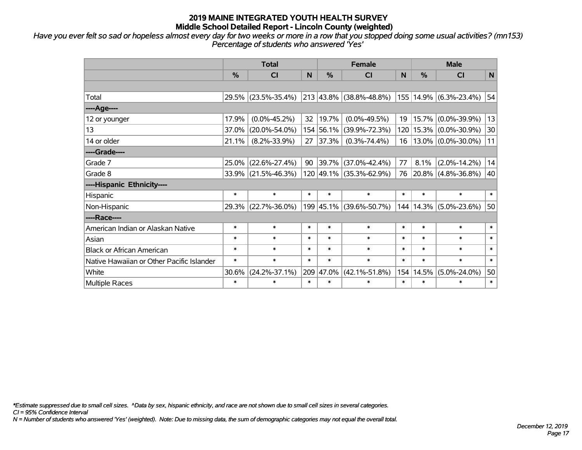*Have you ever felt so sad or hopeless almost every day for two weeks or more in a row that you stopped doing some usual activities? (mn153) Percentage of students who answered 'Yes'*

|                                           |               | <b>Total</b>        |                                                     |             | <b>Female</b>           |                 | <b>Male</b> |                       |        |  |
|-------------------------------------------|---------------|---------------------|-----------------------------------------------------|-------------|-------------------------|-----------------|-------------|-----------------------|--------|--|
|                                           | $\frac{0}{0}$ | CI                  | N                                                   | %           | CI                      | N               | %           | CI                    | N      |  |
|                                           |               |                     |                                                     |             |                         |                 |             |                       |        |  |
| Total                                     |               | 29.5% (23.5%-35.4%) |                                                     | $213$ 43.8% | $(38.8\% - 48.8\%)$     | 155             |             | $14.9\%$ (6.3%-23.4%) | 54     |  |
| ----Age----                               |               |                     |                                                     |             |                         |                 |             |                       |        |  |
| 12 or younger                             | 17.9%         | $(0.0\% - 45.2\%)$  | 32                                                  | 19.7%       | $(0.0\% - 49.5\%)$      | 19              |             | 15.7% (0.0%-39.9%)    | 13     |  |
| 13                                        | 37.0%         | $(20.0\% - 54.0\%)$ |                                                     | 154 56.1%   | $(39.9\% - 72.3\%)$     | 120             |             | $15.3\%$ (0.0%-30.9%) | 30     |  |
| 14 or older                               | 21.1%         | $(8.2\% - 33.9\%)$  | 27                                                  | 37.3%       | $(0.3\% - 74.4\%)$      | 16 <sup>1</sup> |             | $13.0\%$ (0.0%-30.0%) | 11     |  |
| ----Grade----                             |               |                     |                                                     |             |                         |                 |             |                       |        |  |
| Grade 7                                   | 25.0%         | $(22.6\% - 27.4\%)$ | 90                                                  | 39.7%       | $(37.0\% - 42.4\%)$     | 77              | 8.1%        | $(2.0\% - 14.2\%)$    | 14     |  |
| Grade 8                                   |               | 33.9% (21.5%-46.3%) |                                                     |             | 120 49.1% (35.3%-62.9%) | 76              |             | $20.8\%$ (4.8%-36.8%) | 40     |  |
| ----Hispanic Ethnicity----                |               |                     |                                                     |             |                         |                 |             |                       |        |  |
| Hispanic                                  | $\ast$        | $\ast$              | $\ast$                                              | $\ast$      | $\ast$                  | $\ast$          | $\ast$      | $\ast$                | $\ast$ |  |
| Non-Hispanic                              |               | 29.3% (22.7%-36.0%) |                                                     | 199 45.1%   | $(39.6\% - 50.7\%)$     | 144             | 14.3%       | $(5.0\% - 23.6\%)$    | 50     |  |
| ----Race----                              |               |                     |                                                     |             |                         |                 |             |                       |        |  |
| American Indian or Alaskan Native         | $\ast$        | $\ast$              | $\ast$                                              | $\ast$      | $\ast$                  | $\ast$          | $\ast$      | $\ast$                | $\ast$ |  |
| Asian                                     | $\ast$        | $\ast$              | $\ast$                                              | $\ast$      | $\ast$                  | $\ast$          | $\ast$      | $\ast$                | $\ast$ |  |
| <b>Black or African American</b>          | $\ast$        | $\ast$              | $\ast$                                              | $\ast$      | $\ast$                  | $\ast$          | $\ast$      | $\ast$                | $\ast$ |  |
| Native Hawaiian or Other Pacific Islander | $\ast$        | $\ast$              | $\ast$                                              | $\ast$      | $\ast$                  | $\ast$          | $\ast$      | $\ast$                | $\ast$ |  |
| White                                     | 30.6%         | $(24.2\% - 37.1\%)$ | 209<br>47.0%<br>$(42.1\% - 51.8\%)$<br>14.5%<br>154 |             | $(5.0\% - 24.0\%)$      | 50              |             |                       |        |  |
| Multiple Races                            | $\ast$        | $\ast$              | $\ast$                                              | $\ast$      | $\ast$                  | $\ast$          | $\ast$      | $\ast$                | $\ast$ |  |

*\*Estimate suppressed due to small cell sizes. ^Data by sex, hispanic ethnicity, and race are not shown due to small cell sizes in several categories.*

*CI = 95% Confidence Interval*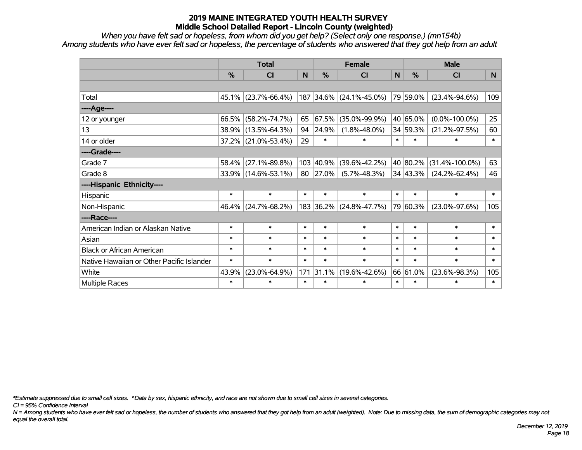*When you have felt sad or hopeless, from whom did you get help? (Select only one response.) (mn154b) Among students who have ever felt sad or hopeless, the percentage of students who answered that they got help from an adult*

|                                           |               | <b>Total</b>           |        |           | <b>Female</b>           |        |               | <b>Male</b>          |                |
|-------------------------------------------|---------------|------------------------|--------|-----------|-------------------------|--------|---------------|----------------------|----------------|
|                                           | $\frac{0}{2}$ | <b>CI</b>              | N      | $\%$      | C <sub>l</sub>          | N      | $\frac{0}{0}$ | <b>CI</b>            | N <sub>1</sub> |
|                                           |               |                        |        |           |                         |        |               |                      |                |
| Total                                     |               | 45.1% (23.7%-66.4%)    |        |           | 187 34.6% (24.1%-45.0%) |        | 79 59.0%      | $(23.4\% - 94.6\%)$  | 109            |
| ----Age----                               |               |                        |        |           |                         |        |               |                      |                |
| 12 or younger                             | 66.5%         | $(58.2\% - 74.7\%)$    | 65     | 67.5%     | $(35.0\% - 99.9\%)$     |        | 40 65.0%      | $(0.0\% - 100.0\%)$  | 25             |
| 13                                        |               | 38.9% (13.5%-64.3%)    | 94     | 24.9%     | $(1.8\% - 48.0\%)$      |        | 34 59.3%      | $(21.2\% - 97.5\%)$  | 60             |
| 14 or older                               |               | $37.2\%$ (21.0%-53.4%) | 29     | $\ast$    | $\ast$                  | $\ast$ | $\ast$        | $\ast$               | $\ast$         |
| ----Grade----                             |               |                        |        |           |                         |        |               |                      |                |
| Grade 7                                   | 58.4%         | $(27.1\% - 89.8\%)$    |        | 103 40.9% | $(39.6\% - 42.2\%)$     |        | 40 80.2%      | $(31.4\% - 100.0\%)$ | 63             |
| Grade 8                                   |               | 33.9% (14.6%-53.1%)    |        | 80 27.0%  | $(5.7\% - 48.3\%)$      |        | 34 43.3%      | $(24.2\% - 62.4\%)$  | 46             |
| ----Hispanic Ethnicity----                |               |                        |        |           |                         |        |               |                      |                |
| Hispanic                                  | $\ast$        | $\ast$                 | $\ast$ | $\ast$    | $\ast$                  | $\ast$ | $\ast$        | $\ast$               | $\ast$         |
| Non-Hispanic                              | 46.4%         | $(24.7\% - 68.2\%)$    |        |           | 183 36.2% (24.8%-47.7%) |        | 79 60.3%      | $(23.0\% - 97.6\%)$  | 105            |
| ----Race----                              |               |                        |        |           |                         |        |               |                      |                |
| American Indian or Alaskan Native         | $\ast$        | $\ast$                 | $\ast$ | $\ast$    | $\ast$                  | $\ast$ | $\ast$        | $\ast$               | $\ast$         |
| Asian                                     | $\ast$        | $\ast$                 | $\ast$ | $\ast$    | $\ast$                  | $\ast$ | $\ast$        | $\ast$               | $\ast$         |
| <b>Black or African American</b>          | $\ast$        | $\ast$                 | $\ast$ | $\ast$    | $\ast$                  | $\ast$ | $\ast$        | $\ast$               | $\ast$         |
| Native Hawaiian or Other Pacific Islander | $\ast$        | $\ast$                 | $\ast$ | $\ast$    | $\ast$                  | $\ast$ | $\ast$        | $\ast$               | $\ast$         |
| White                                     | 43.9%         | $(23.0\% - 64.9\%)$    | 171    | 31.1%     | $(19.6\% - 42.6\%)$     |        | 66 61.0%      | $(23.6\% - 98.3\%)$  | 105            |
| Multiple Races                            | $\ast$        | $\ast$                 | $\ast$ | $\ast$    | $\ast$                  | $\ast$ | $\ast$        | $\ast$               | $\ast$         |

*\*Estimate suppressed due to small cell sizes. ^Data by sex, hispanic ethnicity, and race are not shown due to small cell sizes in several categories.*

*CI = 95% Confidence Interval*

*N = Among students who have ever felt sad or hopeless, the number of students who answered that they got help from an adult (weighted). Note: Due to missing data, the sum of demographic categories may not equal the overall total.*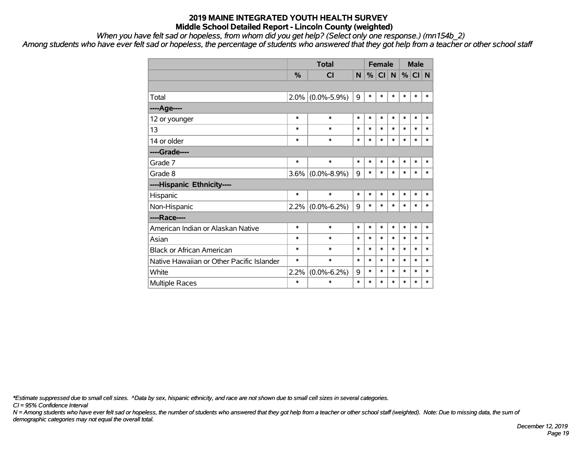*When you have felt sad or hopeless, from whom did you get help? (Select only one response.) (mn154b\_2)*

*Among students who have ever felt sad or hopeless, the percentage of students who answered that they got help from a teacher or other school staff*

|                                           |               | <b>Total</b>        |                | <b>Female</b> |        |        | <b>Male</b> |        |          |
|-------------------------------------------|---------------|---------------------|----------------|---------------|--------|--------|-------------|--------|----------|
|                                           | $\frac{0}{0}$ | <b>CI</b>           | N <sub>1</sub> | %             | CI N   |        | %           | CI     | <b>N</b> |
|                                           |               |                     |                |               |        |        |             |        |          |
| Total                                     |               | $2.0\%$ (0.0%-5.9%) | 9              | $\ast$        | $\ast$ | *      | $\ast$      | $\ast$ | $\ast$   |
| ----Age----                               |               |                     |                |               |        |        |             |        |          |
| 12 or younger                             | $\ast$        | $\ast$              | $\ast$         | $\ast$        | $\ast$ | $\ast$ | $\ast$      | $\ast$ | $\ast$   |
| 13                                        | $\ast$        | $\ast$              | $\ast$         | $\ast$        | $\ast$ | $\ast$ | $\ast$      | $\ast$ | *        |
| 14 or older                               | *             | $\ast$              | $\ast$         | $\ast$        | $\ast$ | $\ast$ | $\ast$      | $\ast$ | $\ast$   |
| ----Grade----                             |               |                     |                |               |        |        |             |        |          |
| Grade 7                                   | $\ast$        | $\ast$              | $\ast$         | $\ast$        | $\ast$ | $\ast$ | $\ast$      | $\ast$ | $\ast$   |
| Grade 8                                   |               | $3.6\%$ (0.0%-8.9%) | 9              | $\ast$        | $\ast$ | $\ast$ | $\ast$      | $\ast$ | $\ast$   |
| ----Hispanic Ethnicity----                |               |                     |                |               |        |        |             |        |          |
| Hispanic                                  | $\ast$        | $\ast$              | $\ast$         | $\ast$        | $\ast$ | *      | *           | $\ast$ | *        |
| Non-Hispanic                              |               | $2.2\%$ (0.0%-6.2%) | 9              | $\ast$        | $\ast$ | $\ast$ | $\ast$      | $\ast$ | $\ast$   |
| ----Race----                              |               |                     |                |               |        |        |             |        |          |
| American Indian or Alaskan Native         | $\ast$        | $\ast$              | $\ast$         | $\ast$        | $\ast$ | $\ast$ | $\ast$      | $\ast$ | $\ast$   |
| Asian                                     | $\ast$        | $\ast$              | $\ast$         | $\ast$        | $\ast$ | $\ast$ | $\ast$      | $\ast$ | $\ast$   |
| <b>Black or African American</b>          | $\ast$        | $\ast$              | $\ast$         | $\ast$        | $\ast$ | $\ast$ | $\ast$      | $\ast$ | $\ast$   |
| Native Hawaiian or Other Pacific Islander | $\ast$        | $\ast$              | $\ast$         | $\ast$        | $\ast$ | $\ast$ | $\ast$      | $\ast$ | $\ast$   |
| White                                     | 2.2%          | $(0.0\% - 6.2\%)$   | 9              | $\ast$        | $\ast$ | *      | $\ast$      | $\ast$ | $\ast$   |
| <b>Multiple Races</b>                     | $\ast$        | $\ast$              | $\ast$         | $\ast$        | $\ast$ | $\ast$ | $\ast$      | $\ast$ | *        |

*\*Estimate suppressed due to small cell sizes. ^Data by sex, hispanic ethnicity, and race are not shown due to small cell sizes in several categories.*

*CI = 95% Confidence Interval*

*N = Among students who have ever felt sad or hopeless, the number of students who answered that they got help from a teacher or other school staff (weighted). Note: Due to missing data, the sum of demographic categories may not equal the overall total.*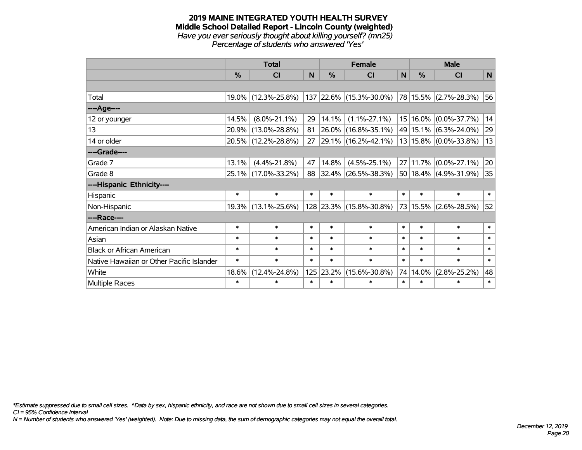#### **2019 MAINE INTEGRATED YOUTH HEALTH SURVEY Middle School Detailed Report - Lincoln County (weighted)** *Have you ever seriously thought about killing yourself? (mn25) Percentage of students who answered 'Yes'*

|                                           |          | <b>Total</b>        | <b>Female</b><br>%<br>N<br><b>CI</b><br>$ 137 22.6\%  (15.3\% - 30.0\%)$<br>29<br>14.1%<br>26.0%<br>81 |           |                          |             |               | <b>Male</b>               |             |
|-------------------------------------------|----------|---------------------|--------------------------------------------------------------------------------------------------------|-----------|--------------------------|-------------|---------------|---------------------------|-------------|
|                                           | %        | <b>CI</b>           |                                                                                                        |           |                          | $\mathbf N$ | $\frac{0}{0}$ | <b>CI</b>                 | $\mathbf N$ |
|                                           |          |                     |                                                                                                        |           |                          |             |               |                           |             |
| Total                                     |          | 19.0% (12.3%-25.8%) |                                                                                                        |           |                          |             |               | 78 15.5% (2.7%-28.3%)     | 56          |
| ----Age----                               |          |                     |                                                                                                        |           |                          |             |               |                           |             |
| 12 or younger                             | 14.5%    | $(8.0\% - 21.1\%)$  |                                                                                                        |           | $(1.1\% - 27.1\%)$       |             |               | 15 16.0% (0.0%-37.7%)     | 14          |
| 13                                        | $20.9\%$ | $(13.0\% - 28.8\%)$ |                                                                                                        |           | $(16.8\% - 35.1\%)$      |             |               | 49 15.1% (6.3%-24.0%)     | 29          |
| 14 or older                               |          | 20.5% (12.2%-28.8%) | 27                                                                                                     |           | 29.1% (16.2%-42.1%)      |             |               | 13 15.8% (0.0%-33.8%)     | 13          |
| ----Grade----                             |          |                     |                                                                                                        |           |                          |             |               |                           |             |
| Grade 7                                   | 13.1%    | $(4.4\% - 21.8\%)$  | 47                                                                                                     | 14.8%     | $(4.5\% - 25.1\%)$       |             |               | $27 11.7\% $ (0.0%-27.1%) | 20          |
| Grade 8                                   |          | 25.1% (17.0%-33.2%) | 88                                                                                                     |           | $ 32.4\% $ (26.5%-38.3%) |             |               | 50 18.4% (4.9%-31.9%)     | 35          |
| ----Hispanic Ethnicity----                |          |                     |                                                                                                        |           |                          |             |               |                           |             |
| Hispanic                                  | $\ast$   | $\ast$              | *                                                                                                      | $\ast$    | $\ast$                   | $\ast$      | $\ast$        | $\ast$                    | $\ast$      |
| Non-Hispanic                              |          | 19.3% (13.1%-25.6%) |                                                                                                        |           | 128 23.3% (15.8%-30.8%)  |             |               | 73 15.5% (2.6%-28.5%)     | 52          |
| ----Race----                              |          |                     |                                                                                                        |           |                          |             |               |                           |             |
| American Indian or Alaskan Native         | $\ast$   | $\ast$              | $\ast$                                                                                                 | $\ast$    | $\ast$                   | $\ast$      | $\ast$        | $\ast$                    | $\ast$      |
| Asian                                     | $\ast$   | $\ast$              | $\ast$                                                                                                 | $\ast$    | $\ast$                   | $\ast$      | $\ast$        | $\ast$                    | $\ast$      |
| <b>Black or African American</b>          | $\ast$   | $\ast$              | $\ast$                                                                                                 | $\ast$    | $\ast$                   | $\ast$      | $\ast$        | $\ast$                    | $\ast$      |
| Native Hawaiian or Other Pacific Islander | $\ast$   | $\ast$              | $\ast$                                                                                                 | $\ast$    | $\ast$                   | $\ast$      | $\ast$        | $\ast$                    | $\ast$      |
| White                                     | 18.6%    | $(12.4\% - 24.8\%)$ |                                                                                                        | 125 23.2% | $(15.6\% - 30.8\%)$      |             | 74 14.0%      | $(2.8\% - 25.2\%)$        | 48          |
| Multiple Races                            | $\ast$   | $\ast$              | $\ast$                                                                                                 | $\ast$    | $\ast$                   | $\ast$      | $\ast$        | $\ast$                    | $\ast$      |

*\*Estimate suppressed due to small cell sizes. ^Data by sex, hispanic ethnicity, and race are not shown due to small cell sizes in several categories.*

*CI = 95% Confidence Interval*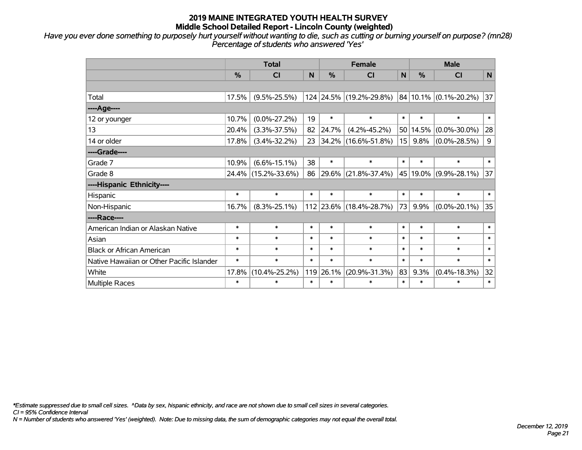*Have you ever done something to purposely hurt yourself without wanting to die, such as cutting or burning yourself on purpose? (mn28) Percentage of students who answered 'Yes'*

|                                           |        | <b>Total</b>        |        |                              | <b>Female</b>            |        | <b>Male</b> |                            |        |        |        |
|-------------------------------------------|--------|---------------------|--------|------------------------------|--------------------------|--------|-------------|----------------------------|--------|--------|--------|
|                                           | $\%$   | <b>CI</b>           | N      | $\%$                         | <b>CI</b>                | N      | $\%$        | <b>CI</b>                  | N      |        |        |
|                                           |        |                     |        |                              |                          |        |             |                            |        |        |        |
| Total                                     | 17.5%  | $(9.5\% - 25.5\%)$  |        |                              | 124 24.5% (19.2%-29.8%)  |        |             | $ 84 10.1\% $ (0.1%-20.2%) | 37     |        |        |
| ----Age----                               |        |                     |        |                              |                          |        |             |                            |        |        |        |
| 12 or younger                             | 10.7%  | $(0.0\% - 27.2\%)$  | 19     | $\ast$                       | $\ast$                   | $\ast$ | $\ast$      | $\ast$                     | $\ast$ |        |        |
| 13                                        | 20.4%  | $(3.3\% - 37.5\%)$  | 82     | 24.7%                        | $(4.2\% - 45.2\%)$       | 50     | 14.5%       | $(0.0\% - 30.0\%)$         | 28     |        |        |
| 14 or older                               | 17.8%  | $(3.4\% - 32.2\%)$  | 23     |                              | $ 34.2\% $ (16.6%-51.8%) | 15     | 9.8%        | $(0.0\% - 28.5\%)$         | 9      |        |        |
| ----Grade----                             |        |                     |        |                              |                          |        |             |                            |        |        |        |
| Grade 7                                   | 10.9%  | $(6.6\% - 15.1\%)$  | 38     | $\ast$                       | $\ast$                   |        | $\ast$      | $\ast$                     | $\ast$ |        |        |
| Grade 8                                   |        | 24.4% (15.2%-33.6%) | 86     | 29.6%                        | $(21.8\% - 37.4\%)$      | 45     |             | $19.0\%$ (9.9%-28.1%)      | 37     |        |        |
| ----Hispanic Ethnicity----                |        |                     |        |                              |                          |        |             |                            |        |        |        |
| Hispanic                                  | $\ast$ | $\ast$              | $\ast$ | $\ast$                       | $\ast$                   | $\ast$ | $\ast$      | $\ast$                     | $\ast$ |        |        |
| Non-Hispanic                              | 16.7%  | $(8.3\% - 25.1\%)$  |        |                              | 112 23.6% (18.4%-28.7%)  | 73     | 9.9%        | $(0.0\% - 20.1\%)$         | 35     |        |        |
| ----Race----                              |        |                     |        |                              |                          |        |             |                            |        |        |        |
| American Indian or Alaskan Native         | $\ast$ | $\ast$              | $\ast$ | $\ast$                       | $\ast$                   | $\ast$ | $\ast$      | $\ast$                     | $\ast$ |        |        |
| Asian                                     | $\ast$ | $\ast$              | $\ast$ | $\ast$                       | $\ast$                   |        | $\ast$      |                            | $\ast$ | $\ast$ | $\ast$ |
| <b>Black or African American</b>          | $\ast$ | $\ast$              | $\ast$ | $\ast$                       | $\ast$                   | $\ast$ | $\ast$      | $\ast$                     | $\ast$ |        |        |
| Native Hawaiian or Other Pacific Islander | $\ast$ | $\ast$              | $\ast$ | $\ast$<br>$\ast$             |                          | $\ast$ | $\ast$      | $\ast$                     | $\ast$ |        |        |
| White                                     | 17.8%  | $(10.4\% - 25.2\%)$ | 119    | 26.1%<br>$(20.9\% - 31.3\%)$ |                          |        | 83<br>9.3%  | $(0.4\% - 18.3\%)$         | 32     |        |        |
| Multiple Races                            | $\ast$ | $\ast$              | $\ast$ | $\ast$                       | $\ast$                   | $\ast$ | $\ast$      | $\ast$                     | $\ast$ |        |        |

*\*Estimate suppressed due to small cell sizes. ^Data by sex, hispanic ethnicity, and race are not shown due to small cell sizes in several categories.*

*CI = 95% Confidence Interval*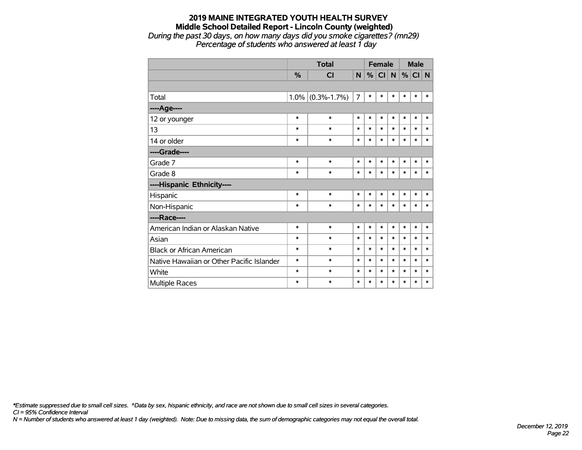#### **2019 MAINE INTEGRATED YOUTH HEALTH SURVEY Middle School Detailed Report - Lincoln County (weighted)** *During the past 30 days, on how many days did you smoke cigarettes? (mn29) Percentage of students who answered at least 1 day*

|                                           |         |                   |                | <b>Female</b> |           | <b>Male</b>  |        |        |        |
|-------------------------------------------|---------|-------------------|----------------|---------------|-----------|--------------|--------|--------|--------|
|                                           | %       | CI                | N              | %             | <b>CI</b> | $\mathsf{N}$ | $\%$   | CI N   |        |
|                                           |         |                   |                |               |           |              |        |        |        |
| Total                                     | $1.0\%$ | $(0.3\% - 1.7\%)$ | $\overline{7}$ | $\ast$        | $\ast$    | $\ast$       | $\ast$ | $\ast$ | $\ast$ |
| ----Age----                               |         |                   |                |               |           |              |        |        |        |
| 12 or younger                             | $\ast$  | $\ast$            | $\ast$         | $\ast$        | $\ast$    | $\ast$       | $\ast$ | $\ast$ | $\ast$ |
| 13                                        | $\ast$  | $\ast$            | $\ast$         | $\ast$        | $\ast$    | $\ast$       | $\ast$ | $\ast$ | $\ast$ |
| 14 or older                               | $\ast$  | $\ast$            | $\ast$         | $\ast$        | $\ast$    | $\ast$       | $\ast$ | $\ast$ | $\ast$ |
| ----Grade----                             |         |                   |                |               |           |              |        |        |        |
| Grade 7                                   | $\ast$  | $\ast$            | $\ast$         | $\ast$        | $\ast$    | $\ast$       | $\ast$ | $\ast$ | $\ast$ |
| Grade 8                                   | $\ast$  | $\ast$            | $\ast$         | $\ast$        | $\ast$    | $\ast$       | $\ast$ | $\ast$ | $\ast$ |
| ----Hispanic Ethnicity----                |         |                   |                |               |           |              |        |        |        |
| Hispanic                                  | $\ast$  | $\ast$            | $\ast$         | $\ast$        | $\ast$    | $\ast$       | $\ast$ | *      | $\ast$ |
| Non-Hispanic                              | $\ast$  | $\ast$            | $\ast$         | $\ast$        | $\ast$    | $\ast$       | $\ast$ | $\ast$ | $\ast$ |
| ----Race----                              |         |                   |                |               |           |              |        |        |        |
| American Indian or Alaskan Native         | $\ast$  | $\ast$            | $\ast$         | $\ast$        | $\ast$    | $\ast$       | $\ast$ | $\ast$ | $\ast$ |
| Asian                                     | $\ast$  | $\ast$            | $\ast$         | $\ast$        | $\ast$    | $\ast$       | $\ast$ | $\ast$ | $\ast$ |
| <b>Black or African American</b>          | $\ast$  | $\ast$            | $\ast$         | $\ast$        | $\ast$    | $\ast$       | $\ast$ | $\ast$ | $\ast$ |
| Native Hawaiian or Other Pacific Islander | $\ast$  | $\ast$            | $\ast$         | $\ast$        | $\ast$    | $\ast$       | $\ast$ | $\ast$ | $\ast$ |
| White                                     | $\ast$  | $\ast$            | $\ast$         | $\ast$        | $\ast$    | $\ast$       | $\ast$ | *      | $\ast$ |
| <b>Multiple Races</b>                     | ∗       | $\ast$            | $\ast$         | $\ast$        | $\ast$    | $\ast$       | $\ast$ | *      | $\ast$ |

*\*Estimate suppressed due to small cell sizes. ^Data by sex, hispanic ethnicity, and race are not shown due to small cell sizes in several categories.*

*CI = 95% Confidence Interval*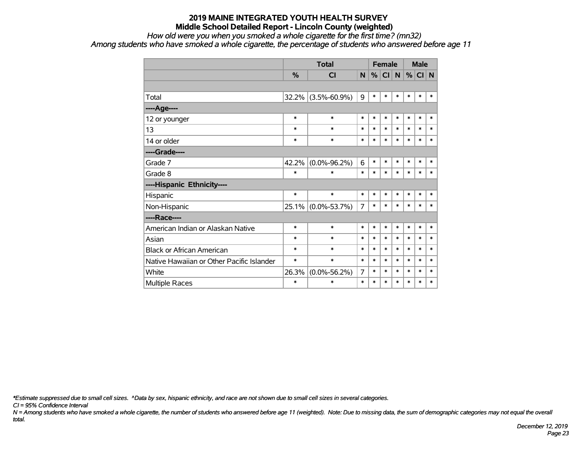#### *How old were you when you smoked a whole cigarette for the first time? (mn32)*

*Among students who have smoked a whole cigarette, the percentage of students who answered before age 11*

|                                           |        | <b>Total</b>       |        |        | <b>Female</b> |        |        | <b>Male</b> |        |
|-------------------------------------------|--------|--------------------|--------|--------|---------------|--------|--------|-------------|--------|
|                                           | %      | <b>CI</b>          | N      | %      | CI            | N      | %      | CI N        |        |
|                                           |        |                    |        |        |               |        |        |             |        |
| Total                                     | 32.2%  | $(3.5\% - 60.9\%)$ | 9      | $\ast$ | $\ast$        | $\ast$ | $\ast$ | $\ast$      | $\ast$ |
| ----Age----                               |        |                    |        |        |               |        |        |             |        |
| 12 or younger                             | *      | $\ast$             | $\ast$ | $\ast$ | $\ast$        | $\ast$ | $\ast$ | $\ast$      | $\ast$ |
| 13                                        | *      | $\ast$             | $\ast$ | $\ast$ | $\ast$        | $\ast$ | $\ast$ | $\ast$      | *      |
| 14 or older                               | *      | $\ast$             | $\ast$ | $\ast$ | $\ast$        | $\ast$ | $\ast$ | $\ast$      | $\ast$ |
| ----Grade----                             |        |                    |        |        |               |        |        |             |        |
| Grade 7                                   | 42.2%  | $(0.0\% - 96.2\%)$ | 6      | $\ast$ | $\ast$        | $\ast$ | $\ast$ | $\ast$      | *      |
| Grade 8                                   | *      | $\ast$             | $\ast$ | $\ast$ | $\ast$        | $\ast$ | $\ast$ | $\ast$      | $\ast$ |
| ----Hispanic Ethnicity----                |        |                    |        |        |               |        |        |             |        |
| Hispanic                                  | $\ast$ | $\ast$             | $\ast$ | $\ast$ | $\ast$        | $\ast$ | $\ast$ | $\ast$      | $\ast$ |
| Non-Hispanic                              | 25.1%  | $(0.0\% - 53.7\%)$ | 7      | $\ast$ | $\ast$        | $\ast$ | $\ast$ | $\ast$      | $\ast$ |
| ----Race----                              |        |                    |        |        |               |        |        |             |        |
| American Indian or Alaskan Native         | $\ast$ | $\ast$             | $\ast$ | $\ast$ | $\ast$        | $\ast$ | $\ast$ | $\ast$      | $\ast$ |
| Asian                                     | *      | $\ast$             | $\ast$ | $\ast$ | $\ast$        | $\ast$ | $\ast$ | $\ast$      | $\ast$ |
| <b>Black or African American</b>          | *      | $\ast$             | $\ast$ | $\ast$ | $\ast$        | $\ast$ | $\ast$ | $\ast$      | *      |
| Native Hawaiian or Other Pacific Islander | *      | $\ast$             | $\ast$ | $\ast$ | $\ast$        | $\ast$ | $\ast$ | $\ast$      | $\ast$ |
| White                                     | 26.3%  | $(0.0\% - 56.2\%)$ | 7      | $\ast$ | $\ast$        | $\ast$ | $\ast$ | $\ast$      | $\ast$ |
| <b>Multiple Races</b>                     | *      | $\ast$             | $\ast$ | $\ast$ | $\ast$        | $\ast$ | $\ast$ | $\ast$      | $\ast$ |

*\*Estimate suppressed due to small cell sizes. ^Data by sex, hispanic ethnicity, and race are not shown due to small cell sizes in several categories.*

*CI = 95% Confidence Interval*

*N = Among students who have smoked a whole cigarette, the number of students who answered before age 11 (weighted). Note: Due to missing data, the sum of demographic categories may not equal the overall total.*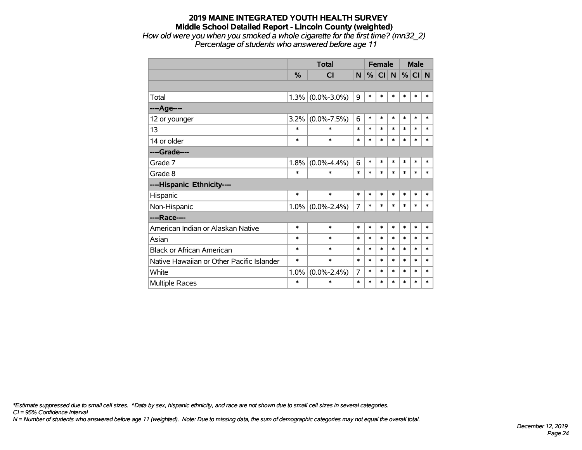#### **2019 MAINE INTEGRATED YOUTH HEALTH SURVEY Middle School Detailed Report - Lincoln County (weighted)** *How old were you when you smoked a whole cigarette for the first time? (mn32\_2) Percentage of students who answered before age 11*

|                                           |               | <b>Total</b>            |        |        | <b>Female</b> |        | <b>Male</b> |        |        |
|-------------------------------------------|---------------|-------------------------|--------|--------|---------------|--------|-------------|--------|--------|
|                                           | $\frac{0}{0}$ | $\overline{\mathsf{C}}$ | N      | $\%$   | <b>CI</b>     | N      | $\%$        | CI N   |        |
|                                           |               |                         |        |        |               |        |             |        |        |
| Total                                     | 1.3%          | $(0.0\% - 3.0\%)$       | 9      | $\ast$ | $\ast$        | $\ast$ | $\ast$      | $\ast$ | $\ast$ |
| ----Age----                               |               |                         |        |        |               |        |             |        |        |
| 12 or younger                             | 3.2%          | $(0.0\% - 7.5\%)$       | 6      | $\ast$ | $\ast$        | $\ast$ | $\ast$      | $\ast$ | $\ast$ |
| 13                                        | $\ast$        | $\ast$                  | $\ast$ | $\ast$ | $\ast$        | $\ast$ | $\ast$      | $\ast$ | $\ast$ |
| 14 or older                               | $\ast$        | $\ast$                  | $\ast$ | $\ast$ | $\ast$        | $\ast$ | $\ast$      | $\ast$ | $\ast$ |
| ----Grade----                             |               |                         |        |        |               |        |             |        |        |
| Grade 7                                   | 1.8%          | $(0.0\% - 4.4\%)$       | 6      | $\ast$ | $\ast$        | $\ast$ | $\ast$      | $\ast$ | $\ast$ |
| Grade 8                                   | $\ast$        | *                       | $\ast$ | $\ast$ | $\ast$        | *      | *           | *      | $\ast$ |
| ----Hispanic Ethnicity----                |               |                         |        |        |               |        |             |        |        |
| Hispanic                                  | $\ast$        | $\ast$                  | $\ast$ | $\ast$ | $\ast$        | *      | *           | *      | ∗      |
| Non-Hispanic                              | $1.0\%$       | $(0.0\% - 2.4\%)$       | 7      | $\ast$ | $\ast$        | *      | $\ast$      | $\ast$ | $\ast$ |
| ----Race----                              |               |                         |        |        |               |        |             |        |        |
| American Indian or Alaskan Native         | $\ast$        | $\ast$                  | $\ast$ | $\ast$ | $\ast$        | $\ast$ | $\ast$      | $\ast$ | $\ast$ |
| Asian                                     | $\ast$        | $\ast$                  | $\ast$ | $\ast$ | $\ast$        | *      | $\ast$      | $\ast$ | $\ast$ |
| <b>Black or African American</b>          | $\ast$        | $\ast$                  | $\ast$ | $\ast$ | $\ast$        | $\ast$ | $\ast$      | $\ast$ | $\ast$ |
| Native Hawaiian or Other Pacific Islander | $\ast$        | $\ast$                  | $\ast$ | $\ast$ | $\ast$        | *      | *           | *      | $\ast$ |
| White                                     | 1.0%          | $(0.0\% - 2.4\%)$       | 7      | $\ast$ | $\ast$        | $\ast$ | $\ast$      | *      | $\ast$ |
| <b>Multiple Races</b>                     | $\ast$        | $\ast$                  | $\ast$ | *      | *             | *      | $\ast$      | *      | $\ast$ |

*\*Estimate suppressed due to small cell sizes. ^Data by sex, hispanic ethnicity, and race are not shown due to small cell sizes in several categories.*

*CI = 95% Confidence Interval*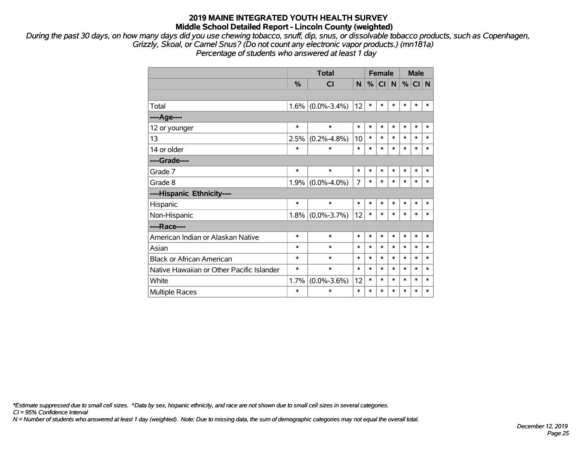*During the past 30 days, on how many days did you use chewing tobacco, snuff, dip, snus, or dissolvable tobacco products, such as Copenhagen, Grizzly, Skoal, or Camel Snus? (Do not count any electronic vapor products.) (mn181a) Percentage of students who answered at least 1 day*

|                                           |         | <b>Total</b>      |        |        | <b>Female</b> |              | <b>Male</b> |        |        |
|-------------------------------------------|---------|-------------------|--------|--------|---------------|--------------|-------------|--------|--------|
|                                           | %       | <b>CI</b>         | N      | %      | ⊺CI I         | <sub>N</sub> | %           | CI N   |        |
|                                           |         |                   |        |        |               |              |             |        |        |
| Total                                     | $1.6\%$ | $(0.0\% - 3.4\%)$ | 12     | $\ast$ | $\ast$        | *            | $\ast$      | $\ast$ | $\ast$ |
| ----Age----                               |         |                   |        |        |               |              |             |        |        |
| 12 or younger                             | $\ast$  | $\ast$            | $\ast$ | $\ast$ | $\ast$        | *            | $\ast$      | $\ast$ | $\ast$ |
| 13                                        | 2.5%    | $(0.2\% - 4.8\%)$ | 10     | *      | $\ast$        | $\ast$       | $\ast$      | $\ast$ | $\ast$ |
| 14 or older                               | $\ast$  | $\ast$            | $\ast$ | $\ast$ | *             | *            | $\ast$      | $\ast$ | *      |
| ----Grade----                             |         |                   |        |        |               |              |             |        |        |
| Grade 7                                   | $\ast$  | $\ast$            | $\ast$ | $\ast$ | $\ast$        | $\ast$       | $\ast$      | $\ast$ | $\ast$ |
| Grade 8                                   | 1.9%    | $(0.0\% - 4.0\%)$ | 7      | $\ast$ | $\ast$        | $\ast$       | $\ast$      | $\ast$ | $\ast$ |
| ----Hispanic Ethnicity----                |         |                   |        |        |               |              |             |        |        |
| Hispanic                                  | $\ast$  | $\ast$            | $\ast$ | $\ast$ | $\ast$        | $\ast$       | $\ast$      | $\ast$ | $\ast$ |
| Non-Hispanic                              | $1.8\%$ | $(0.0\% - 3.7\%)$ | 12     | $\ast$ | $\ast$        | $\ast$       | $\ast$      | $\ast$ | $\ast$ |
| ----Race----                              |         |                   |        |        |               |              |             |        |        |
| American Indian or Alaskan Native         | $\ast$  | $\ast$            | $\ast$ | $\ast$ | $\ast$        | $\ast$       | $\ast$      | $\ast$ | $\ast$ |
| Asian                                     | $\ast$  | $\ast$            | $\ast$ | $\ast$ | $\ast$        | $\ast$       | $\ast$      | $\ast$ | $\ast$ |
| <b>Black or African American</b>          | $\ast$  | $\ast$            | $\ast$ | $\ast$ | $\ast$        | $\ast$       | $\ast$      | $\ast$ | $\ast$ |
| Native Hawaiian or Other Pacific Islander | $\ast$  | $\ast$            | $\ast$ | $\ast$ | $\ast$        | $\ast$       | $\ast$      | $\ast$ | $\ast$ |
| White                                     | 1.7%    | $(0.0\% - 3.6\%)$ | 12     | $\ast$ | $\ast$        | $\ast$       | $\ast$      | $\ast$ | $\ast$ |
| Multiple Races                            | $\ast$  | $\ast$            | $\ast$ | $\ast$ | $\ast$        | $\ast$       | $\ast$      | $\ast$ | $\ast$ |

*\*Estimate suppressed due to small cell sizes. ^Data by sex, hispanic ethnicity, and race are not shown due to small cell sizes in several categories.*

*CI = 95% Confidence Interval*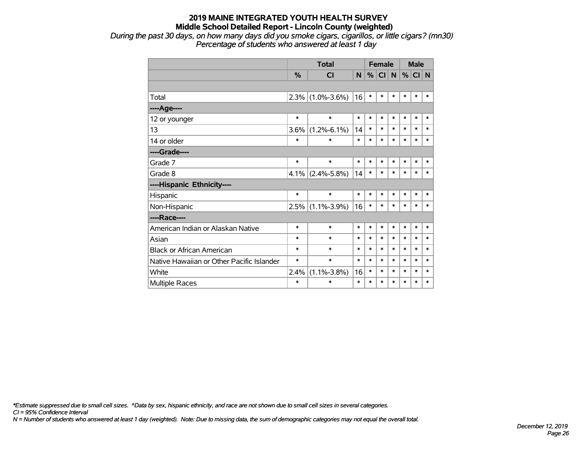*During the past 30 days, on how many days did you smoke cigars, cigarillos, or little cigars? (mn30) Percentage of students who answered at least 1 day*

|                                           |               | <b>Total</b>        |        |        | <b>Female</b> |        |        | <b>Male</b> |        |  |
|-------------------------------------------|---------------|---------------------|--------|--------|---------------|--------|--------|-------------|--------|--|
|                                           | $\frac{0}{0}$ | CI                  | N      | %      | CI N          |        |        | $%$ CI N    |        |  |
|                                           |               |                     |        |        |               |        |        |             |        |  |
| Total                                     |               | $2.3\%$ (1.0%-3.6%) | 16     | $\ast$ | $\ast$        | $\ast$ | $\ast$ | $\ast$      | $\ast$ |  |
| ----Age----                               |               |                     |        |        |               |        |        |             |        |  |
| 12 or younger                             | $\ast$        | $\ast$              | $\ast$ | $\ast$ | $\ast$        | $\ast$ | $\ast$ | $\ast$      | $\ast$ |  |
| 13                                        | 3.6%          | $(1.2\% - 6.1\%)$   | 14     | $\ast$ | *             | $\ast$ | $\ast$ | $\ast$      | $\ast$ |  |
| 14 or older                               | $\ast$        | $\ast$              | $\ast$ | $\ast$ | $\ast$        | $\ast$ | $\ast$ | $\ast$      | $\ast$ |  |
| ----Grade----                             |               |                     |        |        |               |        |        |             |        |  |
| Grade 7                                   | $\ast$        | $\ast$              | $\ast$ | $\ast$ | $\ast$        | $\ast$ | $\ast$ | $\ast$      | $\ast$ |  |
| Grade 8                                   | $4.1\%$       | $(2.4\% - 5.8\%)$   | 14     | $\ast$ | *             | $\ast$ | $\ast$ | $\ast$      | $\ast$ |  |
| ----Hispanic Ethnicity----                |               |                     |        |        |               |        |        |             |        |  |
| Hispanic                                  | $\ast$        | $\ast$              | $\ast$ | $\ast$ | *             | $\ast$ | $\ast$ | $\ast$      | ∗      |  |
| Non-Hispanic                              |               | $2.5\%$ (1.1%-3.9%) | 16     | $\ast$ | $\ast$        | $\ast$ | $\ast$ | $\ast$      | $\ast$ |  |
| ----Race----                              |               |                     |        |        |               |        |        |             |        |  |
| American Indian or Alaskan Native         | $\ast$        | $\ast$              | $\ast$ | $\ast$ | $\ast$        | $\ast$ | $\ast$ | $\ast$      | $\ast$ |  |
| Asian                                     | $\ast$        | $\ast$              | $\ast$ | $\ast$ | $\ast$        | $\ast$ | $\ast$ | $\ast$      | $\ast$ |  |
| <b>Black or African American</b>          | $\ast$        | $\ast$              | $\ast$ | $\ast$ | $\ast$        | $\ast$ | $\ast$ | $\ast$      | $\ast$ |  |
| Native Hawaiian or Other Pacific Islander | $\ast$        | $\ast$              | $\ast$ | $\ast$ | *             | $\ast$ | $\ast$ | $\ast$      | $\ast$ |  |
| White                                     | 2.4%          | $(1.1\% - 3.8\%)$   | 16     | $\ast$ | *             | $\ast$ | $\ast$ | $\ast$      | $\ast$ |  |
| <b>Multiple Races</b>                     | $\ast$        | $\ast$              | $\ast$ | $\ast$ | $\ast$        | $\ast$ | $\ast$ | $\ast$      | $\ast$ |  |

*\*Estimate suppressed due to small cell sizes. ^Data by sex, hispanic ethnicity, and race are not shown due to small cell sizes in several categories.*

*CI = 95% Confidence Interval*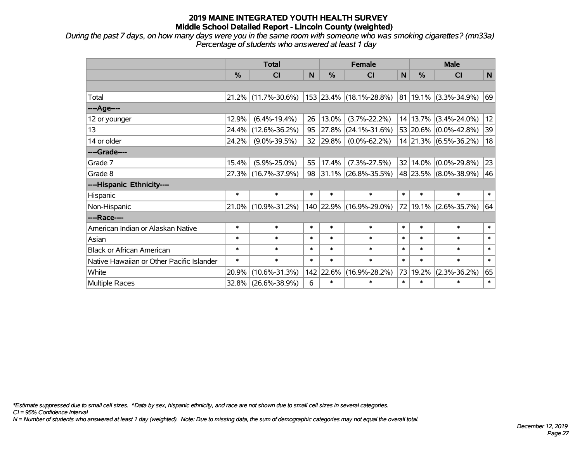*During the past 7 days, on how many days were you in the same room with someone who was smoking cigarettes? (mn33a) Percentage of students who answered at least 1 day*

|                                           | <b>Total</b>  |                        |        |           | <b>Female</b>                                      |        | <b>Male</b> |                           |             |  |
|-------------------------------------------|---------------|------------------------|--------|-----------|----------------------------------------------------|--------|-------------|---------------------------|-------------|--|
|                                           | $\frac{0}{0}$ | <b>CI</b>              | N      | $\%$      | CI                                                 | N      | $\%$        | <b>CI</b>                 | $\mathbf N$ |  |
|                                           |               |                        |        |           |                                                    |        |             |                           |             |  |
| Total                                     |               | $21.2\%$ (11.7%-30.6%) |        |           | $ 153 23.4\% $ (18.1%-28.8%) 81 19.1% (3.3%-34.9%) |        |             |                           | 69          |  |
| ----Age----                               |               |                        |        |           |                                                    |        |             |                           |             |  |
| 12 or younger                             | 12.9%         | $(6.4\% - 19.4\%)$     | 26     | 13.0%     | $(3.7\% - 22.2\%)$                                 |        |             | 14 13.7% (3.4%-24.0%)     | 12          |  |
| 13                                        | 24.4%         | $(12.6\% - 36.2\%)$    | 95     | 27.8%     | $(24.1\% - 31.6\%)$                                |        |             | 53 20.6% (0.0%-42.8%)     | 39          |  |
| 14 or older                               | 24.2%         | $(9.0\% - 39.5\%)$     | 32     | 29.8%     | $(0.0\% - 62.2\%)$                                 |        |             | 14 21.3% (6.5%-36.2%)     | 18          |  |
| ----Grade----                             |               |                        |        |           |                                                    |        |             |                           |             |  |
| Grade 7                                   | 15.4%         | $(5.9\% - 25.0\%)$     | 55     | 17.4%     | $(7.3\% - 27.5\%)$                                 |        |             | $32 14.0\% $ (0.0%-29.8%) | 23          |  |
| Grade 8                                   |               | 27.3% (16.7%-37.9%)    | 98     |           | $ 31.1\% $ (26.8%-35.5%)                           |        |             | 48 23.5% (8.0%-38.9%)     | 46          |  |
| ----Hispanic Ethnicity----                |               |                        |        |           |                                                    |        |             |                           |             |  |
| Hispanic                                  | $\ast$        | $\ast$                 | $\ast$ | $\ast$    | $\ast$                                             | $\ast$ | $\ast$      | $\ast$                    | $\ast$      |  |
| Non-Hispanic                              |               | 21.0% (10.9%-31.2%)    |        | 140 22.9% | $(16.9\% - 29.0\%)$                                |        |             | 72 19.1% (2.6%-35.7%)     | 64          |  |
| ----Race----                              |               |                        |        |           |                                                    |        |             |                           |             |  |
| American Indian or Alaskan Native         | $\ast$        | $\ast$                 | $\ast$ | $\ast$    | $\ast$                                             | $\ast$ | $\ast$      | $\ast$                    | $\ast$      |  |
| Asian                                     | $\ast$        | $\ast$                 | $\ast$ | $\ast$    | $\ast$                                             | $\ast$ | $\ast$      | $\ast$                    | $\ast$      |  |
| <b>Black or African American</b>          | $\ast$        | $\ast$                 | $\ast$ | $\ast$    | $\ast$                                             | $\ast$ | $\ast$      | $\ast$                    | $\ast$      |  |
| Native Hawaiian or Other Pacific Islander | $\ast$        | $\ast$                 | $\ast$ | $\ast$    | $\ast$                                             | $\ast$ | $\ast$      | $\ast$                    | $\ast$      |  |
| White                                     | 20.9%         | $(10.6\% - 31.3\%)$    |        | 142 22.6% | $(16.9\% - 28.2\%)$                                |        | 73 19.2%    | $(2.3\% - 36.2\%)$        | 65          |  |
| Multiple Races                            | 32.8%         | $(26.6\% - 38.9\%)$    | 6      | $\ast$    | $\ast$                                             | $\ast$ | $\ast$      | $\ast$                    | $\ast$      |  |

*\*Estimate suppressed due to small cell sizes. ^Data by sex, hispanic ethnicity, and race are not shown due to small cell sizes in several categories.*

*CI = 95% Confidence Interval*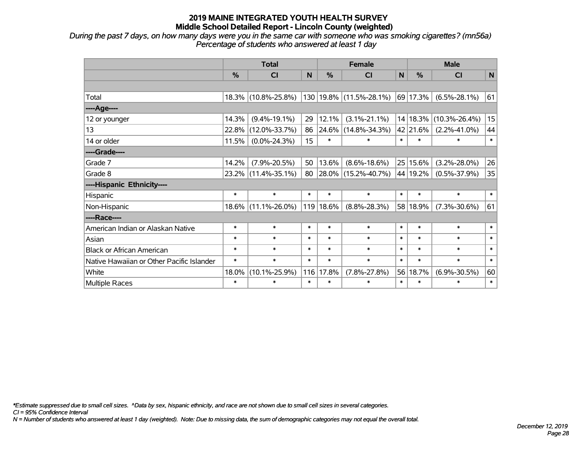*During the past 7 days, on how many days were you in the same car with someone who was smoking cigarettes? (mn56a) Percentage of students who answered at least 1 day*

|                                           | <b>Total</b> |                        |        |               | <b>Female</b>           |              | <b>Male</b>   |                            |        |  |
|-------------------------------------------|--------------|------------------------|--------|---------------|-------------------------|--------------|---------------|----------------------------|--------|--|
|                                           | %            | <b>CI</b>              | N      | $\frac{9}{6}$ | CI                      | $\mathsf{N}$ | $\frac{0}{0}$ | CI                         | N      |  |
|                                           |              |                        |        |               |                         |              |               |                            |        |  |
| Total                                     |              | 18.3% (10.8%-25.8%)    |        |               | 130 19.8% (11.5%-28.1%) |              | 69 17.3%      | $(6.5\% - 28.1\%)$         | 61     |  |
| ---- Age----                              |              |                        |        |               |                         |              |               |                            |        |  |
| 12 or younger                             | 14.3%        | $(9.4\% - 19.1\%)$     | 29     | 12.1%         | $(3.1\% - 21.1\%)$      |              |               | 14   18.3%   (10.3%-26.4%) | 15     |  |
| 13                                        | 22.8%        | $(12.0\% - 33.7\%)$    | 86     | 24.6%         | $(14.8\% - 34.3\%)$     |              | 42 21.6%      | $(2.2\% - 41.0\%)$         | 44     |  |
| 14 or older                               | 11.5%        | $(0.0\% - 24.3\%)$     | 15     | $\ast$        | $\ast$                  | $\ast$       | $\ast$        | $\ast$                     | $\ast$ |  |
| ----Grade----                             |              |                        |        |               |                         |              |               |                            |        |  |
| Grade 7                                   | 14.2%        | $(7.9\% - 20.5\%)$     | 50     | 13.6%         | $(8.6\% - 18.6\%)$      | 25           | 15.6%         | $(3.2\% - 28.0\%)$         | 26     |  |
| Grade 8                                   |              | $23.2\%$ (11.4%-35.1%) | 80     |               | 28.0% (15.2%-40.7%)     |              | 44 19.2%      | $(0.5\% - 37.9\%)$         | 35     |  |
| ----Hispanic Ethnicity----                |              |                        |        |               |                         |              |               |                            |        |  |
| Hispanic                                  | $\ast$       | $\ast$                 | $\ast$ | $\ast$        | $\ast$                  | $\ast$       | $\ast$        | $\ast$                     | $\ast$ |  |
| Non-Hispanic                              |              | 18.6% (11.1%-26.0%)    |        | 119 18.6%     | $(8.8\% - 28.3\%)$      |              | 58 18.9%      | $(7.3\% - 30.6\%)$         | 61     |  |
| ----Race----                              |              |                        |        |               |                         |              |               |                            |        |  |
| American Indian or Alaskan Native         | $\ast$       | $\ast$                 | $\ast$ | $\ast$        | $\ast$                  | $\ast$       | $\ast$        | $\ast$                     | $\ast$ |  |
| Asian                                     | $\ast$       | $\ast$                 | $\ast$ | $\ast$        | $\ast$                  | $\ast$       | $\ast$        | $\ast$                     | $\ast$ |  |
| <b>Black or African American</b>          | $\ast$       | $\ast$                 | $\ast$ | $\ast$        | $\ast$                  | $\ast$       | $\ast$        | $\ast$                     | $\ast$ |  |
| Native Hawaiian or Other Pacific Islander | $\ast$       | $\ast$                 | $\ast$ | $\ast$        | $\ast$                  | $\ast$       | $\ast$        | $\ast$                     | $\ast$ |  |
| White                                     | 18.0%        | $(10.1\% - 25.9\%)$    | 116    | 17.8%         | $(7.8\% - 27.8\%)$      | 56           | 18.7%         | $(6.9\% - 30.5\%)$         | 60     |  |
| Multiple Races                            | $\ast$       | $\ast$                 | $\ast$ | $\ast$        | $\ast$                  | $\ast$       | $\ast$        | $\ast$                     | $\ast$ |  |

*\*Estimate suppressed due to small cell sizes. ^Data by sex, hispanic ethnicity, and race are not shown due to small cell sizes in several categories.*

*CI = 95% Confidence Interval*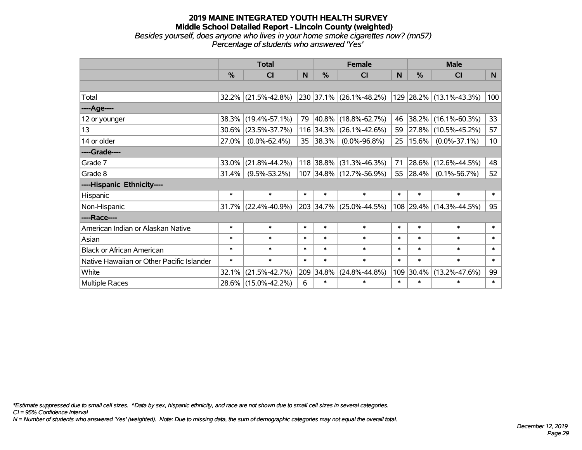#### **2019 MAINE INTEGRATED YOUTH HEALTH SURVEY Middle School Detailed Report - Lincoln County (weighted)** *Besides yourself, does anyone who lives in your home smoke cigarettes now? (mn57) Percentage of students who answered 'Yes'*

|                                           | <b>Total</b>  |                        |        |             | <b>Female</b>             |              | <b>Male</b> |                         |                 |  |
|-------------------------------------------|---------------|------------------------|--------|-------------|---------------------------|--------------|-------------|-------------------------|-----------------|--|
|                                           | $\frac{0}{0}$ | <b>CI</b>              | N      | $\%$        | <b>CI</b>                 | <sub>N</sub> | $\%$        | <b>CI</b>               | N               |  |
|                                           |               |                        |        |             |                           |              |             |                         |                 |  |
| Total                                     |               | 32.2% (21.5%-42.8%)    |        |             | 230 37.1% (26.1%-48.2%)   |              |             | 129 28.2% (13.1%-43.3%) | 100             |  |
| ----Age----                               |               |                        |        |             |                           |              |             |                         |                 |  |
| 12 or younger                             | 38.3%         | $(19.4\% - 57.1\%)$    | 79     |             | 40.8%   (18.8%-62.7%)     | 46           | 38.2%       | $(16.1\% - 60.3\%)$     | 33              |  |
| 13                                        | $30.6\%$      | $(23.5\% - 37.7\%)$    |        | $116$ 34.3% | $(26.1\% - 42.6\%)$       | 59           |             | 27.8% (10.5%-45.2%)     | 57              |  |
| 14 or older                               | 27.0%         | $(0.0\% - 62.4\%)$     |        | 35 38.3%    | $(0.0\% - 96.8\%)$        | $25 -$       | 15.6%       | $(0.0\% - 37.1\%)$      | 10 <sup>1</sup> |  |
| ----Grade----                             |               |                        |        |             |                           |              |             |                         |                 |  |
| Grade 7                                   | 33.0%         | $(21.8\% - 44.2\%)$    |        |             | $118$ 38.8% (31.3%-46.3%) | 71           | 28.6%       | $(12.6\% - 44.5\%)$     | 48              |  |
| Grade 8                                   | 31.4%         | $(9.5\% - 53.2\%)$     |        |             | 107 34.8% (12.7%-56.9%)   | 55           | $ 28.4\% $  | $(0.1\% - 56.7\%)$      | 52              |  |
| ----Hispanic Ethnicity----                |               |                        |        |             |                           |              |             |                         |                 |  |
| Hispanic                                  | $\ast$        | $\ast$                 | $\ast$ | $\ast$      | $\ast$                    | $\ast$       | $\ast$      | $\ast$                  | $\ast$          |  |
| Non-Hispanic                              |               | $31.7\%$ (22.4%-40.9%) |        |             | 203 34.7% (25.0%-44.5%)   |              |             | 108 29.4% (14.3%-44.5%) | 95              |  |
| ----Race----                              |               |                        |        |             |                           |              |             |                         |                 |  |
| American Indian or Alaskan Native         | $\ast$        | $\ast$                 | $\ast$ | $\ast$      | $\ast$                    | $\ast$       | $\ast$      | $\ast$                  | $\ast$          |  |
| Asian                                     | $\ast$        | $\ast$                 | $\ast$ | $\ast$      | $\ast$                    | $\ast$       | $\ast$      | $\ast$                  | $\ast$          |  |
| <b>Black or African American</b>          | $\ast$        | $\ast$                 | $\ast$ | $\ast$      | $\ast$                    | $\ast$       | $\ast$      | $\ast$                  | $\ast$          |  |
| Native Hawaiian or Other Pacific Islander | $\ast$        | $\ast$                 | $\ast$ | $\ast$      | $\ast$                    | $\ast$       | $\ast$      | $\ast$                  | $\ast$          |  |
| White                                     | 32.1%         | $(21.5\% - 42.7\%)$    |        | 209 34.8%   | $(24.8\% - 44.8\%)$       | 109          | 30.4%       | $(13.2\% - 47.6\%)$     | 99              |  |
| <b>Multiple Races</b>                     |               | 28.6% (15.0%-42.2%)    | 6      | $\ast$      | $\ast$                    | $\ast$       | $\ast$      | $\ast$                  | $\ast$          |  |

*\*Estimate suppressed due to small cell sizes. ^Data by sex, hispanic ethnicity, and race are not shown due to small cell sizes in several categories.*

*CI = 95% Confidence Interval*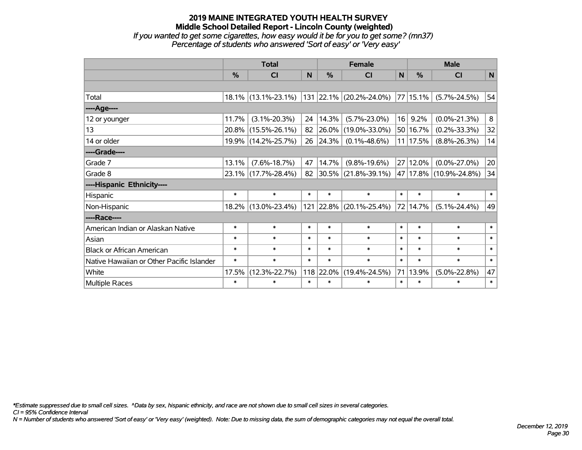### **2019 MAINE INTEGRATED YOUTH HEALTH SURVEY Middle School Detailed Report - Lincoln County (weighted)** *If you wanted to get some cigarettes, how easy would it be for you to get some? (mn37) Percentage of students who answered 'Sort of easy' or 'Very easy'*

|                                           | <b>Total</b> |                                                |        |               | <b>Female</b>            |                 | <b>Male</b>   |                        |        |  |
|-------------------------------------------|--------------|------------------------------------------------|--------|---------------|--------------------------|-----------------|---------------|------------------------|--------|--|
|                                           | $\%$         | <b>CI</b>                                      | N      | $\frac{0}{0}$ | <b>CI</b>                | N               | $\%$          | <b>CI</b>              | N      |  |
|                                           |              |                                                |        |               |                          |                 |               |                        |        |  |
| Total                                     |              | $18.1\%$ (13.1%-23.1%) 131 22.1% (20.2%-24.0%) |        |               |                          |                 | $ 77 15.1\% $ | $(5.7\% - 24.5\%)$     | 54     |  |
| ----Age----                               |              |                                                |        |               |                          |                 |               |                        |        |  |
| 12 or younger                             | 11.7%        | $(3.1\% - 20.3\%)$                             | 24     | 14.3%         | $(5.7\% - 23.0\%)$       | 16              | 9.2%          | $(0.0\% - 21.3\%)$     | 8      |  |
| 13                                        |              | 20.8% (15.5%-26.1%)                            | 82     | 26.0%         | $(19.0\% - 33.0\%)$      |                 | 50 16.7%      | $(0.2\% - 33.3\%)$     | 32     |  |
| 14 or older                               |              | 19.9% (14.2%-25.7%)                            | 26     | 24.3%         | $(0.1\% - 48.6\%)$       |                 | 11 17.5%      | $(8.8\% - 26.3\%)$     | 14     |  |
| ----Grade----                             |              |                                                |        |               |                          |                 |               |                        |        |  |
| Grade 7                                   | 13.1%        | $(7.6\% - 18.7\%)$                             | 47     | 14.7%         | $(9.8\% - 19.6\%)$       | 27 <sup>2</sup> | 12.0%         | $(0.0\% - 27.0\%)$     | 20     |  |
| Grade 8                                   |              | 23.1% (17.7%-28.4%)                            | 82     |               | $ 30.5\% $ (21.8%-39.1%) |                 |               | 47 17.8% (10.9%-24.8%) | 34     |  |
| ----Hispanic Ethnicity----                |              |                                                |        |               |                          |                 |               |                        |        |  |
| Hispanic                                  | $\ast$       | $\ast$                                         | $\ast$ | $\ast$        | $\ast$                   | $\ast$          | $\ast$        | $\ast$                 | $\ast$ |  |
| Non-Hispanic                              |              | 18.2% (13.0%-23.4%)                            |        |               | 121 22.8% (20.1%-25.4%)  |                 | 72 14.7%      | $(5.1\% - 24.4\%)$     | 49     |  |
| ----Race----                              |              |                                                |        |               |                          |                 |               |                        |        |  |
| American Indian or Alaskan Native         | $\ast$       | $\ast$                                         | $\ast$ | $\ast$        | $\ast$                   | $\ast$          | $\ast$        | $\ast$                 | $\ast$ |  |
| Asian                                     | $\ast$       | $\ast$                                         | $\ast$ | $\ast$        | $\ast$                   | $\ast$          | $\ast$        | $\ast$                 | $\ast$ |  |
| <b>Black or African American</b>          | $\ast$       | $\ast$                                         | $\ast$ | $\ast$        | $\ast$                   | $\ast$          | $\ast$        | $\ast$                 | $\ast$ |  |
| Native Hawaiian or Other Pacific Islander | $\ast$       | $\ast$                                         | $\ast$ | $\ast$        | $\ast$                   | $\ast$          | $\ast$        | $\ast$                 | $\ast$ |  |
| White                                     | 17.5%        | $(12.3\% - 22.7\%)$                            |        | 118 22.0%     | $(19.4\% - 24.5\%)$      | 71              | 13.9%         | $(5.0\% - 22.8\%)$     | 47     |  |
| Multiple Races                            | $\ast$       | $\ast$                                         | $\ast$ | $\ast$        | $\ast$                   | $\ast$          | $\ast$        | $\ast$                 | $\ast$ |  |

*\*Estimate suppressed due to small cell sizes. ^Data by sex, hispanic ethnicity, and race are not shown due to small cell sizes in several categories.*

*CI = 95% Confidence Interval*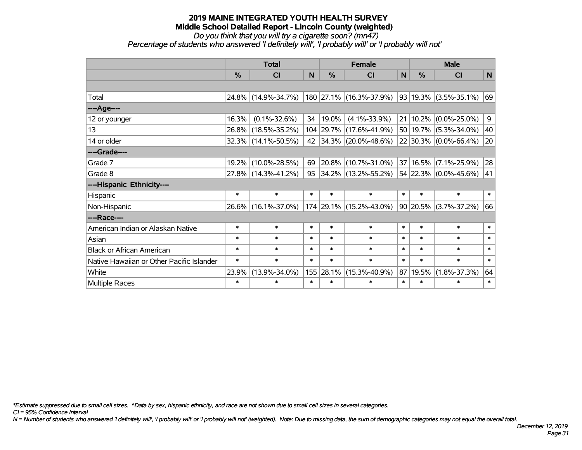*Do you think that you will try a cigarette soon? (mn47) Percentage of students who answered 'I definitely will', 'I probably will' or 'I probably will not'*

|                                           | <b>Total</b>  |                     |        |           | <b>Female</b>            |        | <b>Male</b>   |                           |              |  |
|-------------------------------------------|---------------|---------------------|--------|-----------|--------------------------|--------|---------------|---------------------------|--------------|--|
|                                           | $\frac{0}{0}$ | C <sub>1</sub>      | N      | %         | <b>CI</b>                | N      | $\frac{0}{0}$ | <b>CI</b>                 | $\mathsf{N}$ |  |
|                                           |               |                     |        |           |                          |        |               |                           |              |  |
| Total                                     |               | 24.8% (14.9%-34.7%) |        |           | 180 27.1% (16.3%-37.9%)  |        |               | $93 19.3\% $ (3.5%-35.1%) | 69           |  |
| ----Age----                               |               |                     |        |           |                          |        |               |                           |              |  |
| 12 or younger                             | 16.3%         | $(0.1\% - 32.6\%)$  | 34     | 19.0%     | $(4.1\% - 33.9\%)$       | 21     |               | $10.2\%$ (0.0%-25.0%)     | 9            |  |
| 13                                        |               | 26.8% (18.5%-35.2%) |        | 104 29.7% | $(17.6\% - 41.9\%)$      |        |               | 50 19.7% (5.3%-34.0%)     | 40           |  |
| 14 or older                               |               | 32.3% (14.1%-50.5%) | 42     |           | $ 34.3\% $ (20.0%-48.6%) |        |               | 22 30.3% (0.0%-66.4%)     | 20           |  |
| ----Grade----                             |               |                     |        |           |                          |        |               |                           |              |  |
| Grade 7                                   | 19.2%         | $(10.0\% - 28.5\%)$ | 69     | 20.8%     | $(10.7\% - 31.0\%)$      |        |               | 37 16.5% (7.1%-25.9%)     | 28           |  |
| Grade 8                                   |               | 27.8% (14.3%-41.2%) | 95     |           | 34.2% (13.2%-55.2%)      |        |               | 54 22.3% (0.0%-45.6%)     | 41           |  |
| ----Hispanic Ethnicity----                |               |                     |        |           |                          |        |               |                           |              |  |
| Hispanic                                  | $\ast$        | $\ast$              | $\ast$ | $\ast$    | $\ast$                   | $\ast$ | $\ast$        | $\ast$                    | $\ast$       |  |
| Non-Hispanic                              |               | 26.6% (16.1%-37.0%) |        |           | 174 29.1% (15.2%-43.0%)  |        |               | $90 20.5\% $ (3.7%-37.2%) | 66           |  |
| ----Race----                              |               |                     |        |           |                          |        |               |                           |              |  |
| American Indian or Alaskan Native         | $\ast$        | $\ast$              | $\ast$ | $\ast$    | $\ast$                   | $\ast$ | $\ast$        | $\ast$                    | $\ast$       |  |
| Asian                                     | $\ast$        | $\ast$              | $\ast$ | $\ast$    | $\ast$                   | $\ast$ | $\ast$        | $\ast$                    | $\ast$       |  |
| <b>Black or African American</b>          | $\ast$        | $\ast$              | $\ast$ | $\ast$    | $\ast$                   | $\ast$ | $\ast$        | $\ast$                    | $\ast$       |  |
| Native Hawaiian or Other Pacific Islander | $\ast$        | $\ast$              | $\ast$ | $\ast$    | $\ast$                   | $\ast$ | $\ast$        | $\ast$                    | $\ast$       |  |
| White                                     | 23.9%         | $(13.9\% - 34.0\%)$ | 155    | 28.1%     | $(15.3\% - 40.9\%)$      | 87     | 19.5%         | $(1.8\% - 37.3\%)$        | 64           |  |
| Multiple Races                            | $\ast$        | $\ast$              | $\ast$ | $\ast$    | $\ast$                   | $\ast$ | $\ast$        | $\ast$                    | $\ast$       |  |

*\*Estimate suppressed due to small cell sizes. ^Data by sex, hispanic ethnicity, and race are not shown due to small cell sizes in several categories.*

*CI = 95% Confidence Interval*

*N = Number of students who answered 'I definitely will', 'I probably will' or 'I probably will not' (weighted). Note: Due to missing data, the sum of demographic categories may not equal the overall total.*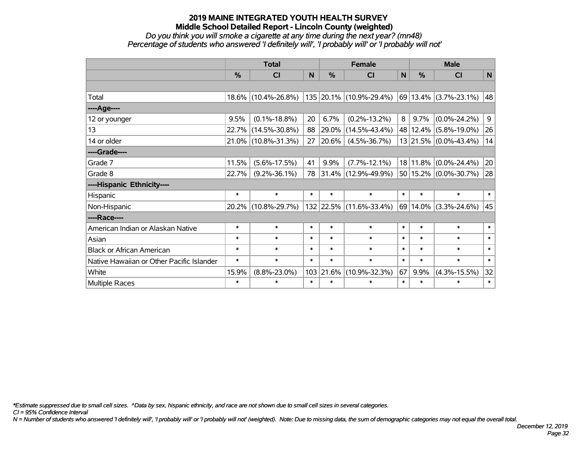#### *Do you think you will smoke a cigarette at any time during the next year? (mn48) Percentage of students who answered 'I definitely will', 'I probably will' or 'I probably will not'*

|                                           | <b>Total</b> |                     |        |        | <b>Female</b>           |             | <b>Male</b> |                       |        |  |
|-------------------------------------------|--------------|---------------------|--------|--------|-------------------------|-------------|-------------|-----------------------|--------|--|
|                                           | %            | CI                  | N      | %      | CI                      | $\mathbf N$ | %           | CI                    | N      |  |
|                                           |              |                     |        |        |                         |             |             |                       |        |  |
| Total                                     |              | 18.6% (10.4%-26.8%) |        |        | 135 20.1% (10.9%-29.4%) |             |             | 69 13.4% (3.7%-23.1%) | 48     |  |
| ----Age----                               |              |                     |        |        |                         |             |             |                       |        |  |
| 12 or younger                             | 9.5%         | $(0.1\% - 18.8\%)$  | 20     | 6.7%   | $(0.2\% - 13.2\%)$      | 8           | 9.7%        | $(0.0\% - 24.2\%)$    | 9      |  |
| 13                                        |              | 22.7% (14.5%-30.8%) | 88     | 29.0%  | $(14.5\% - 43.4\%)$     |             |             | 48 12.4% (5.8%-19.0%) | 26     |  |
| 14 or older                               |              | 21.0% (10.8%-31.3%) | 27     | 20.6%  | $(4.5\% - 36.7\%)$      |             |             | 13 21.5% (0.0%-43.4%) | 14     |  |
| ----Grade----                             |              |                     |        |        |                         |             |             |                       |        |  |
| Grade 7                                   | 11.5%        | $(5.6\% - 17.5\%)$  | 41     | 9.9%   | $(7.7\% - 12.1\%)$      |             | 18 11.8%    | $(0.0\% - 24.4\%)$    | 20     |  |
| Grade 8                                   | 22.7%        | $(9.2\% - 36.1\%)$  | 78     |        | 31.4% (12.9%-49.9%)     |             |             | 50 15.2% (0.0%-30.7%) | 28     |  |
| ----Hispanic Ethnicity----                |              |                     |        |        |                         |             |             |                       |        |  |
| Hispanic                                  | $\ast$       | $\ast$              | $\ast$ | *      | $\ast$                  | $\ast$      | $\ast$      | $\ast$                | $\ast$ |  |
| Non-Hispanic                              |              | 20.2% (10.8%-29.7%) |        |        | 132 22.5% (11.6%-33.4%) |             | 69 14.0%    | $(3.3\% - 24.6\%)$    | 45     |  |
| ----Race----                              |              |                     |        |        |                         |             |             |                       |        |  |
| American Indian or Alaskan Native         | $\ast$       | $\ast$              | $\ast$ | $\ast$ | $\ast$                  | $\ast$      | $\ast$      | $\ast$                | $\ast$ |  |
| Asian                                     | $\ast$       | $\ast$              | $\ast$ | $\ast$ | $\ast$                  | $\ast$      | $\ast$      | $\ast$                | $\ast$ |  |
| <b>Black or African American</b>          | $\ast$       | $\ast$              | $\ast$ | $\ast$ | $\ast$                  | $\ast$      | $\ast$      | $\ast$                | $\ast$ |  |
| Native Hawaiian or Other Pacific Islander | $\ast$       | $\ast$              | $\ast$ | $\ast$ | $\ast$                  | $\ast$      | $\ast$      | $\ast$                | $\ast$ |  |
| White                                     | 15.9%        | $(8.8\% - 23.0\%)$  | 103    | 21.6%  | $(10.9\% - 32.3\%)$     | 67          | 9.9%        | $(4.3\% - 15.5\%)$    | 32     |  |
| <b>Multiple Races</b>                     | $\ast$       | $\ast$              | $\ast$ | *      | $\ast$                  | $\ast$      | $\ast$      | $\ast$                | $\ast$ |  |

*\*Estimate suppressed due to small cell sizes. ^Data by sex, hispanic ethnicity, and race are not shown due to small cell sizes in several categories.*

*CI = 95% Confidence Interval*

*N = Number of students who answered 'I definitely will', 'I probably will' or 'I probably will not' (weighted). Note: Due to missing data, the sum of demographic categories may not equal the overall total.*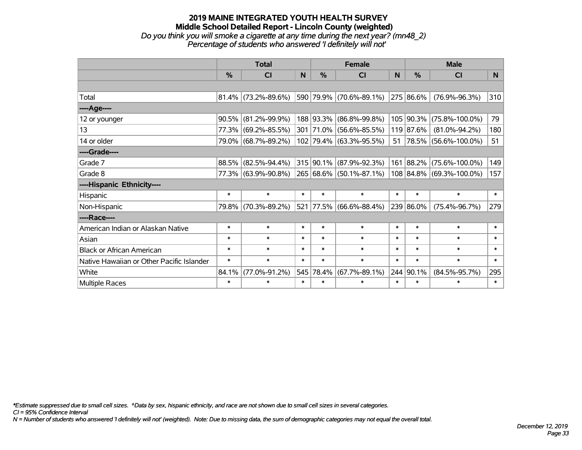#### **2019 MAINE INTEGRATED YOUTH HEALTH SURVEY Middle School Detailed Report - Lincoln County (weighted)** *Do you think you will smoke a cigarette at any time during the next year? (mn48\_2) Percentage of students who answered 'I definitely will not'*

|                                           | <b>Total</b> |                        |        |               | <b>Female</b>           |        | <b>Male</b>    |                          |        |  |
|-------------------------------------------|--------------|------------------------|--------|---------------|-------------------------|--------|----------------|--------------------------|--------|--|
|                                           | %            | <b>CI</b>              | N      | $\frac{0}{0}$ | <b>CI</b>               | N      | $\frac{0}{0}$  | <b>CI</b>                | N.     |  |
|                                           |              |                        |        |               |                         |        |                |                          |        |  |
| Total                                     |              | $81.4\%$ (73.2%-89.6%) |        |               | 590 79.9% (70.6%-89.1%) |        | $ 275 86.6\% $ | $(76.9\% - 96.3\%)$      | 310    |  |
| ----Age----                               |              |                        |        |               |                         |        |                |                          |        |  |
| 12 or younger                             |              | $90.5\%$ (81.2%-99.9%) |        | 188 93.3%     | $(86.8\% - 99.8\%)$     |        | 105 90.3%      | $(75.8\% - 100.0\%)$     | 79     |  |
| 13                                        |              | 77.3% (69.2%-85.5%)    |        |               | 301 71.0% (56.6%-85.5%) |        | 119 87.6%      | $(81.0\% - 94.2\%)$      | 180    |  |
| 14 or older                               |              | 79.0% (68.7%-89.2%)    |        |               | 102 79.4% (63.3%-95.5%) |        |                | 51 78.5% (56.6%-100.0%)  | 51     |  |
| ----Grade----                             |              |                        |        |               |                         |        |                |                          |        |  |
| Grade 7                                   |              | 88.5% (82.5%-94.4%)    |        | 315 90.1%     | $(87.9\% - 92.3\%)$     |        | 161 88.2%      | $(75.6\% - 100.0\%)$     | 149    |  |
| Grade 8                                   |              | 77.3% (63.9%-90.8%)    |        |               | 265 68.6% (50.1%-87.1%) |        |                | 108 84.8% (69.3%-100.0%) | 157    |  |
| ----Hispanic Ethnicity----                |              |                        |        |               |                         |        |                |                          |        |  |
| Hispanic                                  | $\ast$       | $\ast$                 | $\ast$ | $\ast$        | $\ast$                  | $\ast$ | $\ast$         | $\ast$                   | $\ast$ |  |
| Non-Hispanic                              |              | 79.8% (70.3%-89.2%)    |        |               | 521 77.5% (66.6%-88.4%) |        | 239 86.0%      | $(75.4\% - 96.7\%)$      | 279    |  |
| ----Race----                              |              |                        |        |               |                         |        |                |                          |        |  |
| American Indian or Alaskan Native         | $\ast$       | $\ast$                 | $\ast$ | $\ast$        | $\ast$                  | $\ast$ | $\ast$         | $\ast$                   | $\ast$ |  |
| Asian                                     | $\ast$       | $\ast$                 | $\ast$ | $\ast$        | $\ast$                  | $\ast$ | $\ast$         | $\ast$                   | $\ast$ |  |
| <b>Black or African American</b>          | $\ast$       | $\ast$                 | $\ast$ | $\ast$        | $\ast$                  | $\ast$ | $\ast$         | $\ast$                   | $\ast$ |  |
| Native Hawaiian or Other Pacific Islander | $\ast$       | $\ast$                 | $\ast$ | $\ast$        | $\ast$                  | $\ast$ | $\ast$         | $\ast$                   | $\ast$ |  |
| White                                     | 84.1%        | $(77.0\% - 91.2\%)$    | 545    | 78.4%         | $(67.7\% - 89.1\%)$     |        | 244 90.1%      | $(84.5\% - 95.7\%)$      | 295    |  |
| <b>Multiple Races</b>                     | $\ast$       | $\ast$                 | $\ast$ | $\ast$        | $\ast$                  | $\ast$ | $\ast$         | $\ast$                   | $\ast$ |  |

*\*Estimate suppressed due to small cell sizes. ^Data by sex, hispanic ethnicity, and race are not shown due to small cell sizes in several categories.*

*CI = 95% Confidence Interval*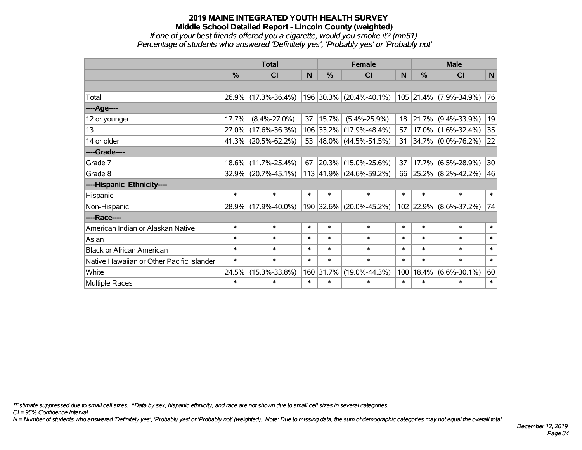#### **2019 MAINE INTEGRATED YOUTH HEALTH SURVEY Middle School Detailed Report - Lincoln County (weighted)** *If one of your best friends offered you a cigarette, would you smoke it? (mn51) Percentage of students who answered 'Definitely yes', 'Probably yes' or 'Probably not'*

|                                           | <b>Total</b>  |                     |        |               | <b>Female</b>             |        |               | <b>Male</b>            |        |  |  |
|-------------------------------------------|---------------|---------------------|--------|---------------|---------------------------|--------|---------------|------------------------|--------|--|--|
|                                           | $\frac{0}{0}$ | <b>CI</b>           | N      | $\frac{0}{0}$ | <b>CI</b>                 | N      | $\frac{0}{0}$ | <b>CI</b>              | N      |  |  |
|                                           |               |                     |        |               |                           |        |               |                        |        |  |  |
| Total                                     |               | 26.9% (17.3%-36.4%) |        |               | 196 30.3% (20.4%-40.1%)   |        |               | 105 21.4% (7.9%-34.9%) | 76     |  |  |
| ----Age----                               |               |                     |        |               |                           |        |               |                        |        |  |  |
| 12 or younger                             | 17.7%         | $(8.4\% - 27.0\%)$  | 37     | 15.7%         | $(5.4\% - 25.9\%)$        | 18     |               | $21.7\%$ (9.4%-33.9%)  | 19     |  |  |
| 13                                        | 27.0%         | $(17.6\% - 36.3\%)$ |        |               | 106 33.2% (17.9%-48.4%)   | 57     |               | 17.0% (1.6%-32.4%)     | 35     |  |  |
| 14 or older                               |               | 41.3% (20.5%-62.2%) | 53     |               | 48.0%   (44.5%-51.5%)     | 31     |               | 34.7% (0.0%-76.2%)     | 22     |  |  |
| ----Grade----                             |               |                     |        |               |                           |        |               |                        |        |  |  |
| Grade 7                                   | 18.6%         | $(11.7\% - 25.4\%)$ | 67     |               | 20.3% (15.0%-25.6%)       | 37     | 17.7%         | $(6.5\% - 28.9\%)$     | 30     |  |  |
| Grade 8                                   |               | 32.9% (20.7%-45.1%) |        |               | $113$ 41.9% (24.6%-59.2%) | 66     |               | 25.2% (8.2%-42.2%)     | 46     |  |  |
| ----Hispanic Ethnicity----                |               |                     |        |               |                           |        |               |                        |        |  |  |
| Hispanic                                  | $\ast$        | $\ast$              | $\ast$ | $\ast$        | $\ast$                    | $\ast$ | $\ast$        | $\ast$                 | $\ast$ |  |  |
| Non-Hispanic                              |               | 28.9% (17.9%-40.0%) |        |               | 190 32.6% (20.0%-45.2%)   |        |               | 102 22.9% (8.6%-37.2%) | 74     |  |  |
| ----Race----                              |               |                     |        |               |                           |        |               |                        |        |  |  |
| American Indian or Alaskan Native         | $\ast$        | $\ast$              | $\ast$ | $\ast$        | $\ast$                    | $\ast$ | $\ast$        | $\ast$                 | $\ast$ |  |  |
| Asian                                     | $\ast$        | $\ast$              | $\ast$ | $\ast$        | $\ast$                    | $\ast$ | $\ast$        | $\ast$                 | $\ast$ |  |  |
| <b>Black or African American</b>          | $\ast$        | $\ast$              | $\ast$ | $\ast$        | $\ast$                    | $\ast$ | $\ast$        | $\ast$                 | $\ast$ |  |  |
| Native Hawaiian or Other Pacific Islander | $\ast$        | $\ast$              | $\ast$ | $\ast$        | $\ast$                    | $\ast$ | $\ast$        | $\ast$                 | $\ast$ |  |  |
| White                                     | 24.5%         | $(15.3\% - 33.8\%)$ |        | 160 31.7%     | $(19.0\% - 44.3\%)$       | 100    | 18.4%         | $(6.6\% - 30.1\%)$     | 60     |  |  |
| <b>Multiple Races</b>                     | $\ast$        | $\ast$              | $\ast$ | $\ast$        | $\ast$                    | $\ast$ | $\ast$        | $\ast$                 | $\ast$ |  |  |

*\*Estimate suppressed due to small cell sizes. ^Data by sex, hispanic ethnicity, and race are not shown due to small cell sizes in several categories.*

*CI = 95% Confidence Interval*

*N = Number of students who answered 'Definitely yes', 'Probably yes' or 'Probably not' (weighted). Note: Due to missing data, the sum of demographic categories may not equal the overall total.*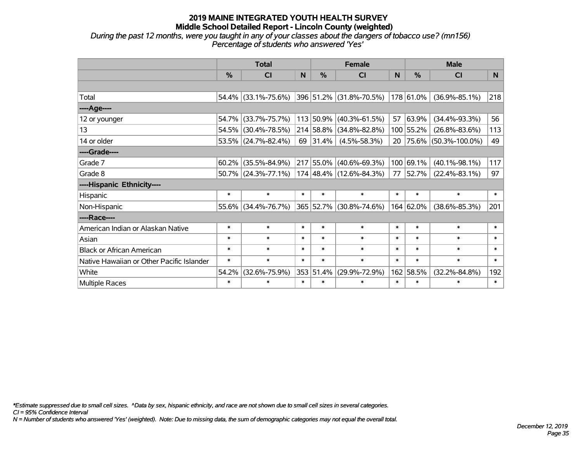*During the past 12 months, were you taught in any of your classes about the dangers of tobacco use? (mn156) Percentage of students who answered 'Yes'*

|                                           | <b>Total</b> |                        |        |               | <b>Female</b>           |              | <b>Male</b>   |                         |          |  |
|-------------------------------------------|--------------|------------------------|--------|---------------|-------------------------|--------------|---------------|-------------------------|----------|--|
|                                           | %            | CI                     | N      | $\frac{0}{0}$ | <b>CI</b>               | $\mathsf{N}$ | $\frac{0}{0}$ | <b>CI</b>               | <b>N</b> |  |
|                                           |              |                        |        |               |                         |              |               |                         |          |  |
| Total                                     |              | $54.4\%$ (33.1%-75.6%) |        |               | 396 51.2% (31.8%-70.5%) |              | 178 61.0%     | $(36.9\% - 85.1\%)$     | 218      |  |
| ---- Age----                              |              |                        |        |               |                         |              |               |                         |          |  |
| 12 or younger                             | 54.7%        | $(33.7\% - 75.7\%)$    |        | 113 50.9%     | $(40.3\% - 61.5\%)$     | 57           | $ 63.9\% $    | $(34.4\% - 93.3\%)$     | 56       |  |
| 13                                        |              | 54.5% (30.4%-78.5%)    |        | 214 58.8%     | $(34.8\% - 82.8\%)$     |              | 100 55.2%     | $(26.8\% - 83.6\%)$     | 113      |  |
| 14 or older                               |              | 53.5% (24.7%-82.4%)    |        | 69 31.4%      | $(4.5\% - 58.3\%)$      |              |               | 20 75.6% (50.3%-100.0%) | 49       |  |
| ----Grade----                             |              |                        |        |               |                         |              |               |                         |          |  |
| Grade 7                                   | 60.2%        | $(35.5\% - 84.9\%)$    |        | 217 55.0%     | $(40.6\% - 69.3\%)$     |              | 100 69.1%     | $(40.1\% - 98.1\%)$     | 117      |  |
| Grade 8                                   |              | $50.7\%$ (24.3%-77.1%) |        |               | 174 48.4% (12.6%-84.3%) | 77           | $ 52.7\% $    | $(22.4\% - 83.1\%)$     | 97       |  |
| ----Hispanic Ethnicity----                |              |                        |        |               |                         |              |               |                         |          |  |
| Hispanic                                  | $\ast$       | $\ast$                 | $\ast$ | $\ast$        | $\ast$                  | $\ast$       | $\ast$        | $\ast$                  | $\ast$   |  |
| Non-Hispanic                              |              | $55.6\%$ (34.4%-76.7%) |        |               | 365 52.7% (30.8%-74.6%) |              | 164 62.0%     | $(38.6\% - 85.3\%)$     | 201      |  |
| ----Race----                              |              |                        |        |               |                         |              |               |                         |          |  |
| American Indian or Alaskan Native         | $\ast$       | $\ast$                 | $\ast$ | $\ast$        | $\ast$                  | $\ast$       | $\ast$        | $\ast$                  | $\ast$   |  |
| Asian                                     | $\ast$       | $\ast$                 | $\ast$ | $\ast$        | $\ast$                  | $\ast$       | $\ast$        | $\ast$                  | $\ast$   |  |
| <b>Black or African American</b>          | $\ast$       | $\ast$                 | $\ast$ | $\ast$        | $\ast$                  | $\ast$       | $\ast$        | $\ast$                  | $\ast$   |  |
| Native Hawaiian or Other Pacific Islander | $\ast$       | $\ast$                 | $\ast$ | $\ast$        | $\ast$                  | $\ast$       | $\ast$        | $\ast$                  | $\ast$   |  |
| White                                     | 54.2%        | $(32.6\% - 75.9\%)$    |        | 353 51.4%     | $(29.9\% - 72.9\%)$     | 162          | 58.5%         | $(32.2\% - 84.8\%)$     | 192      |  |
| Multiple Races                            | $\ast$       | $\ast$                 | $\ast$ | $\ast$        | $\ast$                  | $\ast$       | $\ast$        | $\ast$                  | $\ast$   |  |

*\*Estimate suppressed due to small cell sizes. ^Data by sex, hispanic ethnicity, and race are not shown due to small cell sizes in several categories.*

*CI = 95% Confidence Interval*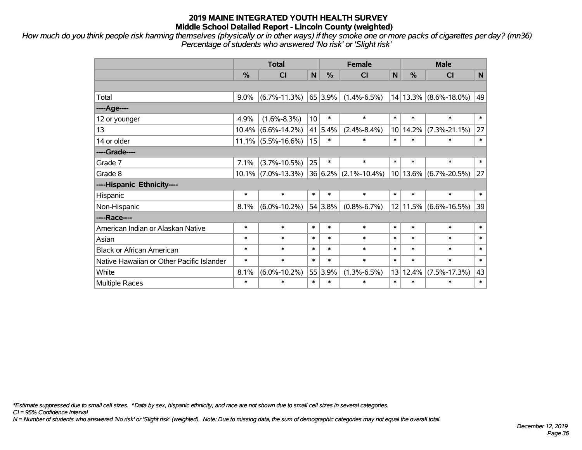*How much do you think people risk harming themselves (physically or in other ways) if they smoke one or more packs of cigarettes per day? (mn36) Percentage of students who answered 'No risk' or 'Slight risk'*

|                                           | <b>Total</b> |                       |        |              | <b>Female</b>                 |        | <b>Male</b>   |                           |        |  |
|-------------------------------------------|--------------|-----------------------|--------|--------------|-------------------------------|--------|---------------|---------------------------|--------|--|
|                                           | %            | <b>CI</b>             | N      | %            | CI                            | N      | $\frac{0}{0}$ | <b>CI</b>                 | N      |  |
|                                           |              |                       |        |              |                               |        |               |                           |        |  |
| Total                                     | 9.0%         | $(6.7\% - 11.3\%)$    |        | $ 65 3.9\% $ | $(1.4\% - 6.5\%)$             |        |               | $14 13.3\% $ (8.6%-18.0%) | 49     |  |
| ----Age----                               |              |                       |        |              |                               |        |               |                           |        |  |
| 12 or younger                             | 4.9%         | $(1.6\% - 8.3\%)$     | 10     | $\ast$       | $\ast$                        | $\ast$ | $\ast$        | $\ast$                    | $\ast$ |  |
| 13                                        | 10.4%        | $(6.6\% - 14.2\%)$    |        | 41 5.4%      | $(2.4\% - 8.4\%)$             | 10     |               | $14.2\%$ (7.3%-21.1%)     | 27     |  |
| 14 or older                               |              | $11.1\%$ (5.5%-16.6%) | 15     | $\ast$       | $\ast$                        | $\ast$ | $\ast$        | $\ast$                    | $\ast$ |  |
| ----Grade----                             |              |                       |        |              |                               |        |               |                           |        |  |
| Grade 7                                   | 7.1%         | $(3.7\% - 10.5\%)$    | 25     | $\ast$       | $\ast$                        | $\ast$ | $\ast$        | $\ast$                    | $\ast$ |  |
| Grade 8                                   |              | $10.1\%$ (7.0%-13.3%) |        |              | $ 36 6.2\%  (2.1\% - 10.4\%)$ |        |               | $10 13.6\% $ (6.7%-20.5%) | 27     |  |
| ----Hispanic Ethnicity----                |              |                       |        |              |                               |        |               |                           |        |  |
| <b>Hispanic</b>                           | $\ast$       | $\ast$                | $\ast$ | $\ast$       | $\ast$                        | $\ast$ | $\ast$        | $\ast$                    | $\ast$ |  |
| Non-Hispanic                              | 8.1%         | $(6.0\% - 10.2\%)$    |        | 54 3.8%      | $(0.8\% - 6.7\%)$             |        |               | $12 11.5\% $ (6.6%-16.5%) | 39     |  |
| ----Race----                              |              |                       |        |              |                               |        |               |                           |        |  |
| American Indian or Alaskan Native         | $\ast$       | $\ast$                | $\ast$ | $\ast$       | $\ast$                        | $\ast$ | $\ast$        | $\ast$                    | $\ast$ |  |
| Asian                                     | $\ast$       | $\ast$                | $\ast$ | $\ast$       | $\ast$                        | $\ast$ | $\ast$        | $\ast$                    | $\ast$ |  |
| <b>Black or African American</b>          | $\ast$       | $\ast$                | $\ast$ | $\ast$       | $\ast$                        | $\ast$ | $\ast$        | $\ast$                    | $\ast$ |  |
| Native Hawaiian or Other Pacific Islander | $\ast$       | $\ast$                | $\ast$ | $\ast$       | $\ast$                        | $\ast$ | $\ast$        | $\ast$                    | $\ast$ |  |
| White                                     | 8.1%         | $(6.0\% - 10.2\%)$    |        | 55 3.9%      | $(1.3\% - 6.5\%)$             | 13     | 12.4%         | $(7.5\% - 17.3\%)$        | 43     |  |
| Multiple Races                            | $\ast$       | $\ast$                | $\ast$ | $\ast$       | *                             | $\ast$ | $\ast$        | $\ast$                    | $\ast$ |  |

*\*Estimate suppressed due to small cell sizes. ^Data by sex, hispanic ethnicity, and race are not shown due to small cell sizes in several categories.*

*CI = 95% Confidence Interval*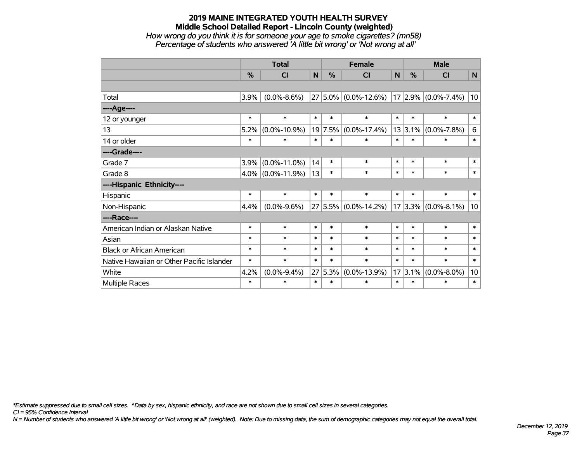# **2019 MAINE INTEGRATED YOUTH HEALTH SURVEY Middle School Detailed Report - Lincoln County (weighted)** *How wrong do you think it is for someone your age to smoke cigarettes? (mn58) Percentage of students who answered 'A little bit wrong' or 'Not wrong at all'*

|                                           |        | <b>Total</b>         |        |         | <b>Female</b>        |        |               | <b>Male</b>             |                 |  |  |
|-------------------------------------------|--------|----------------------|--------|---------|----------------------|--------|---------------|-------------------------|-----------------|--|--|
|                                           | $\%$   | <b>CI</b>            | N      | $\%$    | <b>CI</b>            | N      | $\frac{0}{0}$ | <b>CI</b>               | N               |  |  |
|                                           |        |                      |        |         |                      |        |               |                         |                 |  |  |
| Total                                     | 3.9%   | $(0.0\% - 8.6\%)$    |        |         | 27 5.0% (0.0%-12.6%) |        |               | $17 2.9\% $ (0.0%-7.4%) | 10 <sup>1</sup> |  |  |
| ----Age----                               |        |                      |        |         |                      |        |               |                         |                 |  |  |
| 12 or younger                             | $\ast$ | $\ast$               | $\ast$ | $\ast$  | $\ast$               | $\ast$ | $\ast$        | $\ast$                  | $\ast$          |  |  |
| 13                                        | 5.2%   | $(0.0\% - 10.9\%)$   |        | 19 7.5% | $(0.0\% - 17.4\%)$   |        | 13 3.1%       | $(0.0\% - 7.8\%)$       | 6               |  |  |
| 14 or older                               | $\ast$ | $\ast$               | $\ast$ | $\ast$  | $\ast$               | $\ast$ | $\ast$        | $\ast$                  | $\ast$          |  |  |
| ----Grade----                             |        |                      |        |         |                      |        |               |                         |                 |  |  |
| Grade 7                                   | 3.9%   | $(0.0\% - 11.0\%)$   | 14     | $\ast$  | $\ast$               | $\ast$ | $\ast$        | $\ast$                  | $\ast$          |  |  |
| Grade 8                                   |        | $4.0\%$ (0.0%-11.9%) | 13     | $\ast$  | $\ast$               | $\ast$ | $\ast$        | $\ast$                  | $\ast$          |  |  |
| ----Hispanic Ethnicity----                |        |                      |        |         |                      |        |               |                         |                 |  |  |
| Hispanic                                  | $\ast$ | $\ast$               | $\ast$ | $\ast$  | $\ast$               | $\ast$ | $\ast$        | $\ast$                  | $\ast$          |  |  |
| Non-Hispanic                              | 4.4%   | $(0.0\% - 9.6\%)$    |        |         | 27 5.5% (0.0%-14.2%) |        |               | $17 3.3\% $ (0.0%-8.1%) | 10              |  |  |
| ----Race----                              |        |                      |        |         |                      |        |               |                         |                 |  |  |
| American Indian or Alaskan Native         | $\ast$ | $\ast$               | $\ast$ | $\ast$  | $\ast$               | $\ast$ | $\ast$        | $\ast$                  | $\ast$          |  |  |
| Asian                                     | $\ast$ | $\ast$               | $\ast$ | $\ast$  | $\ast$               | $\ast$ | $\ast$        | $\ast$                  | $\ast$          |  |  |
| <b>Black or African American</b>          | $\ast$ | $\ast$               | $\ast$ | $\ast$  | $\ast$               | $\ast$ | $\ast$        | $\ast$                  | $\ast$          |  |  |
| Native Hawaiian or Other Pacific Islander | $\ast$ | $\ast$               | $\ast$ | $\ast$  | $\ast$               | $\ast$ | $\ast$        | $\ast$                  | $\ast$          |  |  |
| White                                     | 4.2%   | $(0.0\% - 9.4\%)$    |        | 27 5.3% | $(0.0\% - 13.9\%)$   |        | 17 3.1%       | $(0.0\% - 8.0\%)$       | 10              |  |  |
| Multiple Races                            | $\ast$ | $\ast$               | $\ast$ | $\ast$  | $\ast$               | $\ast$ | $\ast$        | $\ast$                  | $\ast$          |  |  |

*\*Estimate suppressed due to small cell sizes. ^Data by sex, hispanic ethnicity, and race are not shown due to small cell sizes in several categories.*

*CI = 95% Confidence Interval*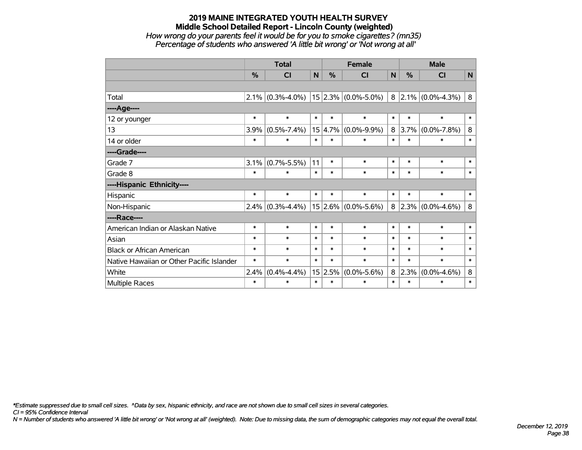# **2019 MAINE INTEGRATED YOUTH HEALTH SURVEY Middle School Detailed Report - Lincoln County (weighted)** *How wrong do your parents feel it would be for you to smoke cigarettes? (mn35) Percentage of students who answered 'A little bit wrong' or 'Not wrong at all'*

|                                           |         | <b>Total</b>                                |        | <b>Female</b> |                       | <b>Male</b> |        |                          |              |
|-------------------------------------------|---------|---------------------------------------------|--------|---------------|-----------------------|-------------|--------|--------------------------|--------------|
|                                           | %       | CI                                          | N      | %             | <b>CI</b>             | N           | $\%$   | <b>CI</b>                | $\mathsf{N}$ |
|                                           |         |                                             |        |               |                       |             |        |                          |              |
| Total                                     | $2.1\%$ | $(0.3\% - 4.0\%)$   15   2.3%   (0.0%-5.0%) |        |               |                       |             |        | $8$ 2.1% (0.0%-4.3%)     | 8            |
| ----Age----                               |         |                                             |        |               |                       |             |        |                          |              |
| 12 or younger                             | $\ast$  | $\ast$                                      | $\ast$ | $\ast$        | $\ast$                | $\ast$      | $\ast$ | $\ast$                   | $\ast$       |
| 13                                        | 3.9%    | $(0.5\% - 7.4\%)$                           | 15     | 4.7%          | $(0.0\% - 9.9\%)$     | 8           | 3.7%   | $(0.0\% - 7.8\%)$        | 8            |
| 14 or older                               | $\ast$  | $\ast$                                      | $\ast$ | $\ast$        | $\ast$                | $\ast$      | $\ast$ | $\ast$                   | $\ast$       |
| ----Grade----                             |         |                                             |        |               |                       |             |        |                          |              |
| Grade 7                                   | 3.1%    | $(0.7\% - 5.5\%)$                           | 11     | $\ast$        | $\ast$                | $\ast$      | $\ast$ | $\ast$                   | $\ast$       |
| Grade 8                                   | $\ast$  | $\ast$                                      | $\ast$ | $\ast$        | $\ast$                | $\ast$      | $\ast$ | $\ast$                   | $\ast$       |
| ----Hispanic Ethnicity----                |         |                                             |        |               |                       |             |        |                          |              |
| Hispanic                                  | $\ast$  | $\ast$                                      | $\ast$ | $\ast$        | $\ast$                | $\ast$      | $\ast$ | $\ast$                   | $\ast$       |
| Non-Hispanic                              | 2.4%    | $(0.3\% - 4.4\%)$                           |        |               | $15$ 2.6% (0.0%-5.6%) |             |        | 8 2.3% $(0.0\% - 4.6\%)$ | 8            |
| ----Race----                              |         |                                             |        |               |                       |             |        |                          |              |
| American Indian or Alaskan Native         | $\ast$  | $\ast$                                      | $\ast$ | $\ast$        | $\ast$                | $\ast$      | $\ast$ | $\ast$                   | $\ast$       |
| Asian                                     | $\ast$  | $\ast$                                      | $\ast$ | $\ast$        | $\ast$                | $\ast$      | $\ast$ | $\ast$                   | $\ast$       |
| <b>Black or African American</b>          | $\ast$  | $\ast$                                      | $\ast$ | $\ast$        | $\ast$                | $\ast$      | $\ast$ | $\ast$                   | $\ast$       |
| Native Hawaiian or Other Pacific Islander | $\ast$  | $\ast$                                      | $\ast$ | $\ast$        | $\ast$                | $\ast$      | $\ast$ | $\ast$                   | $\ast$       |
| White                                     | 2.4%    | $(0.4\% - 4.4\%)$                           |        | 15 2.5%       | $(0.0\% - 5.6\%)$     | 8           | 2.3%   | $(0.0\% - 4.6\%)$        | 8            |
| <b>Multiple Races</b>                     | $\ast$  | $\ast$                                      | $\ast$ | $\ast$        | $\ast$                | $\ast$      | $\ast$ | $\ast$                   | $\ast$       |

*\*Estimate suppressed due to small cell sizes. ^Data by sex, hispanic ethnicity, and race are not shown due to small cell sizes in several categories.*

*CI = 95% Confidence Interval*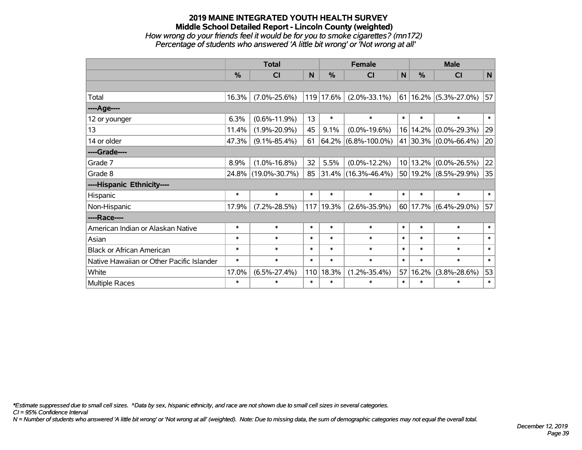# **2019 MAINE INTEGRATED YOUTH HEALTH SURVEY Middle School Detailed Report - Lincoln County (weighted)** *How wrong do your friends feel it would be for you to smoke cigarettes? (mn172) Percentage of students who answered 'A little bit wrong' or 'Not wrong at all'*

|                                           |          | <b>Total</b>        |        |           | <b>Female</b>            |        |               | <b>Male</b>                   |              |
|-------------------------------------------|----------|---------------------|--------|-----------|--------------------------|--------|---------------|-------------------------------|--------------|
|                                           | $\%$     | <b>CI</b>           | N      | $\%$      | <b>CI</b>                | N      | $\frac{0}{0}$ | <b>CI</b>                     | $\mathsf{N}$ |
|                                           |          |                     |        |           |                          |        |               |                               |              |
| Total                                     | 16.3%    | $(7.0\% - 25.6\%)$  |        | 119 17.6% | $(2.0\% - 33.1\%)$       |        |               | $61 16.2\%  (5.3\% - 27.0\%)$ | 57           |
| ----Age----                               |          |                     |        |           |                          |        |               |                               |              |
| 12 or younger                             | 6.3%     | $(0.6\% - 11.9\%)$  | 13     | $\ast$    | $\ast$                   | $\ast$ | $\ast$        | $\ast$                        | $\ast$       |
| 13                                        | 11.4%    | $(1.9\% - 20.9\%)$  | 45     | 9.1%      | $(0.0\% - 19.6\%)$       |        | 16 14.2%      | $(0.0\% - 29.3\%)$            | 29           |
| 14 or older                               | 47.3%    | $(9.1\% - 85.4\%)$  | 61     |           | $64.2\%$ (6.8%-100.0%)   |        |               | 41 30.3% (0.0%-66.4%)         | 20           |
| ----Grade----                             |          |                     |        |           |                          |        |               |                               |              |
| Grade 7                                   | 8.9%     | $(1.0\% - 16.8\%)$  | 32     | 5.5%      | $(0.0\% - 12.2\%)$       |        | 10 13.2%      | $(0.0\% - 26.5\%)$            | 22           |
| Grade 8                                   | $24.8\%$ | $(19.0\% - 30.7\%)$ | 85     |           | $ 31.4\% $ (16.3%-46.4%) |        |               | 50 19.2% (8.5%-29.9%)         | 35           |
| ----Hispanic Ethnicity----                |          |                     |        |           |                          |        |               |                               |              |
| Hispanic                                  | $\ast$   | $\ast$              | $\ast$ | $\ast$    | $\ast$                   | $\ast$ | $\ast$        | $\ast$                        | $\ast$       |
| Non-Hispanic                              | 17.9%    | $(7.2\% - 28.5\%)$  | 117    | 19.3%     | $(2.6\% - 35.9\%)$       |        |               | $60 17.7\%  (6.4\% - 29.0\%)$ | 57           |
| ----Race----                              |          |                     |        |           |                          |        |               |                               |              |
| American Indian or Alaskan Native         | $\ast$   | $\ast$              | $\ast$ | $\ast$    | $\ast$                   | $\ast$ | $\ast$        | $\ast$                        | $\ast$       |
| Asian                                     | $\ast$   | $\ast$              | $\ast$ | $\ast$    | $\ast$                   | $\ast$ | $\ast$        | $\ast$                        | $\ast$       |
| <b>Black or African American</b>          | $\ast$   | $\ast$              | $\ast$ | $\ast$    | $\ast$                   | $\ast$ | $\ast$        | $\ast$                        | $\ast$       |
| Native Hawaiian or Other Pacific Islander | $\ast$   | $\ast$              | $\ast$ | $\ast$    | $\ast$                   | $\ast$ | $\ast$        | $\ast$                        | $\ast$       |
| White                                     | 17.0%    | $(6.5\% - 27.4\%)$  | 110    | 18.3%     | $(1.2\% - 35.4\%)$       | 57     | 16.2%         | $(3.8\% - 28.6\%)$            | 53           |
| <b>Multiple Races</b>                     | $\ast$   | $\ast$              | $\ast$ | $\ast$    | $\ast$                   | $\ast$ | $\ast$        | $\ast$                        | $\ast$       |

*\*Estimate suppressed due to small cell sizes. ^Data by sex, hispanic ethnicity, and race are not shown due to small cell sizes in several categories.*

*CI = 95% Confidence Interval*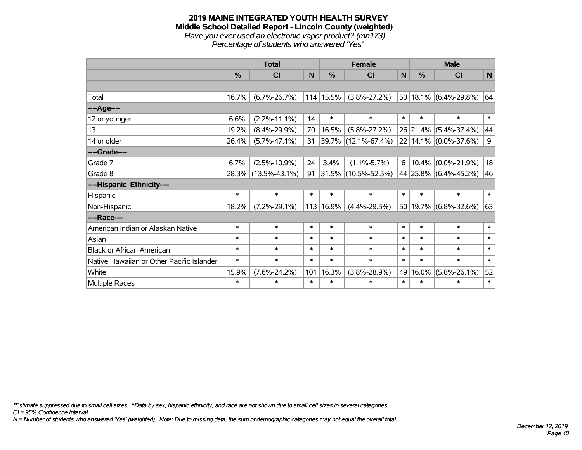#### **2019 MAINE INTEGRATED YOUTH HEALTH SURVEY Middle School Detailed Report - Lincoln County (weighted)** *Have you ever used an electronic vapor product? (mn173) Percentage of students who answered 'Yes'*

|                                           |        | <b>Total</b>        |        |           | <b>Female</b>            |             |               | <b>Male</b>               |             |
|-------------------------------------------|--------|---------------------|--------|-----------|--------------------------|-------------|---------------|---------------------------|-------------|
|                                           | %      | <b>CI</b>           | N      | %         | <b>CI</b>                | $\mathbf N$ | $\frac{0}{0}$ | <b>CI</b>                 | $\mathbf N$ |
|                                           |        |                     |        |           |                          |             |               |                           |             |
| Total                                     | 16.7%  | $(6.7\% - 26.7\%)$  |        | 114 15.5% | $(3.8\% - 27.2\%)$       |             |               | $50 18.1\% $ (6.4%-29.8%) | 64          |
| ----Age----                               |        |                     |        |           |                          |             |               |                           |             |
| 12 or younger                             | 6.6%   | $(2.2\% - 11.1\%)$  | 14     | $\ast$    | $\ast$                   | $\ast$      | $\ast$        | $\ast$                    | $\ast$      |
| 13                                        | 19.2%  | $(8.4\% - 29.9\%)$  | 70     | 16.5%     | $(5.8\% - 27.2\%)$       |             | 26 21.4%      | $(5.4\% - 37.4\%)$        | 44          |
| 14 or older                               | 26.4%  | $(5.7\% - 47.1\%)$  | 31     |           | 39.7% (12.1%-67.4%)      |             |               | 22 14.1% (0.0%-37.6%)     | 9           |
| ----Grade----                             |        |                     |        |           |                          |             |               |                           |             |
| Grade 7                                   | 6.7%   | $(2.5\% - 10.9\%)$  | 24     | 3.4%      | $(1.1\% - 5.7\%)$        | 6           | 10.4%         | $(0.0\% - 21.9\%)$        | 18          |
| Grade 8                                   |        | 28.3% (13.5%-43.1%) | 91     |           | $ 31.5\% $ (10.5%-52.5%) |             |               | 44 25.8% (6.4%-45.2%)     | 46          |
| ----Hispanic Ethnicity----                |        |                     |        |           |                          |             |               |                           |             |
| Hispanic                                  | $\ast$ | $\ast$              | $\ast$ | $\ast$    | $\ast$                   | $\ast$      | $\ast$        | $\ast$                    | $\ast$      |
| Non-Hispanic                              | 18.2%  | $(7.2\% - 29.1\%)$  |        | 113 16.9% | $(4.4\% - 29.5\%)$       |             |               | 50 19.7% (6.8%-32.6%)     | 63          |
| ----Race----                              |        |                     |        |           |                          |             |               |                           |             |
| American Indian or Alaskan Native         | $\ast$ | $\ast$              | $\ast$ | $\ast$    | $\ast$                   | $\ast$      | $\ast$        | $\ast$                    | $\ast$      |
| Asian                                     | $\ast$ | $\ast$              | $\ast$ | $\ast$    | $\ast$                   | $\ast$      | $\ast$        | $\ast$                    | $\ast$      |
| <b>Black or African American</b>          | $\ast$ | $\ast$              | $\ast$ | $\ast$    | $\ast$                   | $\ast$      | $\ast$        | $\ast$                    | $\ast$      |
| Native Hawaiian or Other Pacific Islander | $\ast$ | $\ast$              | $\ast$ | $\ast$    | $\ast$                   | $\ast$      | $\ast$        | $\ast$                    | $\ast$      |
| White                                     | 15.9%  | $(7.6\% - 24.2\%)$  | 101    | 16.3%     | $(3.8\% - 28.9\%)$       | 49          | 16.0%         | $(5.8\% - 26.1\%)$        | 52          |
| Multiple Races                            | $\ast$ | $\ast$              | $\ast$ | $\ast$    | $\ast$                   | $\ast$      | $\ast$        | $\ast$                    | $\ast$      |

*\*Estimate suppressed due to small cell sizes. ^Data by sex, hispanic ethnicity, and race are not shown due to small cell sizes in several categories.*

*CI = 95% Confidence Interval*

*N = Number of students who answered 'Yes' (weighted). Note: Due to missing data, the sum of demographic categories may not equal the overall total.*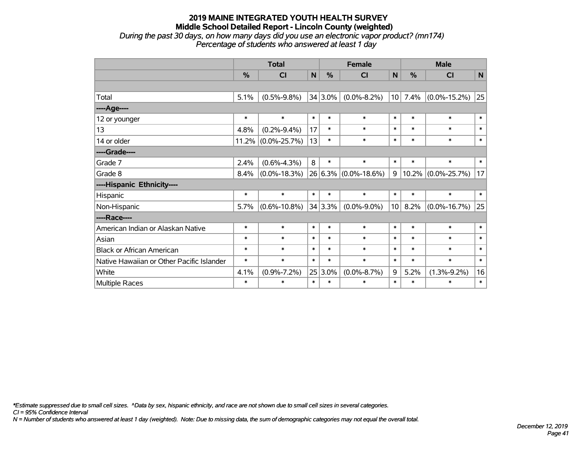#### **2019 MAINE INTEGRATED YOUTH HEALTH SURVEY Middle School Detailed Report - Lincoln County (weighted)** *During the past 30 days, on how many days did you use an electronic vapor product? (mn174) Percentage of students who answered at least 1 day*

|                                           |        | <b>Total</b>          |        |             | <b>Female</b>        |                 |        | <b>Male</b>        |              |
|-------------------------------------------|--------|-----------------------|--------|-------------|----------------------|-----------------|--------|--------------------|--------------|
|                                           | $\%$   | CI                    | N      | $\%$        | <b>CI</b>            | N               | $\%$   | <b>CI</b>          | $\mathsf{N}$ |
|                                           |        |                       |        |             |                      |                 |        |                    |              |
| Total                                     | 5.1%   | $(0.5\% - 9.8\%)$     |        | $34 3.0\% $ | $(0.0\% - 8.2\%)$    | 10 <sup>1</sup> | 7.4%   | $(0.0\% - 15.2\%)$ | 25           |
| ----Age----                               |        |                       |        |             |                      |                 |        |                    |              |
| 12 or younger                             | $\ast$ | $\ast$                | $\ast$ | $\ast$      | $\ast$               | $\ast$          | $\ast$ | $\ast$             | $\ast$       |
| 13                                        | 4.8%   | $(0.2\% - 9.4\%)$     | 17     | $\ast$      | $\ast$               | $\ast$          | $\ast$ | $\ast$             | $\ast$       |
| 14 or older                               |        | $11.2\%$ (0.0%-25.7%) | 13     | $\ast$      | $\ast$               | $\ast$          | $\ast$ | $\ast$             | $\ast$       |
| ----Grade----                             |        |                       |        |             |                      |                 |        |                    |              |
| Grade 7                                   | 2.4%   | $(0.6\% - 4.3\%)$     | 8      | $\ast$      | $\ast$               | $\ast$          | $\ast$ | $\ast$             | $\ast$       |
| Grade 8                                   | 8.4%   | $(0.0\% - 18.3\%)$    |        |             | 26 6.3% (0.0%-18.6%) | 9               | 10.2%  | $(0.0\% - 25.7\%)$ | 17           |
| ----Hispanic Ethnicity----                |        |                       |        |             |                      |                 |        |                    |              |
| Hispanic                                  | $\ast$ | $\ast$                | $\ast$ | $\ast$      | $\ast$               | $\ast$          | $\ast$ | $\ast$             | $\ast$       |
| Non-Hispanic                              | 5.7%   | $(0.6\% - 10.8\%)$    |        | $34 3.3\% $ | $(0.0\% - 9.0\%)$    | 10              | 8.2%   | $(0.0\% - 16.7\%)$ | 25           |
| ----Race----                              |        |                       |        |             |                      |                 |        |                    |              |
| American Indian or Alaskan Native         | $\ast$ | $\ast$                | $\ast$ | $\ast$      | $\ast$               | $\ast$          | $\ast$ | $\ast$             | $\ast$       |
| Asian                                     | $\ast$ | $\ast$                | $\ast$ | $\ast$      | $\ast$               | $\ast$          | $\ast$ | $\ast$             | $\ast$       |
| <b>Black or African American</b>          | $\ast$ | $\ast$                | $\ast$ | $\ast$      | $\ast$               | $\ast$          | $\ast$ | $\ast$             | $\ast$       |
| Native Hawaiian or Other Pacific Islander | $\ast$ | $\ast$                | $\ast$ | $\ast$      | $\ast$               | $\ast$          | $\ast$ | $\ast$             | $\ast$       |
| White                                     | 4.1%   | $(0.9\% - 7.2\%)$     |        | $25 3.0\%$  | $(0.0\% - 8.7\%)$    | 9               | 5.2%   | $(1.3\% - 9.2\%)$  | 16           |
| <b>Multiple Races</b>                     | $\ast$ | $\ast$                | $\ast$ | $\ast$      | $\ast$               | $\ast$          | $\ast$ | $\ast$             | $\ast$       |

*\*Estimate suppressed due to small cell sizes. ^Data by sex, hispanic ethnicity, and race are not shown due to small cell sizes in several categories.*

*CI = 95% Confidence Interval*

*N = Number of students who answered at least 1 day (weighted). Note: Due to missing data, the sum of demographic categories may not equal the overall total.*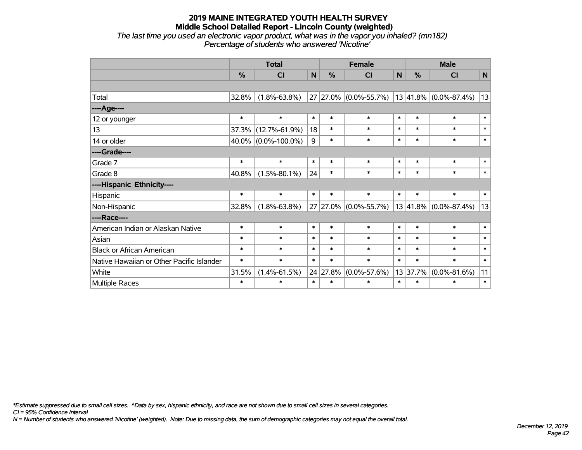#### **2019 MAINE INTEGRATED YOUTH HEALTH SURVEY Middle School Detailed Report - Lincoln County (weighted)** *The last time you used an electronic vapor product, what was in the vapor you inhaled? (mn182) Percentage of students who answered 'Nicotine'*

|                                           |        | <b>Total</b>        |        |               | <b>Female</b>         |        |               | <b>Male</b>               |              |
|-------------------------------------------|--------|---------------------|--------|---------------|-----------------------|--------|---------------|---------------------------|--------------|
|                                           | %      | CI                  | N      | $\frac{0}{0}$ | <b>CI</b>             | N      | $\frac{0}{0}$ | <b>CI</b>                 | N            |
|                                           |        |                     |        |               |                       |        |               |                           |              |
| Total                                     | 32.8%  | $(1.8\% - 63.8\%)$  |        |               | 27 27.0% (0.0%-55.7%) |        |               | $13 41.8\% $ (0.0%-87.4%) | 13           |
| ----Age----                               |        |                     |        |               |                       |        |               |                           |              |
| 12 or younger                             | $\ast$ | $\ast$              | $\ast$ | $\ast$        | $\ast$                | $\ast$ | $\ast$        | $\ast$                    | $\pmb{\ast}$ |
| 13                                        | 37.3%  | $(12.7\% - 61.9\%)$ | 18     | $\ast$        | $\ast$                | $\ast$ | $\ast$        | $\ast$                    | $\ast$       |
| 14 or older                               |        | 40.0% (0.0%-100.0%) | 9      | $\ast$        | $\ast$                | $\ast$ | $\ast$        | $\ast$                    | $\pmb{\ast}$ |
| ----Grade----                             |        |                     |        |               |                       |        |               |                           |              |
| Grade 7                                   | $\ast$ | $\ast$              | $\ast$ | $\ast$        | $\ast$                | $\ast$ | $\ast$        | $\ast$                    | $\ast$       |
| Grade 8                                   | 40.8%  | $(1.5\% - 80.1\%)$  | 24     | $\ast$        | $\ast$                | $\ast$ | $\ast$        | $\ast$                    | $\ast$       |
| ----Hispanic Ethnicity----                |        |                     |        |               |                       |        |               |                           |              |
| Hispanic                                  | $\ast$ | $\ast$              | $\ast$ | $\ast$        | $\ast$                | $\ast$ | $\ast$        | $\ast$                    | $\ast$       |
| Non-Hispanic                              | 32.8%  | $(1.8\% - 63.8\%)$  |        | 27 27.0%      | $(0.0\% - 55.7\%)$    |        | 13 41.8%      | $(0.0\% - 87.4\%)$        | 13           |
| ----Race----                              |        |                     |        |               |                       |        |               |                           |              |
| American Indian or Alaskan Native         | $\ast$ | $\ast$              | $\ast$ | $\ast$        | $\ast$                | $\ast$ | $\ast$        | $\ast$                    | $\ast$       |
| Asian                                     | $\ast$ | $\ast$              | $\ast$ | $\ast$        | $\ast$                | $\ast$ | $\ast$        | $\ast$                    | $\ast$       |
| <b>Black or African American</b>          | $\ast$ | $\ast$              | $\ast$ | $\ast$        | $\ast$                | $\ast$ | $\ast$        | $\ast$                    | $\ast$       |
| Native Hawaiian or Other Pacific Islander | $\ast$ | $\ast$              | $\ast$ | $\ast$        | $\ast$                | $\ast$ | $\ast$        | $\ast$                    | $\ast$       |
| White                                     | 31.5%  | $(1.4\% - 61.5\%)$  |        | 24 27.8%      | $(0.0\% - 57.6\%)$    | 13     | 37.7%         | $(0.0\% - 81.6\%)$        | 11           |
| Multiple Races                            | $\ast$ | $\ast$              | $\ast$ | $\ast$        | $\ast$                | $\ast$ | $\ast$        | $\ast$                    | $\pmb{\ast}$ |

*\*Estimate suppressed due to small cell sizes. ^Data by sex, hispanic ethnicity, and race are not shown due to small cell sizes in several categories.*

*CI = 95% Confidence Interval*

*N = Number of students who answered 'Nicotine' (weighted). Note: Due to missing data, the sum of demographic categories may not equal the overall total.*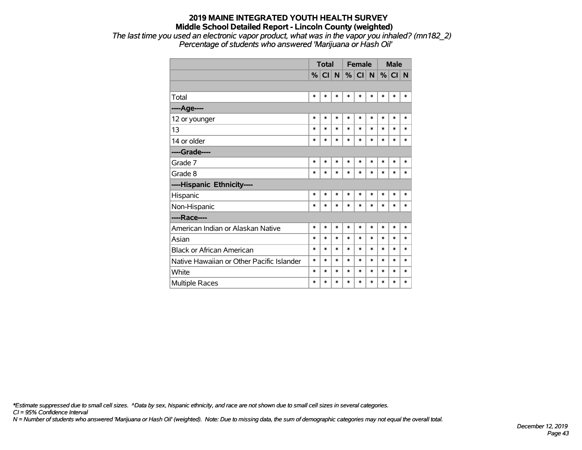*The last time you used an electronic vapor product, what was in the vapor you inhaled? (mn182\_2) Percentage of students who answered 'Marijuana or Hash Oil'*

|                                           |        | <b>Total</b> |        |        | <b>Female</b> |        |        | <b>Male</b> |        |
|-------------------------------------------|--------|--------------|--------|--------|---------------|--------|--------|-------------|--------|
|                                           | $\%$   | CI N         |        |        | %  CI  N      |        | %      | CI N        |        |
|                                           |        |              |        |        |               |        |        |             |        |
| Total                                     | $\ast$ | $\ast$       | $\ast$ | $\ast$ | $\ast$        | $\ast$ | $\ast$ | $\ast$      | $\ast$ |
| ---- Age----                              |        |              |        |        |               |        |        |             |        |
| 12 or younger                             | $\ast$ | *            | $\ast$ | $\ast$ | $\ast$        | $\ast$ | $\ast$ | $\ast$      | $\ast$ |
| 13                                        | $\ast$ | $\ast$       | $\ast$ | $\ast$ | $\ast$        | $\ast$ | *      | $\ast$      | $\ast$ |
| 14 or older                               | $\ast$ | *            | $\ast$ | $\ast$ | $\ast$        | $\ast$ | $\ast$ | $\ast$      | $\ast$ |
| ----Grade----                             |        |              |        |        |               |        |        |             |        |
| Grade 7                                   | $\ast$ | *            | $\ast$ | $\ast$ | $\ast$        | $\ast$ | $\ast$ | $\ast$      | $\ast$ |
| Grade 8                                   | $\ast$ | *            | $\ast$ | $\ast$ | $\ast$        | $\ast$ | $\ast$ | $\ast$      | $\ast$ |
| ----Hispanic Ethnicity----                |        |              |        |        |               |        |        |             |        |
| Hispanic                                  | $\ast$ | $\ast$       | $\ast$ | $\ast$ | $\ast$        | $\ast$ | $\ast$ | $\ast$      | $\ast$ |
| Non-Hispanic                              | $\ast$ | $\ast$       | $\ast$ | $\ast$ | $\ast$        | $\ast$ | $\ast$ | $\ast$      | $\ast$ |
| ----Race----                              |        |              |        |        |               |        |        |             |        |
| American Indian or Alaskan Native         | $\ast$ | $\ast$       | $\ast$ | $\ast$ | $\ast$        | $\ast$ | $\ast$ | $\ast$      | $\ast$ |
| Asian                                     | $\ast$ | *            | $\ast$ | $\ast$ | $\ast$        | $\ast$ | $\ast$ | $\ast$      | $\ast$ |
| <b>Black or African American</b>          | $\ast$ | *            | $\ast$ | $\ast$ | $\ast$        | $\ast$ | $\ast$ | $\ast$      | $\ast$ |
| Native Hawaiian or Other Pacific Islander | $\ast$ | $\ast$       | $\ast$ | $\ast$ | $\ast$        | $\ast$ | $\ast$ | $\ast$      | $\ast$ |
| White                                     | *      | *            | $\ast$ | *      | *             | $\ast$ | $\ast$ | $\ast$      | $\ast$ |
| <b>Multiple Races</b>                     | $\ast$ | $\ast$       | $\ast$ | $\ast$ | $\ast$        | $\ast$ | $\ast$ | $\ast$      | $\ast$ |

*\*Estimate suppressed due to small cell sizes. ^Data by sex, hispanic ethnicity, and race are not shown due to small cell sizes in several categories.*

*CI = 95% Confidence Interval*

*N = Number of students who answered 'Marijuana or Hash Oil' (weighted). Note: Due to missing data, the sum of demographic categories may not equal the overall total.*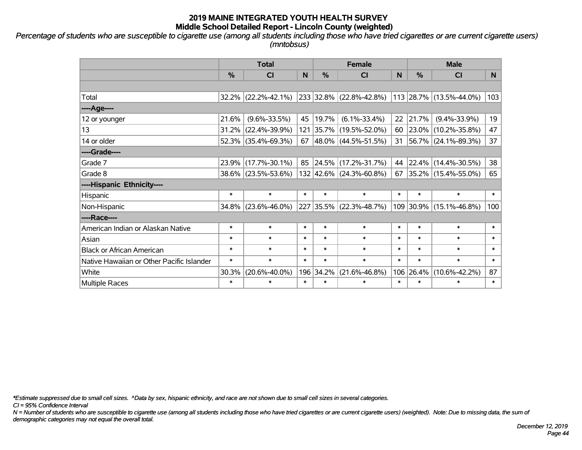*Percentage of students who are susceptible to cigarette use (among all students including those who have tried cigarettes or are current cigarette users) (mntobsus)*

|                                           |               | <b>Total</b>           |        |           | <b>Female</b>            |        |               | <b>Male</b>                      |        |
|-------------------------------------------|---------------|------------------------|--------|-----------|--------------------------|--------|---------------|----------------------------------|--------|
|                                           | $\frac{0}{0}$ | <b>CI</b>              | N      | $\%$      | <b>CI</b>                | N      | $\frac{0}{0}$ | <b>CI</b>                        | N.     |
|                                           |               |                        |        |           |                          |        |               |                                  |        |
| Total                                     |               | $32.2\%$ (22.2%-42.1%) |        |           | 233 32.8% (22.8%-42.8%)  |        |               | 113 28.7% (13.5%-44.0%)          | 103    |
| ----Age----                               |               |                        |        |           |                          |        |               |                                  |        |
| 12 or younger                             | 21.6%         | $(9.6\% - 33.5\%)$     | 45     | 19.7%     | $(6.1\% - 33.4\%)$       | 22     | 21.7%         | $(9.4\% - 33.9\%)$               | 19     |
| 13                                        | 31.2%         | $(22.4\% - 39.9\%)$    |        |           | 121 35.7% (19.5%-52.0%)  |        | $60$   23.0%  | $(10.2\% - 35.8\%)$              | 47     |
| 14 or older                               |               | $52.3\%$ (35.4%-69.3%) | 67     |           | $ 48.0\% $ (44.5%-51.5%) |        |               | 31   56.7%   $(24.1\% - 89.3\%)$ | 37     |
| ----Grade----                             |               |                        |        |           |                          |        |               |                                  |        |
| Grade 7                                   |               | 23.9% (17.7%-30.1%)    | 85     | 24.5%     | $(17.2\% - 31.7\%)$      | 44     | 22.4%         | $(14.4\% - 30.5\%)$              | 38     |
| Grade 8                                   |               | 38.6% (23.5%-53.6%)    |        |           | 132 42.6% (24.3%-60.8%)  | 67     |               | 35.2% (15.4%-55.0%)              | 65     |
| ----Hispanic Ethnicity----                |               |                        |        |           |                          |        |               |                                  |        |
| Hispanic                                  | $\ast$        | $\ast$                 | $\ast$ | $\ast$    | $\ast$                   | $\ast$ | $\ast$        | $\ast$                           | $\ast$ |
| Non-Hispanic                              |               | 34.8% (23.6%-46.0%)    |        |           | 227 35.5% (22.3%-48.7%)  | 109    | 30.9%         | $(15.1\% - 46.8\%)$              | 100    |
| ----Race----                              |               |                        |        |           |                          |        |               |                                  |        |
| American Indian or Alaskan Native         | $\ast$        | $\ast$                 | $\ast$ | $\ast$    | $\ast$                   | $\ast$ | $\ast$        | $\ast$                           | $\ast$ |
| Asian                                     | $\ast$        | $\ast$                 | $\ast$ | $\ast$    | $\ast$                   | $\ast$ | $\ast$        | $\ast$                           | $\ast$ |
| <b>Black or African American</b>          | $\ast$        | $\ast$                 | $\ast$ | $\ast$    | $\ast$                   | $\ast$ | $\ast$        | $\ast$                           | $\ast$ |
| Native Hawaiian or Other Pacific Islander | $\ast$        | $\ast$                 | $\ast$ | $\ast$    | $\ast$                   | $\ast$ | $\ast$        | $\ast$                           | $\ast$ |
| White                                     | 30.3%         | $(20.6\% - 40.0\%)$    |        | 196 34.2% | $(21.6\% - 46.8\%)$      | 106    | 26.4%         | $(10.6\% - 42.2\%)$              | 87     |
| <b>Multiple Races</b>                     | $\ast$        | $\ast$                 | $\ast$ | $\ast$    | $\ast$                   | $\ast$ | $\ast$        | $\ast$                           | $\ast$ |

*\*Estimate suppressed due to small cell sizes. ^Data by sex, hispanic ethnicity, and race are not shown due to small cell sizes in several categories.*

*CI = 95% Confidence Interval*

*N = Number of students who are susceptible to cigarette use (among all students including those who have tried cigarettes or are current cigarette users) (weighted). Note: Due to missing data, the sum of demographic categories may not equal the overall total.*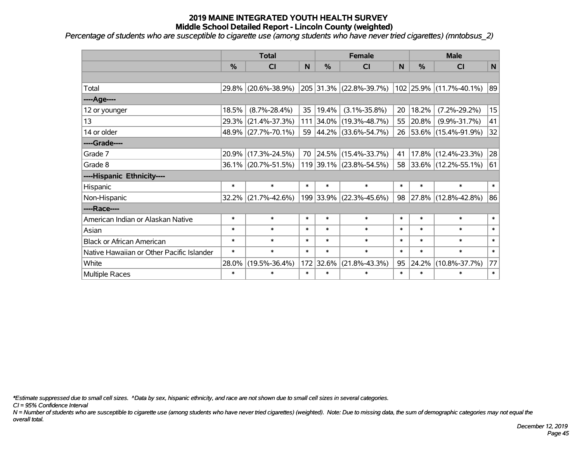*Percentage of students who are susceptible to cigarette use (among students who have never tried cigarettes) (mntobsus\_2)*

|                                           |               | <b>Total</b>        |        |               |                          | <b>Male</b> |               |                          |        |
|-------------------------------------------|---------------|---------------------|--------|---------------|--------------------------|-------------|---------------|--------------------------|--------|
|                                           | $\frac{0}{0}$ | CI                  | N      | $\frac{9}{6}$ | CI                       | N           | $\frac{0}{0}$ | <b>CI</b>                | N      |
|                                           |               |                     |        |               |                          |             |               |                          |        |
| Total                                     |               | 29.8% (20.6%-38.9%) |        |               | 205 31.3% (22.8%-39.7%)  |             |               | 102 25.9% (11.7%-40.1%)  | 89     |
| ----Age----                               |               |                     |        |               |                          |             |               |                          |        |
| 12 or younger                             | 18.5%         | $(8.7\% - 28.4\%)$  | 35     | 19.4%         | $(3.1\% - 35.8\%)$       | 20          | 18.2%         | $(7.2\% - 29.2\%)$       | 15     |
| 13                                        | 29.3%         | $(21.4\% - 37.3\%)$ |        | 111 34.0%     | $(19.3\% - 48.7\%)$      | 55          | 20.8%         | $(9.9\% - 31.7\%)$       | 41     |
| 14 or older                               |               | 48.9% (27.7%-70.1%) | 59     |               | $ 44.2\% $ (33.6%-54.7%) | 26          |               | $ 53.6\% $ (15.4%-91.9%) | 32     |
| ----Grade----                             |               |                     |        |               |                          |             |               |                          |        |
| Grade 7                                   | 20.9%         | $(17.3\% - 24.5\%)$ | 70     | 24.5%         | $(15.4\% - 33.7\%)$      | 41          |               | 17.8% (12.4%-23.3%)      | 28     |
| Grade 8                                   |               | 36.1% (20.7%-51.5%) |        |               | 119 39.1% (23.8%-54.5%)  | 58          |               | 33.6% (12.2%-55.1%)      | 61     |
| ----Hispanic Ethnicity----                |               |                     |        |               |                          |             |               |                          |        |
| Hispanic                                  | $\ast$        | $\ast$              | $\ast$ | $\ast$        | $\ast$                   | $\ast$      | $\ast$        | $\ast$                   | $\ast$ |
| Non-Hispanic                              |               | 32.2% (21.7%-42.6%) |        | 199 33.9%     | $(22.3\% - 45.6\%)$      | 98          | $ 27.8\% $    | $(12.8\% - 42.8\%)$      | 86     |
| ----Race----                              |               |                     |        |               |                          |             |               |                          |        |
| American Indian or Alaskan Native         | $\ast$        | $\ast$              | $\ast$ | $\ast$        | $\ast$                   | $\ast$      | $\ast$        | $\ast$                   | $\ast$ |
| Asian                                     | $\ast$        | $\ast$              | $\ast$ | $\ast$        | $\ast$                   | $\ast$      | $\ast$        | $\ast$                   | $\ast$ |
| <b>Black or African American</b>          | $\ast$        | $\ast$              | $\ast$ | $\ast$        | $\ast$                   | $\ast$      | $\ast$        | $\ast$                   | $\ast$ |
| Native Hawaiian or Other Pacific Islander | $\ast$        | $\ast$              | $\ast$ | $\ast$        | $\ast$                   | $\ast$      | $\ast$        | $\ast$                   | $\ast$ |
| White                                     | 28.0%         | $(19.5\% - 36.4\%)$ | 172    | 32.6%         | $(21.8\% - 43.3\%)$      | 95          | 24.2%         | $(10.8\% - 37.7\%)$      | 77     |
| Multiple Races                            | $\ast$        | $\ast$              | $\ast$ | $\ast$        | $\ast$                   | $\ast$      | $\ast$        | $\ast$                   | $\ast$ |

*\*Estimate suppressed due to small cell sizes. ^Data by sex, hispanic ethnicity, and race are not shown due to small cell sizes in several categories.*

*CI = 95% Confidence Interval*

*N = Number of students who are susceptible to cigarette use (among students who have never tried cigarettes) (weighted). Note: Due to missing data, the sum of demographic categories may not equal the overall total.*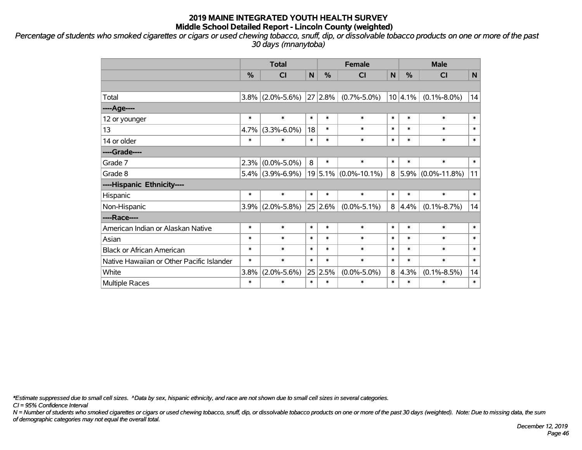*Percentage of students who smoked cigarettes or cigars or used chewing tobacco, snuff, dip, or dissolvable tobacco products on one or more of the past 30 days (mnanytoba)*

|                                           | <b>Total</b> |                     |        |           | <b>Female</b>                              |        | <b>Male</b> |                        |              |  |
|-------------------------------------------|--------------|---------------------|--------|-----------|--------------------------------------------|--------|-------------|------------------------|--------------|--|
|                                           | %            | CI                  | N      | %         | <b>CI</b>                                  | N      | %           | <b>CI</b>              | $\mathsf{N}$ |  |
|                                           |              |                     |        |           |                                            |        |             |                        |              |  |
| Total                                     |              | $3.8\%$ (2.0%-5.6%) |        | $27$ 2.8% | $(0.7\% - 5.0\%)$                          |        | 10 4.1%     | $(0.1\% - 8.0\%)$      | 14           |  |
| ----Age----                               |              |                     |        |           |                                            |        |             |                        |              |  |
| 12 or younger                             | $\ast$       | $\ast$              | $\ast$ | $\ast$    | $\ast$                                     | $\ast$ | $\ast$      | $\ast$                 | $\ast$       |  |
| 13                                        | 4.7%         | $(3.3\% - 6.0\%)$   | 18     | $\ast$    | $\ast$                                     | $\ast$ | $\ast$      | $\ast$                 | $\ast$       |  |
| 14 or older                               | $\ast$       | $\ast$              | $\ast$ | $\ast$    | $\ast$                                     | $\ast$ | $\ast$      | $\ast$                 | $\ast$       |  |
| ----Grade----                             |              |                     |        |           |                                            |        |             |                        |              |  |
| Grade 7                                   | 2.3%         | $(0.0\% - 5.0\%)$   | 8      | $\ast$    | $\ast$                                     | $\ast$ | $\ast$      | $\ast$                 | $\pmb{\ast}$ |  |
| Grade 8                                   |              |                     |        |           | $5.4\%$ (3.9%-6.9%)   19 5.1% (0.0%-10.1%) | 8      |             | $ 5.9\% $ (0.0%-11.8%) | 11           |  |
| ----Hispanic Ethnicity----                |              |                     |        |           |                                            |        |             |                        |              |  |
| Hispanic                                  | $\ast$       | $\ast$              | $\ast$ | $\ast$    | $\ast$                                     | $\ast$ | $\ast$      | $\ast$                 | $\ast$       |  |
| Non-Hispanic                              | 3.9%         | $(2.0\% - 5.8\%)$   |        | 25 2.6%   | $(0.0\% - 5.1\%)$                          | 8      | $ 4.4\%$    | $(0.1\% - 8.7\%)$      | 14           |  |
| ----Race----                              |              |                     |        |           |                                            |        |             |                        |              |  |
| American Indian or Alaskan Native         | $\ast$       | $\ast$              | $\ast$ | $\ast$    | $\ast$                                     | $\ast$ | $\ast$      | $\ast$                 | $\ast$       |  |
| Asian                                     | $\ast$       | $\ast$              | $\ast$ | $\ast$    | $\ast$                                     | $\ast$ | $\ast$      | $\ast$                 | $\ast$       |  |
| <b>Black or African American</b>          | $\ast$       | $\ast$              | $\ast$ | $\ast$    | $\ast$                                     | $\ast$ | $\ast$      | $\ast$                 | $\ast$       |  |
| Native Hawaiian or Other Pacific Islander | $\ast$       | $\ast$              | $\ast$ | $\ast$    | $\ast$                                     | $\ast$ | $\ast$      | $\ast$                 | $\ast$       |  |
| White                                     | 3.8%         | $(2.0\% - 5.6\%)$   | 25     | 2.5%      | $(0.0\% - 5.0\%)$                          | 8      | 4.3%        | $(0.1\% - 8.5\%)$      | 14           |  |
| Multiple Races                            | $\ast$       | $\ast$              | $\ast$ | $\ast$    | $\ast$                                     | $\ast$ | $\ast$      | $\ast$                 | $\ast$       |  |

*\*Estimate suppressed due to small cell sizes. ^Data by sex, hispanic ethnicity, and race are not shown due to small cell sizes in several categories.*

*CI = 95% Confidence Interval*

*N = Number of students who smoked cigarettes or cigars or used chewing tobacco, snuff, dip, or dissolvable tobacco products on one or more of the past 30 days (weighted). Note: Due to missing data, the sum of demographic categories may not equal the overall total.*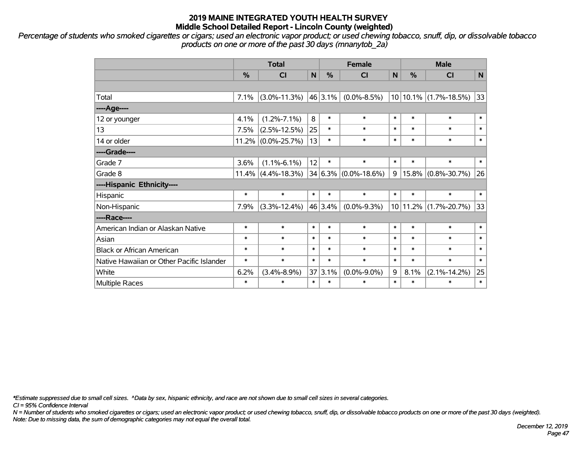*Percentage of students who smoked cigarettes or cigars; used an electronic vapor product; or used chewing tobacco, snuff, dip, or dissolvable tobacco products on one or more of the past 30 days (mnanytob\_2a)*

|                                           | <b>Total</b> |                       |        |              | <b>Female</b>                 |              | <b>Male</b> |                           |              |  |
|-------------------------------------------|--------------|-----------------------|--------|--------------|-------------------------------|--------------|-------------|---------------------------|--------------|--|
|                                           | %            | <b>CI</b>             | N      | $\%$         | <b>CI</b>                     | $\mathsf{N}$ | %           | <b>CI</b>                 | $\mathsf{N}$ |  |
|                                           |              |                       |        |              |                               |              |             |                           |              |  |
| Total                                     | 7.1%         | $(3.0\% - 11.3\%)$    |        | $ 46 3.1\% $ | $(0.0\% - 8.5\%)$             |              |             | $10 10.1\% $ (1.7%-18.5%) | 33           |  |
| ----Age----                               |              |                       |        |              |                               |              |             |                           |              |  |
| 12 or younger                             | 4.1%         | $(1.2\% - 7.1\%)$     | 8      | $\ast$       | $\ast$                        | $\ast$       | $\ast$      | $\ast$                    | $\ast$       |  |
| 13                                        | 7.5%         | $(2.5\% - 12.5\%)$    | 25     | $\ast$       | $\ast$                        | $\ast$       | $\ast$      | $\ast$                    | $\ast$       |  |
| 14 or older                               |              | 11.2% (0.0%-25.7%)    | 13     | $\ast$       | $\ast$                        | $\ast$       | $\ast$      | $\ast$                    | $\ast$       |  |
| ----Grade----                             |              |                       |        |              |                               |              |             |                           |              |  |
| Grade 7                                   | 3.6%         | $(1.1\% - 6.1\%)$     | 12     | $\ast$       | $\ast$                        | $\ast$       | $\ast$      | $\ast$                    | $\ast$       |  |
| Grade 8                                   |              | $11.4\%$ (4.4%-18.3%) |        |              | $ 34 6.3\%  (0.0\% - 18.6\%)$ | 9            |             | $15.8\%$ (0.8%-30.7%)     | 26           |  |
| ----Hispanic Ethnicity----                |              |                       |        |              |                               |              |             |                           |              |  |
| Hispanic                                  | $\ast$       | $\ast$                | $\ast$ | $\ast$       | $\ast$                        | $\ast$       | $\ast$      | $\ast$                    | $\ast$       |  |
| Non-Hispanic                              | 7.9%         | $(3.3\% - 12.4\%)$    |        | 46 3.4%      | $(0.0\% - 9.3\%)$             |              |             | $10 11.2\% $ (1.7%-20.7%) | 33           |  |
| ----Race----                              |              |                       |        |              |                               |              |             |                           |              |  |
| American Indian or Alaskan Native         | $\ast$       | $\ast$                | $\ast$ | $\ast$       | $\ast$                        | $\ast$       | $\ast$      | $\ast$                    | $\ast$       |  |
| Asian                                     | $\ast$       | $\ast$                | $\ast$ | $\ast$       | $\ast$                        | $\ast$       | $\ast$      | $\ast$                    | $\ast$       |  |
| <b>Black or African American</b>          | $\ast$       | $\ast$                | $\ast$ | $\ast$       | $\ast$                        | $\ast$       | $\ast$      | $\ast$                    | $\ast$       |  |
| Native Hawaiian or Other Pacific Islander | $\ast$       | $\ast$                | $\ast$ | $\ast$       | $\ast$                        | $\ast$       | $\ast$      | $\ast$                    | $\ast$       |  |
| White                                     | 6.2%         | $(3.4\% - 8.9\%)$     |        | 37 3.1%      | $(0.0\% - 9.0\%)$             | 9            | 8.1%        | $(2.1\% - 14.2\%)$        | 25           |  |
| Multiple Races                            | $\ast$       | $\ast$                | $\ast$ | $\ast$       | $\ast$                        | $\ast$       | $\ast$      | *                         | $\ast$       |  |

*\*Estimate suppressed due to small cell sizes. ^Data by sex, hispanic ethnicity, and race are not shown due to small cell sizes in several categories.*

*CI = 95% Confidence Interval*

*N = Number of students who smoked cigarettes or cigars; used an electronic vapor product; or used chewing tobacco, snuff, dip, or dissolvable tobacco products on one or more of the past 30 days (weighted). Note: Due to missing data, the sum of demographic categories may not equal the overall total.*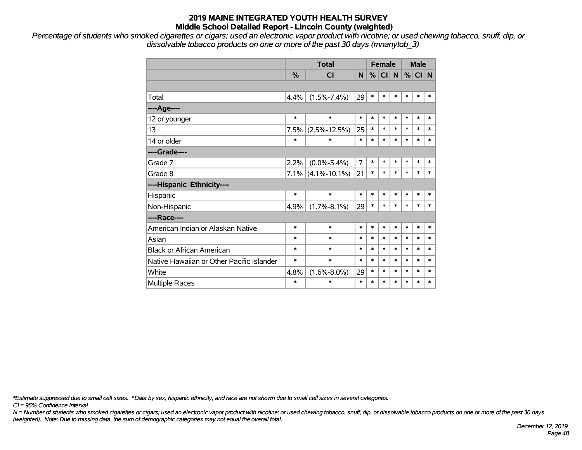*Percentage of students who smoked cigarettes or cigars; used an electronic vapor product with nicotine; or used chewing tobacco, snuff, dip, or dissolvable tobacco products on one or more of the past 30 days (mnanytob\_3)*

|                                           |        | <b>Total</b>         |                | <b>Female</b> |           |        |        | <b>Male</b> |        |
|-------------------------------------------|--------|----------------------|----------------|---------------|-----------|--------|--------|-------------|--------|
|                                           | %      | <b>CI</b>            | N              | %             | <b>CI</b> | N      | $\%$   | CI N        |        |
|                                           |        |                      |                |               |           |        |        |             |        |
| Total                                     | 4.4%   | $(1.5\% - 7.4\%)$    | 29             | $\ast$        | $\ast$    | $\ast$ | $\ast$ | $\ast$      | $\ast$ |
| ----Age----                               |        |                      |                |               |           |        |        |             |        |
| 12 or younger                             | $\ast$ | $\ast$               | $\ast$         | $\ast$        | $\ast$    | $\ast$ | $\ast$ | $\ast$      | $\ast$ |
| 13                                        | 7.5%   | $(2.5\% - 12.5\%)$   | 25             | $\ast$        | *         | $\ast$ | $\ast$ | $\ast$      | $\ast$ |
| 14 or older                               | $\ast$ | $\ast$               | $\ast$         | $\ast$        | $\ast$    | $\ast$ | $\ast$ | $\ast$      | $\ast$ |
| ----Grade----                             |        |                      |                |               |           |        |        |             |        |
| Grade 7                                   | 2.2%   | $(0.0\% - 5.4\%)$    | $\overline{7}$ | $\ast$        | $\ast$    | $\ast$ | $\ast$ | $\ast$      | $\ast$ |
| Grade 8                                   |        | $7.1\%$ (4.1%-10.1%) | 21             | $\ast$        | $\ast$    | $\ast$ | $\ast$ | $\ast$      | $\ast$ |
| ----Hispanic Ethnicity----                |        |                      |                |               |           |        |        |             |        |
| Hispanic                                  | $\ast$ | $\ast$               | $\ast$         | $\ast$        | *         | $\ast$ | $\ast$ | $\ast$      | $\ast$ |
| Non-Hispanic                              | 4.9%   | $(1.7\% - 8.1\%)$    | 29             | $\ast$        | $\ast$    | $\ast$ | $\ast$ | $\ast$      | $\ast$ |
| ----Race----                              |        |                      |                |               |           |        |        |             |        |
| American Indian or Alaskan Native         | $\ast$ | $\ast$               | $\ast$         | $\ast$        | $\ast$    | $\ast$ | $\ast$ | $\ast$      | $\ast$ |
| Asian                                     | *      | $\ast$               | $\ast$         | $\ast$        | *         | $\ast$ | $\ast$ | $\ast$      | $\ast$ |
| <b>Black or African American</b>          | *      | $\ast$               | $\ast$         | $\ast$        | $\ast$    | $\ast$ | $\ast$ | $\ast$      | $\ast$ |
| Native Hawaiian or Other Pacific Islander | *      | $\ast$               | $\ast$         | $\ast$        | $\ast$    | $\ast$ | $\ast$ | $\ast$      | $\ast$ |
| White                                     | 4.8%   | $(1.6\% - 8.0\%)$    | 29             | $\ast$        | $\ast$    | *      | $\ast$ | *           | $\ast$ |
| <b>Multiple Races</b>                     | *      | $\ast$               | $\ast$         | $\ast$        | $\ast$    | $\ast$ | $\ast$ | $\ast$      | $\ast$ |

*\*Estimate suppressed due to small cell sizes. ^Data by sex, hispanic ethnicity, and race are not shown due to small cell sizes in several categories.*

*CI = 95% Confidence Interval*

*N = Number of students who smoked cigarettes or cigars; used an electronic vapor product with nicotine; or used chewing tobacco, snuff, dip, or dissolvable tobacco products on one or more of the past 30 days (weighted). Note: Due to missing data, the sum of demographic categories may not equal the overall total.*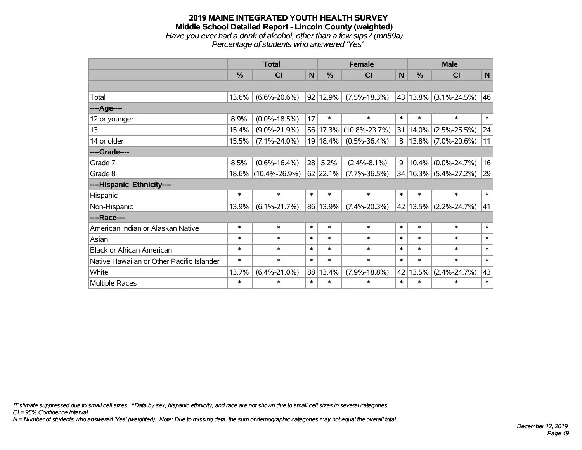#### **2019 MAINE INTEGRATED YOUTH HEALTH SURVEY Middle School Detailed Report - Lincoln County (weighted)** *Have you ever had a drink of alcohol, other than a few sips? (mn59a) Percentage of students who answered 'Yes'*

|                                           | <b>Total</b> |                     |        |               | <b>Female</b>          |                | <b>Male</b> |                           |        |  |
|-------------------------------------------|--------------|---------------------|--------|---------------|------------------------|----------------|-------------|---------------------------|--------|--|
|                                           | $\%$         | <b>CI</b>           | N      | $\%$          | <b>CI</b>              | N              | $\%$        | <b>CI</b>                 | N      |  |
|                                           |              |                     |        |               |                        |                |             |                           |        |  |
| Total                                     | 13.6%        | $(6.6\% - 20.6\%)$  |        | $ 92 12.9\% $ | $(7.5\% - 18.3\%)$     |                |             | 43 13.8% (3.1%-24.5%)     | 46     |  |
| ----Age----                               |              |                     |        |               |                        |                |             |                           |        |  |
| 12 or younger                             | 8.9%         | $(0.0\% - 18.5\%)$  | 17     | $\ast$        | $\ast$                 | $\ast$         | $\ast$      | $\ast$                    | $\ast$ |  |
| 13                                        | 15.4%        | $(9.0\% - 21.9\%)$  |        |               | 56 17.3% (10.8%-23.7%) | 31             | 14.0%       | $(2.5\% - 25.5\%)$        | 24     |  |
| 14 or older                               | 15.5%        | $(7.1\% - 24.0\%)$  |        | 19 18.4%      | $(0.5\% - 36.4\%)$     | 81             |             | $13.8\%$ (7.0%-20.6%)     | 11     |  |
| ----Grade----                             |              |                     |        |               |                        |                |             |                           |        |  |
| Grade 7                                   | 8.5%         | $(0.6\% - 16.4\%)$  | 28     | 5.2%          | $(2.4\% - 8.1\%)$      | 9 <sup>1</sup> |             | $10.4\%$ (0.0%-24.7%)     | 16     |  |
| Grade 8                                   | $18.6\%$     | $(10.4\% - 26.9\%)$ |        | 62 22.1%      | $(7.7\% - 36.5\%)$     |                |             | 34   16.3%   (5.4%-27.2%) | 29     |  |
| ----Hispanic Ethnicity----                |              |                     |        |               |                        |                |             |                           |        |  |
| Hispanic                                  | $\ast$       | $\ast$              | $\ast$ | $\ast$        | $\ast$                 | $\ast$         | $\ast$      | $\ast$                    | $\ast$ |  |
| Non-Hispanic                              | 13.9%        | $(6.1\% - 21.7\%)$  |        | 86 13.9%      | $(7.4\% - 20.3\%)$     | 42             |             | $13.5\%$ (2.2%-24.7%)     | 41     |  |
| ----Race----                              |              |                     |        |               |                        |                |             |                           |        |  |
| American Indian or Alaskan Native         | $\ast$       | $\ast$              | $\ast$ | $\ast$        | $\ast$                 | $\ast$         | $\ast$      | $\ast$                    | $\ast$ |  |
| Asian                                     | $\ast$       | $\ast$              | $\ast$ | $\ast$        | $\ast$                 | $\ast$         | $\ast$      | $\ast$                    | $\ast$ |  |
| <b>Black or African American</b>          | $\ast$       | $\ast$              | $\ast$ | $\ast$        | $\ast$                 | $\ast$         | $\ast$      | $\ast$                    | $\ast$ |  |
| Native Hawaiian or Other Pacific Islander | $\ast$       | $\ast$              | $\ast$ | $\ast$        | $\ast$                 | $\ast$         | $\ast$      | $\ast$                    | $\ast$ |  |
| White                                     | 13.7%        | $(6.4\% - 21.0\%)$  | 88     | 13.4%         | $(7.9\% - 18.8\%)$     | 42             | 13.5%       | $(2.4\% - 24.7\%)$        | 43     |  |
| <b>Multiple Races</b>                     | $\ast$       | $\ast$              | $\ast$ | $\ast$        | $\ast$                 | $\ast$         | $\ast$      | $\ast$                    | $\ast$ |  |

*\*Estimate suppressed due to small cell sizes. ^Data by sex, hispanic ethnicity, and race are not shown due to small cell sizes in several categories.*

*CI = 95% Confidence Interval*

*N = Number of students who answered 'Yes' (weighted). Note: Due to missing data, the sum of demographic categories may not equal the overall total.*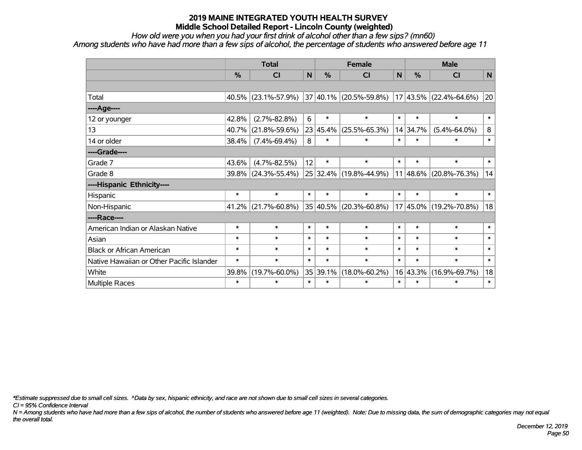*How old were you when you had your first drink of alcohol other than a few sips? (mn60)*

*Among students who have had more than a few sips of alcohol, the percentage of students who answered before age 11*

|                                           | <b>Total</b> |                        |        |          | <b>Female</b>               | <b>Male</b>  |               |                            |             |
|-------------------------------------------|--------------|------------------------|--------|----------|-----------------------------|--------------|---------------|----------------------------|-------------|
|                                           | %            | <b>CI</b>              | N      | %        | <b>CI</b>                   | $\mathsf{N}$ | $\frac{0}{0}$ | <b>CI</b>                  | $\mathbf N$ |
|                                           |              |                        |        |          |                             |              |               |                            |             |
| Total                                     |              | $40.5\%$ (23.1%-57.9%) |        |          | $ 37 40.1\% $ (20.5%-59.8%) |              |               | $17 43.5\% $ (22.4%-64.6%) | 20          |
| ----Age----                               |              |                        |        |          |                             |              |               |                            |             |
| 12 or younger                             | 42.8%        | $(2.7\% - 82.8\%)$     | 6      | $\ast$   | $\ast$                      | $\ast$       | $\ast$        | $\ast$                     | $\ast$      |
| 13                                        | 40.7%        | $(21.8\% - 59.6\%)$    |        | 23 45.4% | $(25.5\% - 65.3\%)$         |              | 14 34.7%      | $(5.4\% - 64.0\%)$         | 8           |
| 14 or older                               | 38.4%        | $(7.4\% - 69.4\%)$     | 8      | $\ast$   | $\ast$                      | $\ast$       | $\ast$        | $\ast$                     | $\ast$      |
| ----Grade----                             |              |                        |        |          |                             |              |               |                            |             |
| Grade 7                                   | 43.6%        | $(4.7\% - 82.5\%)$     | 12     | $\ast$   | $\ast$                      | $\ast$       | $\ast$        | $\ast$                     | $\ast$      |
| Grade 8                                   |              | $39.8\%$ (24.3%-55.4%) |        |          | 25 32.4% (19.8%-44.9%)      |              |               | $11 48.6\% $ (20.8%-76.3%) | 14          |
| ----Hispanic Ethnicity----                |              |                        |        |          |                             |              |               |                            |             |
| Hispanic                                  | $\ast$       | $\ast$                 | $\ast$ | $\ast$   | $\ast$                      | $\ast$       | $\ast$        | $\ast$                     | $\ast$      |
| Non-Hispanic                              | 41.2%        | $(21.7\% - 60.8\%)$    |        |          | 35 40.5% (20.3%-60.8%)      | 17           |               | 45.0%  (19.2%-70.8%)       | 18          |
| ----Race----                              |              |                        |        |          |                             |              |               |                            |             |
| American Indian or Alaskan Native         | $\ast$       | $\ast$                 | $\ast$ | $\ast$   | $\ast$                      | $\ast$       | $\ast$        | $\ast$                     | $\ast$      |
| Asian                                     | $\ast$       | $\ast$                 | $\ast$ | $\ast$   | $\ast$                      | $\ast$       | $\ast$        | $\ast$                     | $\ast$      |
| <b>Black or African American</b>          | $\ast$       | $\ast$                 | $\ast$ | $\ast$   | $\ast$                      | $\ast$       | $\ast$        | $\ast$                     | $\ast$      |
| Native Hawaiian or Other Pacific Islander | $\ast$       | $\ast$                 | $\ast$ | $\ast$   | $\ast$                      | $\ast$       | $\ast$        | $\ast$                     | $\ast$      |
| White                                     | 39.8%        | $(19.7\% - 60.0\%)$    |        | 35 39.1% | $(18.0\% - 60.2\%)$         |              | 16 43.3%      | $(16.9\% - 69.7\%)$        | 18          |
| Multiple Races                            | $\ast$       | $\ast$                 | $\ast$ | $\ast$   | $\ast$                      | $\ast$       | $\ast$        | $\ast$                     | $\ast$      |

*\*Estimate suppressed due to small cell sizes. ^Data by sex, hispanic ethnicity, and race are not shown due to small cell sizes in several categories.*

*CI = 95% Confidence Interval*

*N = Among students who have had more than a few sips of alcohol, the number of students who answered before age 11 (weighted). Note: Due to missing data, the sum of demographic categories may not equal the overall total.*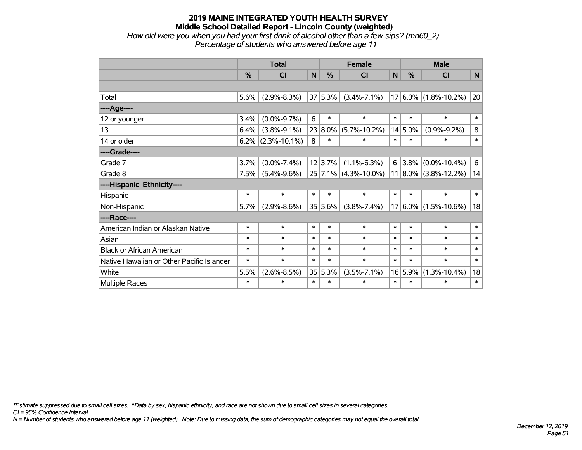### **2019 MAINE INTEGRATED YOUTH HEALTH SURVEY Middle School Detailed Report - Lincoln County (weighted)** *How old were you when you had your first drink of alcohol other than a few sips? (mn60\_2) Percentage of students who answered before age 11*

|                                           | <b>Total</b>  |                      |        |             | <b>Female</b>          |        | <b>Male</b> |                          |        |  |
|-------------------------------------------|---------------|----------------------|--------|-------------|------------------------|--------|-------------|--------------------------|--------|--|
|                                           | $\frac{9}{6}$ | <b>CI</b>            | N      | $\%$        | CI                     | N      | %           | <b>CI</b>                | N      |  |
|                                           |               |                      |        |             |                        |        |             |                          |        |  |
| Total                                     | 5.6%          | $(2.9\% - 8.3\%)$    |        | 37 5.3%     | $(3.4\% - 7.1\%)$      |        |             | $17 6.0\% $ (1.8%-10.2%) | 20     |  |
| ----Age----                               |               |                      |        |             |                        |        |             |                          |        |  |
| 12 or younger                             | 3.4%          | $(0.0\% - 9.7\%)$    | 6      | $\ast$      | $\ast$                 | $\ast$ | $\ast$      | $\ast$                   | $\ast$ |  |
| 13                                        | 6.4%          | $(3.8\% - 9.1\%)$    |        | $23 8.0\% $ | $(5.7\% - 10.2\%)$     |        | $14 5.0\%$  | $(0.9\% - 9.2\%)$        | 8      |  |
| 14 or older                               |               | $6.2\%$ (2.3%-10.1%) | 8      | $\ast$      | $\ast$                 | $\ast$ | $\ast$      | $\ast$                   | $\ast$ |  |
| ----Grade----                             |               |                      |        |             |                        |        |             |                          |        |  |
| Grade 7                                   | 3.7%          | $(0.0\% - 7.4\%)$    |        | 12 3.7%     | $(1.1\% - 6.3\%)$      | 6      | $3.8\%$     | $(0.0\% - 10.4\%)$       | 6      |  |
| Grade 8                                   | 7.5%          | $(5.4\% - 9.6\%)$    |        |             | $25$ 7.1% (4.3%-10.0%) |        |             | $11 8.0\% $ (3.8%-12.2%) | 14     |  |
| ----Hispanic Ethnicity----                |               |                      |        |             |                        |        |             |                          |        |  |
| Hispanic                                  | $\ast$        | $\ast$               | $\ast$ | $\ast$      | $\ast$                 | $\ast$ | $\ast$      | $\ast$                   | $\ast$ |  |
| Non-Hispanic                              | 5.7%          | $(2.9\% - 8.6\%)$    |        | 35 5.6%     | $(3.8\% - 7.4\%)$      |        |             | $17 6.0\% $ (1.5%-10.6%) | 18     |  |
| ----Race----                              |               |                      |        |             |                        |        |             |                          |        |  |
| American Indian or Alaskan Native         | $\ast$        | $\ast$               | $\ast$ | $\ast$      | $\ast$                 | $\ast$ | $\ast$      | $\ast$                   | $\ast$ |  |
| Asian                                     | $\ast$        | $\ast$               | $\ast$ | $\ast$      | $\ast$                 | $\ast$ | $\ast$      | $\ast$                   | $\ast$ |  |
| <b>Black or African American</b>          | $\ast$        | $\ast$               | $\ast$ | $\ast$      | $\ast$                 | $\ast$ | $\ast$      | $\ast$                   | $\ast$ |  |
| Native Hawaiian or Other Pacific Islander | $\ast$        | $\ast$               | $\ast$ | $\ast$      | $\ast$                 | $\ast$ | $\ast$      | $\ast$                   | $\ast$ |  |
| White                                     | 5.5%          | $(2.6\% - 8.5\%)$    |        | 35 5.3%     | $(3.5\% - 7.1\%)$      |        | 16 5.9%     | $(1.3\% - 10.4\%)$       | 18     |  |
| Multiple Races                            | $\ast$        | $\ast$               | $\ast$ | $\ast$      | $\ast$                 | $\ast$ | $\ast$      | $\ast$                   | $\ast$ |  |

*\*Estimate suppressed due to small cell sizes. ^Data by sex, hispanic ethnicity, and race are not shown due to small cell sizes in several categories.*

*CI = 95% Confidence Interval*

*N = Number of students who answered before age 11 (weighted). Note: Due to missing data, the sum of demographic categories may not equal the overall total.*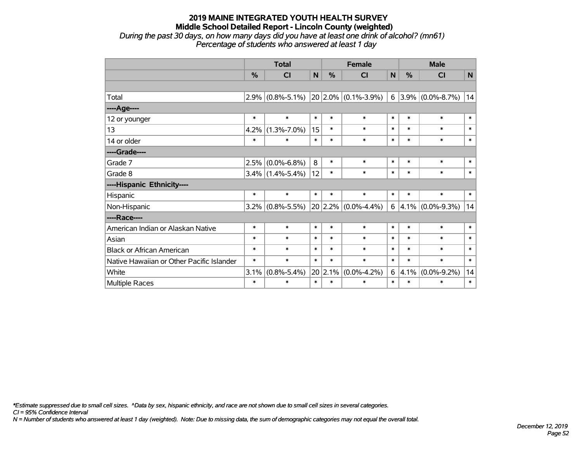#### **2019 MAINE INTEGRATED YOUTH HEALTH SURVEY Middle School Detailed Report - Lincoln County (weighted)** *During the past 30 days, on how many days did you have at least one drink of alcohol? (mn61) Percentage of students who answered at least 1 day*

|                                           | <b>Total</b> |                     |             |        | <b>Female</b>           | <b>Male</b>    |        |                     |              |
|-------------------------------------------|--------------|---------------------|-------------|--------|-------------------------|----------------|--------|---------------------|--------------|
|                                           | %            | CI                  | $\mathbf N$ | %      | <b>CI</b>               | N              | %      | <b>CI</b>           | $\mathsf{N}$ |
|                                           |              |                     |             |        |                         |                |        |                     |              |
| Total                                     | 2.9%         | $(0.8\% - 5.1\%)$   |             |        | $20 2.0\% $ (0.1%-3.9%) | 6 <sup>1</sup> |        | $3.9\%$ (0.0%-8.7%) | 14           |
| ----Age----                               |              |                     |             |        |                         |                |        |                     |              |
| 12 or younger                             | $\ast$       | $\ast$              | $\ast$      | $\ast$ | $\ast$                  | $\ast$         | $\ast$ | $\ast$              | $\ast$       |
| 13                                        | 4.2%         | $(1.3\% - 7.0\%)$   | 15          | $\ast$ | $\ast$                  | $\ast$         | $\ast$ | $\ast$              | $\ast$       |
| 14 or older                               | $\ast$       | $\ast$              | $\ast$      | $\ast$ | $\ast$                  | $\ast$         | $\ast$ | $\ast$              | $\ast$       |
| ----Grade----                             |              |                     |             |        |                         |                |        |                     |              |
| Grade 7                                   | 2.5%         | $(0.0\% - 6.8\%)$   | 8           | $\ast$ | $\ast$                  | $\ast$         | $\ast$ | $\ast$              | $\ast$       |
| Grade 8                                   |              | $3.4\%$ (1.4%-5.4%) | 12          | $\ast$ | $\ast$                  | $\ast$         | $\ast$ | $\ast$              | $\ast$       |
| ----Hispanic Ethnicity----                |              |                     |             |        |                         |                |        |                     |              |
| Hispanic                                  | $\ast$       | $\ast$              | $\ast$      | $\ast$ | $\ast$                  | $\ast$         | $\ast$ | $\ast$              | $\ast$       |
| Non-Hispanic                              | $3.2\%$      | $(0.8\% - 5.5\%)$   |             |        | $20 2.2\% $ (0.0%-4.4%) | 6              |        | $4.1\%$ (0.0%-9.3%) | 14           |
| ----Race----                              |              |                     |             |        |                         |                |        |                     |              |
| American Indian or Alaskan Native         | $\ast$       | $\ast$              | $\ast$      | $\ast$ | $\ast$                  | $\ast$         | $\ast$ | $\ast$              | $\ast$       |
| Asian                                     | $\ast$       | $\ast$              | $\ast$      | $\ast$ | $\ast$                  | $\ast$         | $\ast$ | $\ast$              | $\ast$       |
| <b>Black or African American</b>          | $\ast$       | $\ast$              | $\ast$      | $\ast$ | $\ast$                  | $\ast$         | $\ast$ | $\ast$              | $\ast$       |
| Native Hawaiian or Other Pacific Islander | $\ast$       | $\ast$              | $\ast$      | $\ast$ | $\ast$                  | $\ast$         | $\ast$ | $\ast$              | $\ast$       |
| White                                     | 3.1%         | $(0.8\% - 5.4\%)$   | 20          | 2.1%   | $(0.0\% - 4.2\%)$       | 6              | 4.1%   | $(0.0\% - 9.2\%)$   | 14           |
| Multiple Races                            | $\ast$       | $\ast$              | $\ast$      | $\ast$ | $\ast$                  | $\ast$         | $\ast$ | $\ast$              | $\ast$       |

*\*Estimate suppressed due to small cell sizes. ^Data by sex, hispanic ethnicity, and race are not shown due to small cell sizes in several categories.*

*CI = 95% Confidence Interval*

*N = Number of students who answered at least 1 day (weighted). Note: Due to missing data, the sum of demographic categories may not equal the overall total.*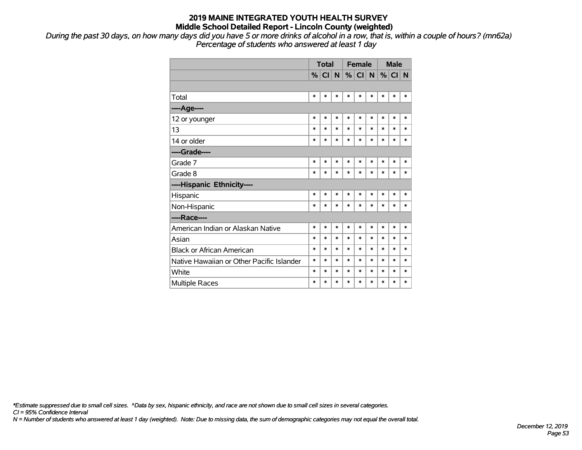*During the past 30 days, on how many days did you have 5 or more drinks of alcohol in a row, that is, within a couple of hours? (mn62a) Percentage of students who answered at least 1 day*

|                                           | <b>Total</b>  |        |        |        | <b>Female</b> |        | <b>Male</b> |        |        |
|-------------------------------------------|---------------|--------|--------|--------|---------------|--------|-------------|--------|--------|
|                                           | $\frac{9}{6}$ | CI N   |        |        | %  CI         | N      | %           | CI     | N      |
|                                           |               |        |        |        |               |        |             |        |        |
| Total                                     | $\ast$        | $\ast$ | $\ast$ | $\ast$ | *             | $\ast$ | $\ast$      | $\ast$ | $\ast$ |
| ----Age----                               |               |        |        |        |               |        |             |        |        |
| 12 or younger                             | $\ast$        | $\ast$ | $\ast$ | $\ast$ | $\ast$        | $\ast$ | $\ast$      | $\ast$ | $\ast$ |
| 13                                        | $\ast$        | $\ast$ | $\ast$ | $\ast$ | $\ast$        | $\ast$ | $\ast$      | $\ast$ | $\ast$ |
| 14 or older                               | $\ast$        | $\ast$ | $\ast$ | $\ast$ | $\ast$        | $\ast$ | $\ast$      | $\ast$ | $\ast$ |
| ----Grade----                             |               |        |        |        |               |        |             |        |        |
| Grade 7                                   | $\ast$        | $\ast$ | $\ast$ | $\ast$ | $\ast$        | $\ast$ | $\ast$      | $\ast$ | $\ast$ |
| Grade 8                                   | $\ast$        | $\ast$ | $\ast$ | $\ast$ | $\ast$        | $\ast$ | $\ast$      | $\ast$ | $\ast$ |
| ----Hispanic Ethnicity----                |               |        |        |        |               |        |             |        |        |
| Hispanic                                  | $\ast$        | $\ast$ | $\ast$ | $\ast$ | $\ast$        | $\ast$ | $\ast$      | $\ast$ | $\ast$ |
| Non-Hispanic                              | $\ast$        | *      | $\ast$ | $\ast$ | $\ast$        | $\ast$ | $\ast$      | *      | $\ast$ |
| ----Race----                              |               |        |        |        |               |        |             |        |        |
| American Indian or Alaskan Native         | $\ast$        | $\ast$ | $\ast$ | $\ast$ | *             | $\ast$ | *           | *      | $\ast$ |
| Asian                                     | $\ast$        | $\ast$ | $\ast$ | $\ast$ | *             | $\ast$ | $\ast$      | *      | $\ast$ |
| <b>Black or African American</b>          | $\ast$        | $\ast$ | $\ast$ | $\ast$ | $\ast$        | $\ast$ | $\ast$      | $\ast$ | *      |
| Native Hawaiian or Other Pacific Islander | $\ast$        | $\ast$ | $\ast$ | $\ast$ | $\ast$        | $\ast$ | $\ast$      | *      | *      |
| White                                     | $\ast$        | *      | *      | $\ast$ | $\ast$        | $\ast$ | $\ast$      | *      | $\ast$ |
| <b>Multiple Races</b>                     | $\ast$        | $\ast$ | $\ast$ | $\ast$ | $\ast$        | $\ast$ | $\ast$      | $\ast$ | $\ast$ |

*\*Estimate suppressed due to small cell sizes. ^Data by sex, hispanic ethnicity, and race are not shown due to small cell sizes in several categories.*

*CI = 95% Confidence Interval*

*N = Number of students who answered at least 1 day (weighted). Note: Due to missing data, the sum of demographic categories may not equal the overall total.*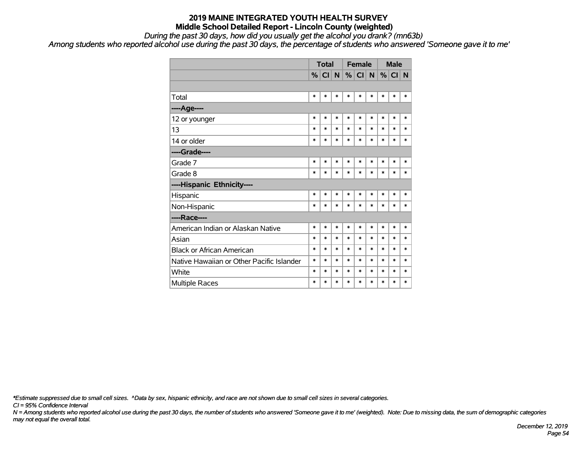*During the past 30 days, how did you usually get the alcohol you drank? (mn63b)*

*Among students who reported alcohol use during the past 30 days, the percentage of students who answered 'Someone gave it to me'*

|                                           |        | <b>Total</b>         |        |        | <b>Female</b> |        |        | <b>Male</b> |          |
|-------------------------------------------|--------|----------------------|--------|--------|---------------|--------|--------|-------------|----------|
|                                           |        | $%$ CI $\mid N \mid$ |        |        | %  CI  N      |        |        | $\%$ CI     | <b>N</b> |
|                                           |        |                      |        |        |               |        |        |             |          |
| Total                                     | $\ast$ | $\ast$               | $\ast$ | $\ast$ | $\ast$        | *      | $\ast$ | $\ast$      | *        |
| ----Age----                               |        |                      |        |        |               |        |        |             |          |
| 12 or younger                             | $\ast$ | $\ast$               | $\ast$ | $\ast$ | $\ast$        | *      | $\ast$ | $\ast$      | *        |
| 13                                        | $\ast$ | $\ast$               | $\ast$ | $\ast$ | $\ast$        | $\ast$ | $\ast$ | $\ast$      | *        |
| 14 or older                               | *      | $\ast$               | $\ast$ | $\ast$ | $\ast$        | $\ast$ | $\ast$ | $\ast$      | *        |
| ----Grade----                             |        |                      |        |        |               |        |        |             |          |
| Grade 7                                   | $\ast$ | $\ast$               | $\ast$ | $\ast$ | $\ast$        | $\ast$ | $\ast$ | $\ast$      | *        |
| Grade 8                                   | *      | $\ast$               | $\ast$ | $\ast$ | $\ast$        | *      | $\ast$ | $\ast$      | *        |
| ----Hispanic Ethnicity----                |        |                      |        |        |               |        |        |             |          |
| Hispanic                                  | $\ast$ | $\ast$               | $\ast$ | $\ast$ | $\ast$        | $\ast$ | $\ast$ | $\ast$      | $\ast$   |
| Non-Hispanic                              | $\ast$ | $\ast$               | $\ast$ | $\ast$ | $\ast$        | $\ast$ | $\ast$ | $\ast$      | *        |
| ----Race----                              |        |                      |        |        |               |        |        |             |          |
| American Indian or Alaskan Native         | $\ast$ | $\ast$               | $\ast$ | $\ast$ | *             | $\ast$ | $\ast$ | $\ast$      | *        |
| Asian                                     | $\ast$ | $\ast$               | $\ast$ | $\ast$ | $\ast$        | $\ast$ | $\ast$ | $\ast$      | *        |
| <b>Black or African American</b>          | $\ast$ | $\ast$               | $\ast$ | $\ast$ | $\ast$        | $\ast$ | $\ast$ | $\ast$      | *        |
| Native Hawaiian or Other Pacific Islander | $\ast$ | $\ast$               | $\ast$ | $\ast$ | $\ast$        | $\ast$ | $\ast$ | $\ast$      | *        |
| White                                     | *      | $\ast$               | $\ast$ | *      | $\ast$        | $\ast$ | $\ast$ | *           | *        |
| <b>Multiple Races</b>                     | $\ast$ | $\ast$               | $\ast$ | $\ast$ | $\ast$        | $\ast$ | $\ast$ | $\ast$      | $\ast$   |

*\*Estimate suppressed due to small cell sizes. ^Data by sex, hispanic ethnicity, and race are not shown due to small cell sizes in several categories.*

*CI = 95% Confidence Interval*

*N = Among students who reported alcohol use during the past 30 days, the number of students who answered 'Someone gave it to me' (weighted). Note: Due to missing data, the sum of demographic categories may not equal the overall total.*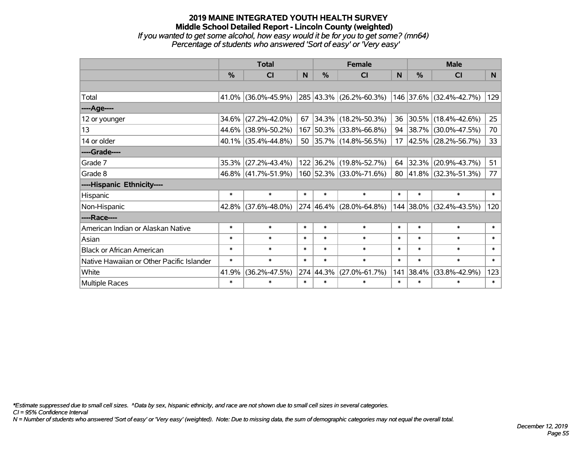# **2019 MAINE INTEGRATED YOUTH HEALTH SURVEY Middle School Detailed Report - Lincoln County (weighted)** *If you wanted to get some alcohol, how easy would it be for you to get some? (mn64) Percentage of students who answered 'Sort of easy' or 'Very easy'*

|                                           | <b>Total</b>  |                        |                | <b>Female</b> | <b>Male</b>                  |                 |        |                             |                 |
|-------------------------------------------|---------------|------------------------|----------------|---------------|------------------------------|-----------------|--------|-----------------------------|-----------------|
|                                           | $\frac{0}{0}$ | CI                     | N <sub>1</sub> | $\frac{0}{0}$ | <b>CI</b>                    | <b>N</b>        | %      | <b>CI</b>                   | N <sub>1</sub>  |
|                                           |               |                        |                |               |                              |                 |        |                             |                 |
| Total                                     |               | $41.0\%$ (36.0%-45.9%) |                |               | $ 285 43.3\% $ (26.2%-60.3%) |                 |        | 146 37.6% (32.4%-42.7%)     | 129             |
| ----Age----                               |               |                        |                |               |                              |                 |        |                             |                 |
| 12 or younger                             | 34.6%         | $(27.2\% - 42.0\%)$    | 67             |               | 34.3% (18.2%-50.3%)          | 36              |        | $30.5\%$ (18.4%-42.6%)      | 25              |
| 13                                        |               | 44.6% (38.9%-50.2%)    |                |               | 167 50.3% (33.8%-66.8%)      | 94              |        | 38.7% (30.0%-47.5%)         | 70              |
| 14 or older                               |               | 40.1% (35.4%-44.8%)    |                |               | 50 35.7% (14.8%-56.5%)       | 17 <sup>2</sup> |        | $ 42.5\% $ (28.2%-56.7%)    | 33 <sup>2</sup> |
| ----Grade----                             |               |                        |                |               |                              |                 |        |                             |                 |
| Grade 7                                   | 35.3%         | $(27.2\% - 43.4\%)$    |                |               | 122 36.2% (19.8%-52.7%)      | 64              | 32.3%  | $(20.9\% - 43.7\%)$         | 51              |
| Grade 8                                   |               | 46.8% (41.7%-51.9%)    |                |               | 160 52.3% (33.0%-71.6%)      |                 |        | 80 $ 41.8\% $ (32.3%-51.3%) | 77              |
| ----Hispanic Ethnicity----                |               |                        |                |               |                              |                 |        |                             |                 |
| Hispanic                                  | $\ast$        | $\ast$                 | $\ast$         | $\ast$        | $\ast$                       | $\ast$          | $\ast$ | $\ast$                      | $\ast$          |
| Non-Hispanic                              |               | $42.8\%$ (37.6%-48.0%) |                |               | 274 46.4% (28.0%-64.8%)      |                 |        | 144 38.0% (32.4%-43.5%)     | 120             |
| ----Race----                              |               |                        |                |               |                              |                 |        |                             |                 |
| American Indian or Alaskan Native         | $\ast$        | $\ast$                 | $\ast$         | $\ast$        | $\ast$                       | $\ast$          | $\ast$ | $\ast$                      | $\ast$          |
| Asian                                     | $\ast$        | $\ast$                 | $\ast$         | $\ast$        | $\ast$                       | $\ast$          | $\ast$ | $\ast$                      | $\ast$          |
| <b>Black or African American</b>          | $\ast$        | $\ast$                 | $\ast$         | $\ast$        | $\ast$                       | $\ast$          | $\ast$ | $\ast$                      | $\ast$          |
| Native Hawaiian or Other Pacific Islander | $\ast$        | $\ast$                 | $\ast$         | $\ast$        | $\ast$                       | $\ast$          | $\ast$ | $\ast$                      | $\ast$          |
| White                                     | 41.9%         | $(36.2\% - 47.5\%)$    |                | 274 44.3%     | $(27.0\% - 61.7\%)$          | 141             | 38.4%  | $(33.8\% - 42.9\%)$         | 123             |
| Multiple Races                            | $\ast$        | $\ast$                 | $\ast$         | $\ast$        | $\ast$                       | $\ast$          | $\ast$ | $\ast$                      | $\ast$          |

*\*Estimate suppressed due to small cell sizes. ^Data by sex, hispanic ethnicity, and race are not shown due to small cell sizes in several categories.*

*CI = 95% Confidence Interval*

*N = Number of students who answered 'Sort of easy' or 'Very easy' (weighted). Note: Due to missing data, the sum of demographic categories may not equal the overall total.*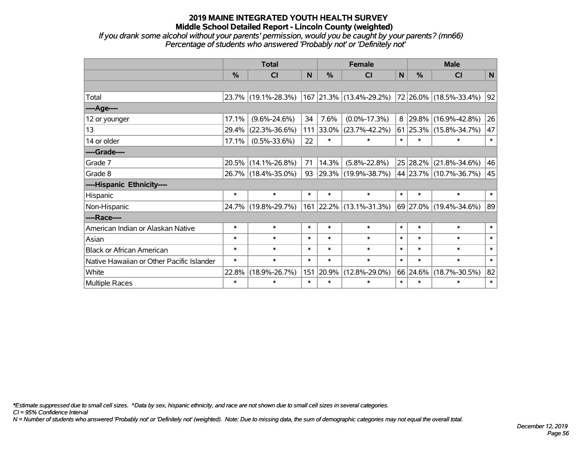*If you drank some alcohol without your parents' permission, would you be caught by your parents? (mn66) Percentage of students who answered 'Probably not' or 'Definitely not'*

|                                           | <b>Total</b>  |                     |        |        | <b>Female</b>           |              | <b>Male</b>   |                        |              |  |
|-------------------------------------------|---------------|---------------------|--------|--------|-------------------------|--------------|---------------|------------------------|--------------|--|
|                                           | $\frac{0}{0}$ | CI                  | N      | %      | CI                      | $\mathsf{N}$ | $\frac{0}{0}$ | <b>CI</b>              | $\mathsf{N}$ |  |
|                                           |               |                     |        |        |                         |              |               |                        |              |  |
| Total                                     |               | 23.7% (19.1%-28.3%) |        |        | 167 21.3% (13.4%-29.2%) |              |               | 72 26.0% (18.5%-33.4%) | 92           |  |
| ----Age----                               |               |                     |        |        |                         |              |               |                        |              |  |
| 12 or younger                             | 17.1%         | $(9.6\% - 24.6\%)$  | 34     | 7.6%   | $(0.0\% - 17.3\%)$      | 8            | $ 29.8\% $    | $(16.9\% - 42.8\%)$    | 26           |  |
| 13                                        | 29.4%         | $(22.3\% - 36.6\%)$ | 111    | 33.0%  | $(23.7\% - 42.2\%)$     |              |               | 61 25.3% (15.8%-34.7%) | 47           |  |
| 14 or older                               | 17.1%         | $(0.5\% - 33.6\%)$  | 22     | $\ast$ | $\ast$                  | $\ast$       | $\ast$        | *                      | $\ast$       |  |
| ----Grade----                             |               |                     |        |        |                         |              |               |                        |              |  |
| Grade 7                                   | 20.5%         | $(14.1\% - 26.8\%)$ | 71     | 14.3%  | $(5.8\% - 22.8\%)$      |              | 25 28.2%      | $(21.8\% - 34.6\%)$    | 46           |  |
| Grade 8                                   |               | 26.7% (18.4%-35.0%) | 93     |        | 29.3% (19.9%-38.7%)     |              |               | 44 23.7% (10.7%-36.7%) | 45           |  |
| ----Hispanic Ethnicity----                |               |                     |        |        |                         |              |               |                        |              |  |
| Hispanic                                  | $\ast$        | $\ast$              | $\ast$ | $\ast$ | $\ast$                  | $\ast$       | $\ast$        | $\ast$                 | $\ast$       |  |
| Non-Hispanic                              |               | 24.7% (19.8%-29.7%) |        |        | 161 22.2% (13.1%-31.3%) |              |               | 69 27.0% (19.4%-34.6%) | 89           |  |
| ----Race----                              |               |                     |        |        |                         |              |               |                        |              |  |
| American Indian or Alaskan Native         | $\ast$        | $\ast$              | $\ast$ | $\ast$ | $\ast$                  | $\ast$       | $\ast$        | $\ast$                 | $\ast$       |  |
| Asian                                     | $\ast$        | $\ast$              | $\ast$ | $\ast$ | $\ast$                  | $\ast$       | $\ast$        | $\ast$                 | $\ast$       |  |
| <b>Black or African American</b>          | $\ast$        | $\ast$              | $\ast$ | $\ast$ | $\ast$                  | $\ast$       | $\ast$        | $\ast$                 | $\ast$       |  |
| Native Hawaiian or Other Pacific Islander | $\ast$        | $\ast$              | $\ast$ | $\ast$ | $\ast$                  | $\ast$       | $\ast$        | $\ast$                 | $\ast$       |  |
| White                                     | 22.8%         | $(18.9\% - 26.7\%)$ | 151    | 20.9%  | $(12.8\% - 29.0\%)$     |              | 66 24.6%      | $(18.7\% - 30.5\%)$    | 82           |  |
| <b>Multiple Races</b>                     | $\ast$        | $\ast$              | $\ast$ | $\ast$ | $\ast$                  | $\ast$       | $\ast$        | $\ast$                 | $\ast$       |  |

*\*Estimate suppressed due to small cell sizes. ^Data by sex, hispanic ethnicity, and race are not shown due to small cell sizes in several categories.*

*CI = 95% Confidence Interval*

*N = Number of students who answered 'Probably not' or 'Definitely not' (weighted). Note: Due to missing data, the sum of demographic categories may not equal the overall total.*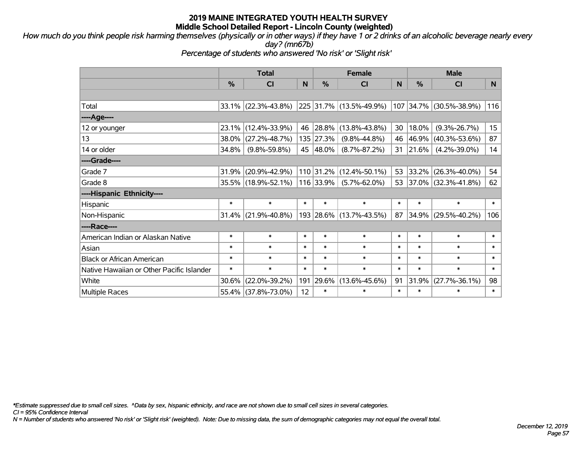*How much do you think people risk harming themselves (physically or in other ways) if they have 1 or 2 drinks of an alcoholic beverage nearly every day? (mn67b)*

*Percentage of students who answered 'No risk' or 'Slight risk'*

|                                           | <b>Total</b>  |                        | <b>Female</b> |           |                         |        |            | <b>Male</b>             |        |
|-------------------------------------------|---------------|------------------------|---------------|-----------|-------------------------|--------|------------|-------------------------|--------|
|                                           | $\frac{0}{0}$ | CI                     | N             | $\%$      | C <sub>l</sub>          | N      | %          | <b>CI</b>               | N      |
|                                           |               |                        |               |           |                         |        |            |                         |        |
| Total                                     |               | $33.1\%$ (22.3%-43.8%) |               |           | 225 31.7% (13.5%-49.9%) |        |            | 107 34.7% (30.5%-38.9%) | 116    |
| ----Age----                               |               |                        |               |           |                         |        |            |                         |        |
| 12 or younger                             | $23.1\%$      | $(12.4\% - 33.9\%)$    | 46            | 28.8%     | $(13.8\% - 43.8\%)$     | 30     | 18.0%      | $(9.3\% - 26.7\%)$      | 15     |
| 13                                        | 38.0%         | $(27.2\% - 48.7\%)$    |               | 135 27.3% | $(9.8\% - 44.8\%)$      | 46     | 46.9%      | $(40.3\% - 53.6\%)$     | 87     |
| 14 or older                               | 34.8%         | $(9.8\% - 59.8\%)$     |               | 45 48.0%  | $(8.7\% - 87.2\%)$      | 31     | $ 21.6\% $ | $(4.2\% - 39.0\%)$      | 14     |
| ----Grade----                             |               |                        |               |           |                         |        |            |                         |        |
| Grade 7                                   | 31.9%         | $(20.9\% - 42.9\%)$    |               | 110 31.2% | $(12.4\% - 50.1\%)$     | 53     | 33.2%      | $(26.3\% - 40.0\%)$     | 54     |
| Grade 8                                   |               | 35.5% (18.9%-52.1%)    |               | 116 33.9% | $(5.7\% - 62.0\%)$      |        |            | 53 37.0% (32.3%-41.8%)  | 62     |
| ----Hispanic Ethnicity----                |               |                        |               |           |                         |        |            |                         |        |
| Hispanic                                  | $\ast$        | $\ast$                 | $\ast$        | $\ast$    | $\ast$                  | $\ast$ | $\ast$     | $\ast$                  | $\ast$ |
| Non-Hispanic                              | 31.4%         | $(21.9\% - 40.8\%)$    |               |           | 193 28.6% (13.7%-43.5%) | 87     | 34.9%      | $(29.5\% - 40.2\%)$     | 106    |
| ----Race----                              |               |                        |               |           |                         |        |            |                         |        |
| American Indian or Alaskan Native         | $\ast$        | $\ast$                 | $\ast$        | $\ast$    | $\ast$                  | $\ast$ | $\ast$     | $\ast$                  | $\ast$ |
| Asian                                     | $\ast$        | $\ast$                 | $\ast$        | $\ast$    | $\ast$                  | $\ast$ | $\ast$     | $\ast$                  | $\ast$ |
| <b>Black or African American</b>          | $\ast$        | $\ast$                 | $\ast$        | $\ast$    | $\ast$                  | $\ast$ | $\ast$     | $\ast$                  | $\ast$ |
| Native Hawaiian or Other Pacific Islander | $\ast$        | $\ast$                 | $\ast$        | $\ast$    | $\ast$                  | $\ast$ | $\ast$     | $\ast$                  | $\ast$ |
| White                                     | 30.6%         | $(22.0\% - 39.2\%)$    | 191           | 29.6%     | $(13.6\% - 45.6\%)$     | 91     | 31.9%      | $(27.7\% - 36.1\%)$     | 98     |
| <b>Multiple Races</b>                     | 55.4%         | $(37.8\% - 73.0\%)$    | 12            | $\ast$    | $\ast$                  | $\ast$ | $\ast$     | $\ast$                  | $\ast$ |

*\*Estimate suppressed due to small cell sizes. ^Data by sex, hispanic ethnicity, and race are not shown due to small cell sizes in several categories.*

*CI = 95% Confidence Interval*

*N = Number of students who answered 'No risk' or 'Slight risk' (weighted). Note: Due to missing data, the sum of demographic categories may not equal the overall total.*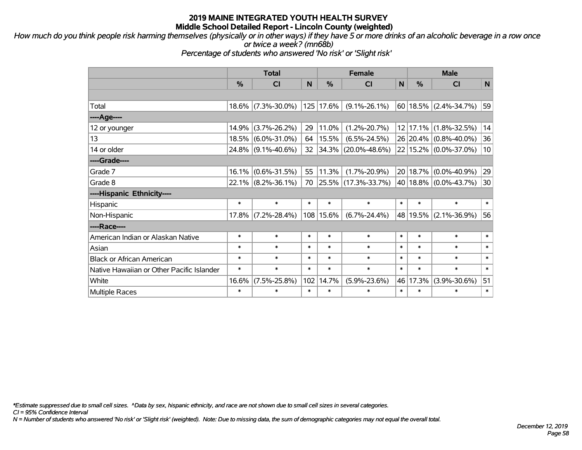*How much do you think people risk harming themselves (physically or in other ways) if they have 5 or more drinks of an alcoholic beverage in a row once or twice a week? (mn68b)*

*Percentage of students who answered 'No risk' or 'Slight risk'*

|                                           | <b>Total</b> |                    |        | <b>Female</b> |                          | <b>Male</b> |          |                                   |        |
|-------------------------------------------|--------------|--------------------|--------|---------------|--------------------------|-------------|----------|-----------------------------------|--------|
|                                           | %            | C <sub>1</sub>     | N      | $\frac{0}{0}$ | CI                       | N           | %        | <b>CI</b>                         | N      |
|                                           |              |                    |        |               |                          |             |          |                                   |        |
| Total                                     |              | 18.6% (7.3%-30.0%) |        | 125 17.6%     | $(9.1\% - 26.1\%)$       |             |          | $\vert$ 60   18.5%   (2.4%-34.7%) | 59     |
| ----Age----                               |              |                    |        |               |                          |             |          |                                   |        |
| 12 or younger                             | 14.9%        | $(3.7\% - 26.2\%)$ | 29     | 11.0%         | $(1.2\% - 20.7\%)$       |             | 12 17.1% | $(1.8\% - 32.5\%)$                | 14     |
| 13                                        | 18.5%        | $(6.0\% - 31.0\%)$ | 64     | 15.5%         | $(6.5\% - 24.5\%)$       |             |          | 26 20.4% (0.8%-40.0%)             | 36     |
| 14 or older                               |              | 24.8% (9.1%-40.6%) | 32     | $ 34.3\% $    | $(20.0\% - 48.6\%)$      |             |          | 22 15.2% (0.0%-37.0%)             | 10     |
| ----Grade----                             |              |                    |        |               |                          |             |          |                                   |        |
| Grade 7                                   | 16.1%        | $(0.6\% - 31.5\%)$ | 55     | 11.3%         | $(1.7\% - 20.9\%)$       |             | 20 18.7% | $(0.0\% - 40.9\%)$                | 29     |
| Grade 8                                   |              | 22.1% (8.2%-36.1%) | 70     |               | $ 25.5\% $ (17.3%-33.7%) |             |          | 40 18.8% (0.0%-43.7%)             | 30     |
| ----Hispanic Ethnicity----                |              |                    |        |               |                          |             |          |                                   |        |
| Hispanic                                  | $\ast$       | $\ast$             | $\ast$ | $\ast$        | $\ast$                   | $\ast$      | $\ast$   | $\ast$                            | $\ast$ |
| Non-Hispanic                              | $17.8\%$     | $(7.2\% - 28.4\%)$ |        | 108 15.6%     | $(6.7\% - 24.4\%)$       |             |          | 48 19.5% (2.1%-36.9%)             | 56     |
| ----Race----                              |              |                    |        |               |                          |             |          |                                   |        |
| American Indian or Alaskan Native         | $\ast$       | $\ast$             | $\ast$ | $\ast$        | $\ast$                   | $\ast$      | $\ast$   | $\ast$                            | $\ast$ |
| Asian                                     | $\ast$       | $\ast$             | $\ast$ | $\ast$        | $\ast$                   | $\ast$      | $\ast$   | $\ast$                            | $\ast$ |
| <b>Black or African American</b>          | $\ast$       | $\ast$             | $\ast$ | $\ast$        | $\ast$                   | $\ast$      | $\ast$   | $\ast$                            | $\ast$ |
| Native Hawaiian or Other Pacific Islander | $\ast$       | $\ast$             | $\ast$ | $\ast$        | $\ast$                   | $\ast$      | $\ast$   | $\ast$                            | $\ast$ |
| White                                     | 16.6%        | $(7.5\% - 25.8\%)$ | 102    | 14.7%         | $(5.9\% - 23.6\%)$       | 46          | 17.3%    | $(3.9\% - 30.6\%)$                | 51     |
| <b>Multiple Races</b>                     | $\ast$       | $\ast$             | $\ast$ | $\ast$        | $\ast$                   | $\ast$      | *        | $\ast$                            | $\ast$ |

*\*Estimate suppressed due to small cell sizes. ^Data by sex, hispanic ethnicity, and race are not shown due to small cell sizes in several categories.*

*CI = 95% Confidence Interval*

*N = Number of students who answered 'No risk' or 'Slight risk' (weighted). Note: Due to missing data, the sum of demographic categories may not equal the overall total.*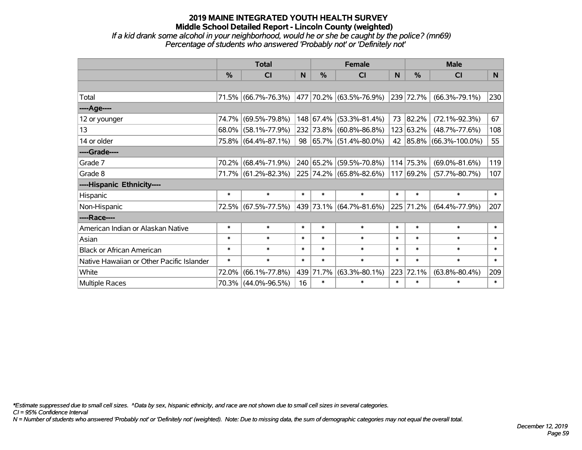# **2019 MAINE INTEGRATED YOUTH HEALTH SURVEY Middle School Detailed Report - Lincoln County (weighted)** *If a kid drank some alcohol in your neighborhood, would he or she be caught by the police? (mn69)*

*Percentage of students who answered 'Probably not' or 'Definitely not'*

|                                           | <b>Total</b>  |                     |        | <b>Female</b> |                         | <b>Male</b> |               |                         |                |
|-------------------------------------------|---------------|---------------------|--------|---------------|-------------------------|-------------|---------------|-------------------------|----------------|
|                                           | $\frac{0}{0}$ | <b>CI</b>           | N      | $\frac{0}{0}$ | <b>CI</b>               | N           | $\frac{0}{0}$ | <b>CI</b>               | N <sub>1</sub> |
|                                           |               |                     |        |               |                         |             |               |                         |                |
| Total                                     |               | 71.5% (66.7%-76.3%) |        |               | 477 70.2% (63.5%-76.9%) |             | 239 72.7%     | $(66.3\% - 79.1\%)$     | 230            |
| ----Age----                               |               |                     |        |               |                         |             |               |                         |                |
| 12 or younger                             | 74.7%         | $(69.5\% - 79.8\%)$ |        | 148 67.4%     | $(53.3\% - 81.4\%)$     | 73          | 82.2%         | $(72.1\% - 92.3\%)$     | 67             |
| 13                                        |               | 68.0% (58.1%-77.9%) |        | 232 73.8%     | $(60.8\% - 86.8\%)$     |             | 123 63.2%     | $(48.7\% - 77.6\%)$     | 108            |
| 14 or older                               |               | 75.8% (64.4%-87.1%) |        |               | 98 65.7% (51.4%-80.0%)  |             |               | 42 85.8% (66.3%-100.0%) | 55             |
| ----Grade----                             |               |                     |        |               |                         |             |               |                         |                |
| Grade 7                                   | 70.2%         | $(68.4\% - 71.9\%)$ |        | 240 65.2%     | $(59.5\% - 70.8\%)$     |             | 114 75.3%     | $(69.0\% - 81.6\%)$     | 119            |
| Grade 8                                   |               | 71.7% (61.2%-82.3%) |        |               | 225 74.2% (65.8%-82.6%) |             | 117 69.2%     | $(57.7\% - 80.7\%)$     | 107            |
| ----Hispanic Ethnicity----                |               |                     |        |               |                         |             |               |                         |                |
| Hispanic                                  | $\ast$        | $\ast$              | $\ast$ | $\ast$        | $\ast$                  | $\ast$      | $\ast$        | $\ast$                  | $\ast$         |
| Non-Hispanic                              |               | 72.5% (67.5%-77.5%) |        |               | 439 73.1% (64.7%-81.6%) |             | 225 71.2%     | $(64.4\% - 77.9\%)$     | 207            |
| ----Race----                              |               |                     |        |               |                         |             |               |                         |                |
| American Indian or Alaskan Native         | $\ast$        | $\ast$              | $\ast$ | $\ast$        | $\ast$                  | $\ast$      | $\ast$        | $\ast$                  | $\ast$         |
| Asian                                     | $\ast$        | $\ast$              | $\ast$ | $\ast$        | $\ast$                  | $\ast$      | $\ast$        | $\ast$                  | $\ast$         |
| <b>Black or African American</b>          | $\ast$        | $\ast$              | $\ast$ | $\ast$        | $\ast$                  | $\ast$      | $\ast$        | $\ast$                  | $\ast$         |
| Native Hawaiian or Other Pacific Islander | $\ast$        | $\ast$              | $\ast$ | $\ast$        | $\ast$                  | $\ast$      | $\ast$        | $\ast$                  | $\ast$         |
| White                                     | 72.0%         | $(66.1\% - 77.8\%)$ | 439    | 71.7%         | $(63.3\% - 80.1\%)$     | 223         | 72.1%         | $(63.8\% - 80.4\%)$     | 209            |
| Multiple Races                            |               | 70.3% (44.0%-96.5%) | 16     | $\ast$        | $\ast$                  | $\ast$      | $\ast$        | $\ast$                  | $\ast$         |

*\*Estimate suppressed due to small cell sizes. ^Data by sex, hispanic ethnicity, and race are not shown due to small cell sizes in several categories.*

*CI = 95% Confidence Interval*

*N = Number of students who answered 'Probably not' or 'Definitely not' (weighted). Note: Due to missing data, the sum of demographic categories may not equal the overall total.*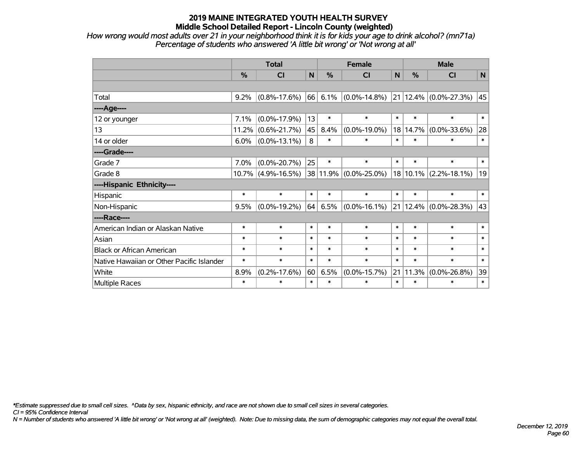*How wrong would most adults over 21 in your neighborhood think it is for kids your age to drink alcohol? (mn71a) Percentage of students who answered 'A little bit wrong' or 'Not wrong at all'*

|                                           | <b>Total</b> |                       |        |          | <b>Female</b>      |              | <b>Male</b> |                           |        |  |
|-------------------------------------------|--------------|-----------------------|--------|----------|--------------------|--------------|-------------|---------------------------|--------|--|
|                                           | %            | <b>CI</b>             | N      | %        | <b>CI</b>          | $\mathsf{N}$ | %           | <b>CI</b>                 | N      |  |
|                                           |              |                       |        |          |                    |              |             |                           |        |  |
| Total                                     | 9.2%         | $(0.8\% - 17.6\%)$    | 66     | 6.1%     | $(0.0\% - 14.8\%)$ |              |             | 21 12.4% (0.0%-27.3%)     | 45     |  |
| ---- Age----                              |              |                       |        |          |                    |              |             |                           |        |  |
| 12 or younger                             | 7.1%         | $(0.0\% - 17.9\%)$    | 13     | $\ast$   | $\ast$             | $\ast$       | $\ast$      | $\ast$                    | $\ast$ |  |
| 13                                        | 11.2%        | $(0.6\% - 21.7\%)$    | 45     | 8.4%     | $(0.0\% - 19.0\%)$ | 18           | 14.7%       | $(0.0\% - 33.6\%)$        | 28     |  |
| 14 or older                               | 6.0%         | $(0.0\% - 13.1\%)$    | 8      | $\ast$   | $\ast$             | $\ast$       | $\ast$      | $\ast$                    | $\ast$ |  |
| ----Grade----                             |              |                       |        |          |                    |              |             |                           |        |  |
| Grade 7                                   | 7.0%         | $(0.0\% - 20.7\%)$    | 25     | $\ast$   | $\ast$             | $\ast$       | $\ast$      | $\ast$                    | $\ast$ |  |
| Grade 8                                   |              | $10.7\%$ (4.9%-16.5%) |        | 38 11.9% | $(0.0\% - 25.0\%)$ |              |             | $18 10.1\% $ (2.2%-18.1%) | 19     |  |
| ----Hispanic Ethnicity----                |              |                       |        |          |                    |              |             |                           |        |  |
| Hispanic                                  | $\ast$       | $\ast$                | $\ast$ | $\ast$   | $\ast$             | $\ast$       | $\ast$      | $\ast$                    | $\ast$ |  |
| Non-Hispanic                              | 9.5%         | $(0.0\% - 19.2\%)$    | 64     | 6.5%     | $(0.0\% - 16.1\%)$ | 21           | 12.4%       | $(0.0\% - 28.3\%)$        | 43     |  |
| ----Race----                              |              |                       |        |          |                    |              |             |                           |        |  |
| American Indian or Alaskan Native         | $\ast$       | $\ast$                | $\ast$ | $\ast$   | $\ast$             | $\ast$       | $\ast$      | $\ast$                    | $\ast$ |  |
| Asian                                     | $\ast$       | $\ast$                | $\ast$ | $\ast$   | $\ast$             | $\ast$       | $\ast$      | $\ast$                    | $\ast$ |  |
| <b>Black or African American</b>          | $\ast$       | $\ast$                | $\ast$ | $\ast$   | $\ast$             | $\ast$       | $\ast$      | $\ast$                    | $\ast$ |  |
| Native Hawaiian or Other Pacific Islander | $\ast$       | $\ast$                | $\ast$ | $\ast$   | $\ast$             | $\ast$       | $\ast$      | $\ast$                    | $\ast$ |  |
| White                                     | 8.9%         | $(0.2\% - 17.6\%)$    | 60     | 6.5%     | $(0.0\% - 15.7\%)$ | 21           | 11.3%       | $(0.0\% - 26.8\%)$        | 39     |  |
| Multiple Races                            | $\ast$       | $\ast$                | $\ast$ | $\ast$   | $\ast$             | $\ast$       | $\ast$      | $\ast$                    | $\ast$ |  |

*\*Estimate suppressed due to small cell sizes. ^Data by sex, hispanic ethnicity, and race are not shown due to small cell sizes in several categories.*

*CI = 95% Confidence Interval*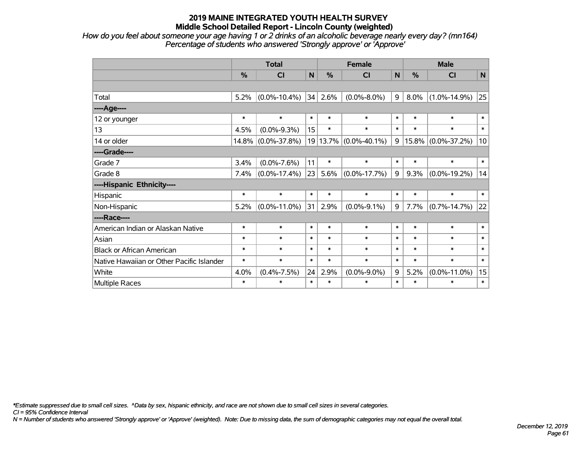*How do you feel about someone your age having 1 or 2 drinks of an alcoholic beverage nearly every day? (mn164) Percentage of students who answered 'Strongly approve' or 'Approve'*

|                                           | <b>Total</b> |                    |              |               | <b>Female</b>         |        | <b>Male</b> |                    |             |  |
|-------------------------------------------|--------------|--------------------|--------------|---------------|-----------------------|--------|-------------|--------------------|-------------|--|
|                                           | %            | CI                 | $\mathsf{N}$ | $\frac{0}{0}$ | <b>CI</b>             | N      | %           | <b>CI</b>          | $\mathbf N$ |  |
|                                           |              |                    |              |               |                       |        |             |                    |             |  |
| Total                                     | 5.2%         | $(0.0\% - 10.4\%)$ | 34           | 2.6%          | $(0.0\% - 8.0\%)$     | 9      | 8.0%        | $(1.0\% - 14.9\%)$ | 25          |  |
| ---- Age----                              |              |                    |              |               |                       |        |             |                    |             |  |
| 12 or younger                             | $\ast$       | $\ast$             | $\ast$       | $\ast$        | $\ast$                | $\ast$ | $\ast$      | $\ast$             | $\ast$      |  |
| 13                                        | 4.5%         | $(0.0\% - 9.3\%)$  | 15           | $\ast$        | $\ast$                | $\ast$ | $\ast$      | $\ast$             | $\ast$      |  |
| 14 or older                               | $14.8\%$     | $(0.0\% - 37.8\%)$ |              |               | 19 13.7% (0.0%-40.1%) | 9      | 15.8%       | $(0.0\% - 37.2\%)$ | 10          |  |
| ----Grade----                             |              |                    |              |               |                       |        |             |                    |             |  |
| Grade 7                                   | 3.4%         | $(0.0\% - 7.6\%)$  | 11           | $\ast$        | $\ast$                | $\ast$ | $\ast$      | $\ast$             | $\ast$      |  |
| Grade 8                                   | 7.4%         | $(0.0\% - 17.4\%)$ | 23           | 5.6%          | $(0.0\% - 17.7\%)$    | 9      | 9.3%        | $(0.0\% - 19.2\%)$ | 14          |  |
| ----Hispanic Ethnicity----                |              |                    |              |               |                       |        |             |                    |             |  |
| Hispanic                                  | $\ast$       | $\ast$             | $\ast$       | $\ast$        | $\ast$                | $\ast$ | $\ast$      | $\ast$             | $\ast$      |  |
| Non-Hispanic                              | 5.2%         | $(0.0\% - 11.0\%)$ | 31           | 2.9%          | $(0.0\% - 9.1\%)$     | 9      | 7.7%        | $(0.7\% - 14.7\%)$ | 22          |  |
| ----Race----                              |              |                    |              |               |                       |        |             |                    |             |  |
| American Indian or Alaskan Native         | $\ast$       | $\ast$             | $\ast$       | $\ast$        | $\ast$                | $\ast$ | $\ast$      | $\ast$             | $\ast$      |  |
| Asian                                     | $\ast$       | $\ast$             | $\ast$       | $\ast$        | $\ast$                | $\ast$ | $\ast$      | $\ast$             | $\ast$      |  |
| <b>Black or African American</b>          | $\ast$       | $\ast$             | $\ast$       | $\ast$        | $\ast$                | $\ast$ | $\ast$      | $\ast$             | $\ast$      |  |
| Native Hawaiian or Other Pacific Islander | $\ast$       | $\ast$             | $\ast$       | $\ast$        | $\ast$                | $\ast$ | $\ast$      | $\ast$             | $\ast$      |  |
| White                                     | 4.0%         | $(0.4\% - 7.5\%)$  | 24           | 2.9%          | $(0.0\% - 9.0\%)$     | 9      | 5.2%        | $(0.0\% - 11.0\%)$ | 15          |  |
| Multiple Races                            | $\ast$       | $\ast$             | $\ast$       | $\ast$        | $\ast$                | $\ast$ | $\ast$      | $\ast$             | $\ast$      |  |

*\*Estimate suppressed due to small cell sizes. ^Data by sex, hispanic ethnicity, and race are not shown due to small cell sizes in several categories.*

*CI = 95% Confidence Interval*

*N = Number of students who answered 'Strongly approve' or 'Approve' (weighted). Note: Due to missing data, the sum of demographic categories may not equal the overall total.*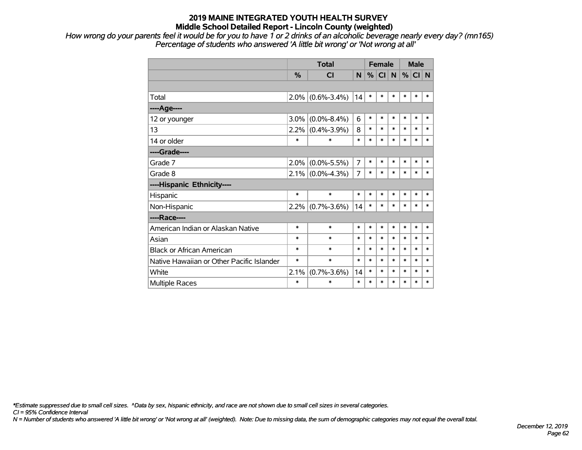*How wrong do your parents feel it would be for you to have 1 or 2 drinks of an alcoholic beverage nearly every day? (mn165) Percentage of students who answered 'A little bit wrong' or 'Not wrong at all'*

|                                           |               | <b>Total</b>      |                | <b>Female</b> |           |        | <b>Male</b> |        |        |
|-------------------------------------------|---------------|-------------------|----------------|---------------|-----------|--------|-------------|--------|--------|
|                                           | $\frac{0}{2}$ | <b>CI</b>         | N              | %             | <b>CI</b> | N      | %           | CI N   |        |
|                                           |               |                   |                |               |           |        |             |        |        |
| Total                                     | 2.0%          | $(0.6\% - 3.4\%)$ | 14             | $\ast$        | $\ast$    | $\ast$ | $\ast$      | $\ast$ | $\ast$ |
| ----Age----                               |               |                   |                |               |           |        |             |        |        |
| 12 or younger                             | 3.0%          | $(0.0\% - 8.4\%)$ | 6              | $\ast$        | $\ast$    | $\ast$ | $\ast$      | $\ast$ | $\ast$ |
| 13                                        | 2.2%          | $(0.4\% - 3.9\%)$ | 8              | $\ast$        | $\ast$    | $\ast$ | $\ast$      | $\ast$ | $\ast$ |
| 14 or older                               | $\ast$        | $\ast$            | $\ast$         | $\ast$        | $\ast$    | $\ast$ | $\ast$      | $\ast$ | $\ast$ |
| ----Grade----                             |               |                   |                |               |           |        |             |        |        |
| Grade 7                                   | 2.0%          | $(0.0\% - 5.5\%)$ | $\overline{7}$ | $\ast$        | $\ast$    | $\ast$ | $\ast$      | $\ast$ | *      |
| Grade 8                                   | 2.1%          | $(0.0\% - 4.3\%)$ | 7              | $\ast$        | $\ast$    | $\ast$ | $\ast$      | $\ast$ | $\ast$ |
| ----Hispanic Ethnicity----                |               |                   |                |               |           |        |             |        |        |
| Hispanic                                  | $\ast$        | $\ast$            | $\ast$         | $\ast$        | $\ast$    | $\ast$ | $\ast$      | $\ast$ | $\ast$ |
| Non-Hispanic                              | 2.2%          | $(0.7\% - 3.6\%)$ | 14             | $\ast$        | $\ast$    | $\ast$ | $\ast$      | $\ast$ | $\ast$ |
| ----Race----                              |               |                   |                |               |           |        |             |        |        |
| American Indian or Alaskan Native         | $\ast$        | $\ast$            | $\ast$         | $\ast$        | $\ast$    | $\ast$ | $\ast$      | $\ast$ | $\ast$ |
| Asian                                     | $\ast$        | $\ast$            | $\ast$         | $\ast$        | $\ast$    | $\ast$ | $\ast$      | $\ast$ | $\ast$ |
| <b>Black or African American</b>          | *             | $\ast$            | $\ast$         | $\ast$        | $\ast$    | *      | $\ast$      | $\ast$ | $\ast$ |
| Native Hawaiian or Other Pacific Islander | *             | $\ast$            | $\ast$         | $\ast$        | $\ast$    | $\ast$ | $\ast$      | $\ast$ | $\ast$ |
| White                                     | 2.1%          | $(0.7\% - 3.6\%)$ | 14             | $\ast$        | $\ast$    | $\ast$ | $\ast$      | $\ast$ | $\ast$ |
| <b>Multiple Races</b>                     | *             | $\ast$            | $\ast$         | $\ast$        | $\ast$    | $\ast$ | $\ast$      | $\ast$ | $\ast$ |

*\*Estimate suppressed due to small cell sizes. ^Data by sex, hispanic ethnicity, and race are not shown due to small cell sizes in several categories.*

*CI = 95% Confidence Interval*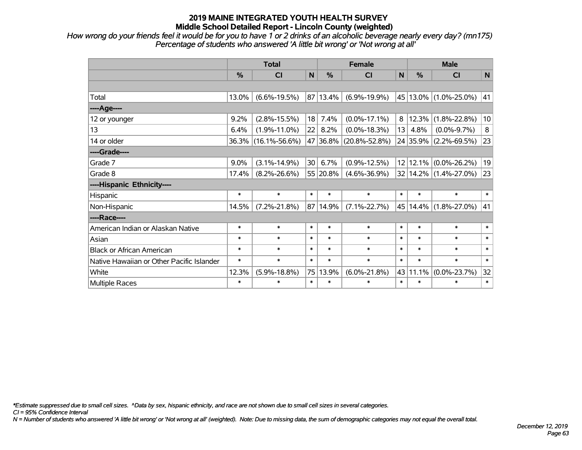*How wrong do your friends feel it would be for you to have 1 or 2 drinks of an alcoholic beverage nearly every day? (mn175) Percentage of students who answered 'A little bit wrong' or 'Not wrong at all'*

|                                           | <b>Total</b>  |                     |        | <b>Female</b> |                        |              | <b>Male</b> |                              |        |  |
|-------------------------------------------|---------------|---------------------|--------|---------------|------------------------|--------------|-------------|------------------------------|--------|--|
|                                           | $\frac{0}{0}$ | <b>CI</b>           | N      | %             | <b>CI</b>              | $\mathsf{N}$ | %           | <b>CI</b>                    | N      |  |
|                                           |               |                     |        |               |                        |              |             |                              |        |  |
| Total                                     | 13.0%         | $(6.6\% - 19.5\%)$  |        | 87 13.4%      | $(6.9\% - 19.9\%)$     |              |             | 45 13.0% (1.0%-25.0%)        | 41     |  |
| ----Age----                               |               |                     |        |               |                        |              |             |                              |        |  |
| 12 or younger                             | 9.2%          | $(2.8\% - 15.5\%)$  | 18     | 7.4%          | $(0.0\% - 17.1\%)$     | 8            | 12.3%       | $(1.8\% - 22.8\%)$           | 10     |  |
| 13                                        | 6.4%          | $(1.9\% - 11.0\%)$  | 22     | 8.2%          | $(0.0\% - 18.3\%)$     | 13           | 4.8%        | $(0.0\% - 9.7\%)$            | 8      |  |
| 14 or older                               | $36.3\%$      | $(16.1\% - 56.6\%)$ |        |               | 47 36.8% (20.8%-52.8%) |              | 24 35.9%    | $(2.2\% - 69.5\%)$           | 23     |  |
| ----Grade----                             |               |                     |        |               |                        |              |             |                              |        |  |
| Grade 7                                   | 9.0%          | $(3.1\% - 14.9\%)$  | 30     | 6.7%          | $(0.9\% - 12.5\%)$     |              | 12 12.1%    | $(0.0\% - 26.2\%)$           | 19     |  |
| Grade 8                                   | 17.4%         | $(8.2\% - 26.6\%)$  |        | 55 20.8%      | $(4.6\% - 36.9\%)$     |              |             | $32 14.2\% (1.4\% - 27.0\%)$ | 23     |  |
| ----Hispanic Ethnicity----                |               |                     |        |               |                        |              |             |                              |        |  |
| Hispanic                                  | $\ast$        | $\ast$              | $\ast$ | $\ast$        | $\ast$                 | $\ast$       | $\ast$      | $\ast$                       | $\ast$ |  |
| Non-Hispanic                              | 14.5%         | $(7.2\% - 21.8\%)$  |        | 87 14.9%      | $(7.1\% - 22.7\%)$     |              | 45 14.4%    | $(1.8\% - 27.0\%)$           | 41     |  |
| ----Race----                              |               |                     |        |               |                        |              |             |                              |        |  |
| American Indian or Alaskan Native         | $\ast$        | $\ast$              | $\ast$ | $\ast$        | $\ast$                 | $\ast$       | $\ast$      | $\ast$                       | $\ast$ |  |
| Asian                                     | $\ast$        | $\ast$              | $\ast$ | $\ast$        | $\ast$                 | $\ast$       | $\ast$      | $\ast$                       | $\ast$ |  |
| <b>Black or African American</b>          | $\ast$        | $\ast$              | $\ast$ | $\ast$        | $\ast$                 | $\ast$       | $\ast$      | $\ast$                       | $\ast$ |  |
| Native Hawaiian or Other Pacific Islander | $\ast$        | $\ast$              | $\ast$ | $\ast$        | $\ast$                 | $\ast$       | $\ast$      | $\ast$                       | $\ast$ |  |
| White                                     | 12.3%         | $(5.9\% - 18.8\%)$  | 75     | 13.9%         | $(6.0\% - 21.8\%)$     |              | 43 11.1%    | $(0.0\% - 23.7\%)$           | 32     |  |
| Multiple Races                            | $\ast$        | $\ast$              | $\ast$ | $\ast$        | $\ast$                 | $\ast$       | $\ast$      | $\ast$                       | $\ast$ |  |

*\*Estimate suppressed due to small cell sizes. ^Data by sex, hispanic ethnicity, and race are not shown due to small cell sizes in several categories.*

*CI = 95% Confidence Interval*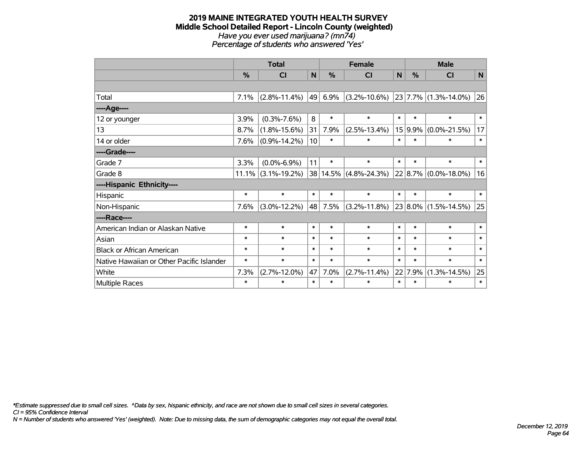#### **2019 MAINE INTEGRATED YOUTH HEALTH SURVEY Middle School Detailed Report - Lincoln County (weighted)** *Have you ever used marijuana? (mn74) Percentage of students who answered 'Yes'*

|                                           | <b>Total</b>  |                       |        |               | <b>Female</b>         |        | <b>Male</b> |                          |        |  |
|-------------------------------------------|---------------|-----------------------|--------|---------------|-----------------------|--------|-------------|--------------------------|--------|--|
|                                           | $\frac{9}{6}$ | CI                    | N      | $\frac{9}{6}$ | <b>CI</b>             | N      | %           | <b>CI</b>                | N      |  |
|                                           |               |                       |        |               |                       |        |             |                          |        |  |
| Total                                     | 7.1%          | $(2.8\% - 11.4\%)$    | 49     | 6.9%          | $(3.2\% - 10.6\%)$    |        |             | $23 7.7\% $ (1.3%-14.0%) | 26     |  |
| ----Age----                               |               |                       |        |               |                       |        |             |                          |        |  |
| 12 or younger                             | 3.9%          | $(0.3\% - 7.6\%)$     | 8      | $\ast$        | $\ast$                | $\ast$ | $\ast$      | $\ast$                   | $\ast$ |  |
| 13                                        | 8.7%          | $(1.8\% - 15.6\%)$    | 31     | 7.9%          | $(2.5\% - 13.4\%)$    |        | 15 9.9%     | $(0.0\% - 21.5\%)$       | 17     |  |
| 14 or older                               | 7.6%          | $(0.9\% - 14.2\%)$    | 10     | $\ast$        | $\ast$                | $\ast$ | $\ast$      | $\ast$                   | $\ast$ |  |
| ----Grade----                             |               |                       |        |               |                       |        |             |                          |        |  |
| Grade 7                                   | 3.3%          | $(0.0\% - 6.9\%)$     | 11     | $\ast$        | $\ast$                | $\ast$ | $\ast$      | $\ast$                   | $\ast$ |  |
| Grade 8                                   |               | $11.1\%$ (3.1%-19.2%) | 38     |               | $14.5\%$ (4.8%-24.3%) |        |             | $22 8.7\% $ (0.0%-18.0%) | 16     |  |
| ----Hispanic Ethnicity----                |               |                       |        |               |                       |        |             |                          |        |  |
| Hispanic                                  | $\ast$        | $\ast$                | $\ast$ | $\ast$        | $\ast$                | $\ast$ | $\ast$      | $\ast$                   | $\ast$ |  |
| Non-Hispanic                              | 7.6%          | $(3.0\% - 12.2\%)$    | 48     | 7.5%          | $(3.2\% - 11.8\%)$    |        | $23 8.0\% $ | $(1.5\% - 14.5\%)$       | 25     |  |
| ----Race----                              |               |                       |        |               |                       |        |             |                          |        |  |
| American Indian or Alaskan Native         | $\ast$        | $\ast$                | $\ast$ | $\ast$        | $\ast$                | $\ast$ | $\ast$      | $\ast$                   | $\ast$ |  |
| Asian                                     | $\ast$        | $\ast$                | $\ast$ | $\ast$        | $\ast$                | $\ast$ | $\ast$      | $\ast$                   | $\ast$ |  |
| <b>Black or African American</b>          | $\ast$        | $\ast$                | $\ast$ | $\ast$        | $\ast$                | $\ast$ | $\ast$      | $\ast$                   | $\ast$ |  |
| Native Hawaiian or Other Pacific Islander | $\ast$        | $\ast$                | $\ast$ | $\ast$        | $\ast$                | $\ast$ | $\ast$      | $\ast$                   | $\ast$ |  |
| White                                     | 7.3%          | $(2.7\% - 12.0\%)$    | 47     | 7.0%          | $(2.7\% - 11.4\%)$    |        | 22 7.9%     | $(1.3\% - 14.5\%)$       | 25     |  |
| Multiple Races                            | $\ast$        | $\ast$                | $\ast$ | $\ast$        | $\ast$                | $\ast$ | $\ast$      | $\ast$                   | $\ast$ |  |

*\*Estimate suppressed due to small cell sizes. ^Data by sex, hispanic ethnicity, and race are not shown due to small cell sizes in several categories.*

*CI = 95% Confidence Interval*

*N = Number of students who answered 'Yes' (weighted). Note: Due to missing data, the sum of demographic categories may not equal the overall total.*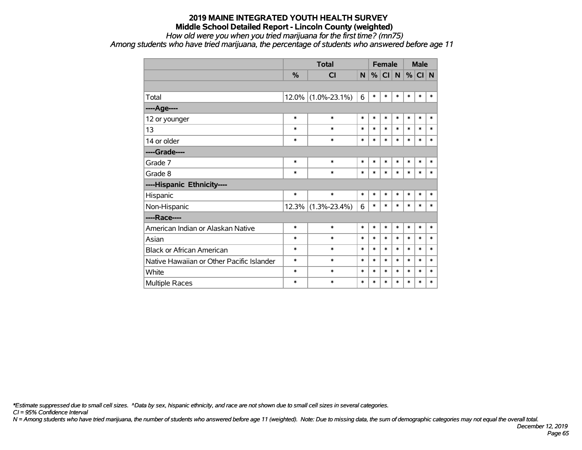#### *How old were you when you tried marijuana for the first time? (mn75)*

*Among students who have tried marijuana, the percentage of students who answered before age 11*

|                                           |        | <b>Total</b>       |        |        |        | <b>Female</b> |        | <b>Male</b> |        |
|-------------------------------------------|--------|--------------------|--------|--------|--------|---------------|--------|-------------|--------|
|                                           | %      | <b>CI</b>          | N      | %      | CI N   |               | %      | CI N        |        |
|                                           |        |                    |        |        |        |               |        |             |        |
| Total                                     | 12.0%  | $(1.0\% - 23.1\%)$ | 6      | $\ast$ | *      | $\ast$        | $\ast$ | $\ast$      | $\ast$ |
| ----Age----                               |        |                    |        |        |        |               |        |             |        |
| 12 or younger                             | $\ast$ | $\ast$             | $\ast$ | $\ast$ | $\ast$ | $\ast$        | $\ast$ | $\ast$      | $\ast$ |
| 13                                        | $\ast$ | $\ast$             | $\ast$ | *      | $\ast$ | $\ast$        | $\ast$ | $\ast$      | $\ast$ |
| 14 or older                               | $\ast$ | $\ast$             | $\ast$ | $\ast$ | $\ast$ | $\ast$        | $\ast$ | $\ast$      | $\ast$ |
| ----Grade----                             |        |                    |        |        |        |               |        |             |        |
| Grade 7                                   | $\ast$ | $\ast$             | $\ast$ | $\ast$ | $\ast$ | $\ast$        | $\ast$ | $\ast$      | $\ast$ |
| Grade 8                                   | $\ast$ | $\ast$             | $\ast$ | $\ast$ | *      | $\ast$        | *      | $\ast$      | $\ast$ |
| ----Hispanic Ethnicity----                |        |                    |        |        |        |               |        |             |        |
| Hispanic                                  | $\ast$ | $\ast$             | $\ast$ | $\ast$ | $\ast$ | $\ast$        | *      | $\ast$      | $\ast$ |
| Non-Hispanic                              | 12.3%  | $(1.3\% - 23.4\%)$ | 6      | $\ast$ | $\ast$ | $\ast$        | *      | $\ast$      | $\ast$ |
| ----Race----                              |        |                    |        |        |        |               |        |             |        |
| American Indian or Alaskan Native         | $\ast$ | $\ast$             | $\ast$ | $\ast$ | $\ast$ | $\ast$        | $\ast$ | $\ast$      | $\ast$ |
| Asian                                     | $\ast$ | $\ast$             | $\ast$ | $\ast$ | $\ast$ | $\ast$        | $\ast$ | $\ast$      | $\ast$ |
| <b>Black or African American</b>          | $\ast$ | $\ast$             | $\ast$ | $\ast$ | $\ast$ | $\ast$        | $\ast$ | $\ast$      | $\ast$ |
| Native Hawaiian or Other Pacific Islander | $\ast$ | $\ast$             | $\ast$ | $\ast$ | $\ast$ | $\ast$        | $\ast$ | $\ast$      | $\ast$ |
| White                                     | $\ast$ | $\ast$             | $\ast$ | *      | $\ast$ | $\ast$        | $\ast$ | $\ast$      | $\ast$ |
| <b>Multiple Races</b>                     | $\ast$ | $\ast$             | $\ast$ | $\ast$ | $\ast$ | $\ast$        | $\ast$ | $\ast$      | $\ast$ |

*\*Estimate suppressed due to small cell sizes. ^Data by sex, hispanic ethnicity, and race are not shown due to small cell sizes in several categories.*

*CI = 95% Confidence Interval*

*N = Among students who have tried marijuana, the number of students who answered before age 11 (weighted). Note: Due to missing data, the sum of demographic categories may not equal the overall total.*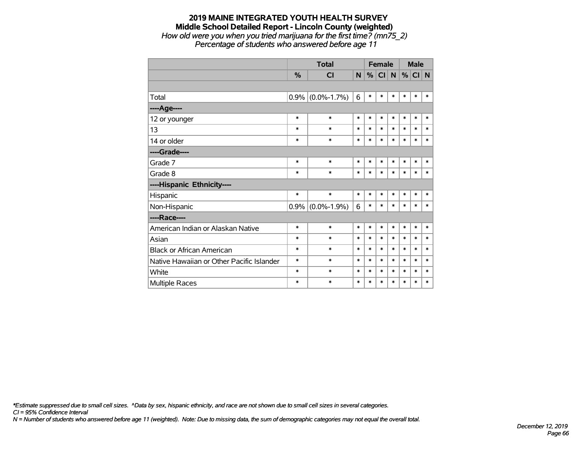#### **2019 MAINE INTEGRATED YOUTH HEALTH SURVEY Middle School Detailed Report - Lincoln County (weighted)** *How old were you when you tried marijuana for the first time? (mn75\_2) Percentage of students who answered before age 11*

|                                           |        | <b>Total</b>        |        | <b>Female</b> |        |              |        | <b>Male</b> |        |  |
|-------------------------------------------|--------|---------------------|--------|---------------|--------|--------------|--------|-------------|--------|--|
|                                           | $\%$   | CI                  | N      | %             | CI     | $\mathsf{N}$ | %      | CI N        |        |  |
|                                           |        |                     |        |               |        |              |        |             |        |  |
| Total                                     |        | $0.9\%$ (0.0%-1.7%) | 6      | $\ast$        | $\ast$ | *            | $\ast$ | $\ast$      | $\ast$ |  |
| ----Age----                               |        |                     |        |               |        |              |        |             |        |  |
| 12 or younger                             | $\ast$ | $\ast$              | $\ast$ | $\ast$        | $\ast$ | $\ast$       | $\ast$ | $\ast$      | $\ast$ |  |
| 13                                        | $\ast$ | $\ast$              | $\ast$ | $\ast$        | *      | $\ast$       | $\ast$ | $\ast$      | $\ast$ |  |
| 14 or older                               | $\ast$ | $\ast$              | $\ast$ | $\ast$        | $\ast$ | $\ast$       | $\ast$ | $\ast$      | $\ast$ |  |
| ----Grade----                             |        |                     |        |               |        |              |        |             |        |  |
| Grade 7                                   | $\ast$ | $\ast$              | $\ast$ | $\ast$        | $\ast$ | $\ast$       | $\ast$ | $\ast$      | $\ast$ |  |
| Grade 8                                   | $\ast$ | $\ast$              | $\ast$ | $\ast$        | $\ast$ | $\ast$       | $\ast$ | $\ast$      | $\ast$ |  |
| ----Hispanic Ethnicity----                |        |                     |        |               |        |              |        |             |        |  |
| Hispanic                                  | $\ast$ | $\ast$              | $\ast$ | $\ast$        | $\ast$ | $\ast$       | $\ast$ | $\ast$      | $\ast$ |  |
| Non-Hispanic                              |        | $0.9\%$ (0.0%-1.9%) | 6      | $\ast$        | $\ast$ | $\ast$       | $\ast$ | $\ast$      | $\ast$ |  |
| ----Race----                              |        |                     |        |               |        |              |        |             |        |  |
| American Indian or Alaskan Native         | $\ast$ | $\ast$              | $\ast$ | $\ast$        | $\ast$ | $\ast$       | $\ast$ | $\ast$      | $\ast$ |  |
| Asian                                     | $\ast$ | $\ast$              | $\ast$ | $\ast$        | $\ast$ | *            | $\ast$ | *           | $\ast$ |  |
| <b>Black or African American</b>          | $\ast$ | $\ast$              | $\ast$ | $\ast$        | $\ast$ | $\ast$       | $\ast$ | *           | $\ast$ |  |
| Native Hawaiian or Other Pacific Islander | $\ast$ | $\ast$              | $\ast$ | $\ast$        | $\ast$ | $\ast$       | $\ast$ | *           | $\ast$ |  |
| White                                     | $\ast$ | $\ast$              | $\ast$ | $\ast$        | $\ast$ | $\ast$       | $\ast$ | $\ast$      | $\ast$ |  |
| <b>Multiple Races</b>                     | ∗      | $\ast$              | $\ast$ | $\ast$        | $\ast$ | $\ast$       | *      | $\ast$      | $\ast$ |  |

*\*Estimate suppressed due to small cell sizes. ^Data by sex, hispanic ethnicity, and race are not shown due to small cell sizes in several categories.*

*CI = 95% Confidence Interval*

*N = Number of students who answered before age 11 (weighted). Note: Due to missing data, the sum of demographic categories may not equal the overall total.*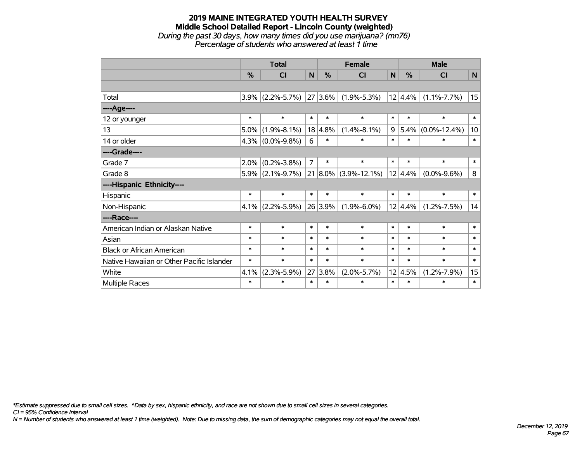# **2019 MAINE INTEGRATED YOUTH HEALTH SURVEY Middle School Detailed Report - Lincoln County (weighted)** *During the past 30 days, how many times did you use marijuana? (mn76) Percentage of students who answered at least 1 time*

|                                           | <b>Total</b> |                             |                |               | <b>Female</b>                                |        |               | <b>Male</b>        |        |  |  |
|-------------------------------------------|--------------|-----------------------------|----------------|---------------|----------------------------------------------|--------|---------------|--------------------|--------|--|--|
|                                           | $\%$         | CI                          | N              | $\frac{0}{0}$ | <b>CI</b>                                    | N      | $\frac{0}{0}$ | CI                 | N      |  |  |
|                                           |              |                             |                |               |                                              |        |               |                    |        |  |  |
| Total                                     |              | $3.9\%$ (2.2%-5.7%) 27 3.6% |                |               | $(1.9\% - 5.3\%)$                            |        | 12 4.4%       | $(1.1\% - 7.7\%)$  | 15     |  |  |
| ----Age----                               |              |                             |                |               |                                              |        |               |                    |        |  |  |
| 12 or younger                             | $\ast$       | $\ast$                      | $\ast$         | $\ast$        | $\ast$                                       | $\ast$ | $\ast$        | $\ast$             | $\ast$ |  |  |
| 13                                        | 5.0%         | $(1.9\% - 8.1\%)$           |                | 18 4.8%       | $(1.4\% - 8.1\%)$                            | 9      | $5.4\%$       | $(0.0\% - 12.4\%)$ | 10     |  |  |
| 14 or older                               |              | $4.3\%$ (0.0%-9.8%)         | 6              | $\ast$        | $\ast$                                       | $\ast$ | $\ast$        | $\ast$             | $\ast$ |  |  |
| ----Grade----                             |              |                             |                |               |                                              |        |               |                    |        |  |  |
| Grade 7                                   | $2.0\%$      | $(0.2\% - 3.8\%)$           | $\overline{7}$ | $\ast$        | $\ast$                                       | $\ast$ | $\ast$        | $\ast$             | $\ast$ |  |  |
| Grade 8                                   |              | $5.9\%$ (2.1%-9.7%)         |                |               | $\vert$ 21 $\vert$ 8.0% $\vert$ (3.9%-12.1%) |        | 12 4.4%       | $(0.0\% - 9.6\%)$  | 8      |  |  |
| ----Hispanic Ethnicity----                |              |                             |                |               |                                              |        |               |                    |        |  |  |
| Hispanic                                  | $\ast$       | $\ast$                      | $\ast$         | *             | $\ast$                                       | $\ast$ | $\ast$        | $\ast$             | $\ast$ |  |  |
| Non-Hispanic                              |              | $4.1\%$ (2.2%-5.9%)         |                | 26 3.9%       | $(1.9\% - 6.0\%)$                            |        | $12 4.4\%$    | $(1.2\% - 7.5\%)$  | 14     |  |  |
| ----Race----                              |              |                             |                |               |                                              |        |               |                    |        |  |  |
| American Indian or Alaskan Native         | $\ast$       | $\ast$                      | $\ast$         | $\ast$        | $\ast$                                       | $\ast$ | $\ast$        | $\ast$             | $\ast$ |  |  |
| Asian                                     | $\ast$       | $\ast$                      | $\ast$         | $\ast$        | $\ast$                                       | $\ast$ | $\ast$        | $\ast$             | $\ast$ |  |  |
| <b>Black or African American</b>          | $\ast$       | $\ast$                      | $\ast$         | $\ast$        | $\ast$                                       | $\ast$ | $\ast$        | $\ast$             | $\ast$ |  |  |
| Native Hawaiian or Other Pacific Islander | $\ast$       | $\ast$                      | $\ast$         | $\ast$        | $\ast$                                       | $\ast$ | $\ast$        | $\ast$             | $\ast$ |  |  |
| White                                     | 4.1%         | $(2.3\% - 5.9\%)$           | 27             | 3.8%          | $(2.0\% - 5.7\%)$                            |        | 12 4.5%       | $(1.2\% - 7.9\%)$  | 15     |  |  |
| Multiple Races                            | $\ast$       | $\ast$                      | $\ast$         | $\ast$        | $\ast$                                       | $\ast$ | $\ast$        | $\ast$             | $\ast$ |  |  |

*\*Estimate suppressed due to small cell sizes. ^Data by sex, hispanic ethnicity, and race are not shown due to small cell sizes in several categories.*

*CI = 95% Confidence Interval*

*N = Number of students who answered at least 1 time (weighted). Note: Due to missing data, the sum of demographic categories may not equal the overall total.*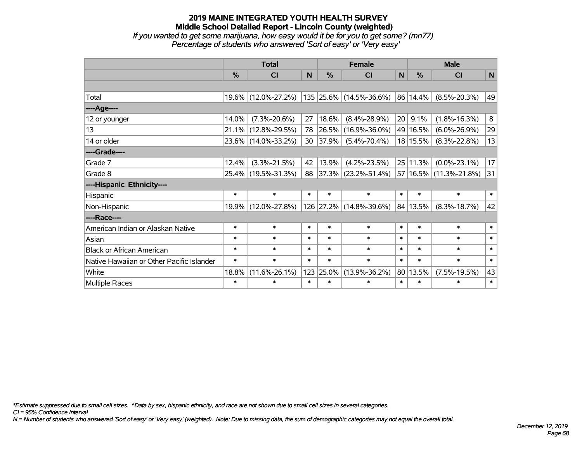#### **2019 MAINE INTEGRATED YOUTH HEALTH SURVEY Middle School Detailed Report - Lincoln County (weighted)** *If you wanted to get some marijuana, how easy would it be for you to get some? (mn77) Percentage of students who answered 'Sort of easy' or 'Very easy'*

|                                           | <b>Total</b> |                     |        |               | <b>Female</b>            |              | <b>Male</b>   |                        |              |  |
|-------------------------------------------|--------------|---------------------|--------|---------------|--------------------------|--------------|---------------|------------------------|--------------|--|
|                                           | %            | CI                  | N      | $\frac{0}{0}$ | CI                       | $\mathsf{N}$ | $\frac{0}{0}$ | CI                     | $\mathsf{N}$ |  |
|                                           |              |                     |        |               |                          |              |               |                        |              |  |
| Total                                     |              | 19.6% (12.0%-27.2%) |        |               | 135 25.6% (14.5%-36.6%)  |              | 86 14.4%      | $(8.5\% - 20.3\%)$     | 49           |  |
| ---- Age----                              |              |                     |        |               |                          |              |               |                        |              |  |
| 12 or younger                             | 14.0%        | $(7.3\% - 20.6\%)$  | 27     | 18.6%         | $(8.4\% - 28.9\%)$       | 20           | 9.1%          | $(1.8\% - 16.3\%)$     | 8            |  |
| 13                                        | 21.1%        | $(12.8\% - 29.5\%)$ | 78     | 26.5%         | $(16.9\% - 36.0\%)$      |              | 49 16.5%      | $(6.0\% - 26.9\%)$     | 29           |  |
| 14 or older                               |              | 23.6% (14.0%-33.2%) | 30     | 37.9%         | $(5.4\% - 70.4\%)$       |              | 18 15.5%      | $(8.3\% - 22.8\%)$     | 13           |  |
| ----Grade----                             |              |                     |        |               |                          |              |               |                        |              |  |
| Grade 7                                   | 12.4%        | $(3.3\% - 21.5\%)$  | 42     | 13.9%         | $(4.2\% - 23.5\%)$       |              | 25 11.3%      | $(0.0\% - 23.1\%)$     | 17           |  |
| Grade 8                                   |              | 25.4% (19.5%-31.3%) | 88     |               | $ 37.3\% $ (23.2%-51.4%) |              |               | 57 16.5% (11.3%-21.8%) | 31           |  |
| ----Hispanic Ethnicity----                |              |                     |        |               |                          |              |               |                        |              |  |
| Hispanic                                  | $\ast$       | $\ast$              | $\ast$ | $\ast$        | $\ast$                   | $\ast$       | $\ast$        | $\ast$                 | $\ast$       |  |
| Non-Hispanic                              |              | 19.9% (12.0%-27.8%) |        |               | 126 27.2% (14.8%-39.6%)  | 84           | 13.5%         | $(8.3\% - 18.7\%)$     | 42           |  |
| ----Race----                              |              |                     |        |               |                          |              |               |                        |              |  |
| American Indian or Alaskan Native         | $\ast$       | $\ast$              | $\ast$ | $\ast$        | $\ast$                   | $\ast$       | $\ast$        | $\ast$                 | $\ast$       |  |
| Asian                                     | $\ast$       | $\ast$              | $\ast$ | $\ast$        | $\ast$                   | $\ast$       | $\ast$        | $\ast$                 | $\ast$       |  |
| <b>Black or African American</b>          | $\ast$       | $\ast$              | $\ast$ | $\ast$        | $\ast$                   | $\ast$       | $\ast$        | $\ast$                 | $\ast$       |  |
| Native Hawaiian or Other Pacific Islander | $\ast$       | $\ast$              | $\ast$ | $\ast$        | $\ast$                   | $\ast$       | $\ast$        | $\ast$                 | $\ast$       |  |
| White                                     | 18.8%        | $(11.6\% - 26.1\%)$ | 123    | 25.0%         | $(13.9\% - 36.2\%)$      | 80           | 13.5%         | $(7.5\% - 19.5\%)$     | 43           |  |
| <b>Multiple Races</b>                     | $\ast$       | $\ast$              | $\ast$ | $\ast$        | $\ast$                   | $\ast$       | $\ast$        | $\ast$                 | $\ast$       |  |

*\*Estimate suppressed due to small cell sizes. ^Data by sex, hispanic ethnicity, and race are not shown due to small cell sizes in several categories.*

*CI = 95% Confidence Interval*

*N = Number of students who answered 'Sort of easy' or 'Very easy' (weighted). Note: Due to missing data, the sum of demographic categories may not equal the overall total.*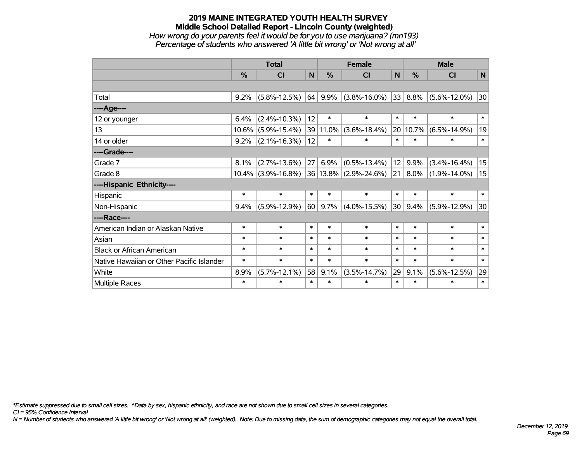# **2019 MAINE INTEGRATED YOUTH HEALTH SURVEY Middle School Detailed Report - Lincoln County (weighted)** *How wrong do your parents feel it would be for you to use marijuana? (mn193) Percentage of students who answered 'A little bit wrong' or 'Not wrong at all'*

|                                           | <b>Total</b>  |                       |                |          | <b>Female</b>                 |        | <b>Male</b> |                    |        |  |
|-------------------------------------------|---------------|-----------------------|----------------|----------|-------------------------------|--------|-------------|--------------------|--------|--|
|                                           | $\frac{0}{0}$ | <b>CI</b>             | N <sub>1</sub> | %        | <b>CI</b>                     | N      | %           | <b>CI</b>          | N      |  |
|                                           |               |                       |                |          |                               |        |             |                    |        |  |
| Total                                     | 9.2%          | $(5.8\% - 12.5\%)$    | 64             | 9.9%     | $(3.8\% - 16.0\%)$            | 33     | 8.8%        | $(5.6\% - 12.0\%)$ | 30     |  |
| ----Age----                               |               |                       |                |          |                               |        |             |                    |        |  |
| 12 or younger                             | 6.4%          | $(2.4\% - 10.3\%)$    | 12             | $\ast$   | $\ast$                        | $\ast$ | $\ast$      | $\ast$             | $\ast$ |  |
| 13                                        | 10.6%         | $(5.9\% - 15.4\%)$    |                | 39 11.0% | $(3.6\% - 18.4\%)$            | 20     | 10.7%       | $(6.5\% - 14.9\%)$ | 19     |  |
| 14 or older                               | 9.2%          | $(2.1\% - 16.3\%)$    | 12             | $\ast$   | $\ast$                        | $\ast$ | $\ast$      | $\ast$             | $\ast$ |  |
| ----Grade----                             |               |                       |                |          |                               |        |             |                    |        |  |
| Grade 7                                   | 8.1%          | $(2.7\% - 13.6\%)$    | 27             | 6.9%     | $(0.5\% - 13.4\%)$            | 12     | $9.9\%$     | $(3.4\% - 16.4\%)$ | 15     |  |
| Grade 8                                   |               | $10.4\%$ (3.9%-16.8%) |                |          | $ 36 13.8\% $ (2.9%-24.6%) 21 |        | $8.0\%$     | $(1.9\% - 14.0\%)$ | 15     |  |
| ----Hispanic Ethnicity----                |               |                       |                |          |                               |        |             |                    |        |  |
| Hispanic                                  | $\ast$        | $\ast$                | $\ast$         | $\ast$   | $\ast$                        | $\ast$ | $\ast$      | $\ast$             | $\ast$ |  |
| Non-Hispanic                              | 9.4%          | $(5.9\% - 12.9\%)$    | 60             | 9.7%     | $(4.0\% - 15.5\%)$            | 30     | 9.4%        | $(5.9\% - 12.9\%)$ | 30     |  |
| ----Race----                              |               |                       |                |          |                               |        |             |                    |        |  |
| American Indian or Alaskan Native         | $\ast$        | $\ast$                | $\ast$         | $\ast$   | $\ast$                        | $\ast$ | $\ast$      | $\ast$             | $\ast$ |  |
| Asian                                     | $\ast$        | $\ast$                | $\ast$         | $\ast$   | $\ast$                        | $\ast$ | $\ast$      | $\ast$             | $\ast$ |  |
| <b>Black or African American</b>          | $\ast$        | $\ast$                | $\ast$         | $\ast$   | $\ast$                        | $\ast$ | $\ast$      | $\ast$             | $\ast$ |  |
| Native Hawaiian or Other Pacific Islander | $\ast$        | $\ast$                | $\ast$         | $\ast$   | $\ast$                        | $\ast$ | $\ast$      | $\ast$             | $\ast$ |  |
| White                                     | 8.9%          | $(5.7\% - 12.1\%)$    | 58             | 9.1%     | $(3.5\% - 14.7\%)$            | 29     | 9.1%        | $(5.6\% - 12.5\%)$ | 29     |  |
| Multiple Races                            | $\ast$        | $\ast$                | $\ast$         | $\ast$   | $\ast$                        | $\ast$ | $\ast$      | $\ast$             | $\ast$ |  |

*\*Estimate suppressed due to small cell sizes. ^Data by sex, hispanic ethnicity, and race are not shown due to small cell sizes in several categories.*

*CI = 95% Confidence Interval*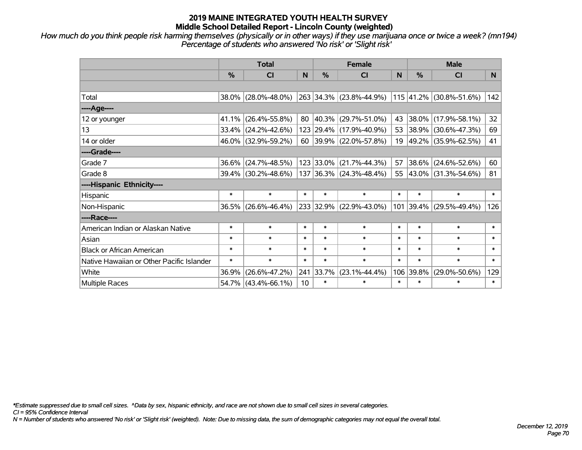*How much do you think people risk harming themselves (physically or in other ways) if they use marijuana once or twice a week? (mn194) Percentage of students who answered 'No risk' or 'Slight risk'*

|                                           | <b>Total</b>  |                     |                 | <b>Female</b> |                          | <b>Male</b> |               |                          |        |
|-------------------------------------------|---------------|---------------------|-----------------|---------------|--------------------------|-------------|---------------|--------------------------|--------|
|                                           | $\frac{0}{0}$ | C <sub>l</sub>      | N               | $\frac{0}{0}$ | CI                       | N           | $\frac{0}{0}$ | <b>CI</b>                | N.     |
|                                           |               |                     |                 |               |                          |             |               |                          |        |
| Total                                     |               | 38.0% (28.0%-48.0%) |                 |               | 263 34.3% (23.8%-44.9%)  |             |               | 115 41.2% (30.8%-51.6%)  | 142    |
| ----Age----                               |               |                     |                 |               |                          |             |               |                          |        |
| 12 or younger                             | $41.1\%$      | $(26.4\% - 55.8\%)$ | 80              |               | $ 40.3\% $ (29.7%-51.0%) | 43          | 38.0%         | $(17.9\% - 58.1\%)$      | 32     |
| 13                                        |               | 33.4% (24.2%-42.6%) |                 |               | 123 29.4% (17.9%-40.9%)  | 53          |               | $ 38.9\% $ (30.6%-47.3%) | 69     |
| 14 or older                               |               | 46.0% (32.9%-59.2%) |                 |               | 60 39.9% (22.0%-57.8%)   |             |               | 19 49.2% (35.9%-62.5%)   | 41     |
| ----Grade----                             |               |                     |                 |               |                          |             |               |                          |        |
| Grade 7                                   | $36.6\%$      | $(24.7\% - 48.5\%)$ |                 |               | 123 33.0% (21.7%-44.3%)  | 57          | $ 38.6\% $    | $(24.6\% - 52.6\%)$      | 60     |
| Grade 8                                   |               | 39.4% (30.2%-48.6%) |                 |               | 137 36.3% (24.3%-48.4%)  |             |               | 55 43.0% (31.3%-54.6%)   | 81     |
| ----Hispanic Ethnicity----                |               |                     |                 |               |                          |             |               |                          |        |
| Hispanic                                  | $\ast$        | $\ast$              | $\ast$          | $\ast$        | $\ast$                   | $\ast$      | $\ast$        | $\ast$                   | $\ast$ |
| Non-Hispanic                              |               | 36.5% (26.6%-46.4%) |                 |               | 233 32.9% (22.9%-43.0%)  |             | 101 39.4%     | $(29.5\% - 49.4\%)$      | 126    |
| ----Race----                              |               |                     |                 |               |                          |             |               |                          |        |
| American Indian or Alaskan Native         | $\ast$        | $\ast$              | $\ast$          | $\ast$        | $\ast$                   | $\ast$      | $\ast$        | $\ast$                   | $\ast$ |
| Asian                                     | $\ast$        | $\ast$              | $\ast$          | $\ast$        | $\ast$                   | $\ast$      | $\ast$        | $\ast$                   | $\ast$ |
| <b>Black or African American</b>          | $\ast$        | $\ast$              | $\ast$          | $\ast$        | $\ast$                   | $\ast$      | $\ast$        | $\ast$                   | $\ast$ |
| Native Hawaiian or Other Pacific Islander | $\ast$        | $\ast$              | $\ast$          | $\ast$        | $\ast$                   | $\ast$      | $\ast$        | $\ast$                   | $\ast$ |
| White                                     | 36.9%         | $(26.6\% - 47.2\%)$ |                 | 241 33.7%     | $(23.1\% - 44.4\%)$      | 106         | 39.8%         | $(29.0\% - 50.6\%)$      | 129    |
| Multiple Races                            |               | 54.7% (43.4%-66.1%) | 10 <sup>1</sup> | $\ast$        | $\ast$                   | $\ast$      | $\ast$        | $\ast$                   | $\ast$ |

*\*Estimate suppressed due to small cell sizes. ^Data by sex, hispanic ethnicity, and race are not shown due to small cell sizes in several categories.*

*CI = 95% Confidence Interval*

*N = Number of students who answered 'No risk' or 'Slight risk' (weighted). Note: Due to missing data, the sum of demographic categories may not equal the overall total.*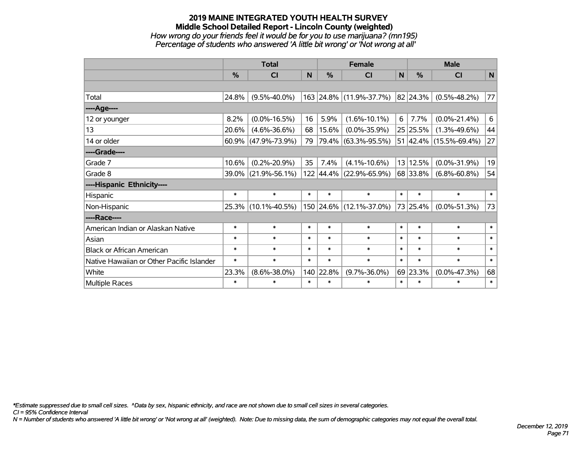## **2019 MAINE INTEGRATED YOUTH HEALTH SURVEY Middle School Detailed Report - Lincoln County (weighted)** *How wrong do your friends feel it would be for you to use marijuana? (mn195) Percentage of students who answered 'A little bit wrong' or 'Not wrong at all'*

|                                           | <b>Total</b>  |                        |        |               | <b>Female</b>           |        | <b>Male</b>   |                        |        |  |
|-------------------------------------------|---------------|------------------------|--------|---------------|-------------------------|--------|---------------|------------------------|--------|--|
|                                           | $\frac{0}{0}$ | <b>CI</b>              | N      | $\frac{0}{0}$ | <b>CI</b>               | N      | $\frac{0}{0}$ | <b>CI</b>              | N      |  |
|                                           |               |                        |        |               |                         |        |               |                        |        |  |
| Total                                     | 24.8%         | $(9.5\% - 40.0\%)$     |        |               | 163 24.8% (11.9%-37.7%) |        | 82 24.3%      | $(0.5\% - 48.2\%)$     | 77     |  |
| ----Age----                               |               |                        |        |               |                         |        |               |                        |        |  |
| 12 or younger                             | 8.2%          | $(0.0\% - 16.5\%)$     | 16     | 5.9%          | $(1.6\% - 10.1\%)$      | 6      | 7.7%          | $(0.0\% - 21.4\%)$     | 6      |  |
| 13                                        | 20.6%         | $(4.6\% - 36.6\%)$     | 68     | 15.6%         | $(0.0\% - 35.9\%)$      |        | 25 25.5%      | $(1.3\% - 49.6\%)$     | 44     |  |
| 14 or older                               |               | $60.9\%$ (47.9%-73.9%) | 79     |               | 79.4% (63.3%-95.5%)     |        |               | 51 42.4% (15.5%-69.4%) | 27     |  |
| ----Grade----                             |               |                        |        |               |                         |        |               |                        |        |  |
| Grade 7                                   | 10.6%         | $(0.2\% - 20.9\%)$     | 35     | 7.4%          | $(4.1\% - 10.6\%)$      |        | 13 12.5%      | $(0.0\% - 31.9\%)$     | 19     |  |
| Grade 8                                   |               | 39.0% (21.9%-56.1%)    |        | 122 44.4%     | $(22.9\% - 65.9\%)$     |        | 68 33.8%      | $(6.8\% - 60.8\%)$     | 54     |  |
| ----Hispanic Ethnicity----                |               |                        |        |               |                         |        |               |                        |        |  |
| Hispanic                                  | $\ast$        | $\ast$                 | $\ast$ | $\ast$        | $\ast$                  | $\ast$ | $\ast$        | $\ast$                 | $\ast$ |  |
| Non-Hispanic                              |               | 25.3% (10.1%-40.5%)    |        |               | 150 24.6% (12.1%-37.0%) |        | 73 25.4%      | $(0.0\% - 51.3\%)$     | 73     |  |
| ----Race----                              |               |                        |        |               |                         |        |               |                        |        |  |
| American Indian or Alaskan Native         | $\ast$        | $\ast$                 | $\ast$ | $\ast$        | $\ast$                  | $\ast$ | $\ast$        | $\ast$                 | $\ast$ |  |
| Asian                                     | $\ast$        | $\ast$                 | $\ast$ | $\ast$        | $\ast$                  | $\ast$ | $\ast$        | $\ast$                 | $\ast$ |  |
| <b>Black or African American</b>          | $\ast$        | $\ast$                 | $\ast$ | $\ast$        | $\ast$                  | $\ast$ | $\ast$        | $\ast$                 | $\ast$ |  |
| Native Hawaiian or Other Pacific Islander | $\ast$        | $\ast$                 | $\ast$ | $\ast$        | $\ast$                  | $\ast$ | $\ast$        | $\ast$                 | $\ast$ |  |
| White                                     | 23.3%         | $(8.6\% - 38.0\%)$     |        | 140 22.8%     | $(9.7\% - 36.0\%)$      |        | 69 23.3%      | $(0.0\% - 47.3\%)$     | 68     |  |
| Multiple Races                            | $\ast$        | $\ast$                 | $\ast$ | $\ast$        | $\ast$                  | $\ast$ | $\ast$        | $\ast$                 | $\ast$ |  |

*\*Estimate suppressed due to small cell sizes. ^Data by sex, hispanic ethnicity, and race are not shown due to small cell sizes in several categories.*

*CI = 95% Confidence Interval*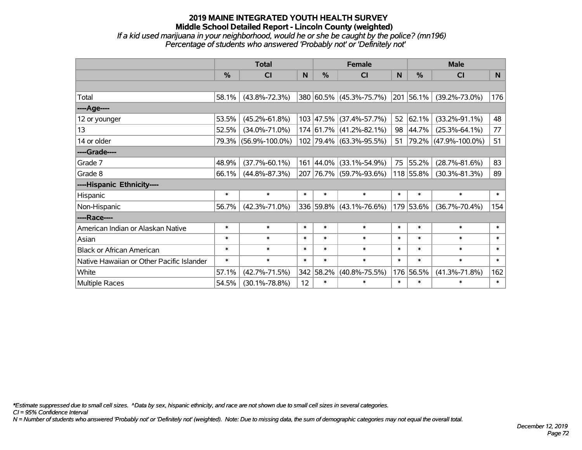# **2019 MAINE INTEGRATED YOUTH HEALTH SURVEY Middle School Detailed Report - Lincoln County (weighted)** *If a kid used marijuana in your neighborhood, would he or she be caught by the police? (mn196) Percentage of students who answered 'Probably not' or 'Definitely not'*

|                                           | <b>Total</b> |                      |        |           | <b>Female</b>           |              | <b>Male</b> |                      |        |  |
|-------------------------------------------|--------------|----------------------|--------|-----------|-------------------------|--------------|-------------|----------------------|--------|--|
|                                           | %            | <b>CI</b>            | N      | $\%$      | <b>CI</b>               | $\mathsf{N}$ | $\%$        | <b>CI</b>            | N.     |  |
|                                           |              |                      |        |           |                         |              |             |                      |        |  |
| Total                                     | 58.1%        | $(43.8\% - 72.3\%)$  |        |           | 380 60.5% (45.3%-75.7%) |              | 201 56.1%   | $(39.2\% - 73.0\%)$  | 176    |  |
| ----Age----                               |              |                      |        |           |                         |              |             |                      |        |  |
| 12 or younger                             | 53.5%        | $(45.2\% - 61.8\%)$  |        |           | 103 47.5% (37.4%-57.7%) | 52           | 62.1%       | $(33.2\% - 91.1\%)$  | 48     |  |
| 13                                        | 52.5%        | $(34.0\% - 71.0\%)$  |        |           | 174 61.7% (41.2%-82.1%) | 98           | 44.7%       | $(25.3\% - 64.1\%)$  | 77     |  |
| 14 or older                               |              | 79.3% (56.9%-100.0%) |        |           | 102 79.4% (63.3%-95.5%) | 51           |             | 79.2% (47.9%-100.0%) | 51     |  |
| ----Grade----                             |              |                      |        |           |                         |              |             |                      |        |  |
| Grade 7                                   | 48.9%        | $(37.7\% - 60.1\%)$  |        | 161 44.0% | $(33.1\% - 54.9\%)$     | 75           | 55.2%       | $(28.7\% - 81.6\%)$  | 83     |  |
| Grade 8                                   | 66.1%        | $(44.8\% - 87.3\%)$  |        |           | 207 76.7% (59.7%-93.6%) |              | 118 55.8%   | $(30.3\% - 81.3\%)$  | 89     |  |
| ----Hispanic Ethnicity----                |              |                      |        |           |                         |              |             |                      |        |  |
| Hispanic                                  | $\ast$       | $\ast$               | $\ast$ | $\ast$    | $\ast$                  | $\ast$       | $\ast$      | $\ast$               | $\ast$ |  |
| Non-Hispanic                              | 56.7%        | $(42.3\% - 71.0\%)$  |        |           | 336 59.8% (43.1%-76.6%) |              | 179 53.6%   | $(36.7\% - 70.4\%)$  | 154    |  |
| ----Race----                              |              |                      |        |           |                         |              |             |                      |        |  |
| American Indian or Alaskan Native         | $\ast$       | $\ast$               | $\ast$ | $\ast$    | $\ast$                  | $\ast$       | $\ast$      | $\ast$               | $\ast$ |  |
| Asian                                     | $\ast$       | $\ast$               | $\ast$ | $\ast$    | $\ast$                  | $\ast$       | $\ast$      | $\ast$               | $\ast$ |  |
| <b>Black or African American</b>          | $\ast$       | $\ast$               | $\ast$ | $\ast$    | $\ast$                  | $\ast$       | $\ast$      | $\ast$               | $\ast$ |  |
| Native Hawaiian or Other Pacific Islander | $\ast$       | $\ast$               | $\ast$ | $\ast$    | $\ast$                  | $\ast$       | $\ast$      | $\ast$               | $\ast$ |  |
| White                                     | 57.1%        | $(42.7\% - 71.5\%)$  |        | 342 58.2% | $(40.8\% - 75.5\%)$     |              | 176 56.5%   | $(41.3\% - 71.8\%)$  | 162    |  |
| <b>Multiple Races</b>                     | 54.5%        | $(30.1\% - 78.8\%)$  | 12     | $\ast$    | $\ast$                  | $\ast$       | $\ast$      | $\ast$               | $\ast$ |  |

*\*Estimate suppressed due to small cell sizes. ^Data by sex, hispanic ethnicity, and race are not shown due to small cell sizes in several categories.*

*CI = 95% Confidence Interval*

*N = Number of students who answered 'Probably not' or 'Definitely not' (weighted). Note: Due to missing data, the sum of demographic categories may not equal the overall total.*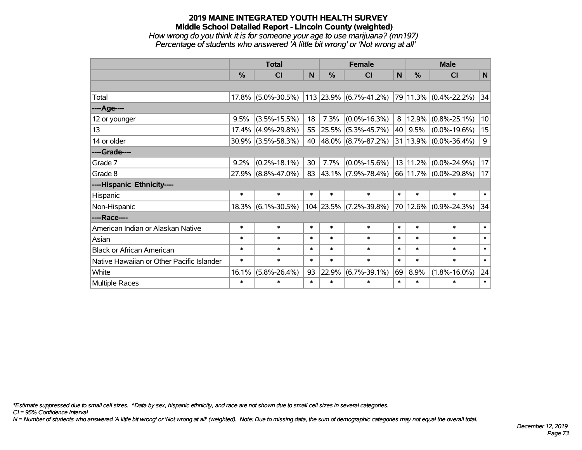## **2019 MAINE INTEGRATED YOUTH HEALTH SURVEY Middle School Detailed Report - Lincoln County (weighted)** *How wrong do you think it is for someone your age to use marijuana? (mn197) Percentage of students who answered 'A little bit wrong' or 'Not wrong at all'*

|                                           | <b>Total</b> |                       |        |            | <b>Female</b>               | <b>Male</b> |          |                           |        |
|-------------------------------------------|--------------|-----------------------|--------|------------|-----------------------------|-------------|----------|---------------------------|--------|
|                                           | %            | CI                    | N      | %          | <b>CI</b>                   | <b>N</b>    | $\%$     | <b>CI</b>                 | N      |
|                                           |              |                       |        |            |                             |             |          |                           |        |
| Total                                     |              | $17.8\%$ (5.0%-30.5%) |        |            | $ 113 23.9\% $ (6.7%-41.2%) |             |          | 79 11.3% (0.4%-22.2%)     | 34     |
| ---- Age----                              |              |                       |        |            |                             |             |          |                           |        |
| 12 or younger                             | 9.5%         | $(3.5\% - 15.5\%)$    | 18     | 7.3%       | $(0.0\% - 16.3\%)$          | 8           | 12.9%    | $(0.8\% - 25.1\%)$        | 10     |
| 13                                        |              | $17.4\%$ (4.9%-29.8%) | 55     | $ 25.5\% $ | $(5.3\% - 45.7\%)$          | 40          | 9.5%     | $(0.0\% - 19.6\%)$        | 15     |
| 14 or older                               |              | $30.9\%$ (3.5%-58.3%) | 40     |            | $ 48.0\% $ (8.7%-87.2%)     |             | 31 13.9% | $(0.0\% - 36.4\%)$        | 9      |
| ----Grade----                             |              |                       |        |            |                             |             |          |                           |        |
| Grade 7                                   | 9.2%         | $(0.2\% - 18.1\%)$    | 30     | 7.7%       | $(0.0\% - 15.6\%)$          |             | 13 11.2% | $(0.0\% - 24.9\%)$        | 17     |
| Grade 8                                   |              | $27.9\%$ (8.8%-47.0%) | 83     |            | 43.1%  (7.9%-78.4%)         |             |          | 66   11.7%   (0.0%-29.8%) | 17     |
| ----Hispanic Ethnicity----                |              |                       |        |            |                             |             |          |                           |        |
| Hispanic                                  | $\ast$       | $\ast$                | $\ast$ | $\ast$     | $\ast$                      | $\ast$      | $\ast$   | $\ast$                    | $\ast$ |
| Non-Hispanic                              |              | $18.3\%$ (6.1%-30.5%) |        |            | 104 23.5% (7.2%-39.8%)      |             | 70 12.6% | $(0.9\% - 24.3\%)$        | 34     |
| ----Race----                              |              |                       |        |            |                             |             |          |                           |        |
| American Indian or Alaskan Native         | $\ast$       | $\ast$                | $\ast$ | $\ast$     | $\ast$                      | $\ast$      | $\ast$   | $\ast$                    | $\ast$ |
| Asian                                     | $\ast$       | $\ast$                | $\ast$ | $\ast$     | $\ast$                      | $\ast$      | $\ast$   | $\ast$                    | $\ast$ |
| <b>Black or African American</b>          | $\ast$       | $\ast$                | $\ast$ | $\ast$     | $\ast$                      | $\ast$      | $\ast$   | $\ast$                    | $\ast$ |
| Native Hawaiian or Other Pacific Islander | $\ast$       | $\ast$                | $\ast$ | $\ast$     | $\ast$                      | $\ast$      | $\ast$   | $\ast$                    | $\ast$ |
| White                                     | 16.1%        | $(5.8\% - 26.4\%)$    | 93     | 22.9%      | $(6.7\% - 39.1\%)$          | 69          | 8.9%     | $(1.8\% - 16.0\%)$        | 24     |
| <b>Multiple Races</b>                     | $\ast$       | $\ast$                | $\ast$ | $\ast$     | $\ast$                      | $\ast$      | $\ast$   | $\ast$                    | $\ast$ |

*\*Estimate suppressed due to small cell sizes. ^Data by sex, hispanic ethnicity, and race are not shown due to small cell sizes in several categories.*

*CI = 95% Confidence Interval*

*N = Number of students who answered 'A little bit wrong' or 'Not wrong at all' (weighted). Note: Due to missing data, the sum of demographic categories may not equal the overall total.*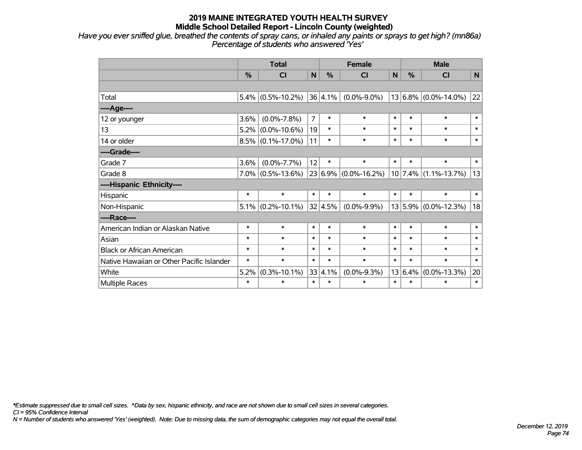*Have you ever sniffed glue, breathed the contents of spray cans, or inhaled any paints or sprays to get high? (mn86a) Percentage of students who answered 'Yes'*

|                                           | <b>Total</b>  |                      |                |         | <b>Female</b>            |        |         | <b>Male</b>              |        |  |  |
|-------------------------------------------|---------------|----------------------|----------------|---------|--------------------------|--------|---------|--------------------------|--------|--|--|
|                                           | $\frac{0}{0}$ | <b>CI</b>            | N              | $\%$    | <b>CI</b>                | N      | $\%$    | <b>CI</b>                | N      |  |  |
|                                           |               |                      |                |         |                          |        |         |                          |        |  |  |
| Total                                     |               | $5.4\%$ (0.5%-10.2%) |                | 36 4.1% | $(0.0\% - 9.0\%)$        |        |         | $13 6.8\% $ (0.0%-14.0%) | 22     |  |  |
| ----Age----                               |               |                      |                |         |                          |        |         |                          |        |  |  |
| 12 or younger                             | 3.6%          | $(0.0\% - 7.8\%)$    | $\overline{7}$ | $\ast$  | $\ast$                   | $\ast$ | $\ast$  | $\ast$                   | $\ast$ |  |  |
| 13                                        | 5.2%          | $(0.0\% - 10.6\%)$   | 19             | $\ast$  | $\ast$                   | $\ast$ | $\ast$  | $\ast$                   | $\ast$ |  |  |
| 14 or older                               |               | $8.5\%$ (0.1%-17.0%) | 11             | $\ast$  | $\ast$                   | $\ast$ | $\ast$  | $\ast$                   | $\ast$ |  |  |
| ----Grade----                             |               |                      |                |         |                          |        |         |                          |        |  |  |
| Grade 7                                   | 3.6%          | $(0.0\% - 7.7\%)$    | 12             | $\ast$  | $\ast$                   | $\ast$ | $\ast$  | $\ast$                   | $\ast$ |  |  |
| Grade 8                                   |               | $7.0\%$ (0.5%-13.6%) |                |         | $23 6.9\% $ (0.0%-16.2%) |        |         | 10 7.4% (1.1%-13.7%)     | 13     |  |  |
| ----Hispanic Ethnicity----                |               |                      |                |         |                          |        |         |                          |        |  |  |
| Hispanic                                  | $\ast$        | $\ast$               | $\ast$         | $\ast$  | $\ast$                   | $\ast$ | $\ast$  | $\ast$                   | $\ast$ |  |  |
| Non-Hispanic                              |               | $5.1\%$ (0.2%-10.1%) |                | 32 4.5% | $(0.0\% - 9.9\%)$        |        |         | $13 5.9\% $ (0.0%-12.3%) | 18     |  |  |
| ----Race----                              |               |                      |                |         |                          |        |         |                          |        |  |  |
| American Indian or Alaskan Native         | $\ast$        | $\ast$               | $\ast$         | $\ast$  | $\ast$                   | $\ast$ | $\ast$  | $\ast$                   | $\ast$ |  |  |
| Asian                                     | $\ast$        | $\ast$               | $\ast$         | $\ast$  | $\ast$                   | $\ast$ | $\ast$  | $\ast$                   | $\ast$ |  |  |
| <b>Black or African American</b>          | $\ast$        | $\ast$               | $\ast$         | $\ast$  | $\ast$                   | $\ast$ | $\ast$  | $\ast$                   | $\ast$ |  |  |
| Native Hawaiian or Other Pacific Islander | $\ast$        | $\ast$               | $\ast$         | $\ast$  | $\ast$                   | $\ast$ | $\ast$  | $\ast$                   | $\ast$ |  |  |
| White                                     | 5.2%          | $(0.3\% - 10.1\%)$   |                | 33 4.1% | $(0.0\% - 9.3\%)$        |        | 13 6.4% | $(0.0\% - 13.3\%)$       | 20     |  |  |
| Multiple Races                            | $\ast$        | $\ast$               | $\ast$         | $\ast$  | $\ast$                   | $\ast$ | $\ast$  | $\ast$                   | $\ast$ |  |  |

*\*Estimate suppressed due to small cell sizes. ^Data by sex, hispanic ethnicity, and race are not shown due to small cell sizes in several categories.*

*CI = 95% Confidence Interval*

*N = Number of students who answered 'Yes' (weighted). Note: Due to missing data, the sum of demographic categories may not equal the overall total.*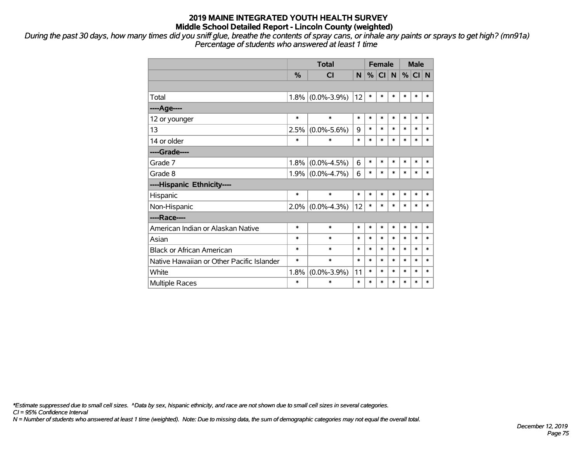*During the past 30 days, how many times did you sniff glue, breathe the contents of spray cans, or inhale any paints or sprays to get high? (mn91a) Percentage of students who answered at least 1 time*

|                                           |               | <b>Total</b>        | <b>Female</b>  |        |           |        |        | <b>Male</b> |        |
|-------------------------------------------|---------------|---------------------|----------------|--------|-----------|--------|--------|-------------|--------|
|                                           | $\frac{0}{2}$ | <b>CI</b>           | N <sub>1</sub> | %      | <b>CI</b> | N      |        | $%$ CI N    |        |
|                                           |               |                     |                |        |           |        |        |             |        |
| Total                                     |               | $1.8\%$ (0.0%-3.9%) | 12             | $\ast$ | $\ast$    | *      | $\ast$ | $\ast$      | *      |
| ----Age----                               |               |                     |                |        |           |        |        |             |        |
| 12 or younger                             | $\ast$        | $\ast$              | $\ast$         | $\ast$ | $\ast$    | $\ast$ | $\ast$ | $\ast$      | $\ast$ |
| 13                                        | 2.5%          | $(0.0\% - 5.6\%)$   | 9              | $\ast$ | $\ast$    | $\ast$ | *      | $\ast$      | $\ast$ |
| 14 or older                               | $\ast$        | $\ast$              | $\ast$         | $\ast$ | $\ast$    | $\ast$ | $\ast$ | $\ast$      | $\ast$ |
| ----Grade----                             |               |                     |                |        |           |        |        |             |        |
| Grade 7                                   | 1.8%          | $(0.0\% - 4.5\%)$   | 6              | $\ast$ | $\ast$    | $\ast$ | $\ast$ | $\ast$      | $\ast$ |
| Grade 8                                   |               | $1.9\%$ (0.0%-4.7%) | 6              | $\ast$ | $\ast$    | $\ast$ | $\ast$ | $\ast$      | $\ast$ |
| ----Hispanic Ethnicity----                |               |                     |                |        |           |        |        |             |        |
| Hispanic                                  | $\ast$        | $\ast$              | $\ast$         | *      | $\ast$    | *      | *      | $\ast$      | *      |
| Non-Hispanic                              |               | $2.0\%$ (0.0%-4.3%) | 12             | $\ast$ | $\ast$    | $\ast$ | $\ast$ | $\ast$      | $\ast$ |
| ----Race----                              |               |                     |                |        |           |        |        |             |        |
| American Indian or Alaskan Native         | $\ast$        | $\ast$              | $\ast$         | *      | $\ast$    | *      | $\ast$ | $\ast$      | $\ast$ |
| Asian                                     | $\ast$        | $\ast$              | $\ast$         | $\ast$ | *         | *      | *      | $\ast$      | $\ast$ |
| <b>Black or African American</b>          | $\ast$        | $\ast$              | $\ast$         | $\ast$ | $\ast$    | $\ast$ | $\ast$ | $\ast$      | $\ast$ |
| Native Hawaiian or Other Pacific Islander | $\ast$        | $\ast$              | $\ast$         | $\ast$ | *         | $\ast$ | *      | $\ast$      | $\ast$ |
| White                                     | 1.8%          | $(0.0\% - 3.9\%)$   | 11             | $\ast$ | $\ast$    | $\ast$ | $\ast$ | $\ast$      | $\ast$ |
| <b>Multiple Races</b>                     | $\ast$        | $\ast$              | $\ast$         | $\ast$ | $\ast$    | $\ast$ | $\ast$ | $\ast$      | $\ast$ |

*\*Estimate suppressed due to small cell sizes. ^Data by sex, hispanic ethnicity, and race are not shown due to small cell sizes in several categories.*

*CI = 95% Confidence Interval*

*N = Number of students who answered at least 1 time (weighted). Note: Due to missing data, the sum of demographic categories may not equal the overall total.*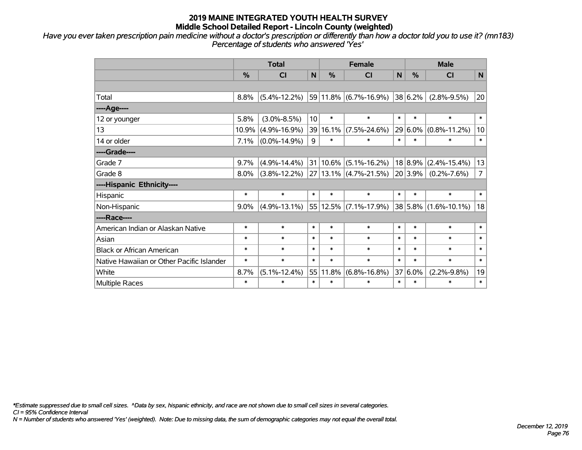*Have you ever taken prescription pain medicine without a doctor's prescription or differently than how a doctor told you to use it? (mn183) Percentage of students who answered 'Yes'*

|                                           | <b>Total</b>  |                    |        |              | <b>Female</b>                         |              |             | <b>Male</b>          |                |  |  |
|-------------------------------------------|---------------|--------------------|--------|--------------|---------------------------------------|--------------|-------------|----------------------|----------------|--|--|
|                                           | $\frac{0}{0}$ | CI                 | N      | %            | <b>CI</b>                             | $\mathsf{N}$ | %           | <b>CI</b>            | N              |  |  |
|                                           |               |                    |        |              |                                       |              |             |                      |                |  |  |
| Total                                     | 8.8%          | $(5.4\% - 12.2\%)$ |        |              | 59 11.8% (6.7%-16.9%)                 |              | 38 6.2%     | $(2.8\% - 9.5\%)$    | 20             |  |  |
| ----Age----                               |               |                    |        |              |                                       |              |             |                      |                |  |  |
| 12 or younger                             | 5.8%          | $(3.0\% - 8.5\%)$  | 10     | $\ast$       | $\ast$                                | $\ast$       | $\ast$      | $\ast$               | $\ast$         |  |  |
| 13                                        | 10.9%         | $(4.9\% - 16.9\%)$ | 39     | 16.1%        | $(7.5\% - 24.6\%)$                    |              | $29 6.0\% $ | $(0.8\% - 11.2\%)$   | 10             |  |  |
| 14 or older                               | 7.1%          | $(0.0\% - 14.9\%)$ | 9      | $\ast$       | $\ast$                                | $\ast$       | $\ast$      | $\ast$               | $\ast$         |  |  |
| ----Grade----                             |               |                    |        |              |                                       |              |             |                      |                |  |  |
| Grade 7                                   | 9.7%          | $(4.9\% - 14.4\%)$ |        | $31 10.6\% $ | $(5.1\% - 16.2\%)$                    |              | $18 8.9\% $ | $(2.4\% - 15.4\%)$   | 13             |  |  |
| Grade 8                                   | $8.0\%$       | $(3.8\% - 12.2\%)$ |        |              | 27   13.1%   (4.7%-21.5%)   20   3.9% |              |             | $(0.2\% - 7.6\%)$    | $\overline{7}$ |  |  |
| ----Hispanic Ethnicity----                |               |                    |        |              |                                       |              |             |                      |                |  |  |
| Hispanic                                  | $\ast$        | $\ast$             | $\ast$ | $\ast$       | $\ast$                                | $\ast$       | $\ast$      | $\ast$               | $\ast$         |  |  |
| Non-Hispanic                              | $9.0\%$       | $(4.9\% - 13.1\%)$ |        | 55 12.5%     | $(7.1\% - 17.9\%)$                    |              |             | 38 5.8% (1.6%-10.1%) | 18             |  |  |
| ----Race----                              |               |                    |        |              |                                       |              |             |                      |                |  |  |
| American Indian or Alaskan Native         | $\ast$        | $\ast$             | $\ast$ | $\ast$       | $\ast$                                | $\ast$       | $\ast$      | $\ast$               | $\ast$         |  |  |
| Asian                                     | $\ast$        | $\ast$             | $\ast$ | $\ast$       | $\ast$                                | $\ast$       | $\ast$      | $\ast$               | $\ast$         |  |  |
| <b>Black or African American</b>          | $\ast$        | $\ast$             | $\ast$ | $\ast$       | $\ast$                                | $\ast$       | $\ast$      | $\ast$               | $\ast$         |  |  |
| Native Hawaiian or Other Pacific Islander | $\ast$        | $\ast$             | $\ast$ | $\ast$       | $\ast$                                | $\ast$       | $\ast$      | $\ast$               | $\ast$         |  |  |
| White                                     | 8.7%          | $(5.1\% - 12.4\%)$ | 55     | 11.8%        | $(6.8\% - 16.8\%)$                    | 37           | $6.0\%$     | $(2.2\% - 9.8\%)$    | 19             |  |  |
| Multiple Races                            | $\ast$        | $\ast$             | $\ast$ | $\ast$       | $\ast$                                | $\ast$       | $\ast$      | $\ast$               | $\ast$         |  |  |

*\*Estimate suppressed due to small cell sizes. ^Data by sex, hispanic ethnicity, and race are not shown due to small cell sizes in several categories.*

*CI = 95% Confidence Interval*

*N = Number of students who answered 'Yes' (weighted). Note: Due to missing data, the sum of demographic categories may not equal the overall total.*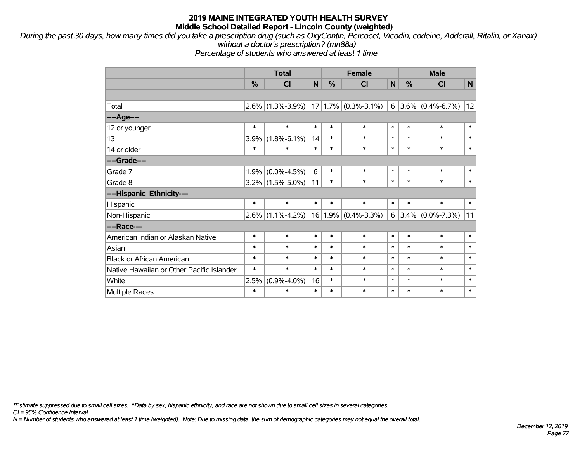*During the past 30 days, how many times did you take a prescription drug (such as OxyContin, Percocet, Vicodin, codeine, Adderall, Ritalin, or Xanax) without a doctor's prescription? (mn88a)*

*Percentage of students who answered at least 1 time*

|                                           | <b>Total</b> |                     |        |        | <b>Female</b>           | <b>Male</b> |        |                         |          |
|-------------------------------------------|--------------|---------------------|--------|--------|-------------------------|-------------|--------|-------------------------|----------|
|                                           | %            | CI                  | N      | %      | <b>CI</b>               | N           | %      | <b>CI</b>               | <b>N</b> |
|                                           |              |                     |        |        |                         |             |        |                         |          |
| Total                                     | $2.6\%$      | $(1.3\% - 3.9\%)$   |        |        | $17 1.7\% $ (0.3%-3.1%) | 6           |        | $3.6\%$ (0.4%-6.7%)     | 12       |
| ----Age----                               |              |                     |        |        |                         |             |        |                         |          |
| 12 or younger                             | $\ast$       | $\ast$              | $\ast$ | $\ast$ | $\ast$                  | $\ast$      | $\ast$ | $\ast$                  | $\ast$   |
| 13                                        | 3.9%         | $(1.8\% - 6.1\%)$   | 14     | $\ast$ | $\ast$                  | $\ast$      | $\ast$ | $\ast$                  | $\ast$   |
| 14 or older                               | $\ast$       | $\ast$              | $\ast$ | $\ast$ | $\ast$                  | $\ast$      | $\ast$ | $\ast$                  | $\ast$   |
| ----Grade----                             |              |                     |        |        |                         |             |        |                         |          |
| Grade 7                                   | 1.9%         | $(0.0\% - 4.5\%)$   | 6      | $\ast$ | $\ast$                  | $\ast$      | $\ast$ | $\ast$                  | $\ast$   |
| Grade 8                                   |              | $3.2\%$ (1.5%-5.0%) | 11     | $\ast$ | *                       | $\ast$      | $\ast$ | $\ast$                  | $\ast$   |
| ----Hispanic Ethnicity----                |              |                     |        |        |                         |             |        |                         |          |
| Hispanic                                  | $\ast$       | $\ast$              | $\ast$ | $\ast$ | $\ast$                  | $\ast$      | $\ast$ | $\ast$                  | $\ast$   |
| Non-Hispanic                              | 2.6%         | $(1.1\% - 4.2\%)$   | 16     | 1.9%   | $(0.4\% - 3.3\%)$       |             |        | 6 $ 3.4\% $ (0.0%-7.3%) | 11       |
| ----Race----                              |              |                     |        |        |                         |             |        |                         |          |
| American Indian or Alaskan Native         | $\ast$       | $\ast$              | $\ast$ | $\ast$ | $\ast$                  | $\ast$      | $\ast$ | $\ast$                  | $\ast$   |
| Asian                                     | $\ast$       | $\ast$              | $\ast$ | $\ast$ | $\ast$                  | $\ast$      | $\ast$ | $\ast$                  | $\ast$   |
| <b>Black or African American</b>          | $\ast$       | $\ast$              | $\ast$ | $\ast$ | $\ast$                  | $\ast$      | $\ast$ | $\ast$                  | $\ast$   |
| Native Hawaiian or Other Pacific Islander | $\ast$       | $\ast$              | $\ast$ | $\ast$ | $\ast$                  | $\ast$      | $\ast$ | $\ast$                  | $\ast$   |
| White                                     | 2.5%         | $(0.9\% - 4.0\%)$   | 16     | $\ast$ | $\ast$                  | $\ast$      | $\ast$ | $\ast$                  | $\ast$   |
| Multiple Races                            | $\ast$       | $\ast$              | $\ast$ | $\ast$ | $\ast$                  | $\ast$      | $\ast$ | $\ast$                  | $\ast$   |

*\*Estimate suppressed due to small cell sizes. ^Data by sex, hispanic ethnicity, and race are not shown due to small cell sizes in several categories.*

*CI = 95% Confidence Interval*

*N = Number of students who answered at least 1 time (weighted). Note: Due to missing data, the sum of demographic categories may not equal the overall total.*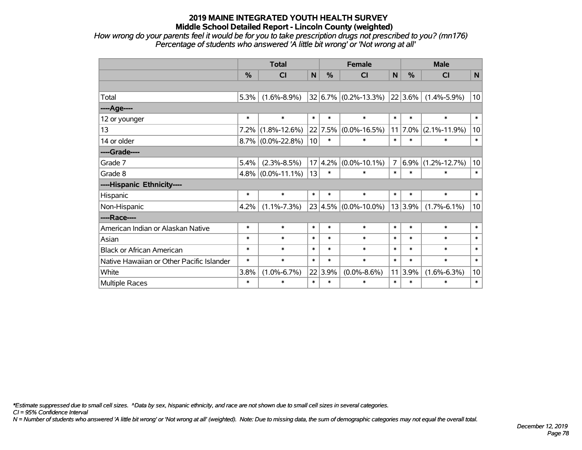*How wrong do your parents feel it would be for you to take prescription drugs not prescribed to you? (mn176) Percentage of students who answered 'A little bit wrong' or 'Not wrong at all'*

|                                           | <b>Total</b> |                      |        |             | <b>Female</b>                    | <b>Male</b>    |            |                      |              |
|-------------------------------------------|--------------|----------------------|--------|-------------|----------------------------------|----------------|------------|----------------------|--------------|
|                                           | %            | <b>CI</b>            | N      | $\%$        | <b>CI</b>                        | N              | %          | <b>CI</b>            | $\mathsf{N}$ |
|                                           |              |                      |        |             |                                  |                |            |                      |              |
| Total                                     | 5.3%         | $(1.6\% - 8.9\%)$    |        |             | $32 6.7\% $ (0.2%-13.3%) 22 3.6% |                |            | $(1.4\% - 5.9\%)$    | 10           |
| ---- Age----                              |              |                      |        |             |                                  |                |            |                      |              |
| 12 or younger                             | $\ast$       | $\ast$               | $\ast$ | $\ast$      | $\ast$                           | $\ast$         | $\ast$     | $\ast$               | $\ast$       |
| 13                                        | 7.2%         | $(1.8\% - 12.6\%)$   |        | 22 7.5%     | $(0.0\% - 16.5\%)$               |                | $11 7.0\%$ | $(2.1\% - 11.9\%)$   | 10           |
| 14 or older                               |              | $8.7\%$ (0.0%-22.8%) | 10     | $\ast$      | $\ast$                           | $\ast$         | $\ast$     | $\ast$               | $\ast$       |
| ----Grade----                             |              |                      |        |             |                                  |                |            |                      |              |
| Grade 7                                   | 5.4%         | $(2.3\% - 8.5\%)$    |        | $17 4.2\% $ | $(0.0\% - 10.1\%)$               | $\overline{7}$ |            | $6.9\%$ (1.2%-12.7%) | 10           |
| Grade 8                                   |              | $4.8\%$ (0.0%-11.1%) | 13     | ∗           | $\ast$                           | $\ast$         | $\ast$     | $\ast$               | $\ast$       |
| ----Hispanic Ethnicity----                |              |                      |        |             |                                  |                |            |                      |              |
| Hispanic                                  | $\ast$       | $\ast$               | $\ast$ | $\ast$      | $\ast$                           | $\ast$         | $\ast$     | $\ast$               | $\ast$       |
| Non-Hispanic                              | 4.2%         | $(1.1\% - 7.3\%)$    |        |             | $23 4.5\% $ (0.0%-10.0%)         |                | 13 3.9%    | $(1.7\% - 6.1\%)$    | 10           |
| ----Race----                              |              |                      |        |             |                                  |                |            |                      |              |
| American Indian or Alaskan Native         | $\ast$       | $\ast$               | $\ast$ | $\ast$      | $\ast$                           | $\ast$         | $\ast$     | $\ast$               | $\ast$       |
| Asian                                     | $\ast$       | $\ast$               | $\ast$ | $\ast$      | $\ast$                           | $\ast$         | $\ast$     | $\ast$               | $\ast$       |
| <b>Black or African American</b>          | $\ast$       | $\ast$               | $\ast$ | $\ast$      | $\ast$                           | $\ast$         | $\ast$     | $\ast$               | $\ast$       |
| Native Hawaiian or Other Pacific Islander | $\ast$       | $\ast$               | $\ast$ | $\ast$      | $\ast$                           | $\ast$         | $\ast$     | $\ast$               | $\ast$       |
| White                                     | 3.8%         | $(1.0\% - 6.7\%)$    |        | 22 3.9%     | $(0.0\% - 8.6\%)$                | 11             | 3.9%       | $(1.6\% - 6.3\%)$    | 10           |
| Multiple Races                            | $\ast$       | $\ast$               | $\ast$ | $\ast$      | $\ast$                           | $\ast$         | $\ast$     | $\ast$               | $\ast$       |

*\*Estimate suppressed due to small cell sizes. ^Data by sex, hispanic ethnicity, and race are not shown due to small cell sizes in several categories.*

*CI = 95% Confidence Interval*

*N = Number of students who answered 'A little bit wrong' or 'Not wrong at all' (weighted). Note: Due to missing data, the sum of demographic categories may not equal the overall total.*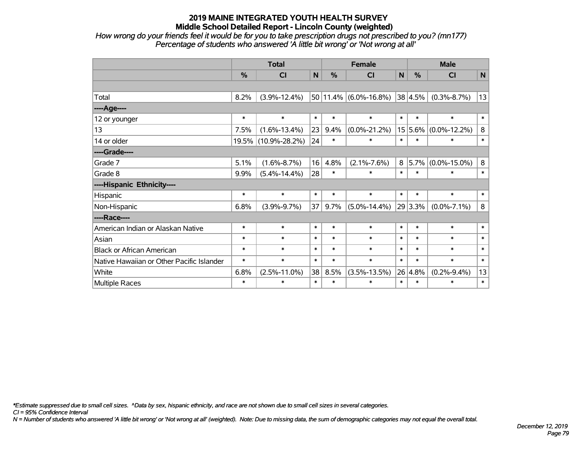*How wrong do your friends feel it would be for you to take prescription drugs not prescribed to you? (mn177) Percentage of students who answered 'A little bit wrong' or 'Not wrong at all'*

|                                           | <b>Total</b> |                     |        |        | <b>Female</b>                 | <b>Male</b>  |            |                    |         |
|-------------------------------------------|--------------|---------------------|--------|--------|-------------------------------|--------------|------------|--------------------|---------|
|                                           | %            | C <sub>1</sub>      | N      | $\%$   | <b>CI</b>                     | $\mathsf{N}$ | $\%$       | <b>CI</b>          | N       |
|                                           |              |                     |        |        |                               |              |            |                    |         |
| Total                                     | 8.2%         | $(3.9\% - 12.4\%)$  |        |        | $50 11.4\%  (6.0\% - 16.8\%)$ |              | 38 4.5%    | $(0.3\% - 8.7\%)$  | 13      |
| ----Age----                               |              |                     |        |        |                               |              |            |                    |         |
| 12 or younger                             | $\ast$       | $\ast$              | $\ast$ | $\ast$ | $\ast$                        | $\ast$       | $\ast$     | $\ast$             | $\ast$  |
| 13                                        | 7.5%         | $(1.6\% - 13.4\%)$  | 23     | 9.4%   | $(0.0\% - 21.2\%)$            |              | $15 5.6\%$ | $(0.0\% - 12.2\%)$ | 8       |
| 14 or older                               | 19.5%        | $(10.9\% - 28.2\%)$ | 24     | $\ast$ | $\ast$                        | $\ast$       | $\ast$     | $\ast$             | $\ast$  |
| ----Grade----                             |              |                     |        |        |                               |              |            |                    |         |
| Grade 7                                   | 5.1%         | $(1.6\% - 8.7\%)$   | 16     | 4.8%   | $(2.1\% - 7.6\%)$             | 8            | 5.7%       | $(0.0\% - 15.0\%)$ | $\bf 8$ |
| Grade 8                                   | 9.9%         | $(5.4\% - 14.4\%)$  | 28     | $\ast$ | $\ast$                        | $\ast$       | $\ast$     | $\ast$             | $\ast$  |
| ----Hispanic Ethnicity----                |              |                     |        |        |                               |              |            |                    |         |
| Hispanic                                  | $\ast$       | $\ast$              | $\ast$ | $\ast$ | $\ast$                        | $\ast$       | $\ast$     | $\ast$             | $\ast$  |
| Non-Hispanic                              | 6.8%         | $(3.9\% - 9.7\%)$   | 37     | 9.7%   | $(5.0\% - 14.4\%)$            |              | 29 3.3%    | $(0.0\% - 7.1\%)$  | 8       |
| ----Race----                              |              |                     |        |        |                               |              |            |                    |         |
| American Indian or Alaskan Native         | $\ast$       | $\ast$              | $\ast$ | $\ast$ | $\ast$                        | $\ast$       | $\ast$     | $\ast$             | $\ast$  |
| Asian                                     | $\ast$       | $\ast$              | $\ast$ | $\ast$ | $\ast$                        | $\ast$       | $\ast$     | $\ast$             | $\ast$  |
| <b>Black or African American</b>          | $\ast$       | $\ast$              | $\ast$ | $\ast$ | $\ast$                        | $\ast$       | $\ast$     | $\ast$             | $\ast$  |
| Native Hawaiian or Other Pacific Islander | $\ast$       | $\ast$              | $\ast$ | $\ast$ | $\ast$                        | $\ast$       | $\ast$     | $\ast$             | $\ast$  |
| White                                     | 6.8%         | $(2.5\% - 11.0\%)$  | 38     | 8.5%   | $(3.5\% - 13.5\%)$            |              | 26 4.8%    | $(0.2\% - 9.4\%)$  | 13      |
| Multiple Races                            | $\ast$       | $\ast$              | $\ast$ | $\ast$ | $\ast$                        | $\ast$       | $\ast$     | $\ast$             | $\ast$  |

*\*Estimate suppressed due to small cell sizes. ^Data by sex, hispanic ethnicity, and race are not shown due to small cell sizes in several categories.*

*CI = 95% Confidence Interval*

*N = Number of students who answered 'A little bit wrong' or 'Not wrong at all' (weighted). Note: Due to missing data, the sum of demographic categories may not equal the overall total.*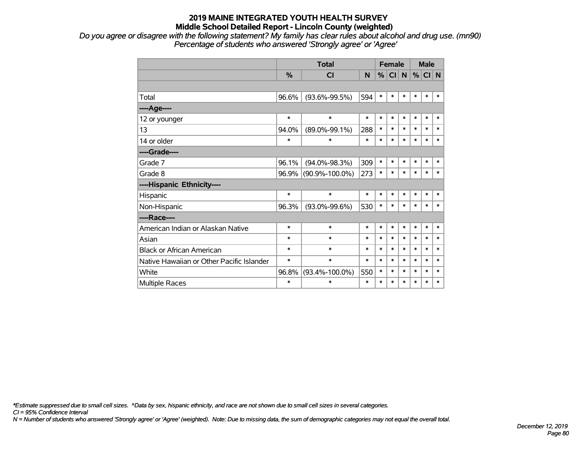*Do you agree or disagree with the following statement? My family has clear rules about alcohol and drug use. (mn90) Percentage of students who answered 'Strongly agree' or 'Agree'*

|                                           |        | <b>Total</b>         |        | <b>Female</b> |           |           | <b>Male</b> |        |        |
|-------------------------------------------|--------|----------------------|--------|---------------|-----------|-----------|-------------|--------|--------|
|                                           | %      | <b>CI</b>            | N      | %             | <b>CI</b> | ${\sf N}$ | $\%$        | CI N   |        |
|                                           |        |                      |        |               |           |           |             |        |        |
| Total                                     | 96.6%  | $(93.6\% - 99.5\%)$  | 594    | $\ast$        | $\ast$    | $\ast$    | $\ast$      | $\ast$ | $\ast$ |
| ----Age----                               |        |                      |        |               |           |           |             |        |        |
| 12 or younger                             | $\ast$ | $\ast$               | $\ast$ | $\ast$        | $\ast$    | $\ast$    | $\ast$      | $\ast$ | $\ast$ |
| 13                                        | 94.0%  | $(89.0\% - 99.1\%)$  | 288    | $\ast$        | $\ast$    | $\ast$    | $\ast$      | $\ast$ | $\ast$ |
| 14 or older                               | $\ast$ | $\ast$               | $\ast$ | $\ast$        | $\ast$    | $\ast$    | $\ast$      | $\ast$ | $\ast$ |
| ----Grade----                             |        |                      |        |               |           |           |             |        |        |
| Grade 7                                   | 96.1%  | $(94.0\% - 98.3\%)$  | 309    | $\ast$        | $\ast$    | $\ast$    | $\ast$      | $\ast$ | $\ast$ |
| Grade 8                                   |        | 96.9% (90.9%-100.0%) | 273    | $\ast$        | $\ast$    | $\ast$    | $\ast$      | $\ast$ | $\ast$ |
| ----Hispanic Ethnicity----                |        |                      |        |               |           |           |             |        |        |
| Hispanic                                  | $\ast$ | $\ast$               | $\ast$ | $\ast$        | $\ast$    | $\ast$    | $\ast$      | $\ast$ | $\ast$ |
| Non-Hispanic                              | 96.3%  | $(93.0\% - 99.6\%)$  | 530    | $\ast$        | $\ast$    | $\ast$    | $\ast$      | $\ast$ | $\ast$ |
| ----Race----                              |        |                      |        |               |           |           |             |        |        |
| American Indian or Alaskan Native         | $\ast$ | $\ast$               | $\ast$ | $\ast$        | $\ast$    | $\ast$    | $\ast$      | $\ast$ | $\ast$ |
| Asian                                     | *      | $\ast$               | $\ast$ | $\ast$        | $\ast$    | $\ast$    | $\ast$      | $\ast$ | $\ast$ |
| <b>Black or African American</b>          | $\ast$ | $\ast$               | $\ast$ | $\ast$        | $\ast$    | $\ast$    | $\ast$      | $\ast$ | $\ast$ |
| Native Hawaiian or Other Pacific Islander | $\ast$ | $\ast$               | $\ast$ | $\ast$        | $\ast$    | $\ast$    | $\ast$      | $\ast$ | $\ast$ |
| White                                     | 96.8%  | $(93.4\% - 100.0\%)$ | 550    | $\ast$        | $\ast$    | $\ast$    | $\ast$      | $\ast$ | $\ast$ |
| <b>Multiple Races</b>                     | *      | *                    | $\ast$ | *             | $\ast$    | $\ast$    | $\ast$      | $\ast$ | $\ast$ |

*\*Estimate suppressed due to small cell sizes. ^Data by sex, hispanic ethnicity, and race are not shown due to small cell sizes in several categories.*

*CI = 95% Confidence Interval*

*N = Number of students who answered 'Strongly agree' or 'Agree' (weighted). Note: Due to missing data, the sum of demographic categories may not equal the overall total.*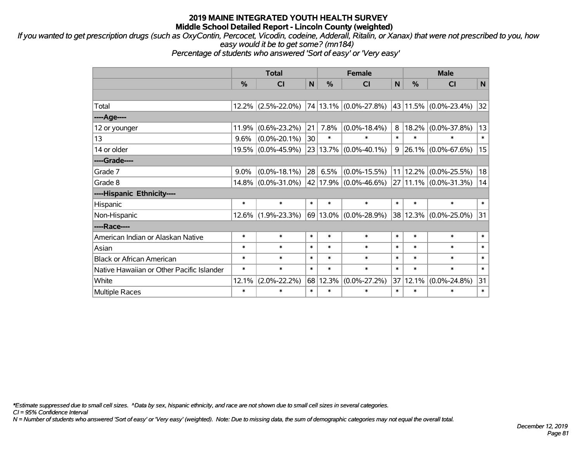*If you wanted to get prescription drugs (such as OxyContin, Percocet, Vicodin, codeine, Adderall, Ritalin, or Xanax) that were not prescribed to you, how easy would it be to get some? (mn184)*

*Percentage of students who answered 'Sort of easy' or 'Very easy'*

|                                           | <b>Total</b> |                    |        |          | <b>Female</b>         | <b>Male</b> |              |                         |        |
|-------------------------------------------|--------------|--------------------|--------|----------|-----------------------|-------------|--------------|-------------------------|--------|
|                                           | %            | C <sub>l</sub>     | N      | %        | CI                    | N           | %            | <b>CI</b>               | N      |
|                                           |              |                    |        |          |                       |             |              |                         |        |
| Total                                     |              | 12.2% (2.5%-22.0%) |        |          | 74 13.1% (0.0%-27.8%) |             |              | 43 11.5% (0.0%-23.4%)   | 32     |
| ----Age----                               |              |                    |        |          |                       |             |              |                         |        |
| 12 or younger                             | 11.9%        | $(0.6\% - 23.2\%)$ | 21     | 7.8%     | $(0.0\% - 18.4\%)$    | 8           | 18.2%        | $(0.0\% - 37.8\%)$      | 13     |
| 13                                        | 9.6%         | $(0.0\% - 20.1\%)$ | 30     | $\ast$   | $\ast$                | $\ast$      | $\ast$       | $\ast$                  | $\ast$ |
| 14 or older                               |              | 19.5% (0.0%-45.9%) |        | 23 13.7% | $(0.0\% - 40.1\%)$    | 9           |              | $ 26.1\% $ (0.0%-67.6%) | 15     |
| ----Grade----                             |              |                    |        |          |                       |             |              |                         |        |
| Grade 7                                   | $9.0\%$      | $(0.0\% - 18.1\%)$ | 28     | 6.5%     | $(0.0\% - 15.5\%)$    |             | $11$   12.2% | $(0.0\% - 25.5\%)$      | 18     |
| Grade 8                                   |              | 14.8% (0.0%-31.0%) |        | 42 17.9% | $(0.0\% - 46.6\%)$    |             |              | 27 11.1% (0.0%-31.3%)   | 14     |
| ----Hispanic Ethnicity----                |              |                    |        |          |                       |             |              |                         |        |
| Hispanic                                  | $\ast$       | $\ast$             | $\ast$ | $\ast$   | $\ast$                | $\ast$      | $\ast$       | $\ast$                  | $\ast$ |
| Non-Hispanic                              |              | 12.6% (1.9%-23.3%) |        | 69 13.0% | $(0.0\% - 28.9\%)$    |             | 38 12.3%     | $(0.0\% - 25.0\%)$      | 31     |
| ----Race----                              |              |                    |        |          |                       |             |              |                         |        |
| American Indian or Alaskan Native         | $\ast$       | $\ast$             | $\ast$ | $\ast$   | $\ast$                | $\ast$      | $\ast$       | $\ast$                  | $\ast$ |
| Asian                                     | $\ast$       | $\ast$             | $\ast$ | $\ast$   | $\ast$                | $\ast$      | $\ast$       | $\ast$                  | $\ast$ |
| <b>Black or African American</b>          | $\ast$       | $\ast$             | $\ast$ | $\ast$   | $\ast$                | $\ast$      | $\ast$       | $\ast$                  | $\ast$ |
| Native Hawaiian or Other Pacific Islander | $\ast$       | $\ast$             | $\ast$ | $\ast$   | $\ast$                | $\ast$      | $\ast$       | $\ast$                  | $\ast$ |
| White                                     | 12.1%        | $(2.0\% - 22.2\%)$ | 68     | 12.3%    | $(0.0\% - 27.2\%)$    | 37          | 12.1%        | $(0.0\% - 24.8\%)$      | 31     |
| <b>Multiple Races</b>                     | $\ast$       | $\ast$             | $\ast$ | $\ast$   | $\ast$                | $\ast$      | $\ast$       | $\ast$                  | $\ast$ |

*\*Estimate suppressed due to small cell sizes. ^Data by sex, hispanic ethnicity, and race are not shown due to small cell sizes in several categories.*

*CI = 95% Confidence Interval*

*N = Number of students who answered 'Sort of easy' or 'Very easy' (weighted). Note: Due to missing data, the sum of demographic categories may not equal the overall total.*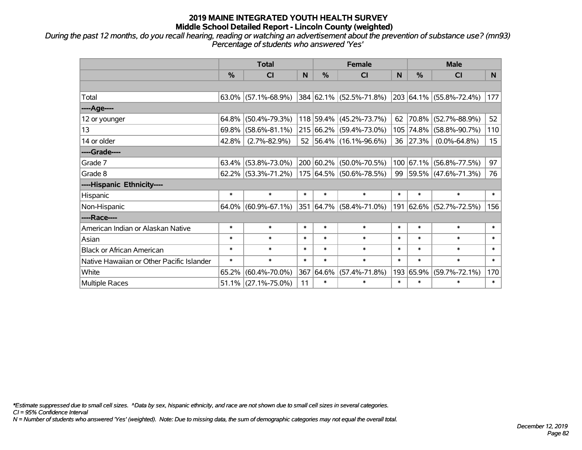*During the past 12 months, do you recall hearing, reading or watching an advertisement about the prevention of substance use? (mn93) Percentage of students who answered 'Yes'*

|                                           | <b>Total</b>  |                        |        |               | <b>Female</b>              |        | <b>Male</b> |                         |                  |  |
|-------------------------------------------|---------------|------------------------|--------|---------------|----------------------------|--------|-------------|-------------------------|------------------|--|
|                                           | $\frac{0}{0}$ | CI                     | N      | $\frac{9}{6}$ | CI                         | N      | %           | <b>CI</b>               | <b>N</b>         |  |
|                                           |               |                        |        |               |                            |        |             |                         |                  |  |
| Total                                     |               | $63.0\%$ (57.1%-68.9%) |        |               | 384 62.1% (52.5%-71.8%)    |        |             | 203 64.1% (55.8%-72.4%) | 177              |  |
| ----Age----                               |               |                        |        |               |                            |        |             |                         |                  |  |
| 12 or younger                             | 64.8%         | $(50.4\% - 79.3\%)$    |        |               | 118 59.4% (45.2%-73.7%)    | 62     | 70.8%       | $(52.7\% - 88.9\%)$     | 52               |  |
| 13                                        | 69.8%         | $(58.6\% - 81.1\%)$    |        |               | 215 66.2% (59.4%-73.0%)    |        | 105 74.8%   | $(58.8\% - 90.7\%)$     | 110              |  |
| 14 or older                               | 42.8%         | $(2.7\% - 82.9\%)$     |        |               | 52   56.4%   (16.1%-96.6%) |        | 36 27.3%    | $(0.0\% - 64.8\%)$      | 15 <sub>15</sub> |  |
| ----Grade----                             |               |                        |        |               |                            |        |             |                         |                  |  |
| Grade 7                                   | $63.4\%$      | $(53.8\% - 73.0\%)$    |        |               | 200 60.2% (50.0%-70.5%)    |        | 100 67.1%   | $(56.8\% - 77.5\%)$     | 97               |  |
| Grade 8                                   |               | $62.2\%$ (53.3%-71.2%) |        |               | 175 64.5% (50.6%-78.5%)    |        |             | 99 59.5% (47.6%-71.3%)  | 76               |  |
| ----Hispanic Ethnicity----                |               |                        |        |               |                            |        |             |                         |                  |  |
| Hispanic                                  | $\ast$        | $\ast$                 | $\ast$ | $\ast$        | $\ast$                     | $\ast$ | $\ast$      | $\ast$                  | $\ast$           |  |
| Non-Hispanic                              |               | $64.0\%$ (60.9%-67.1%) |        |               | 351 64.7% (58.4%-71.0%)    |        | 191 62.6%   | $(52.7\% - 72.5\%)$     | 156              |  |
| ----Race----                              |               |                        |        |               |                            |        |             |                         |                  |  |
| American Indian or Alaskan Native         | $\ast$        | $\ast$                 | $\ast$ | $\ast$        | $\ast$                     | $\ast$ | $\ast$      | $\ast$                  | $\ast$           |  |
| Asian                                     | $\ast$        | $\ast$                 | $\ast$ | $\ast$        | $\ast$                     | $\ast$ | $\ast$      | $\ast$                  | $\ast$           |  |
| <b>Black or African American</b>          | $\ast$        | $\ast$                 | $\ast$ | $\ast$        | $\ast$                     | $\ast$ | $\ast$      | $\ast$                  | $\ast$           |  |
| Native Hawaiian or Other Pacific Islander | $\ast$        | $\ast$                 | $\ast$ | $\ast$        | $\ast$                     | $\ast$ | $\ast$      | $\ast$                  | $\ast$           |  |
| White                                     | 65.2%         | $(60.4\% - 70.0\%)$    | 367    | 64.6%         | $(57.4\% - 71.8\%)$        | 193    | 65.9%       | $(59.7\% - 72.1\%)$     | 170              |  |
| Multiple Races                            |               | $51.1\%$ (27.1%-75.0%) | 11     | $\ast$        | $\ast$                     | $\ast$ | $\ast$      | $\ast$                  | $\ast$           |  |

*\*Estimate suppressed due to small cell sizes. ^Data by sex, hispanic ethnicity, and race are not shown due to small cell sizes in several categories.*

*CI = 95% Confidence Interval*

*N = Number of students who answered 'Yes' (weighted). Note: Due to missing data, the sum of demographic categories may not equal the overall total.*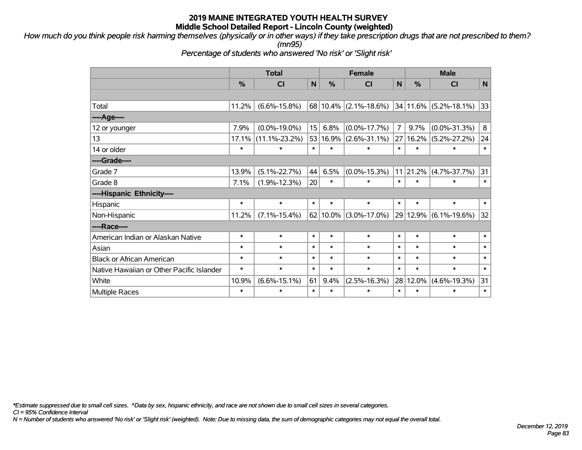*How much do you think people risk harming themselves (physically or in other ways) if they take prescription drugs that are not prescribed to them? (mn95)*

*Percentage of students who answered 'No risk' or 'Slight risk'*

|                                           | <b>Total</b> |                     |                 |              | <b>Female</b>             | <b>Male</b>    |          |                           |              |
|-------------------------------------------|--------------|---------------------|-----------------|--------------|---------------------------|----------------|----------|---------------------------|--------------|
|                                           | %            | CI                  | N               | %            | CI                        | N              | %        | CI                        | $\mathsf{N}$ |
|                                           |              |                     |                 |              |                           |                |          |                           |              |
| Total                                     | 11.2%        | $(6.6\% - 15.8\%)$  |                 |              | $68 10.4\% $ (2.1%-18.6%) |                |          | $34 11.6\% $ (5.2%-18.1%) | 33           |
| ----Age----                               |              |                     |                 |              |                           |                |          |                           |              |
| 12 or younger                             | 7.9%         | $(0.0\% - 19.0\%)$  | 15 <sup>2</sup> | 6.8%         | $(0.0\% - 17.7\%)$        | $\overline{7}$ | 9.7%     | $(0.0\% - 31.3\%)$        | 8            |
| 13                                        | 17.1%        | $(11.1\% - 23.2\%)$ |                 | 53 16.9%     | $(2.6\% - 31.1\%)$        | 27             | 16.2%    | $(5.2\% - 27.2\%)$        | 24           |
| 14 or older                               | $\ast$       | $\ast$              | $\ast$          | $\ast$       | $\ast$                    | $\ast$         | $\ast$   | $\ast$                    | $\ast$       |
| ----Grade----                             |              |                     |                 |              |                           |                |          |                           |              |
| Grade 7                                   | 13.9%        | $(5.1\% - 22.7\%)$  | 44              | 6.5%         | $(0.0\% - 15.3\%)$        | 11             | 21.2%    | $(4.7\% - 37.7\%)$        | 31           |
| Grade 8                                   | 7.1%         | $(1.9\% - 12.3\%)$  | 20              | $\ast$       | $\ast$                    | $\ast$         | $\ast$   | $\ast$                    | $\ast$       |
| ----Hispanic Ethnicity----                |              |                     |                 |              |                           |                |          |                           |              |
| Hispanic                                  | $\ast$       | $\ast$              | $\ast$          | $\ast$       | $\ast$                    | $\ast$         | $\ast$   | $\ast$                    | $\ast$       |
| Non-Hispanic                              | 11.2%        | $(7.1\% - 15.4\%)$  |                 | $62 10.0\% $ | $(3.0\% - 17.0\%)$        |                | 29 12.9% | $(6.1\% - 19.6\%)$        | 32           |
| ----Race----                              |              |                     |                 |              |                           |                |          |                           |              |
| American Indian or Alaskan Native         | $\ast$       | $\ast$              | $\ast$          | $\ast$       | $\ast$                    | $\ast$         | $\ast$   | $\ast$                    | $\ast$       |
| Asian                                     | $\ast$       | $\ast$              | $\ast$          | $\ast$       | $\ast$                    | $\ast$         | $\ast$   | $\ast$                    | $\ast$       |
| <b>Black or African American</b>          | $\ast$       | $\ast$              | $\ast$          | $\ast$       | $\ast$                    | $\ast$         | $\ast$   | $\ast$                    | $\ast$       |
| Native Hawaiian or Other Pacific Islander | $\ast$       | $\ast$              | $\ast$          | $\ast$       | $\ast$                    | $\ast$         | $\ast$   | $\ast$                    | $\ast$       |
| White                                     | 10.9%        | $(6.6\% - 15.1\%)$  | 61              | 9.4%         | $(2.5\% - 16.3\%)$        | 28             | 12.0%    | $(4.6\% - 19.3\%)$        | 31           |
| <b>Multiple Races</b>                     | $\ast$       | $\ast$              | $\ast$          | $\ast$       | $\ast$                    | $\ast$         | $\ast$   | $\ast$                    | $\ast$       |

*\*Estimate suppressed due to small cell sizes. ^Data by sex, hispanic ethnicity, and race are not shown due to small cell sizes in several categories.*

*CI = 95% Confidence Interval*

*N = Number of students who answered 'No risk' or 'Slight risk' (weighted). Note: Due to missing data, the sum of demographic categories may not equal the overall total.*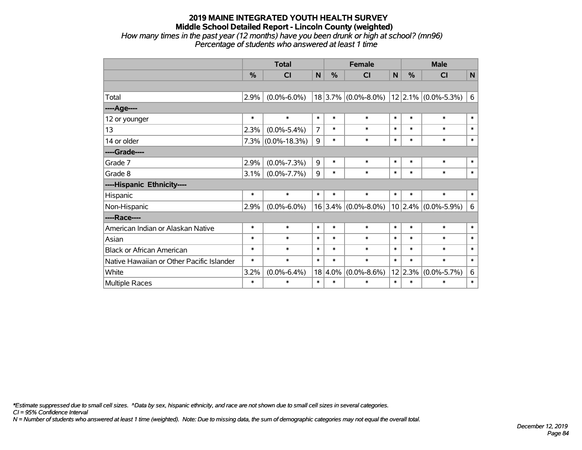#### **2019 MAINE INTEGRATED YOUTH HEALTH SURVEY Middle School Detailed Report - Lincoln County (weighted)** *How many times in the past year (12 months) have you been drunk or high at school? (mn96) Percentage of students who answered at least 1 time*

|                                           | <b>Total</b> |                      |                |               | <b>Female</b>           | <b>Male</b>  |         |                       |        |
|-------------------------------------------|--------------|----------------------|----------------|---------------|-------------------------|--------------|---------|-----------------------|--------|
|                                           | %            | <b>CI</b>            | N              | $\frac{0}{0}$ | <b>CI</b>               | $\mathsf{N}$ | %       | <b>CI</b>             | N      |
|                                           |              |                      |                |               |                         |              |         |                       |        |
| Total                                     | 2.9%         | $(0.0\% - 6.0\%)$    |                |               | $18 3.7\% $ (0.0%-8.0%) |              |         | $12$ 2.1% (0.0%-5.3%) | 6      |
| ----Age----                               |              |                      |                |               |                         |              |         |                       |        |
| 12 or younger                             | $\ast$       | $\ast$               | $\ast$         | $\ast$        | $\ast$                  | $\ast$       | $\ast$  | $\ast$                | $\ast$ |
| 13                                        | 2.3%         | $(0.0\% - 5.4\%)$    | $\overline{7}$ | $\ast$        | $\ast$                  | $\ast$       | $\ast$  | $\ast$                | $\ast$ |
| 14 or older                               |              | $7.3\%$ (0.0%-18.3%) | 9              | $\ast$        | $\ast$                  | $\ast$       | $\ast$  | $\ast$                | $\ast$ |
| ----Grade----                             |              |                      |                |               |                         |              |         |                       |        |
| Grade 7                                   | 2.9%         | $(0.0\% - 7.3\%)$    | 9              | $\ast$        | $\ast$                  | $\ast$       | $\ast$  | $\ast$                | $\ast$ |
| Grade 8                                   | 3.1%         | $(0.0\% - 7.7\%)$    | 9              | $\ast$        | $\ast$                  | $\ast$       | $\ast$  | $\ast$                | $\ast$ |
| ----Hispanic Ethnicity----                |              |                      |                |               |                         |              |         |                       |        |
| Hispanic                                  | $\ast$       | $\ast$               | $\ast$         | $\ast$        | $\ast$                  | $\ast$       | $\ast$  | $\ast$                | $\ast$ |
| Non-Hispanic                              | 2.9%         | $(0.0\% - 6.0\%)$    |                | $16 3.4\% $   | $(0.0\% - 8.0\%)$       |              |         | $10$ 2.4% (0.0%-5.9%) | 6      |
| ----Race----                              |              |                      |                |               |                         |              |         |                       |        |
| American Indian or Alaskan Native         | $\ast$       | $\ast$               | $\ast$         | $\ast$        | $\ast$                  | $\ast$       | $\ast$  | $\ast$                | $\ast$ |
| Asian                                     | $\ast$       | $\ast$               | $\ast$         | $\ast$        | $\ast$                  | $\ast$       | $\ast$  | $\ast$                | $\ast$ |
| <b>Black or African American</b>          | $\ast$       | $\ast$               | $\ast$         | $\ast$        | $\ast$                  | $\ast$       | $\ast$  | $\ast$                | $\ast$ |
| Native Hawaiian or Other Pacific Islander | $\ast$       | $\ast$               | $\ast$         | $\ast$        | $\ast$                  | $\ast$       | $\ast$  | $\ast$                | $\ast$ |
| White                                     | 3.2%         | $(0.0\% - 6.4\%)$    | 18             | 4.0%          | $(0.0\% - 8.6\%)$       |              | 12 2.3% | $(0.0\% - 5.7\%)$     | 6      |
| Multiple Races                            | $\ast$       | $\ast$               | $\ast$         | $\ast$        | $\ast$                  | $\ast$       | $\ast$  | $\ast$                | $\ast$ |

*\*Estimate suppressed due to small cell sizes. ^Data by sex, hispanic ethnicity, and race are not shown due to small cell sizes in several categories.*

*CI = 95% Confidence Interval*

*N = Number of students who answered at least 1 time (weighted). Note: Due to missing data, the sum of demographic categories may not equal the overall total.*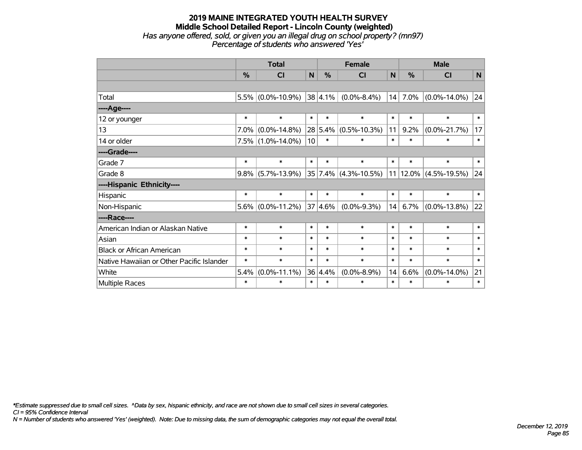### **2019 MAINE INTEGRATED YOUTH HEALTH SURVEY Middle School Detailed Report - Lincoln County (weighted)** *Has anyone offered, sold, or given you an illegal drug on school property? (mn97) Percentage of students who answered 'Yes'*

|                                           | <b>Total</b>  |                      |                 |               | <b>Female</b>                 |              | <b>Male</b> |                       |        |  |
|-------------------------------------------|---------------|----------------------|-----------------|---------------|-------------------------------|--------------|-------------|-----------------------|--------|--|
|                                           | $\frac{0}{0}$ | CI                   | N               | $\frac{0}{0}$ | <b>CI</b>                     | $\mathsf{N}$ | %           | C <sub>1</sub>        | N      |  |
|                                           |               |                      |                 |               |                               |              |             |                       |        |  |
| Total                                     |               | $5.5\%$ (0.0%-10.9%) |                 | 38 4.1%       | $(0.0\% - 8.4\%)$             | 14           | 7.0%        | $(0.0\% - 14.0\%)$    | 24     |  |
| ----Age----                               |               |                      |                 |               |                               |              |             |                       |        |  |
| 12 or younger                             | $\ast$        | $\ast$               | $\ast$          | $\ast$        | $\ast$                        | $\ast$       | $\ast$      | $\ast$                | $\ast$ |  |
| 13                                        | $7.0\%$       | $(0.0\% - 14.8\%)$   |                 |               | 28 5.4% (0.5%-10.3%)          | 11           | 9.2%        | $(0.0\% - 21.7\%)$    | 17     |  |
| 14 or older                               |               | $7.5\%$ (1.0%-14.0%) | 10 <sup>1</sup> | $\ast$        | $\ast$                        | $\ast$       | $\ast$      | $\ast$                | $\ast$ |  |
| ----Grade----                             |               |                      |                 |               |                               |              |             |                       |        |  |
| Grade 7                                   | $\ast$        | $\ast$               | $\ast$          | $\ast$        | $\ast$                        | $\ast$       | $\ast$      | $\ast$                | $\ast$ |  |
| Grade 8                                   |               | $9.8\%$ (5.7%-13.9%) |                 |               | $ 35 7.4\% $ (4.3%-10.5%) $ $ | 11           |             | $12.0\%$ (4.5%-19.5%) | 24     |  |
| ----Hispanic Ethnicity----                |               |                      |                 |               |                               |              |             |                       |        |  |
| Hispanic                                  | $\ast$        | $\ast$               | $\ast$          | $\ast$        | $\ast$                        | $\ast$       | $\ast$      | $\ast$                | $\ast$ |  |
| Non-Hispanic                              |               | $5.6\%$ (0.0%-11.2%) |                 | 37 4.6%       | $(0.0\% - 9.3\%)$             | 14           | 6.7%        | $(0.0\% - 13.8\%)$    | 22     |  |
| ----Race----                              |               |                      |                 |               |                               |              |             |                       |        |  |
| American Indian or Alaskan Native         | $\ast$        | $\ast$               | $\ast$          | $\ast$        | $\ast$                        | $\ast$       | $\ast$      | $\ast$                | $\ast$ |  |
| Asian                                     | $\ast$        | $\ast$               | $\ast$          | $\ast$        | $\ast$                        | $\ast$       | $\ast$      | $\ast$                | $\ast$ |  |
| <b>Black or African American</b>          | $\ast$        | $\ast$               | $\ast$          | $\ast$        | $\ast$                        | $\ast$       | $\ast$      | $\ast$                | $\ast$ |  |
| Native Hawaiian or Other Pacific Islander | $\ast$        | $\ast$               | $\ast$          | $\ast$        | $\ast$                        | $\ast$       | $\ast$      | $\ast$                | $\ast$ |  |
| White                                     | 5.4%          | $(0.0\% - 11.1\%)$   | 36              | 4.4%          | $(0.0\% - 8.9\%)$             | 14           | 6.6%        | $(0.0\% - 14.0\%)$    | 21     |  |
| Multiple Races                            | $\ast$        | $\ast$               | $\ast$          | $\ast$        | $\ast$                        | $\ast$       | $\ast$      | $\ast$                | $\ast$ |  |

*\*Estimate suppressed due to small cell sizes. ^Data by sex, hispanic ethnicity, and race are not shown due to small cell sizes in several categories.*

*CI = 95% Confidence Interval*

*N = Number of students who answered 'Yes' (weighted). Note: Due to missing data, the sum of demographic categories may not equal the overall total.*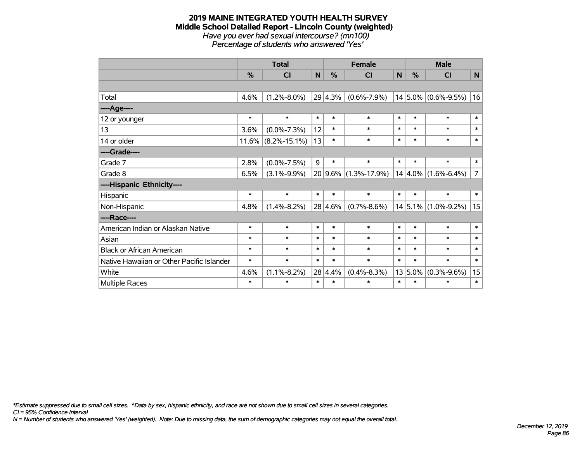#### **2019 MAINE INTEGRATED YOUTH HEALTH SURVEY Middle School Detailed Report - Lincoln County (weighted)** *Have you ever had sexual intercourse? (mn100) Percentage of students who answered 'Yes'*

|                                           | <b>Total</b>  |                    |              |             | <b>Female</b>        |        | <b>Male</b>   |                         |                |  |
|-------------------------------------------|---------------|--------------------|--------------|-------------|----------------------|--------|---------------|-------------------------|----------------|--|
|                                           | $\frac{0}{0}$ | CI                 | $\mathsf{N}$ | %           | <b>CI</b>            | N      | $\frac{0}{0}$ | <b>CI</b>               | N              |  |
|                                           |               |                    |              |             |                      |        |               |                         |                |  |
| Total                                     | 4.6%          | $(1.2\% - 8.0\%)$  |              | $29 4.3\% $ | $(0.6\% - 7.9\%)$    |        |               | $14 5.0\% $ (0.6%-9.5%) | 16             |  |
| ---- Age----                              |               |                    |              |             |                      |        |               |                         |                |  |
| 12 or younger                             | $\ast$        | $\ast$             | $\ast$       | $\ast$      | $\ast$               | $\ast$ | $\ast$        | $\ast$                  | $\ast$         |  |
| 13                                        | 3.6%          | $(0.0\% - 7.3\%)$  | 12           | $\ast$      | $\ast$               | $\ast$ | $\ast$        | $\ast$                  | $\ast$         |  |
| 14 or older                               | 11.6%         | $(8.2\% - 15.1\%)$ | 13           | $\ast$      | $\ast$               | $\ast$ | $\ast$        | $\ast$                  | $\ast$         |  |
| ----Grade----                             |               |                    |              |             |                      |        |               |                         |                |  |
| Grade 7                                   | 2.8%          | $(0.0\% - 7.5\%)$  | 9            | $\ast$      | $\ast$               | $\ast$ | $\ast$        | $\ast$                  | $\ast$         |  |
| Grade 8                                   | 6.5%          | $(3.1\% - 9.9\%)$  |              |             | 20 9.6% (1.3%-17.9%) |        |               | $14 4.0\% $ (1.6%-6.4%) | $\overline{7}$ |  |
| ----Hispanic Ethnicity----                |               |                    |              |             |                      |        |               |                         |                |  |
| Hispanic                                  | $\ast$        | $\ast$             | $\ast$       | $\ast$      | $\ast$               | $\ast$ | $\ast$        | $\ast$                  | $\ast$         |  |
| Non-Hispanic                              | 4.8%          | $(1.4\% - 8.2\%)$  |              | $28 4.6\% $ | $(0.7\% - 8.6\%)$    |        |               | $14 5.1\% $ (1.0%-9.2%) | 15             |  |
| ----Race----                              |               |                    |              |             |                      |        |               |                         |                |  |
| American Indian or Alaskan Native         | $\ast$        | $\ast$             | $\ast$       | $\ast$      | $\ast$               | $\ast$ | $\ast$        | $\ast$                  | $\ast$         |  |
| Asian                                     | $\ast$        | $\ast$             | $\ast$       | $\ast$      | $\ast$               | $\ast$ | $\ast$        | $\ast$                  | $\ast$         |  |
| <b>Black or African American</b>          | $\ast$        | $\ast$             | $\ast$       | $\ast$      | $\ast$               | $\ast$ | $\ast$        | $\ast$                  | $\ast$         |  |
| Native Hawaiian or Other Pacific Islander | $\ast$        | $\ast$             | $\ast$       | $\ast$      | $\ast$               | $\ast$ | $\ast$        | $\ast$                  | $\ast$         |  |
| White                                     | 4.6%          | $(1.1\% - 8.2\%)$  |              | 28 4.4%     | $(0.4\% - 8.3\%)$    | 13     | 5.0%          | $(0.3\% - 9.6\%)$       | 15             |  |
| <b>Multiple Races</b>                     | $\ast$        | $\ast$             | $\ast$       | $\ast$      | $\ast$               | $\ast$ | $\ast$        | $\ast$                  | $\ast$         |  |

*\*Estimate suppressed due to small cell sizes. ^Data by sex, hispanic ethnicity, and race are not shown due to small cell sizes in several categories.*

*CI = 95% Confidence Interval*

*N = Number of students who answered 'Yes' (weighted). Note: Due to missing data, the sum of demographic categories may not equal the overall total.*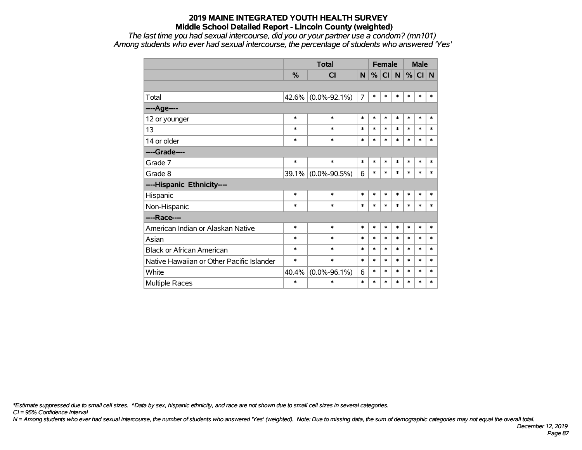*The last time you had sexual intercourse, did you or your partner use a condom? (mn101) Among students who ever had sexual intercourse, the percentage of students who answered 'Yes'*

|                                           |        | <b>Total</b>       |        | <b>Female</b> |        |        | <b>Male</b> |        |        |
|-------------------------------------------|--------|--------------------|--------|---------------|--------|--------|-------------|--------|--------|
|                                           | %      | <b>CI</b>          | N      | %             | CI N   |        | $\%$        | CI N   |        |
|                                           |        |                    |        |               |        |        |             |        |        |
| Total                                     | 42.6%  | $(0.0\% - 92.1\%)$ | 7      | $\ast$        | $\ast$ | $\ast$ | $\ast$      | $\ast$ | *      |
| ----Age----                               |        |                    |        |               |        |        |             |        |        |
| 12 or younger                             | $\ast$ | $\ast$             | $\ast$ | $\ast$        | $\ast$ | $\ast$ | $\ast$      | $\ast$ | *      |
| 13                                        | $\ast$ | $\ast$             | $\ast$ | $\ast$        | $\ast$ | $\ast$ | $\ast$      | $\ast$ | $\ast$ |
| 14 or older                               | $\ast$ | $\ast$             | $\ast$ | $\ast$        | $\ast$ | $\ast$ | $\ast$      | $\ast$ | $\ast$ |
| ----Grade----                             |        |                    |        |               |        |        |             |        |        |
| Grade 7                                   | $\ast$ | $\ast$             | $\ast$ | $\ast$        | $\ast$ | $\ast$ | $\ast$      | $\ast$ | $\ast$ |
| Grade 8                                   | 39.1%  | $(0.0\% - 90.5\%)$ | 6      | $\ast$        | $\ast$ | $\ast$ | $\ast$      | $\ast$ | $\ast$ |
| ----Hispanic Ethnicity----                |        |                    |        |               |        |        |             |        |        |
| Hispanic                                  | $\ast$ | $\ast$             | $\ast$ | $\ast$        | $\ast$ | $\ast$ | $\ast$      | $\ast$ | *      |
| Non-Hispanic                              | $\ast$ | $\ast$             | $\ast$ | $\ast$        | $\ast$ | $\ast$ | $\ast$      | $\ast$ | $\ast$ |
| ----Race----                              |        |                    |        |               |        |        |             |        |        |
| American Indian or Alaskan Native         | $\ast$ | $\ast$             | $\ast$ | $\ast$        | $\ast$ | $\ast$ | $\ast$      | $\ast$ | $\ast$ |
| Asian                                     | $\ast$ | $\ast$             | $\ast$ | $\ast$        | $\ast$ | $\ast$ | $\ast$      | $\ast$ | $\ast$ |
| <b>Black or African American</b>          | $\ast$ | $\ast$             | $\ast$ | $\ast$        | $\ast$ | $\ast$ | $\ast$      | $\ast$ | $\ast$ |
| Native Hawaiian or Other Pacific Islander | $\ast$ | $\ast$             | $\ast$ | $\ast$        | $\ast$ | $\ast$ | $\ast$      | $\ast$ | $\ast$ |
| White                                     | 40.4%  | $(0.0\% - 96.1\%)$ | 6      | $\ast$        | $\ast$ | $\ast$ | $\ast$      | $\ast$ | $\ast$ |
| <b>Multiple Races</b>                     | $\ast$ | $\ast$             | $\ast$ | $\ast$        | $\ast$ | $\ast$ | $\ast$      | $\ast$ | $\ast$ |

*\*Estimate suppressed due to small cell sizes. ^Data by sex, hispanic ethnicity, and race are not shown due to small cell sizes in several categories.*

*CI = 95% Confidence Interval*

*N = Among students who ever had sexual intercourse, the number of students who answered 'Yes' (weighted). Note: Due to missing data, the sum of demographic categories may not equal the overall total.*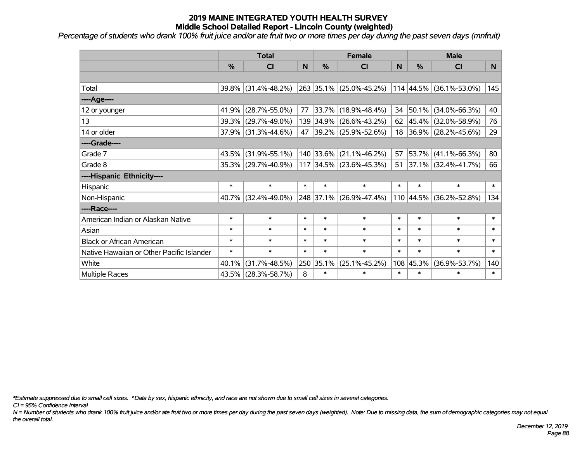*Percentage of students who drank 100% fruit juice and/or ate fruit two or more times per day during the past seven days (mnfruit)*

|                                           | <b>Total</b>  |                        |        |               | <b>Female</b>            | <b>Male</b> |           |                         |              |
|-------------------------------------------|---------------|------------------------|--------|---------------|--------------------------|-------------|-----------|-------------------------|--------------|
|                                           | $\frac{0}{0}$ | CI                     | N      | $\frac{9}{6}$ | CI                       | N           | %         | <b>CI</b>               | <b>N</b>     |
|                                           |               |                        |        |               |                          |             |           |                         |              |
| Total                                     |               | 39.8% (31.4%-48.2%)    |        |               | 263 35.1% (25.0%-45.2%)  |             |           | 114 44.5% (36.1%-53.0%) | 145          |
| ----Age----                               |               |                        |        |               |                          |             |           |                         |              |
| 12 or younger                             | 41.9%         | $(28.7\% - 55.0\%)$    | 77     |               | 33.7% (18.9%-48.4%)      | 34          | 50.1%     | $(34.0\% - 66.3\%)$     | 40           |
| 13                                        | 39.3%         | $(29.7\% - 49.0\%)$    |        |               | 139 34.9% (26.6%-43.2%)  |             |           | 62 45.4% (32.0%-58.9%)  | 76           |
| 14 or older                               |               | $37.9\%$ (31.3%-44.6%) | 47     |               | $ 39.2\% $ (25.9%-52.6%) |             |           | 18 36.9% (28.2%-45.6%)  | 29           |
| ----Grade----                             |               |                        |        |               |                          |             |           |                         |              |
| Grade 7                                   | 43.5%         | $(31.9\% - 55.1\%)$    |        |               | 140 33.6% (21.1%-46.2%)  | 57          | 53.7%     | $(41.1\% - 66.3\%)$     | 80           |
| Grade 8                                   |               | 35.3% (29.7%-40.9%)    |        |               | 117 34.5% (23.6%-45.3%)  |             |           | 51 37.1% (32.4%-41.7%)  | 66           |
| ----Hispanic Ethnicity----                |               |                        |        |               |                          |             |           |                         |              |
| Hispanic                                  | $\ast$        | $\ast$                 | $\ast$ | $\ast$        | $\ast$                   | $\ast$      | $\ast$    | $\ast$                  | $\ast$       |
| Non-Hispanic                              |               | 40.7% (32.4%-49.0%)    |        |               | 248 37.1% (26.9%-47.4%)  |             | 110 44.5% | $(36.2\% - 52.8\%)$     | 134          |
| ----Race----                              |               |                        |        |               |                          |             |           |                         |              |
| American Indian or Alaskan Native         | $\ast$        | $\ast$                 | $\ast$ | $\ast$        | $\ast$                   | $\ast$      | $\ast$    | $\ast$                  | $\ast$       |
| Asian                                     | $\ast$        | $\ast$                 | $\ast$ | $\ast$        | $\ast$                   | $\ast$      | $\ast$    | $\ast$                  | $\ast$       |
| <b>Black or African American</b>          | $\ast$        | $\ast$                 | $\ast$ | $\ast$        | $\ast$                   | $\ast$      | $\ast$    | $\ast$                  | $\ast$       |
| Native Hawaiian or Other Pacific Islander | $\ast$        | $\ast$                 | $\ast$ | $\ast$        | $\ast$                   | $\ast$      | $\ast$    | $\ast$                  | $\pmb{\ast}$ |
| White                                     | 40.1%         | $(31.7\% - 48.5\%)$    |        | 250 35.1%     | $(25.1\% - 45.2\%)$      |             | 108 45.3% | $(36.9\% - 53.7\%)$     | 140          |
| Multiple Races                            |               | 43.5% (28.3%-58.7%)    | 8      | $\ast$        | $\ast$                   | $\ast$      | $\ast$    | *                       | $\ast$       |

*\*Estimate suppressed due to small cell sizes. ^Data by sex, hispanic ethnicity, and race are not shown due to small cell sizes in several categories.*

*CI = 95% Confidence Interval*

*N = Number of students who drank 100% fruit juice and/or ate fruit two or more times per day during the past seven days (weighted). Note: Due to missing data, the sum of demographic categories may not equal the overall total.*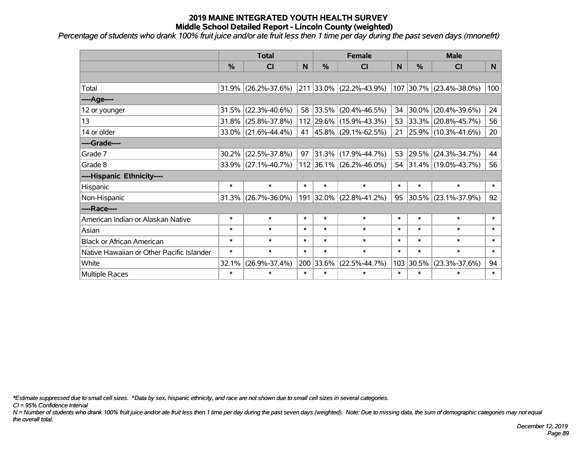*Percentage of students who drank 100% fruit juice and/or ate fruit less then 1 time per day during the past seven days (mnonefrt)*

|                                           | <b>Total</b>  |                        |                |               | <b>Female</b>               |        | <b>Male</b> |                          |        |  |
|-------------------------------------------|---------------|------------------------|----------------|---------------|-----------------------------|--------|-------------|--------------------------|--------|--|
|                                           | $\frac{0}{0}$ | CI                     | N <sub>1</sub> | $\frac{9}{6}$ | <b>CI</b>                   | N      | %           | <b>CI</b>                | N.     |  |
|                                           |               |                        |                |               |                             |        |             |                          |        |  |
| Total                                     |               | $31.9\%$ (26.2%-37.6%) |                |               | 211 33.0% (22.2%-43.9%)     |        |             | 107 30.7% (23.4%-38.0%)  | 100    |  |
| ----Age----                               |               |                        |                |               |                             |        |             |                          |        |  |
| 12 or younger                             | 31.5%         | $(22.3\% - 40.6\%)$    | 58             |               | $ 33.5\% $ (20.4%-46.5%)    | 34     | 30.0%       | $(20.4\% - 39.6\%)$      | 24     |  |
| 13                                        | 31.8%         | $(25.8\% - 37.8\%)$    |                |               | 112 29.6% (15.9%-43.3%)     |        | 53 33.3%    | $(20.8\% - 45.7\%)$      | 56     |  |
| 14 or older                               |               | $33.0\%$ (21.6%-44.4%) |                |               | 41 $ 45.8\% $ (29.1%-62.5%) | 21     |             | $ 25.9\% $ (10.3%-41.6%) | 20     |  |
| ----Grade----                             |               |                        |                |               |                             |        |             |                          |        |  |
| Grade 7                                   | 30.2%         | $(22.5\% - 37.8\%)$    | 97             |               | 31.3% (17.9%-44.7%)         | 53     | 29.5%       | $(24.3\% - 34.7\%)$      | 44     |  |
| Grade 8                                   |               | $33.9\%$ (27.1%-40.7%) |                |               | $112$ 36.1% (26.2%-46.0%)   |        |             | 54 31.4% (19.0%-43.7%)   | 56     |  |
| ----Hispanic Ethnicity----                |               |                        |                |               |                             |        |             |                          |        |  |
| Hispanic                                  | $\ast$        | $\ast$                 | $\ast$         | $\ast$        | $\ast$                      | $\ast$ | $\ast$      | $\ast$                   | $\ast$ |  |
| Non-Hispanic                              |               | $31.3\%$ (26.7%-36.0%) |                | 191 32.0%     | $(22.8\% - 41.2\%)$         | 95     | 30.5%       | $(23.1\% - 37.9\%)$      | 92     |  |
| ----Race----                              |               |                        |                |               |                             |        |             |                          |        |  |
| American Indian or Alaskan Native         | $\ast$        | $\ast$                 | $\ast$         | $\ast$        | $\ast$                      | $\ast$ | $\ast$      | $\ast$                   | $\ast$ |  |
| Asian                                     | $\ast$        | $\ast$                 | $\ast$         | $\ast$        | $\ast$                      | $\ast$ | $\ast$      | $\ast$                   | $\ast$ |  |
| <b>Black or African American</b>          | $\ast$        | $\ast$                 | $\ast$         | $\ast$        | $\ast$                      | $\ast$ | $\ast$      | $\ast$                   | $\ast$ |  |
| Native Hawaiian or Other Pacific Islander | $\ast$        | $\ast$                 | $\ast$         | $\ast$        | $\ast$                      | $\ast$ | $\ast$      | $\ast$                   | $\ast$ |  |
| White                                     | 32.1%         | $(26.9\% - 37.4\%)$    |                | 200 33.6%     | $(22.5\% - 44.7\%)$         | 103    | 30.5%       | $(23.3\% - 37.6\%)$      | 94     |  |
| Multiple Races                            | $\ast$        | $\ast$                 | $\ast$         | $\ast$        | $\ast$                      | $\ast$ | $\ast$      | $\ast$                   | $\ast$ |  |

*\*Estimate suppressed due to small cell sizes. ^Data by sex, hispanic ethnicity, and race are not shown due to small cell sizes in several categories.*

*CI = 95% Confidence Interval*

*N = Number of students who drank 100% fruit juice and/or ate fruit less then 1 time per day during the past seven days (weighted). Note: Due to missing data, the sum of demographic categories may not equal the overall total.*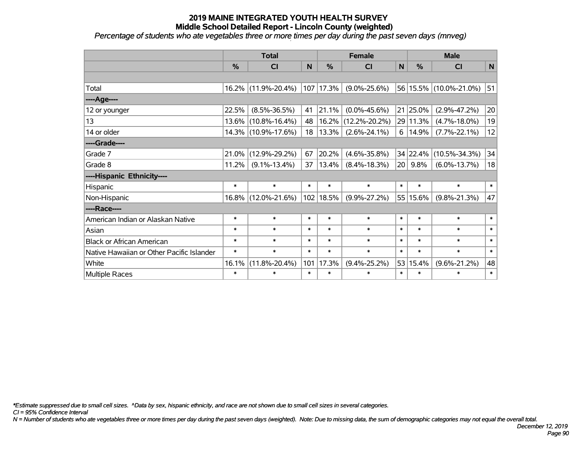*Percentage of students who ate vegetables three or more times per day during the past seven days (mnveg)*

|                                           | <b>Total</b>  |                     |        | <b>Female</b> | <b>Male</b>         |                 |             |                        |        |
|-------------------------------------------|---------------|---------------------|--------|---------------|---------------------|-----------------|-------------|------------------------|--------|
|                                           | $\frac{0}{0}$ | <b>CI</b>           | N      | $\frac{0}{0}$ | <b>CI</b>           | N               | %           | <b>CI</b>              | N      |
|                                           |               |                     |        |               |                     |                 |             |                        |        |
| Total                                     |               | 16.2% (11.9%-20.4%) |        | 107 17.3%     | $(9.0\% - 25.6\%)$  |                 |             | 56 15.5% (10.0%-21.0%) | 51     |
| ---- Age----                              |               |                     |        |               |                     |                 |             |                        |        |
| 12 or younger                             | 22.5%         | $(8.5\% - 36.5\%)$  | 41     | 21.1%         | $(0.0\% - 45.6\%)$  |                 | $21 25.0\%$ | $(2.9\% - 47.2\%)$     | 20     |
| 13                                        | $13.6\%$      | $(10.8\% - 16.4\%)$ | 48     | 16.2%         | $(12.2\% - 20.2\%)$ |                 | 29 11.3%    | $(4.7\% - 18.0\%)$     | 19     |
| 14 or older                               |               | 14.3% (10.9%-17.6%) | 18     | $ 13.3\% $    | $(2.6\% - 24.1\%)$  |                 | 6 14.9%     | $(7.7\% - 22.1\%)$     | 12     |
| ----Grade----                             |               |                     |        |               |                     |                 |             |                        |        |
| Grade 7                                   | 21.0%         | $(12.9\% - 29.2\%)$ | 67     | 20.2%         | $(4.6\% - 35.8\%)$  |                 | 34 22.4%    | $(10.5\% - 34.3\%)$    | 34     |
| Grade 8                                   | $11.2\%$      | $(9.1\% - 13.4\%)$  | 37     | $13.4\%$      | $(8.4\% - 18.3\%)$  | 20 <sub>1</sub> | 9.8%        | $(6.0\% - 13.7\%)$     | 18     |
| ----Hispanic Ethnicity----                |               |                     |        |               |                     |                 |             |                        |        |
| <b>Hispanic</b>                           | $\ast$        | $\ast$              | $\ast$ | $\ast$        | $\ast$              | $\ast$          | $\ast$      | $\ast$                 | $\ast$ |
| Non-Hispanic                              |               | 16.8% (12.0%-21.6%) |        | 102 18.5%     | $(9.9\% - 27.2\%)$  | 55              | 15.6%       | $(9.8\% - 21.3\%)$     | 47     |
| ----Race----                              |               |                     |        |               |                     |                 |             |                        |        |
| American Indian or Alaskan Native         | $\ast$        | $\ast$              | $\ast$ | $\ast$        | $\ast$              | $\ast$          | $\ast$      | $\ast$                 | $\ast$ |
| Asian                                     | $\ast$        | $\ast$              | $\ast$ | $\ast$        | $\ast$              | $\ast$          | $\ast$      | $\ast$                 | $\ast$ |
| <b>Black or African American</b>          | $\ast$        | $\ast$              | $\ast$ | $\ast$        | $\ast$              | $\ast$          | $\ast$      | $\ast$                 | $\ast$ |
| Native Hawaiian or Other Pacific Islander | $\ast$        | $\ast$              | $\ast$ | $\ast$        | $\ast$              | $\ast$          | $\ast$      | $\ast$                 | $\ast$ |
| White                                     | 16.1%         | $(11.8\% - 20.4\%)$ | 101    | 17.3%         | $(9.4\% - 25.2\%)$  | 53              | 15.4%       | $(9.6\% - 21.2\%)$     | 48     |
| Multiple Races                            | $\ast$        | $\ast$              | $\ast$ | $\ast$        | $\ast$              | $\ast$          | $\ast$      | $\ast$                 | $\ast$ |

*\*Estimate suppressed due to small cell sizes. ^Data by sex, hispanic ethnicity, and race are not shown due to small cell sizes in several categories.*

*CI = 95% Confidence Interval*

*N = Number of students who ate vegetables three or more times per day during the past seven days (weighted). Note: Due to missing data, the sum of demographic categories may not equal the overall total.*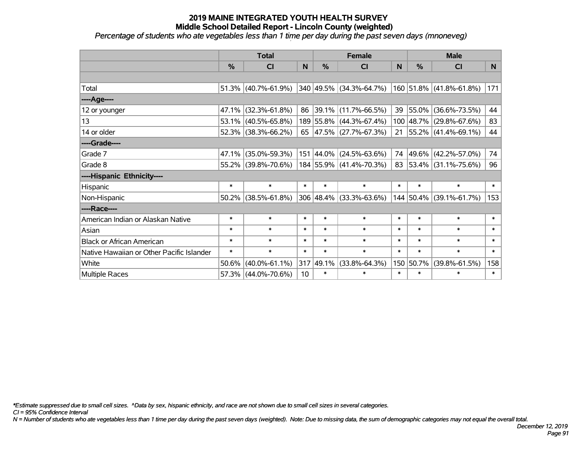*Percentage of students who ate vegetables less than 1 time per day during the past seven days (mnoneveg)*

|                                           | <b>Total</b> |                        |        |               | <b>Female</b>                      |        | <b>Male</b> |                         |        |  |
|-------------------------------------------|--------------|------------------------|--------|---------------|------------------------------------|--------|-------------|-------------------------|--------|--|
|                                           | %            | <b>CI</b>              | N      | $\frac{0}{0}$ | <b>CI</b>                          | N      | %           | <b>CI</b>               | N      |  |
|                                           |              |                        |        |               |                                    |        |             |                         |        |  |
| Total                                     |              | $51.3\%$ (40.7%-61.9%) |        |               | 340 49.5% (34.3%-64.7%)            |        |             | 160 51.8% (41.8%-61.8%) | 171    |  |
| ----Age----                               |              |                        |        |               |                                    |        |             |                         |        |  |
| 12 or younger                             | 47.1%        | $(32.3\% - 61.8\%)$    | 86     |               | 39.1% (11.7%-66.5%)                | 39     | 55.0%       | $(36.6\% - 73.5\%)$     | 44     |  |
| 13                                        |              | 53.1% (40.5%-65.8%)    |        |               | 189 55.8% (44.3%-67.4%)            |        |             | 100 48.7% (29.8%-67.6%) | 83     |  |
| 14 or older                               |              | 52.3% (38.3%-66.2%)    |        |               | 65 47.5% (27.7%-67.3%)             | 21     |             | 55.2% (41.4%-69.1%)     | 44     |  |
| ----Grade----                             |              |                        |        |               |                                    |        |             |                         |        |  |
| Grade 7                                   | 47.1%        | $(35.0\% - 59.3\%)$    |        |               | $151   44.0\%   (24.5\% - 63.6\%)$ | 74     |             | 49.6% (42.2%-57.0%)     | 74     |  |
| Grade 8                                   |              | 55.2% (39.8%-70.6%)    |        |               | 184 55.9% (41.4%-70.3%)            |        |             | 83 53.4% (31.1%-75.6%)  | 96     |  |
| ----Hispanic Ethnicity----                |              |                        |        |               |                                    |        |             |                         |        |  |
| Hispanic                                  | $\ast$       | $\ast$                 | $\ast$ | $\ast$        | $\ast$                             | $\ast$ | $\ast$      | $\ast$                  | $\ast$ |  |
| Non-Hispanic                              | $50.2\%$     | $(38.5\% - 61.8\%)$    |        | 306 48.4%     | $(33.3\% - 63.6\%)$                |        |             | 144 50.4% (39.1%-61.7%) | 153    |  |
| ----Race----                              |              |                        |        |               |                                    |        |             |                         |        |  |
| American Indian or Alaskan Native         | $\ast$       | $\ast$                 | $\ast$ | $\ast$        | $\ast$                             | $\ast$ | $\ast$      | $\ast$                  | $\ast$ |  |
| Asian                                     | $\ast$       | $\ast$                 | $\ast$ | $\ast$        | $\ast$                             | $\ast$ | $\ast$      | $\ast$                  | $\ast$ |  |
| <b>Black or African American</b>          | $\ast$       | $\ast$                 | $\ast$ | $\ast$        | $\ast$                             | $\ast$ | $\ast$      | $\ast$                  | $\ast$ |  |
| Native Hawaiian or Other Pacific Islander | $\ast$       | $\ast$                 | $\ast$ | $\ast$        | $\ast$                             | $\ast$ | $\ast$      | $\ast$                  | $\ast$ |  |
| White                                     | 50.6%        | $(40.0\% - 61.1\%)$    | 317    | 49.1%         | $(33.8\% - 64.3\%)$                | 150    | 50.7%       | $(39.8\% - 61.5\%)$     | 158    |  |
| Multiple Races                            |              | $57.3\%$ (44.0%-70.6%) | 10     | $\ast$        | $\ast$                             | $\ast$ | $\ast$      | $\ast$                  | $\ast$ |  |

*\*Estimate suppressed due to small cell sizes. ^Data by sex, hispanic ethnicity, and race are not shown due to small cell sizes in several categories.*

*CI = 95% Confidence Interval*

*N = Number of students who ate vegetables less than 1 time per day during the past seven days (weighted). Note: Due to missing data, the sum of demographic categories may not equal the overall total.*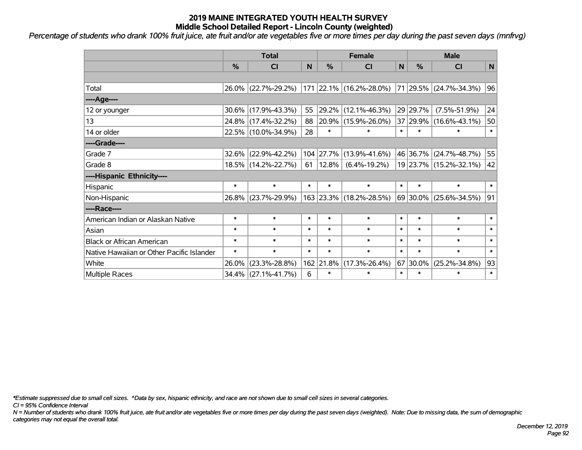*Percentage of students who drank 100% fruit juice, ate fruit and/or ate vegetables five or more times per day during the past seven days (mnfrvg)*

|                                           | <b>Total</b>  |                     |        |               | <b>Female</b>            | <b>Male</b> |               |                        |        |
|-------------------------------------------|---------------|---------------------|--------|---------------|--------------------------|-------------|---------------|------------------------|--------|
|                                           | $\frac{0}{0}$ | C <sub>l</sub>      | N      | $\frac{0}{0}$ | <b>CI</b>                | ${\sf N}$   | $\frac{0}{0}$ | <b>CI</b>              | N      |
|                                           |               |                     |        |               |                          |             |               |                        |        |
| Total                                     |               | 26.0% (22.7%-29.2%) | 171    |               | $ 22.1\% $ (16.2%-28.0%) |             |               | 71 29.5% (24.7%-34.3%) | 96     |
| ---- Age----                              |               |                     |        |               |                          |             |               |                        |        |
| 12 or younger                             | 30.6%         | $(17.9\% - 43.3\%)$ | 55     |               | 29.2% (12.1%-46.3%)      |             | 29 29.7%      | $(7.5\% - 51.9\%)$     | 24     |
| 13                                        |               | 24.8% (17.4%-32.2%) | 88     |               | 20.9% (15.9%-26.0%)      |             | 37 29.9%      | $(16.6\% - 43.1\%)$    | 50     |
| 14 or older                               |               | 22.5% (10.0%-34.9%) | 28     | $\ast$        | $\ast$                   | $\ast$      | $\ast$        | *                      | $\ast$ |
| ----Grade----                             |               |                     |        |               |                          |             |               |                        |        |
| Grade 7                                   | 32.6%         | $(22.9\% - 42.2\%)$ |        | 104 27.7%     | $(13.9\% - 41.6\%)$      |             | 46 36.7%      | $(24.7\% - 48.7\%)$    | 55     |
| Grade 8                                   |               | 18.5% (14.2%-22.7%) | 61     | 12.8%         | $(6.4\% - 19.2\%)$       |             |               | 19 23.7% (15.2%-32.1%) | 42     |
| ----Hispanic Ethnicity----                |               |                     |        |               |                          |             |               |                        |        |
| Hispanic                                  | $\ast$        | $\ast$              | $\ast$ | $\ast$        | $\ast$                   | $\ast$      | $\ast$        | $\ast$                 | $\ast$ |
| Non-Hispanic                              | 26.8%         | $(23.7\% - 29.9\%)$ |        |               | 163 23.3% (18.2%-28.5%)  |             |               | 69 30.0% (25.6%-34.5%) | 91     |
| ----Race----                              |               |                     |        |               |                          |             |               |                        |        |
| American Indian or Alaskan Native         | $\ast$        | $\ast$              | $\ast$ | $\ast$        | $\ast$                   | $\ast$      | $\ast$        | $\ast$                 | $\ast$ |
| Asian                                     | $\ast$        | $\ast$              | $\ast$ | $\ast$        | $\ast$                   | $\ast$      | $\ast$        | $\ast$                 | $\ast$ |
| <b>Black or African American</b>          | $\ast$        | $\ast$              | $\ast$ | $\ast$        | $\ast$                   | $\ast$      | $\ast$        | $\ast$                 | $\ast$ |
| Native Hawaiian or Other Pacific Islander | $\ast$        | $\ast$              | $\ast$ | $\ast$        | $\ast$                   | $\ast$      | $\ast$        | $\ast$                 | $\ast$ |
| White                                     | 26.0%         | $(23.3\% - 28.8\%)$ | 162    | 21.8%         | $(17.3\% - 26.4\%)$      | 67          | 30.0%         | $(25.2\% - 34.8\%)$    | 93     |
| <b>Multiple Races</b>                     |               | 34.4% (27.1%-41.7%) | 6      | $\ast$        | $\ast$                   | $\ast$      | $\ast$        | $\ast$                 | $\ast$ |

*\*Estimate suppressed due to small cell sizes. ^Data by sex, hispanic ethnicity, and race are not shown due to small cell sizes in several categories.*

*CI = 95% Confidence Interval*

*N = Number of students who drank 100% fruit juice, ate fruit and/or ate vegetables five or more times per day during the past seven days (weighted). Note: Due to missing data, the sum of demographic categories may not equal the overall total.*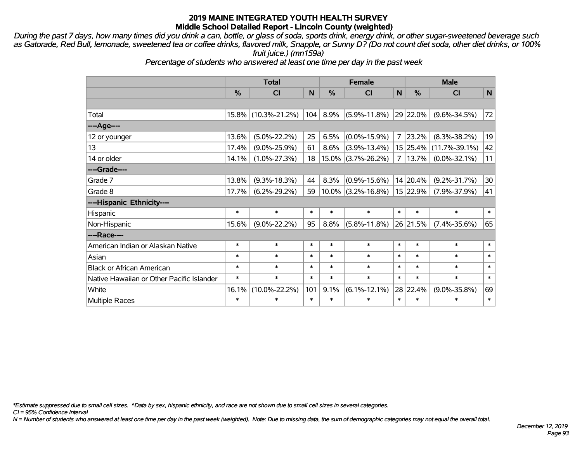*During the past 7 days, how many times did you drink a can, bottle, or glass of soda, sports drink, energy drink, or other sugar-sweetened beverage such as Gatorade, Red Bull, lemonade, sweetened tea or coffee drinks, flavored milk, Snapple, or Sunny D? (Do not count diet soda, other diet drinks, or 100% fruit juice.) (mn159a)*

*Percentage of students who answered at least one time per day in the past week*

|                                           | <b>Total</b>  |                     |        |        | <b>Female</b>         |                | <b>Male</b> |                     |              |  |
|-------------------------------------------|---------------|---------------------|--------|--------|-----------------------|----------------|-------------|---------------------|--------------|--|
|                                           | $\frac{0}{0}$ | <b>CI</b>           | N      | %      | <b>CI</b>             | $\mathsf{N}$   | %           | <b>CI</b>           | $\mathsf{N}$ |  |
|                                           |               |                     |        |        |                       |                |             |                     |              |  |
| Total                                     |               | 15.8% (10.3%-21.2%) | 104    | 8.9%   | $(5.9\% - 11.8\%)$    |                | 29 22.0%    | $(9.6\% - 34.5\%)$  | 72           |  |
| ---- Age----                              |               |                     |        |        |                       |                |             |                     |              |  |
| 12 or younger                             | 13.6%         | $(5.0\% - 22.2\%)$  | 25     | 6.5%   | $(0.0\% - 15.9\%)$    | $\overline{7}$ | 23.2%       | $(8.3\% - 38.2\%)$  | 19           |  |
| 13                                        | 17.4%         | $(9.0\% - 25.9\%)$  | 61     | 8.6%   | $(3.9\% - 13.4\%)$    |                | 15 25.4%    | $(11.7\% - 39.1\%)$ | 42           |  |
| 14 or older                               | 14.1%         | $(1.0\% - 27.3\%)$  | 18     |        | $15.0\%$ (3.7%-26.2%) | 7              | 13.7%       | $(0.0\% - 32.1\%)$  | 11           |  |
| ----Grade----                             |               |                     |        |        |                       |                |             |                     |              |  |
| Grade 7                                   | 13.8%         | $(9.3\% - 18.3\%)$  | 44     | 8.3%   | $(0.9\% - 15.6\%)$    |                | 14 20.4%    | $(9.2\% - 31.7\%)$  | 30           |  |
| Grade 8                                   | 17.7%         | $(6.2\% - 29.2\%)$  | 59     |        | $10.0\%$ (3.2%-16.8%) |                | 15 22.9%    | $(7.9\% - 37.9\%)$  | 41           |  |
| ----Hispanic Ethnicity----                |               |                     |        |        |                       |                |             |                     |              |  |
| Hispanic                                  | $\ast$        | $\ast$              | $\ast$ | $\ast$ | $\ast$                | $\ast$         | $\ast$      | $\ast$              | $\ast$       |  |
| Non-Hispanic                              | 15.6%         | $(9.0\% - 22.2\%)$  | 95     | 8.8%   | $(5.8\% - 11.8\%)$    |                | 26 21.5%    | $(7.4\% - 35.6\%)$  | 65           |  |
| ----Race----                              |               |                     |        |        |                       |                |             |                     |              |  |
| American Indian or Alaskan Native         | $\ast$        | $\ast$              | $\ast$ | $\ast$ | $\ast$                | $\ast$         | $\ast$      | $\ast$              | $\ast$       |  |
| Asian                                     | $\ast$        | $\ast$              | $\ast$ | $\ast$ | $\ast$                | $\ast$         | $\ast$      | $\ast$              | $\ast$       |  |
| <b>Black or African American</b>          | $\ast$        | $\ast$              | $\ast$ | $\ast$ | $\ast$                | $\ast$         | $\ast$      | $\ast$              | $\ast$       |  |
| Native Hawaiian or Other Pacific Islander | $\ast$        | $\ast$              | $\ast$ | $\ast$ | $\ast$                | $\ast$         | $\ast$      | $\ast$              | $\ast$       |  |
| White                                     | 16.1%         | $(10.0\% - 22.2\%)$ | 101    | 9.1%   | $(6.1\% - 12.1\%)$    |                | 28 22.4%    | $(9.0\% - 35.8\%)$  | 69           |  |
| Multiple Races                            | $\ast$        | $\ast$              | $\ast$ | $\ast$ | $\ast$                | $\ast$         | $\ast$      | $\ast$              | $\ast$       |  |

*\*Estimate suppressed due to small cell sizes. ^Data by sex, hispanic ethnicity, and race are not shown due to small cell sizes in several categories.*

*CI = 95% Confidence Interval*

*N = Number of students who answered at least one time per day in the past week (weighted). Note: Due to missing data, the sum of demographic categories may not equal the overall total.*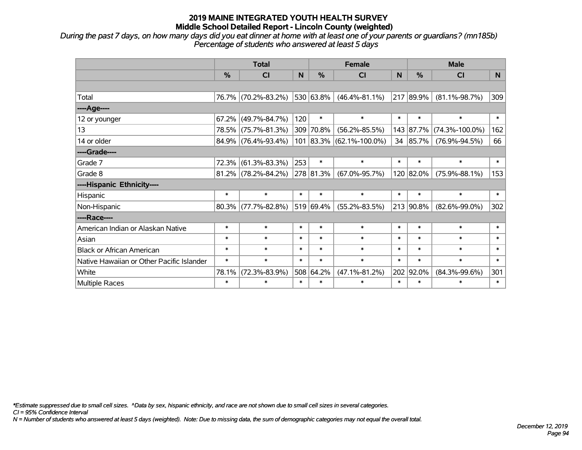*During the past 7 days, on how many days did you eat dinner at home with at least one of your parents or guardians? (mn185b) Percentage of students who answered at least 5 days*

|                                           | <b>Total</b> |                        |        |           | <b>Female</b>              |        | <b>Male</b>   |                      |          |  |
|-------------------------------------------|--------------|------------------------|--------|-----------|----------------------------|--------|---------------|----------------------|----------|--|
|                                           | %            | <b>CI</b>              | N      | %         | <b>CI</b>                  | N      | $\frac{0}{0}$ | <b>CI</b>            | <b>N</b> |  |
|                                           |              |                        |        |           |                            |        |               |                      |          |  |
| Total                                     |              | 76.7% (70.2%-83.2%)    |        | 530 63.8% | $(46.4\% - 81.1\%)$        | 217    | 89.9%         | $(81.1\% - 98.7\%)$  | 309      |  |
| ----Age----                               |              |                        |        |           |                            |        |               |                      |          |  |
| 12 or younger                             | 67.2%        | $(49.7\% - 84.7\%)$    | 120    | $\ast$    | $\ast$                     | $\ast$ | $\ast$        | $\ast$               | $\ast$   |  |
| 13                                        |              | 78.5% (75.7%-81.3%)    |        | 309 70.8% | $(56.2\% - 85.5\%)$        |        | 143 87.7%     | $(74.3\% - 100.0\%)$ | 162      |  |
| 14 or older                               |              | 84.9% (76.4%-93.4%)    |        |           | $101$ 83.3% (62.1%-100.0%) |        | 34 85.7%      | $(76.9\% - 94.5\%)$  | 66       |  |
| ----Grade----                             |              |                        |        |           |                            |        |               |                      |          |  |
| Grade 7                                   | 72.3%        | $(61.3\% - 83.3\%)$    | 253    | $\ast$    | $\ast$                     | $\ast$ | $\ast$        | $\ast$               | $\ast$   |  |
| Grade 8                                   |              | $81.2\%$ (78.2%-84.2%) |        | 278 81.3% | $(67.0\% - 95.7\%)$        |        | 120 82.0%     | $(75.9\% - 88.1\%)$  | 153      |  |
| ----Hispanic Ethnicity----                |              |                        |        |           |                            |        |               |                      |          |  |
| Hispanic                                  | $\ast$       | $\ast$                 | $\ast$ | $\ast$    | $\ast$                     | $\ast$ | $\ast$        | $\ast$               | $\ast$   |  |
| Non-Hispanic                              |              | $80.3\%$ (77.7%-82.8%) |        | 519 69.4% | $(55.2\% - 83.5\%)$        |        | 213 90.8%     | $(82.6\% - 99.0\%)$  | 302      |  |
| ----Race----                              |              |                        |        |           |                            |        |               |                      |          |  |
| American Indian or Alaskan Native         | $\ast$       | $\ast$                 | $\ast$ | $\ast$    | $\ast$                     | $\ast$ | $\ast$        | $\ast$               | $\ast$   |  |
| Asian                                     | $\ast$       | $\ast$                 | $\ast$ | $\ast$    | $\ast$                     | $\ast$ | $\ast$        | $\ast$               | $\ast$   |  |
| <b>Black or African American</b>          | $\ast$       | $\ast$                 | $\ast$ | $\ast$    | $\ast$                     | $\ast$ | $\ast$        | $\ast$               | $\ast$   |  |
| Native Hawaiian or Other Pacific Islander | $\ast$       | $\ast$                 | $\ast$ | $\ast$    | $\ast$                     | $\ast$ | $\ast$        | $\ast$               | $\ast$   |  |
| White                                     | 78.1%        | $(72.3\% - 83.9\%)$    | 508    | 64.2%     | $(47.1\% - 81.2\%)$        | 202    | 92.0%         | $(84.3\% - 99.6\%)$  | 301      |  |
| Multiple Races                            | $\ast$       | $\ast$                 | $\ast$ | $\ast$    | $\ast$                     | $\ast$ | $\ast$        | $\ast$               | $\ast$   |  |

*\*Estimate suppressed due to small cell sizes. ^Data by sex, hispanic ethnicity, and race are not shown due to small cell sizes in several categories.*

*CI = 95% Confidence Interval*

*N = Number of students who answered at least 5 days (weighted). Note: Due to missing data, the sum of demographic categories may not equal the overall total.*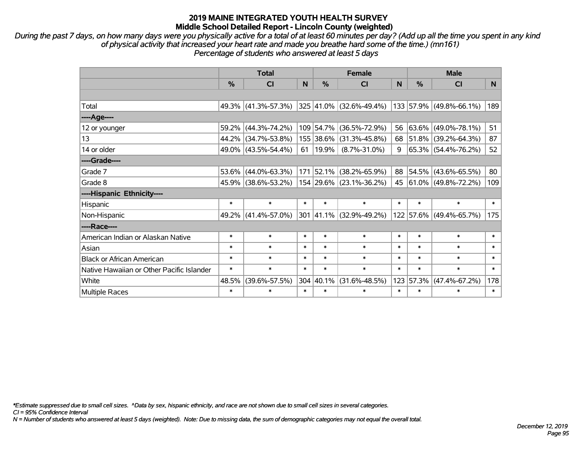*During the past 7 days, on how many days were you physically active for a total of at least 60 minutes per day? (Add up all the time you spent in any kind of physical activity that increased your heart rate and made you breathe hard some of the time.) (mn161) Percentage of students who answered at least 5 days*

|                                           | <b>Total</b>  |                     |        |               | <b>Female</b>           |        | <b>Male</b>   |                          |        |  |
|-------------------------------------------|---------------|---------------------|--------|---------------|-------------------------|--------|---------------|--------------------------|--------|--|
|                                           | $\frac{0}{0}$ | <b>CI</b>           | N      | $\frac{0}{0}$ | CI                      | N      | $\frac{0}{0}$ | <b>CI</b>                | N.     |  |
|                                           |               |                     |        |               |                         |        |               |                          |        |  |
| Total                                     |               | 49.3% (41.3%-57.3%) |        |               | 325 41.0% (32.6%-49.4%) |        | 133 57.9%     | $(49.8\% - 66.1\%)$      | 189    |  |
| ----Age----                               |               |                     |        |               |                         |        |               |                          |        |  |
| 12 or younger                             | 59.2%         | $(44.3\% - 74.2\%)$ |        | 109 54.7%     | $(36.5\% - 72.9\%)$     | 56     | 63.6%         | $(49.0\% - 78.1\%)$      | 51     |  |
| 13                                        |               | 44.2% (34.7%-53.8%) |        | 155 38.6%     | $(31.3\% - 45.8\%)$     |        | 68 51.8%      | $(39.2\% - 64.3\%)$      | 87     |  |
| 14 or older                               |               | 49.0% (43.5%-54.4%) | 61     | $ 19.9\% $    | $(8.7\% - 31.0\%)$      | 9      |               | 65.3% (54.4%-76.2%)      | 52     |  |
| ----Grade----                             |               |                     |        |               |                         |        |               |                          |        |  |
| Grade 7                                   | 53.6%         | $(44.0\% - 63.3\%)$ |        | 171 52.1%     | $(38.2\% - 65.9\%)$     | 88     | 54.5%         | $(43.6\% - 65.5\%)$      | 80     |  |
| Grade 8                                   |               | 45.9% (38.6%-53.2%) |        |               | 154 29.6% (23.1%-36.2%) | 45     |               | $ 61.0\% $ (49.8%-72.2%) | 109    |  |
| ----Hispanic Ethnicity----                |               |                     |        |               |                         |        |               |                          |        |  |
| Hispanic                                  | $\ast$        | $\ast$              | $\ast$ | $\ast$        | $\ast$                  | $\ast$ | $\ast$        | $\ast$                   | $\ast$ |  |
| Non-Hispanic                              |               | 49.2% (41.4%-57.0%) |        |               | 301 41.1% (32.9%-49.2%) |        | 122 57.6%     | $(49.4\% - 65.7\%)$      | 175    |  |
| ----Race----                              |               |                     |        |               |                         |        |               |                          |        |  |
| American Indian or Alaskan Native         | $\ast$        | $\ast$              | $\ast$ | $\ast$        | $\ast$                  | $\ast$ | $\ast$        | $\ast$                   | $\ast$ |  |
| Asian                                     | $\ast$        | $\ast$              | $\ast$ | $\ast$        | $\ast$                  | $\ast$ | $\ast$        | $\ast$                   | $\ast$ |  |
| <b>Black or African American</b>          | $\ast$        | $\ast$              | $\ast$ | $\ast$        | $\ast$                  | $\ast$ | $\ast$        | $\ast$                   | $\ast$ |  |
| Native Hawaiian or Other Pacific Islander | $\ast$        | $\ast$              | $\ast$ | $\ast$        | $\ast$                  | $\ast$ | $\ast$        | $\ast$                   | $\ast$ |  |
| White                                     | 48.5%         | $(39.6\% - 57.5\%)$ |        | 304 40.1%     | $(31.6\% - 48.5\%)$     | 123    | 57.3%         | $(47.4\% - 67.2\%)$      | 178    |  |
| <b>Multiple Races</b>                     | $\ast$        | $\ast$              | $\ast$ | $\ast$        | $\ast$                  | $\ast$ | $\ast$        | *                        | $\ast$ |  |

*\*Estimate suppressed due to small cell sizes. ^Data by sex, hispanic ethnicity, and race are not shown due to small cell sizes in several categories.*

*CI = 95% Confidence Interval*

*N = Number of students who answered at least 5 days (weighted). Note: Due to missing data, the sum of demographic categories may not equal the overall total.*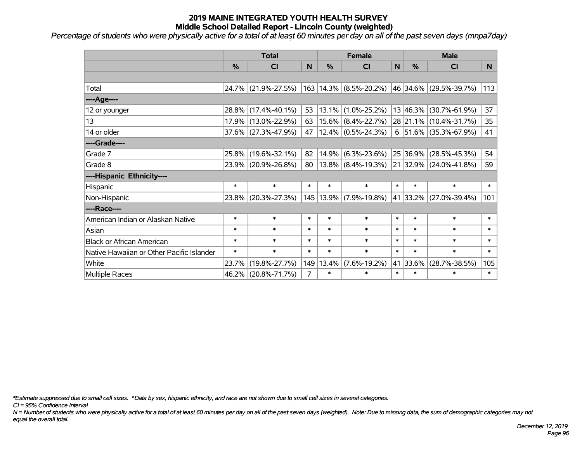*Percentage of students who were physically active for a total of at least 60 minutes per day on all of the past seven days (mnpa7day)*

|                                           | <b>Total</b>  |                        |        | <b>Female</b> |                            |        | <b>Male</b> |                             |        |  |
|-------------------------------------------|---------------|------------------------|--------|---------------|----------------------------|--------|-------------|-----------------------------|--------|--|
|                                           | $\frac{0}{0}$ | CI                     | N      | $\frac{0}{0}$ | CI                         | N      | %           | <b>CI</b>                   | N.     |  |
|                                           |               |                        |        |               |                            |        |             |                             |        |  |
| Total                                     |               | 24.7% (21.9%-27.5%)    |        |               | 163 14.3% (8.5%-20.2%)     |        |             | 46 34.6% (29.5%-39.7%)      | 113    |  |
| ----Age----                               |               |                        |        |               |                            |        |             |                             |        |  |
| 12 or younger                             | 28.8%         | $(17.4\% - 40.1\%)$    | 53     |               | $13.1\%$ (1.0%-25.2%)      |        | 13 46.3%    | $(30.7\% - 61.9\%)$         | 37     |  |
| 13                                        | 17.9%         | $(13.0\% - 22.9\%)$    | 63     |               | $15.6\%$ (8.4%-22.7%)      |        |             | 28 21.1% (10.4%-31.7%)      | 35     |  |
| 14 or older                               |               | $37.6\%$ (27.3%-47.9%) | 47     |               | $12.4\%$ (0.5%-24.3%)      |        |             | $6$   51.6%   (35.3%-67.9%) | 41     |  |
| ----Grade----                             |               |                        |        |               |                            |        |             |                             |        |  |
| Grade 7                                   | 25.8%         | $(19.6\% - 32.1\%)$    | 82     | 14.9%         | $(6.3\% - 23.6\%)$         |        | 25 36.9%    | $(28.5\% - 45.3\%)$         | 54     |  |
| Grade 8                                   |               | 23.9% (20.9%-26.8%)    | 80     |               | $13.8\%$ (8.4%-19.3%)      |        |             | 21 32.9% (24.0%-41.8%)      | 59     |  |
| ----Hispanic Ethnicity----                |               |                        |        |               |                            |        |             |                             |        |  |
| Hispanic                                  | $\ast$        | $\ast$                 | $\ast$ | $\ast$        | $\ast$                     | $\ast$ | $\ast$      | $\ast$                      | $\ast$ |  |
| Non-Hispanic                              |               | 23.8% (20.3%-27.3%)    |        |               | 145   13.9%   (7.9%-19.8%) |        | 41 33.2%    | $(27.0\% - 39.4\%)$         | 101    |  |
| ----Race----                              |               |                        |        |               |                            |        |             |                             |        |  |
| American Indian or Alaskan Native         | $\ast$        | $\ast$                 | $\ast$ | $\ast$        | $\ast$                     | $\ast$ | $\ast$      | $\ast$                      | $\ast$ |  |
| Asian                                     | $\ast$        | $\ast$                 | $\ast$ | $\ast$        | $\ast$                     | $\ast$ | $\ast$      | $\ast$                      | $\ast$ |  |
| <b>Black or African American</b>          | $\ast$        | $\ast$                 | $\ast$ | $\ast$        | $\ast$                     | $\ast$ | $\ast$      | $\ast$                      | $\ast$ |  |
| Native Hawaiian or Other Pacific Islander | $\ast$        | $\ast$                 | $\ast$ | $\ast$        | $\ast$                     | $\ast$ | $\ast$      | $\ast$                      | $\ast$ |  |
| White                                     | 23.7%         | $(19.8\% - 27.7\%)$    | 149    | 13.4%         | $(7.6\% - 19.2\%)$         |        | 41 33.6%    | $(28.7\% - 38.5\%)$         | 105    |  |
| Multiple Races                            |               | 46.2% (20.8%-71.7%)    | 7      | $\ast$        | $\ast$                     | $\ast$ | $\ast$      | $\ast$                      | $\ast$ |  |

*\*Estimate suppressed due to small cell sizes. ^Data by sex, hispanic ethnicity, and race are not shown due to small cell sizes in several categories.*

*CI = 95% Confidence Interval*

*N = Number of students who were physically active for a total of at least 60 minutes per day on all of the past seven days (weighted). Note: Due to missing data, the sum of demographic categories may not equal the overall total.*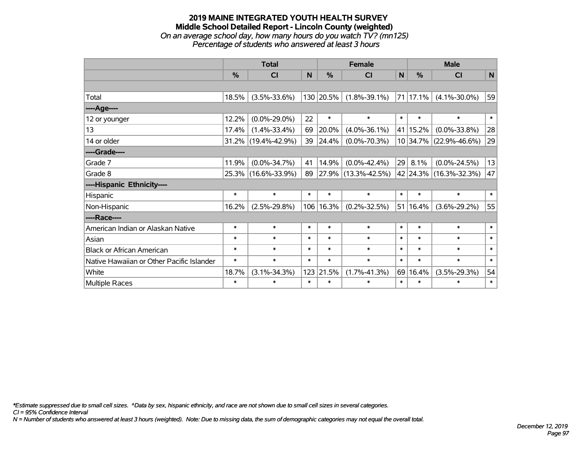### **2019 MAINE INTEGRATED YOUTH HEALTH SURVEY Middle School Detailed Report - Lincoln County (weighted)** *On an average school day, how many hours do you watch TV? (mn125) Percentage of students who answered at least 3 hours*

|                                           | <b>Total</b>  |                        |        |               | <b>Female</b>       | <b>Male</b> |               |                        |        |
|-------------------------------------------|---------------|------------------------|--------|---------------|---------------------|-------------|---------------|------------------------|--------|
|                                           | $\frac{0}{0}$ | CI                     | N      | $\frac{0}{0}$ | C <sub>1</sub>      | N           | $\frac{0}{0}$ | <b>CI</b>              | N      |
|                                           |               |                        |        |               |                     |             |               |                        |        |
| Total                                     | 18.5%         | $(3.5\% - 33.6\%)$     |        | 130 20.5%     | $(1.8\% - 39.1\%)$  | 71          | 17.1%         | $(4.1\% - 30.0\%)$     | 59     |
| ----Age----                               |               |                        |        |               |                     |             |               |                        |        |
| 12 or younger                             | 12.2%         | $(0.0\% - 29.0\%)$     | 22     | $\ast$        | $\ast$              | $\ast$      | $\ast$        | $\ast$                 | $\ast$ |
| 13                                        | 17.4%         | $(1.4\% - 33.4\%)$     | 69     | 20.0%         | $(4.0\% - 36.1\%)$  |             | 41 15.2%      | $(0.0\% - 33.8\%)$     | 28     |
| 14 or older                               |               | $31.2\%$ (19.4%-42.9%) | 39     | 24.4%         | $(0.0\% - 70.3\%)$  |             |               | 10 34.7% (22.9%-46.6%) | 29     |
| ----Grade----                             |               |                        |        |               |                     |             |               |                        |        |
| Grade 7                                   | 11.9%         | $(0.0\% - 34.7\%)$     | 41     | 14.9%         | $(0.0\% - 42.4\%)$  | 29          | 8.1%          | $(0.0\% - 24.5\%)$     | 13     |
| Grade 8                                   |               | 25.3% (16.6%-33.9%)    | 89     |               | 27.9% (13.3%-42.5%) |             |               | 42 24.3% (16.3%-32.3%) | 47     |
| ----Hispanic Ethnicity----                |               |                        |        |               |                     |             |               |                        |        |
| Hispanic                                  | $\ast$        | $\ast$                 | $\ast$ | $\ast$        | $\ast$              | $\ast$      | $\ast$        | $\ast$                 | $\ast$ |
| Non-Hispanic                              | 16.2%         | $(2.5\% - 29.8\%)$     | 106    | 16.3%         | $(0.2\% - 32.5\%)$  | 51          | 16.4%         | $(3.6\% - 29.2\%)$     | 55     |
| ----Race----                              |               |                        |        |               |                     |             |               |                        |        |
| American Indian or Alaskan Native         | $\ast$        | $\ast$                 | $\ast$ | $\ast$        | $\ast$              | $\ast$      | $\ast$        | $\ast$                 | $\ast$ |
| Asian                                     | $\ast$        | $\ast$                 | $\ast$ | $\ast$        | $\ast$              | $\ast$      | $\ast$        | $\ast$                 | $\ast$ |
| <b>Black or African American</b>          | $\ast$        | $\ast$                 | $\ast$ | $\ast$        | $\ast$              | $\ast$      | $\ast$        | $\ast$                 | $\ast$ |
| Native Hawaiian or Other Pacific Islander | $\ast$        | $\ast$                 | $\ast$ | $\ast$        | $\ast$              | $\ast$      | $\ast$        | $\ast$                 | $\ast$ |
| White                                     | 18.7%         | $(3.1\% - 34.3\%)$     | 123    | 21.5%         | $(1.7\% - 41.3\%)$  | 69          | 16.4%         | $(3.5\% - 29.3\%)$     | 54     |
| Multiple Races                            | $\ast$        | $\ast$                 | $\ast$ | $\ast$        | $\ast$              | $\ast$      | $\ast$        | $\ast$                 | $\ast$ |

*\*Estimate suppressed due to small cell sizes. ^Data by sex, hispanic ethnicity, and race are not shown due to small cell sizes in several categories.*

*CI = 95% Confidence Interval*

*N = Number of students who answered at least 3 hours (weighted). Note: Due to missing data, the sum of demographic categories may not equal the overall total.*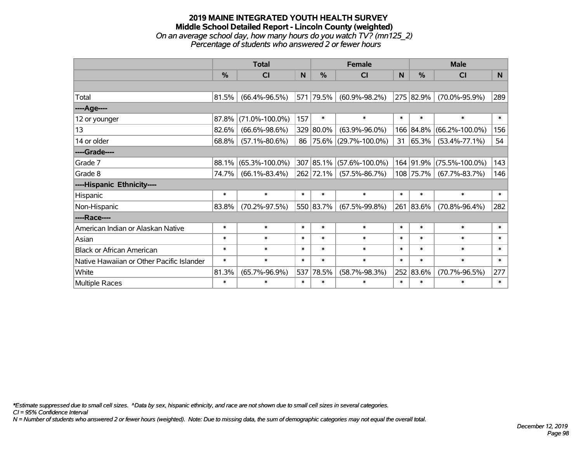### **2019 MAINE INTEGRATED YOUTH HEALTH SURVEY Middle School Detailed Report - Lincoln County (weighted)** *On an average school day, how many hours do you watch TV? (mn125\_2) Percentage of students who answered 2 or fewer hours*

|                                           |               | <b>Total</b>         |        | <b>Female</b> |                         | <b>Male</b> |               |                      |        |
|-------------------------------------------|---------------|----------------------|--------|---------------|-------------------------|-------------|---------------|----------------------|--------|
|                                           | $\frac{0}{0}$ | <b>CI</b>            | N      | $\frac{0}{0}$ | <b>CI</b>               | N           | $\frac{0}{0}$ | <b>CI</b>            | N      |
|                                           |               |                      |        |               |                         |             |               |                      |        |
| Total                                     | 81.5%         | $(66.4\% - 96.5\%)$  |        | 571 79.5%     | $(60.9\% - 98.2\%)$     |             | 275 82.9%     | $(70.0\% - 95.9\%)$  | 289    |
| ----Age----                               |               |                      |        |               |                         |             |               |                      |        |
| 12 or younger                             | 87.8%         | $(71.0\% - 100.0\%)$ | 157    | $\ast$        | $\ast$                  | $\ast$      | $\ast$        | $\ast$               | $\ast$ |
| 13                                        | 82.6%         | $(66.6\% - 98.6\%)$  |        | 329 80.0%     | $(63.9\% - 96.0\%)$     |             | 166 84.8%     | $(66.2\% - 100.0\%)$ | 156    |
| 14 or older                               | 68.8%         | $(57.1\% - 80.6\%)$  |        |               | 86 75.6% (29.7%-100.0%) | 31          | 65.3%         | $(53.4\% - 77.1\%)$  | 54     |
| ----Grade----                             |               |                      |        |               |                         |             |               |                      |        |
| Grade 7                                   | 88.1%         | $(65.3\% - 100.0\%)$ |        | 307 85.1%     | $(57.6\% - 100.0\%)$    |             | 164 91.9%     | $(75.5\% - 100.0\%)$ | 143    |
| Grade 8                                   | 74.7%         | $(66.1\% - 83.4\%)$  |        | 262 72.1%     | $(57.5\% - 86.7\%)$     |             | 108 75.7%     | $(67.7\% - 83.7\%)$  | 146    |
| ----Hispanic Ethnicity----                |               |                      |        |               |                         |             |               |                      |        |
| Hispanic                                  | $\ast$        | $\ast$               | $\ast$ | $\ast$        | $\ast$                  | $\ast$      | $\ast$        | $\ast$               | $\ast$ |
| Non-Hispanic                              | 83.8%         | $(70.2\% - 97.5\%)$  |        | 550 83.7%     | $(67.5\% - 99.8\%)$     |             | 261 83.6%     | $(70.8\% - 96.4\%)$  | 282    |
| ----Race----                              |               |                      |        |               |                         |             |               |                      |        |
| American Indian or Alaskan Native         | $\ast$        | $\ast$               | $\ast$ | $\ast$        | $\ast$                  | $\ast$      | $\ast$        | $\ast$               | $\ast$ |
| Asian                                     | $\ast$        | $\ast$               | $\ast$ | $\ast$        | $\ast$                  | $\ast$      | $\ast$        | $\ast$               | $\ast$ |
| <b>Black or African American</b>          | $\ast$        | $\ast$               | $\ast$ | $\ast$        | $\ast$                  | $\ast$      | $\ast$        | $\ast$               | $\ast$ |
| Native Hawaiian or Other Pacific Islander | $\ast$        | $\ast$               | $\ast$ | $\ast$        | $\ast$                  | $\ast$      | $\ast$        | $\ast$               | $\ast$ |
| White                                     | 81.3%         | $(65.7\% - 96.9\%)$  | 537    | 78.5%         | $(58.7\% - 98.3\%)$     |             | 252 83.6%     | $(70.7\% - 96.5\%)$  | 277    |
| Multiple Races                            | $\ast$        | $\ast$               | $\ast$ | $\ast$        | $\ast$                  | $\ast$      | $\ast$        | $\ast$               | $\ast$ |

*\*Estimate suppressed due to small cell sizes. ^Data by sex, hispanic ethnicity, and race are not shown due to small cell sizes in several categories.*

*CI = 95% Confidence Interval*

*N = Number of students who answered 2 or fewer hours (weighted). Note: Due to missing data, the sum of demographic categories may not equal the overall total.*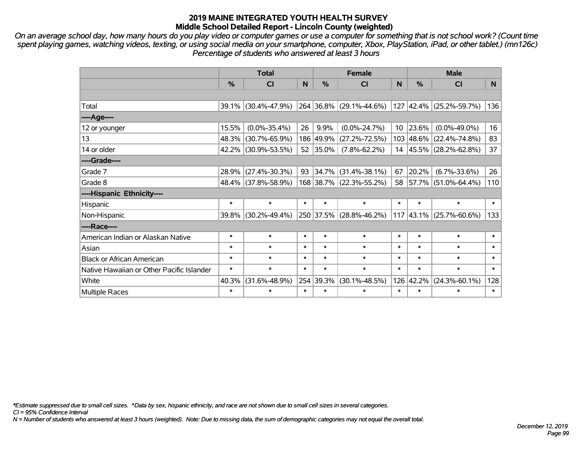*On an average school day, how many hours do you play video or computer games or use a computer for something that is not school work? (Count time spent playing games, watching videos, texting, or using social media on your smartphone, computer, Xbox, PlayStation, iPad, or other tablet.) (mn126c) Percentage of students who answered at least 3 hours*

|                                           | <b>Total</b>  |                     |        | <b>Female</b> |                         |        |             | <b>Male</b>             |        |  |  |
|-------------------------------------------|---------------|---------------------|--------|---------------|-------------------------|--------|-------------|-------------------------|--------|--|--|
|                                           | $\frac{0}{0}$ | <b>CI</b>           | N      | $\frac{0}{0}$ | <b>CI</b>               | N      | %           | <b>CI</b>               | N.     |  |  |
|                                           |               |                     |        |               |                         |        |             |                         |        |  |  |
| Total                                     |               | 39.1% (30.4%-47.9%) |        |               | 264 36.8% (29.1%-44.6%) |        |             | 127 42.4% (25.2%-59.7%) | 136    |  |  |
| ----Age----                               |               |                     |        |               |                         |        |             |                         |        |  |  |
| 12 or younger                             | 15.5%         | $(0.0\% - 35.4\%)$  | 26     | 9.9%          | $(0.0\% - 24.7\%)$      | 10     | 23.6%       | $(0.0\% - 49.0\%)$      | 16     |  |  |
| 13                                        | 48.3%         | $(30.7\% - 65.9\%)$ |        | 186 49.9%     | $(27.2\% - 72.5\%)$     |        | 103 48.6%   | $(22.4\% - 74.8\%)$     | 83     |  |  |
| 14 or older                               |               | 42.2% (30.9%-53.5%) |        | 52 35.0%      | $(7.8\% - 62.2\%)$      |        |             | 14 45.5% (28.2%-62.8%)  | 37     |  |  |
| ----Grade----                             |               |                     |        |               |                         |        |             |                         |        |  |  |
| Grade 7                                   | 28.9%         | $(27.4\% - 30.3\%)$ | 93     | 34.7%         | $(31.4\% - 38.1\%)$     | 67     | 20.2%       | $(6.7\% - 33.6\%)$      | 26     |  |  |
| Grade 8                                   |               | 48.4% (37.8%-58.9%) |        |               | 168 38.7% (22.3%-55.2%) |        |             | 58 57.7% (51.0%-64.4%)  | 110    |  |  |
| ----Hispanic Ethnicity----                |               |                     |        |               |                         |        |             |                         |        |  |  |
| Hispanic                                  | $\ast$        | $\ast$              | $\ast$ | $\ast$        | $\ast$                  | $\ast$ | $\ast$      | $\ast$                  | $\ast$ |  |  |
| Non-Hispanic                              |               | 39.8% (30.2%-49.4%) |        |               | 250 37.5% (28.8%-46.2%) |        | $117$ 43.1% | $(25.7\% - 60.6\%)$     | 133    |  |  |
| ----Race----                              |               |                     |        |               |                         |        |             |                         |        |  |  |
| American Indian or Alaskan Native         | $\ast$        | $\ast$              | $\ast$ | $\ast$        | $\ast$                  | $\ast$ | $\ast$      | $\ast$                  | $\ast$ |  |  |
| Asian                                     | $\ast$        | $\ast$              | $\ast$ | $\ast$        | $\ast$                  | $\ast$ | $\ast$      | $\ast$                  | $\ast$ |  |  |
| <b>Black or African American</b>          | $\ast$        | $\ast$              | $\ast$ | $\ast$        | $\ast$                  | $\ast$ | $\ast$      | $\ast$                  | $\ast$ |  |  |
| Native Hawaiian or Other Pacific Islander | $\ast$        | $\ast$              | $\ast$ | $\ast$        | $\ast$                  | $\ast$ | $\ast$      | $\ast$                  | $\ast$ |  |  |
| White                                     | 40.3%         | $(31.6\% - 48.9\%)$ |        | 254 39.3%     | $(30.1\% - 48.5\%)$     | 126    | 42.2%       | $(24.3\% - 60.1\%)$     | 128    |  |  |
| Multiple Races                            | $\ast$        | $\ast$              | $\ast$ | $\ast$        | $\ast$                  | $\ast$ | $\ast$      | $\ast$                  | $\ast$ |  |  |

*\*Estimate suppressed due to small cell sizes. ^Data by sex, hispanic ethnicity, and race are not shown due to small cell sizes in several categories.*

*CI = 95% Confidence Interval*

*N = Number of students who answered at least 3 hours (weighted). Note: Due to missing data, the sum of demographic categories may not equal the overall total.*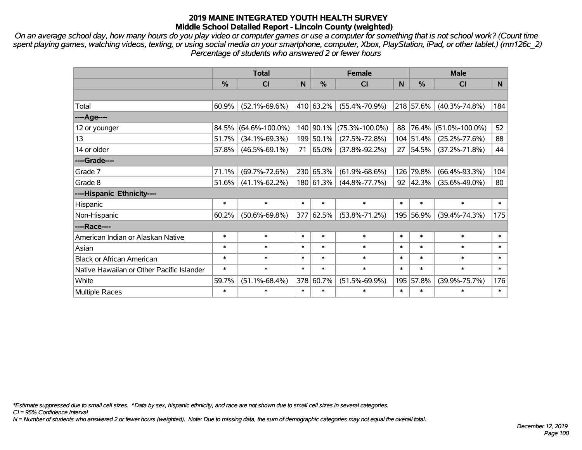*On an average school day, how many hours do you play video or computer games or use a computer for something that is not school work? (Count time spent playing games, watching videos, texting, or using social media on your smartphone, computer, Xbox, PlayStation, iPad, or other tablet.) (mn126c\_2) Percentage of students who answered 2 or fewer hours*

|                                           | <b>Total</b>  |                      |        |           | <b>Female</b>        |        | <b>Male</b>   |                      |        |  |
|-------------------------------------------|---------------|----------------------|--------|-----------|----------------------|--------|---------------|----------------------|--------|--|
|                                           | $\frac{0}{0}$ | CI                   | N      | %         | CI                   | N      | $\frac{0}{0}$ | CI                   | N      |  |
|                                           |               |                      |        |           |                      |        |               |                      |        |  |
| Total                                     | 60.9%         | $(52.1\% - 69.6\%)$  |        | 410 63.2% | $(55.4\% - 70.9\%)$  |        | 218 57.6%     | $(40.3\% - 74.8\%)$  | 184    |  |
| ----Age----                               |               |                      |        |           |                      |        |               |                      |        |  |
| 12 or younger                             | 84.5%         | $(64.6\% - 100.0\%)$ |        | 140 90.1% | $(75.3\% - 100.0\%)$ | 88     | 76.4%         | $(51.0\% - 100.0\%)$ | 52     |  |
| 13                                        | 51.7%         | $(34.1\% - 69.3\%)$  |        | 199 50.1% | $(27.5\% - 72.8\%)$  |        | 104 51.4%     | $(25.2\% - 77.6\%)$  | 88     |  |
| 14 or older                               | 57.8%         | $(46.5\% - 69.1\%)$  | 71     | $ 65.0\%$ | $(37.8\% - 92.2\%)$  | 27     | 54.5%         | $(37.2\% - 71.8\%)$  | 44     |  |
| ----Grade----                             |               |                      |        |           |                      |        |               |                      |        |  |
| Grade 7                                   | 71.1%         | $(69.7\% - 72.6\%)$  |        | 230 65.3% | $(61.9\% - 68.6\%)$  |        | 126 79.8%     | $(66.4\% - 93.3\%)$  | 104    |  |
| Grade 8                                   | 51.6%         | $(41.1\% - 62.2\%)$  |        | 180 61.3% | $(44.8\% - 77.7\%)$  | 92     | 42.3%         | $(35.6\% - 49.0\%)$  | 80     |  |
| ----Hispanic Ethnicity----                |               |                      |        |           |                      |        |               |                      |        |  |
| Hispanic                                  | $\ast$        | $\ast$               | $\ast$ | $\ast$    | $\ast$               | $\ast$ | $\ast$        | $\ast$               | $\ast$ |  |
| Non-Hispanic                              | 60.2%         | $(50.6\% - 69.8\%)$  |        | 377 62.5% | $(53.8\% - 71.2\%)$  |        | 195 56.9%     | $(39.4\% - 74.3\%)$  | 175    |  |
| ----Race----                              |               |                      |        |           |                      |        |               |                      |        |  |
| American Indian or Alaskan Native         | $\ast$        | $\ast$               | $\ast$ | $\ast$    | $\ast$               | $\ast$ | $\ast$        | $\ast$               | $\ast$ |  |
| Asian                                     | $\ast$        | $\ast$               | $\ast$ | $\ast$    | $\ast$               | $\ast$ | $\ast$        | $\ast$               | $\ast$ |  |
| <b>Black or African American</b>          | $\ast$        | $\ast$               | $\ast$ | $\ast$    | $\ast$               | $\ast$ | $\ast$        | $\ast$               | $\ast$ |  |
| Native Hawaiian or Other Pacific Islander | $\ast$        | $\ast$               | $\ast$ | $\ast$    | $\ast$               | $\ast$ | $\ast$        | $\ast$               | $\ast$ |  |
| White                                     | 59.7%         | $(51.1\% - 68.4\%)$  |        | 378 60.7% | $(51.5\% - 69.9\%)$  | 195    | 57.8%         | $(39.9\% - 75.7\%)$  | 176    |  |
| <b>Multiple Races</b>                     | $\ast$        | $\ast$               | $\ast$ | $\ast$    | $\ast$               | $\ast$ | $\ast$        | $\ast$               | $\ast$ |  |

*\*Estimate suppressed due to small cell sizes. ^Data by sex, hispanic ethnicity, and race are not shown due to small cell sizes in several categories.*

*CI = 95% Confidence Interval*

*N = Number of students who answered 2 or fewer hours (weighted). Note: Due to missing data, the sum of demographic categories may not equal the overall total.*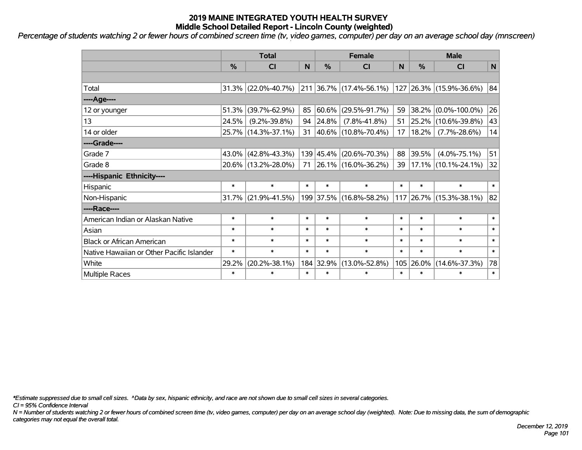*Percentage of students watching 2 or fewer hours of combined screen time (tv, video games, computer) per day on an average school day (mnscreen) '*

|                                           | <b>Total</b> |                     |        |               | <b>Female</b>            | <b>Male</b>     |        |                            |              |
|-------------------------------------------|--------------|---------------------|--------|---------------|--------------------------|-----------------|--------|----------------------------|--------------|
|                                           | %            | <b>CI</b>           | N      | $\frac{0}{0}$ | <b>CI</b>                | <b>N</b>        | %      | <b>CI</b>                  | $\mathsf{N}$ |
|                                           |              |                     |        |               |                          |                 |        |                            |              |
| Total                                     |              | 31.3% (22.0%-40.7%) | 211    |               | $36.7\%$ (17.4%-56.1%)   |                 |        | 127 26.3% (15.9%-36.6%)    | 84           |
| ----Age----                               |              |                     |        |               |                          |                 |        |                            |              |
| 12 or younger                             | 51.3%        | $(39.7\% - 62.9\%)$ | 85     | 60.6%         | $(29.5\% - 91.7\%)$      | 59              | 38.2%  | $(0.0\% - 100.0\%)$        | 26           |
| 13                                        | 24.5%        | $(9.2\% - 39.8\%)$  | 94     | 24.8%         | $(7.8\% - 41.8\%)$       | 51              |        | 25.2% (10.6%-39.8%)        | 43           |
| 14 or older                               |              | 25.7% (14.3%-37.1%) | 31     |               | $ 40.6\% $ (10.8%-70.4%) | 17 <sub>2</sub> | 18.2%  | $(7.7\% - 28.6\%)$         | 14           |
| ----Grade----                             |              |                     |        |               |                          |                 |        |                            |              |
| Grade 7                                   | 43.0%        | $(42.8\% - 43.3\%)$ |        | 139 45.4%     | $(20.6\% - 70.3\%)$      | 88              | 39.5%  | $(4.0\% - 75.1\%)$         | 51           |
| Grade 8                                   |              | 20.6% (13.2%-28.0%) | 71     |               | $ 26.1\% $ (16.0%-36.2%) |                 |        | 39   17.1%   (10.1%-24.1%) | 32           |
| ----Hispanic Ethnicity----                |              |                     |        |               |                          |                 |        |                            |              |
| Hispanic                                  | $\ast$       | $\ast$              | $\ast$ | $\ast$        | $\ast$                   | $\ast$          | $\ast$ | $\ast$                     | $\ast$       |
| Non-Hispanic                              | 31.7%        | $(21.9\% - 41.5\%)$ |        |               | 199 37.5% (16.8%-58.2%)  |                 |        | 117 26.7% (15.3%-38.1%)    | 82           |
| ----Race----                              |              |                     |        |               |                          |                 |        |                            |              |
| American Indian or Alaskan Native         | $\ast$       | $\ast$              | $\ast$ | $\ast$        | $\ast$                   | $\ast$          | $\ast$ | $\ast$                     | $\ast$       |
| Asian                                     | $\ast$       | $\ast$              | $\ast$ | $\ast$        | $\ast$                   | $\ast$          | $\ast$ | $\ast$                     | $\ast$       |
| <b>Black or African American</b>          | $\ast$       | $\ast$              | $\ast$ | $\ast$        | $\ast$                   | $\ast$          | $\ast$ | $\ast$                     | $\ast$       |
| Native Hawaiian or Other Pacific Islander | $\ast$       | $\ast$              | $\ast$ | $\ast$        | $\ast$                   | $\ast$          | $\ast$ | $\ast$                     | $\ast$       |
| White                                     | 29.2%        | $(20.2\% - 38.1\%)$ |        | 184 32.9%     | $(13.0\% - 52.8\%)$      | 105             | 26.0%  | $(14.6\% - 37.3\%)$        | 78           |
| <b>Multiple Races</b>                     | $\ast$       | $\ast$              | $\ast$ | $\ast$        | $\ast$                   | $\ast$          | $\ast$ | $\ast$                     | $\ast$       |

*\*Estimate suppressed due to small cell sizes. ^Data by sex, hispanic ethnicity, and race are not shown due to small cell sizes in several categories.*

*CI = 95% Confidence Interval*

*N = Number of students watching 2 or fewer hours of combined screen time (tv, video games, computer) per day on an average school day (weighted). Note: Due to missing data, the sum of demographic categories may not equal the overall total.*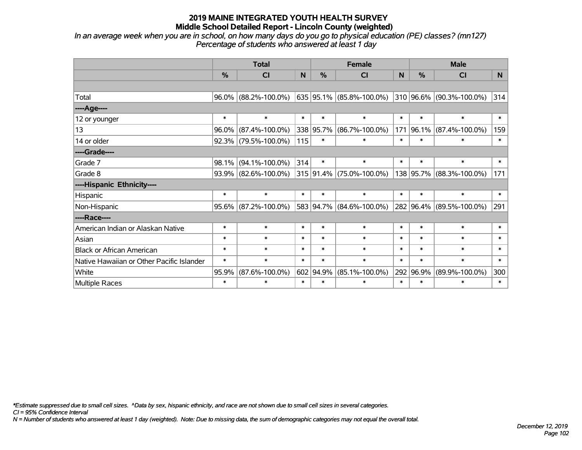*In an average week when you are in school, on how many days do you go to physical education (PE) classes? (mn127) Percentage of students who answered at least 1 day*

|                                           |               | <b>Total</b>            |        | <b>Female</b> |                               | <b>Male</b> |               |                               |        |
|-------------------------------------------|---------------|-------------------------|--------|---------------|-------------------------------|-------------|---------------|-------------------------------|--------|
|                                           | $\frac{0}{0}$ | <b>CI</b>               | N      | %             | <b>CI</b>                     | N           | $\frac{0}{0}$ | <b>CI</b>                     | N      |
|                                           |               |                         |        |               |                               |             |               |                               |        |
| Total                                     | $96.0\%$      | $(88.2\% - 100.0\%)$    |        |               | 635  95.1%  (85.8%-100.0%)    |             |               | $ 310 96.6\% $ (90.3%-100.0%) | 314    |
| ----Age----                               |               |                         |        |               |                               |             |               |                               |        |
| 12 or younger                             | $\ast$        | $\ast$                  | $\ast$ | $\ast$        | $\ast$                        | $\ast$      | $\ast$        | $\ast$                        | $\ast$ |
| 13                                        | 96.0%         | $(87.4\% - 100.0\%)$    |        | 338 95.7%     | $(86.7\% - 100.0\%)$          | 171         | $ 96.1\% $    | $(87.4\% - 100.0\%)$          | 159    |
| 14 or older                               |               | 92.3% (79.5%-100.0%)    | 115    | $\ast$        | $\ast$                        | $\ast$      | $\ast$        | $\ast$                        | $\ast$ |
| ----Grade----                             |               |                         |        |               |                               |             |               |                               |        |
| Grade 7                                   | 98.1%         | $(94.1\% - 100.0\%)$    | 314    | $\ast$        | *                             | $\ast$      | $\ast$        | $\ast$                        | $\ast$ |
| Grade 8                                   |               | $93.9\%$ (82.6%-100.0%) |        |               | $ 315 91.4\% $ (75.0%-100.0%) |             |               | 138 95.7% (88.3%-100.0%)      | 171    |
| ----Hispanic Ethnicity----                |               |                         |        |               |                               |             |               |                               |        |
| Hispanic                                  | $\ast$        | $\ast$                  | $\ast$ | $\ast$        | $\ast$                        | $\ast$      | $\ast$        | $\ast$                        | $\ast$ |
| Non-Hispanic                              | 95.6%         | $(87.2\% - 100.0\%)$    |        | 583 94.7%     | $(84.6\% - 100.0\%)$          |             |               | 282 96.4% (89.5%-100.0%)      | 291    |
| ----Race----                              |               |                         |        |               |                               |             |               |                               |        |
| American Indian or Alaskan Native         | $\ast$        | $\ast$                  | $\ast$ | $\ast$        | $\ast$                        | $\ast$      | $\ast$        | $\ast$                        | $\ast$ |
| Asian                                     | $\ast$        | $\ast$                  | $\ast$ | $\ast$        | $\ast$                        | $\ast$      | $\ast$        | $\ast$                        | $\ast$ |
| <b>Black or African American</b>          | $\ast$        | $\ast$                  | $\ast$ | $\ast$        | $\ast$                        | $\ast$      | $\ast$        | $\ast$                        | $\ast$ |
| Native Hawaiian or Other Pacific Islander | $\ast$        | $\ast$                  | $\ast$ | $\ast$        | $\ast$                        | $\ast$      | $\ast$        | $\ast$                        | $\ast$ |
| White                                     | 95.9%         | $(87.6\% - 100.0\%)$    |        | 602 94.9%     | $(85.1\% - 100.0\%)$          |             | 292 96.9%     | $(89.9\% - 100.0\%)$          | 300    |
| Multiple Races                            | $\ast$        | $\ast$                  | $\ast$ | $\ast$        | *                             | $\ast$      | $\ast$        | $\ast$                        | $\ast$ |

*\*Estimate suppressed due to small cell sizes. ^Data by sex, hispanic ethnicity, and race are not shown due to small cell sizes in several categories.*

*CI = 95% Confidence Interval*

*N = Number of students who answered at least 1 day (weighted). Note: Due to missing data, the sum of demographic categories may not equal the overall total.*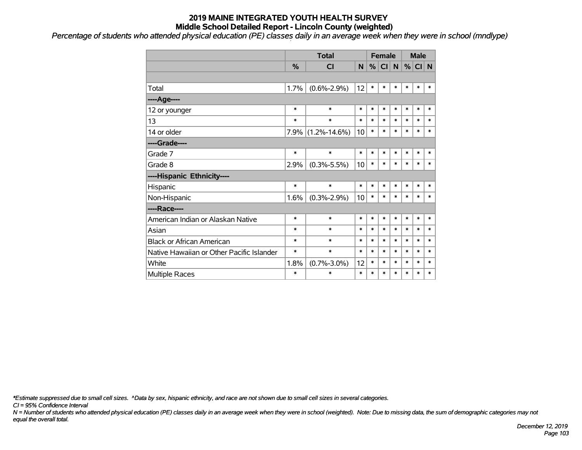*Percentage of students who attended physical education (PE) classes daily in an average week when they were in school (mndlype) '*

|                                           |        | <b>Total</b>       |        | <b>Female</b> |        |              | <b>Male</b> |        |        |
|-------------------------------------------|--------|--------------------|--------|---------------|--------|--------------|-------------|--------|--------|
|                                           | %      | <b>CI</b>          | N      | %             | CI     | <sub>N</sub> | %           | CI N   |        |
|                                           |        |                    |        |               |        |              |             |        |        |
| Total                                     | 1.7%   | $(0.6\% - 2.9\%)$  | 12     | $\ast$        | $\ast$ | $\ast$       | *           | $\ast$ | *      |
| ----Age----                               |        |                    |        |               |        |              |             |        |        |
| 12 or younger                             | $\ast$ | $\ast$             | $\ast$ | $\ast$        | $\ast$ | $\ast$       | $\ast$      | $\ast$ | $\ast$ |
| 13                                        | $\ast$ | $\ast$             | $\ast$ | $\ast$        | $\ast$ | $\ast$       | $\ast$      | $\ast$ | $\ast$ |
| 14 or older                               | 7.9%   | $(1.2\% - 14.6\%)$ | 10     | $\ast$        | $\ast$ | $\ast$       | $\ast$      | $\ast$ | $\ast$ |
| ----Grade----                             |        |                    |        |               |        |              |             |        |        |
| Grade 7                                   | $\ast$ | $\ast$             | $\ast$ | $\ast$        | $\ast$ | $\ast$       | $\ast$      | $\ast$ | $\ast$ |
| Grade 8                                   | 2.9%   | $(0.3\% - 5.5\%)$  | 10     | $\ast$        | $\ast$ | $\ast$       | *           | $\ast$ | $\ast$ |
| ----Hispanic Ethnicity----                |        |                    |        |               |        |              |             |        |        |
| Hispanic                                  | $\ast$ | $\ast$             | $\ast$ | $\ast$        | $\ast$ | $\ast$       | $\ast$      | $\ast$ | *      |
| Non-Hispanic                              | 1.6%   | $(0.3\% - 2.9\%)$  | 10     | $\ast$        | $\ast$ | $\ast$       | *           | $\ast$ | $\ast$ |
| ----Race----                              |        |                    |        |               |        |              |             |        |        |
| American Indian or Alaskan Native         | $\ast$ | $\ast$             | $\ast$ | $\ast$        | $\ast$ | $\ast$       | *           | $\ast$ | $\ast$ |
| Asian                                     | $\ast$ | $\ast$             | $\ast$ | $\ast$        | $\ast$ | $\ast$       | $\ast$      | $\ast$ | $\ast$ |
| <b>Black or African American</b>          | $\ast$ | $\ast$             | $\ast$ | $\ast$        | $\ast$ | $\ast$       | $\ast$      | $\ast$ | $\ast$ |
| Native Hawaiian or Other Pacific Islander | $\ast$ | $\ast$             | $\ast$ | $\ast$        | $\ast$ | $\ast$       | $\ast$      | $\ast$ | $\ast$ |
| White                                     | 1.8%   | $(0.7\% - 3.0\%)$  | 12     | $\ast$        | $\ast$ | $\ast$       | $\ast$      | $\ast$ | *      |
| <b>Multiple Races</b>                     | $\ast$ | $\ast$             | $\ast$ | $\ast$        | $\ast$ | $\ast$       | $\ast$      | $\ast$ | $\ast$ |

*\*Estimate suppressed due to small cell sizes. ^Data by sex, hispanic ethnicity, and race are not shown due to small cell sizes in several categories.*

*CI = 95% Confidence Interval*

*N = Number of students who attended physical education (PE) classes daily in an average week when they were in school (weighted). Note: Due to missing data, the sum of demographic categories may not equal the overall total.*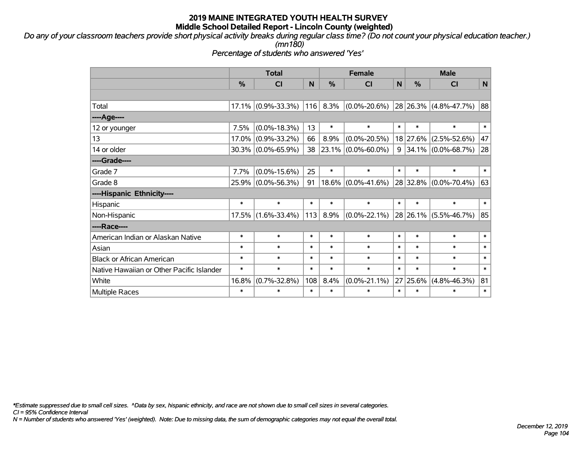*Do any of your classroom teachers provide short physical activity breaks during regular class time? (Do not count your physical education teacher.) (mn180)*

*Percentage of students who answered 'Yes'*

|                                           | <b>Total</b>  |                       |        | <b>Female</b> |                       | <b>Male</b> |          |                           |        |
|-------------------------------------------|---------------|-----------------------|--------|---------------|-----------------------|-------------|----------|---------------------------|--------|
|                                           | $\frac{0}{0}$ | <b>CI</b>             | N      | $\frac{0}{0}$ | <b>CI</b>             | N           | $\%$     | <b>CI</b>                 | N      |
|                                           |               |                       |        |               |                       |             |          |                           |        |
| Total                                     |               | $17.1\%$ (0.9%-33.3%) |        | 116 8.3%      | $(0.0\% - 20.6\%)$    |             |          | $28 26.3\% $ (4.8%-47.7%) | 88     |
| ---- Age----                              |               |                       |        |               |                       |             |          |                           |        |
| 12 or younger                             | 7.5%          | $(0.0\% - 18.3\%)$    | 13     | $\ast$        | $\ast$                | $\ast$      | $\ast$   | $\ast$                    | $\ast$ |
| 13                                        | 17.0%         | $(0.9\% - 33.2\%)$    | 66     | 8.9%          | $(0.0\% - 20.5\%)$    |             | 18 27.6% | $(2.5\% - 52.6\%)$        | 47     |
| 14 or older                               |               | $30.3\%$ (0.0%-65.9%) | 38     | $ 23.1\% $    | $(0.0\% - 60.0\%)$    | 9           |          | $ 34.1\% $ (0.0%-68.7%)   | 28     |
| ----Grade----                             |               |                       |        |               |                       |             |          |                           |        |
| Grade 7                                   | 7.7%          | $(0.0\% - 15.6\%)$    | 25     | $\ast$        | $\ast$                | $\ast$      | $\ast$   | $\ast$                    | $\ast$ |
| Grade 8                                   | 25.9%         | $(0.0\% - 56.3\%)$    | 91     |               | $18.6\%$ (0.0%-41.6%) |             |          | 28 32.8% (0.0%-70.4%)     | 63     |
| ----Hispanic Ethnicity----                |               |                       |        |               |                       |             |          |                           |        |
| Hispanic                                  | $\ast$        | $\ast$                | $\ast$ | $\ast$        | $\ast$                | $\ast$      | $\ast$   | $\ast$                    | $\ast$ |
| Non-Hispanic                              | 17.5%         | $(1.6\% - 33.4\%)$    | 113    | 8.9%          | $(0.0\% - 22.1\%)$    |             | 28 26.1% | $(5.5\% - 46.7\%)$        | 85     |
| ----Race----                              |               |                       |        |               |                       |             |          |                           |        |
| American Indian or Alaskan Native         | $\ast$        | $\ast$                | $\ast$ | $\ast$        | $\ast$                | $\ast$      | $\ast$   | $\ast$                    | $\ast$ |
| Asian                                     | $\ast$        | $\ast$                | $\ast$ | $\ast$        | $\ast$                | $\ast$      | $\ast$   | $\ast$                    | $\ast$ |
| <b>Black or African American</b>          | $\ast$        | $\ast$                | $\ast$ | $\ast$        | $\ast$                | $\ast$      | $\ast$   | $\ast$                    | $\ast$ |
| Native Hawaiian or Other Pacific Islander | $\ast$        | $\ast$                | $\ast$ | $\ast$        | $\ast$                | $\ast$      | $\ast$   | $\ast$                    | $\ast$ |
| White                                     | 16.8%         | $(0.7\% - 32.8\%)$    | 108    | 8.4%          | $(0.0\% - 21.1\%)$    | 27          | 25.6%    | $(4.8\% - 46.3\%)$        | 81     |
| <b>Multiple Races</b>                     | $\ast$        | $\ast$                | $\ast$ | $\ast$        | $\ast$                | $\ast$      | $\ast$   | $\ast$                    | $\ast$ |

*\*Estimate suppressed due to small cell sizes. ^Data by sex, hispanic ethnicity, and race are not shown due to small cell sizes in several categories.*

*CI = 95% Confidence Interval*

*N = Number of students who answered 'Yes' (weighted). Note: Due to missing data, the sum of demographic categories may not equal the overall total.*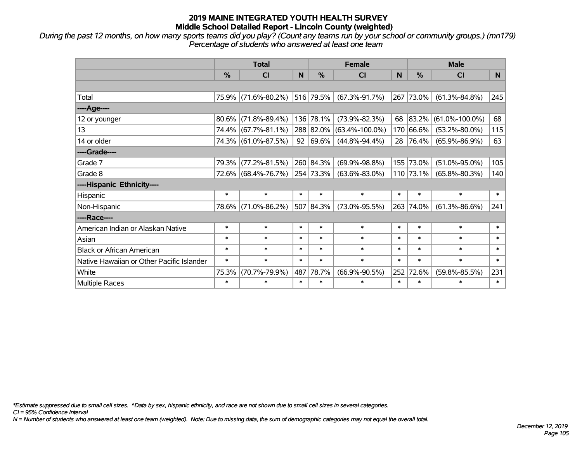*During the past 12 months, on how many sports teams did you play? (Count any teams run by your school or community groups.) (mn179) Percentage of students who answered at least one team*

|                                           | <b>Total</b> |                     |        |                 | <b>Female</b>        |        | <b>Male</b> |                      |                |  |
|-------------------------------------------|--------------|---------------------|--------|-----------------|----------------------|--------|-------------|----------------------|----------------|--|
|                                           | %            | C <sub>l</sub>      | N      | %               | CI                   | N      | %           | <b>CI</b>            | N <sub>1</sub> |  |
|                                           |              |                     |        |                 |                      |        |             |                      |                |  |
| Total                                     |              | 75.9% (71.6%-80.2%) |        | $ 516 79.5\% $  | $(67.3\% - 91.7\%)$  | 267    | 73.0%       | $(61.3\% - 84.8\%)$  | 245            |  |
| ----Age----                               |              |                     |        |                 |                      |        |             |                      |                |  |
| 12 or younger                             | 80.6%        | $(71.8\% - 89.4\%)$ |        | 136 78.1%       | $(73.9\% - 82.3\%)$  | 68     | 83.2%       | $(61.0\% - 100.0\%)$ | 68             |  |
| 13                                        |              | 74.4% (67.7%-81.1%) |        | 288 82.0%       | $(63.4\% - 100.0\%)$ | 170    | $ 66.6\% $  | $(53.2\% - 80.0\%)$  | 115            |  |
| 14 or older                               |              | 74.3% (61.0%-87.5%) |        | $92   69.6\%  $ | $(44.8\% - 94.4\%)$  | 28     | 76.4%       | $(65.9\% - 86.9\%)$  | 63             |  |
| ----Grade----                             |              |                     |        |                 |                      |        |             |                      |                |  |
| Grade 7                                   | 79.3%        | $(77.2\% - 81.5\%)$ |        | 260 84.3%       | $(69.9\% - 98.8\%)$  |        | 155 73.0%   | $(51.0\% - 95.0\%)$  | 105            |  |
| Grade 8                                   |              | 72.6% (68.4%-76.7%) |        | 254 73.3%       | $(63.6\% - 83.0\%)$  |        | 110 73.1%   | $(65.8\% - 80.3\%)$  | 140            |  |
| ----Hispanic Ethnicity----                |              |                     |        |                 |                      |        |             |                      |                |  |
| Hispanic                                  | $\ast$       | $\ast$              | $\ast$ | $\ast$          | $\ast$               | $\ast$ | $\ast$      | $\ast$               | $\ast$         |  |
| Non-Hispanic                              | 78.6%        | $(71.0\% - 86.2\%)$ |        | 507 84.3%       | $(73.0\% - 95.5\%)$  | 263    | 74.0%       | $(61.3\% - 86.6\%)$  | 241            |  |
| ----Race----                              |              |                     |        |                 |                      |        |             |                      |                |  |
| American Indian or Alaskan Native         | $\ast$       | $\ast$              | $\ast$ | $\ast$          | $\ast$               | $\ast$ | $\ast$      | $\ast$               | $\ast$         |  |
| Asian                                     | $\ast$       | $\ast$              | $\ast$ | $\ast$          | $\ast$               | $\ast$ | $\ast$      | $\ast$               | $\ast$         |  |
| <b>Black or African American</b>          | $\ast$       | $\ast$              | $\ast$ | $\ast$          | $\ast$               | $\ast$ | $\ast$      | $\ast$               | $\ast$         |  |
| Native Hawaiian or Other Pacific Islander | $\ast$       | $\ast$              | $\ast$ | $\ast$          | $\ast$               | $\ast$ | $\ast$      | $\ast$               | $\ast$         |  |
| White                                     | 75.3%        | $(70.7\% - 79.9\%)$ | 487    | 78.7%           | $(66.9\% - 90.5\%)$  | 252    | 72.6%       | $(59.8\% - 85.5\%)$  | 231            |  |
| Multiple Races                            | $\ast$       | $\ast$              | $\ast$ | $\ast$          | $\ast$               | $\ast$ | $\ast$      | $\ast$               | $\ast$         |  |

*\*Estimate suppressed due to small cell sizes. ^Data by sex, hispanic ethnicity, and race are not shown due to small cell sizes in several categories.*

*CI = 95% Confidence Interval*

*N = Number of students who answered at least one team (weighted). Note: Due to missing data, the sum of demographic categories may not equal the overall total.*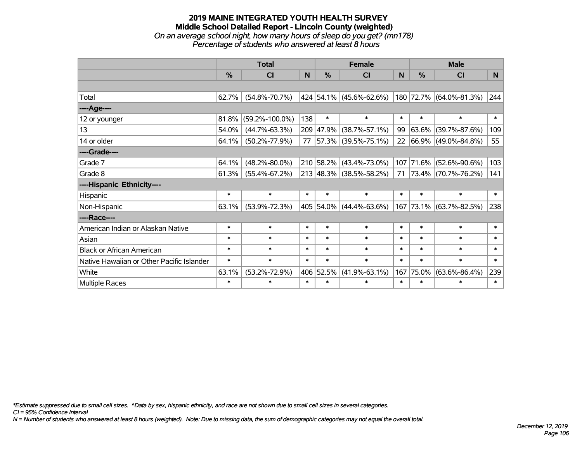### **2019 MAINE INTEGRATED YOUTH HEALTH SURVEY Middle School Detailed Report - Lincoln County (weighted)** *On an average school night, how many hours of sleep do you get? (mn178) Percentage of students who answered at least 8 hours*

|                                           | <b>Total</b>  |                      |        |               | <b>Female</b>           |        | <b>Male</b>   |                          |        |  |
|-------------------------------------------|---------------|----------------------|--------|---------------|-------------------------|--------|---------------|--------------------------|--------|--|
|                                           | $\frac{0}{0}$ | CI                   | N      | $\frac{0}{0}$ | <b>CI</b>               | N      | $\frac{0}{0}$ | <b>CI</b>                | N.     |  |
|                                           |               |                      |        |               |                         |        |               |                          |        |  |
| Total                                     | 62.7%         | $(54.8\% - 70.7\%)$  |        |               | 424 54.1% (45.6%-62.6%) |        |               | 180 72.7% (64.0%-81.3%)  | 244    |  |
| ----Age----                               |               |                      |        |               |                         |        |               |                          |        |  |
| 12 or younger                             | 81.8%         | $(59.2\% - 100.0\%)$ | 138    | $\ast$        | $\ast$                  | $\ast$ | $\ast$        | $\ast$                   | $\ast$ |  |
| 13                                        | 54.0%         | $(44.7\% - 63.3\%)$  |        |               | 209 47.9% (38.7%-57.1%) | 99     |               | 63.6% (39.7%-87.6%)      | 109    |  |
| 14 or older                               | 64.1%         | $(50.2\% - 77.9\%)$  | 77     |               | 57.3% (39.5%-75.1%)     | 22     |               | 66.9% (49.0%-84.8%)      | 55     |  |
| ----Grade----                             |               |                      |        |               |                         |        |               |                          |        |  |
| Grade 7                                   | 64.1%         | $(48.2\% - 80.0\%)$  |        |               | 210 58.2% (43.4%-73.0%) |        |               | 107 71.6% (52.6%-90.6%)  | 103    |  |
| Grade 8                                   | 61.3%         | $(55.4\% - 67.2\%)$  |        |               | 213 48.3% (38.5%-58.2%) | 71     |               | $ 73.4\% $ (70.7%-76.2%) | 141    |  |
| ----Hispanic Ethnicity----                |               |                      |        |               |                         |        |               |                          |        |  |
| Hispanic                                  | $\ast$        | $\ast$               | $\ast$ | $\ast$        | $\ast$                  | $\ast$ | $\ast$        | $\ast$                   | $\ast$ |  |
| Non-Hispanic                              | 63.1%         | $(53.9\% - 72.3\%)$  |        |               | 405 54.0% (44.4%-63.6%) |        |               | 167 73.1% (63.7%-82.5%)  | 238    |  |
| ----Race----                              |               |                      |        |               |                         |        |               |                          |        |  |
| American Indian or Alaskan Native         | $\ast$        | $\ast$               | $\ast$ | $\ast$        | $\ast$                  | $\ast$ | $\ast$        | $\ast$                   | $\ast$ |  |
| Asian                                     | $\ast$        | $\ast$               | $\ast$ | $\ast$        | $\ast$                  | $\ast$ | $\ast$        | $\ast$                   | $\ast$ |  |
| <b>Black or African American</b>          | $\ast$        | $\ast$               | $\ast$ | $\ast$        | $\ast$                  | $\ast$ | $\ast$        | $\ast$                   | $\ast$ |  |
| Native Hawaiian or Other Pacific Islander | $\ast$        | $\ast$               | $\ast$ | $\ast$        | $\ast$                  | $\ast$ | $\ast$        | $\ast$                   | $\ast$ |  |
| White                                     | 63.1%         | $(53.2\% - 72.9\%)$  | 406    | 52.5%         | $(41.9\% - 63.1\%)$     | 167    | 75.0%         | $(63.6\% - 86.4\%)$      | 239    |  |
| Multiple Races                            | $\ast$        | $\ast$               | $\ast$ | $\ast$        | $\ast$                  | $\ast$ | $\ast$        | $\ast$                   | $\ast$ |  |

*\*Estimate suppressed due to small cell sizes. ^Data by sex, hispanic ethnicity, and race are not shown due to small cell sizes in several categories.*

*CI = 95% Confidence Interval*

*N = Number of students who answered at least 8 hours (weighted). Note: Due to missing data, the sum of demographic categories may not equal the overall total.*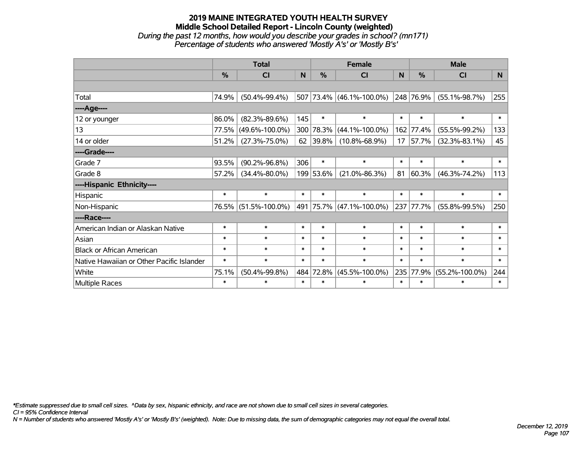## **2019 MAINE INTEGRATED YOUTH HEALTH SURVEY Middle School Detailed Report - Lincoln County (weighted)** *During the past 12 months, how would you describe your grades in school? (mn171) Percentage of students who answered 'Mostly A's' or 'Mostly B's'*

|                                           |               | <b>Total</b>         |        | <b>Female</b> |                            | <b>Male</b> |               |                      |          |
|-------------------------------------------|---------------|----------------------|--------|---------------|----------------------------|-------------|---------------|----------------------|----------|
|                                           | $\frac{0}{0}$ | <b>CI</b>            | N      | %             | <b>CI</b>                  | N           | $\frac{0}{0}$ | <b>CI</b>            | <b>N</b> |
|                                           |               |                      |        |               |                            |             |               |                      |          |
| Total                                     | 74.9%         | $(50.4\% - 99.4\%)$  |        |               | $507$ 73.4% (46.1%-100.0%) |             | 248 76.9%     | $(55.1\% - 98.7\%)$  | 255      |
| ----Age----                               |               |                      |        |               |                            |             |               |                      |          |
| 12 or younger                             | 86.0%         | $(82.3\% - 89.6\%)$  | 145    | $\ast$        | $\ast$                     | $\ast$      | $\ast$        | $\ast$               | $\ast$   |
| 13                                        | 77.5%         | $(49.6\% - 100.0\%)$ |        | 300 78.3%     | $(44.1\% - 100.0\%)$       |             | 162 77.4%     | $(55.5\% - 99.2\%)$  | 133      |
| 14 or older                               | 51.2%         | $(27.3\% - 75.0\%)$  |        | 62 39.8%      | $(10.8\% - 68.9\%)$        | 17          | 57.7%         | $(32.3\% - 83.1\%)$  | 45       |
| ----Grade----                             |               |                      |        |               |                            |             |               |                      |          |
| Grade 7                                   | 93.5%         | $(90.2\% - 96.8\%)$  | 306    | $\ast$        | $\ast$                     | $\ast$      | $\ast$        | $\ast$               | $\ast$   |
| Grade 8                                   | 57.2%         | $(34.4\% - 80.0\%)$  |        | 199 53.6%     | $(21.0\% - 86.3\%)$        | 81          | 60.3%         | $(46.3\% - 74.2\%)$  | 113      |
| ----Hispanic Ethnicity----                |               |                      |        |               |                            |             |               |                      |          |
| Hispanic                                  | $\ast$        | $\ast$               | $\ast$ | $\ast$        | $\ast$                     | $\ast$      | $\ast$        | $\ast$               | $\ast$   |
| Non-Hispanic                              | 76.5%         | $(51.5\% - 100.0\%)$ |        |               | 491 75.7% (47.1%-100.0%)   |             | 237 77.7%     | $(55.8\% - 99.5\%)$  | 250      |
| ----Race----                              |               |                      |        |               |                            |             |               |                      |          |
| American Indian or Alaskan Native         | $\ast$        | $\ast$               | $\ast$ | $\ast$        | $\ast$                     | $\ast$      | $\ast$        | $\ast$               | $\ast$   |
| Asian                                     | $\ast$        | $\ast$               | $\ast$ | $\ast$        | $\ast$                     | $\ast$      | $\ast$        | $\ast$               | $\ast$   |
| <b>Black or African American</b>          | $\ast$        | $\ast$               | $\ast$ | $\ast$        | $\ast$                     | $\ast$      | $\ast$        | $\ast$               | $\ast$   |
| Native Hawaiian or Other Pacific Islander | $\ast$        | $\ast$               | $\ast$ | $\ast$        | $\ast$                     | $\ast$      | $\ast$        | $\ast$               | $\ast$   |
| White                                     | 75.1%         | $(50.4\% - 99.8\%)$  |        | 484 72.8%     | $(45.5\% - 100.0\%)$       | 235         | 77.9%         | $(55.2\% - 100.0\%)$ | 244      |
| Multiple Races                            | $\ast$        | $\ast$               | $\ast$ | $\ast$        | *                          | $\ast$      | $\ast$        | $\ast$               | $\ast$   |

*\*Estimate suppressed due to small cell sizes. ^Data by sex, hispanic ethnicity, and race are not shown due to small cell sizes in several categories.*

*CI = 95% Confidence Interval*

*N = Number of students who answered 'Mostly A's' or 'Mostly B's' (weighted). Note: Due to missing data, the sum of demographic categories may not equal the overall total.*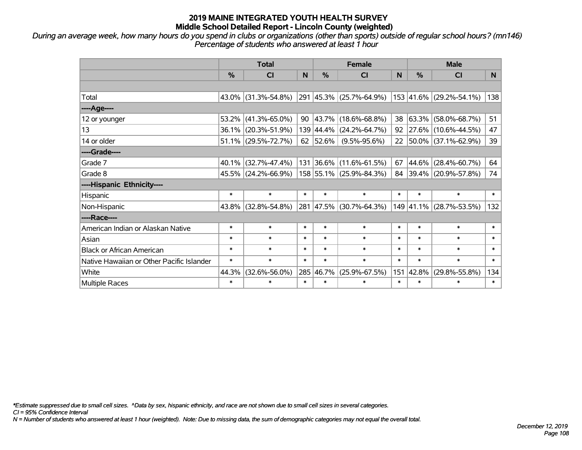*During an average week, how many hours do you spend in clubs or organizations (other than sports) outside of regular school hours? (mn146) Percentage of students who answered at least 1 hour*

|                                           | <b>Total</b>  |                        |        |               | <b>Female</b>           | <b>Male</b> |            |                         |        |
|-------------------------------------------|---------------|------------------------|--------|---------------|-------------------------|-------------|------------|-------------------------|--------|
|                                           | $\frac{0}{0}$ | <b>CI</b>              | N      | $\frac{0}{0}$ | CI                      | N           | %          | <b>CI</b>               | N.     |
|                                           |               |                        |        |               |                         |             |            |                         |        |
| Total                                     |               | $43.0\%$ (31.3%-54.8%) |        |               | 291 45.3% (25.7%-64.9%) |             |            | 153 41.6% (29.2%-54.1%) | 138    |
| ----Age----                               |               |                        |        |               |                         |             |            |                         |        |
| 12 or younger                             | 53.2%         | $(41.3\% - 65.0\%)$    | 90     | $ 43.7\% $    | $(18.6\% - 68.8\%)$     | 38          | $ 63.3\% $ | $(58.0\% - 68.7\%)$     | 51     |
| 13                                        |               | 36.1% (20.3%-51.9%)    |        |               | 139 44.4% (24.2%-64.7%) |             |            | 92 27.6% (10.6%-44.5%)  | 47     |
| 14 or older                               |               | $51.1\%$ (29.5%-72.7%) |        | 62   52.6%    | $(9.5\% - 95.6\%)$      |             |            | 22 50.0% (37.1%-62.9%)  | 39     |
| ----Grade----                             |               |                        |        |               |                         |             |            |                         |        |
| Grade 7                                   | $40.1\%$      | $(32.7\% - 47.4\%)$    |        |               | 131 36.6% (11.6%-61.5%) | 67          | 44.6%      | $(28.4\% - 60.7\%)$     | 64     |
| Grade 8                                   |               | 45.5% (24.2%-66.9%)    |        |               | 158 55.1% (25.9%-84.3%) |             |            | 84 39.4% (20.9%-57.8%)  | 74     |
| ----Hispanic Ethnicity----                |               |                        |        |               |                         |             |            |                         |        |
| Hispanic                                  | $\ast$        | $\ast$                 | $\ast$ | $\ast$        | $\ast$                  | $\ast$      | $\ast$     | $\ast$                  | $\ast$ |
| Non-Hispanic                              |               | 43.8% (32.8%-54.8%)    |        |               | 281 47.5% (30.7%-64.3%) |             | 149 41.1%  | $(28.7\% - 53.5\%)$     | 132    |
| ----Race----                              |               |                        |        |               |                         |             |            |                         |        |
| American Indian or Alaskan Native         | $\ast$        | $\ast$                 | $\ast$ | $\ast$        | $\ast$                  | $\ast$      | $\ast$     | $\ast$                  | $\ast$ |
| Asian                                     | $\ast$        | $\ast$                 | $\ast$ | $\ast$        | $\ast$                  | $\ast$      | $\ast$     | $\ast$                  | $\ast$ |
| <b>Black or African American</b>          | $\ast$        | $\ast$                 | $\ast$ | $\ast$        | $\ast$                  | $\ast$      | $\ast$     | $\ast$                  | $\ast$ |
| Native Hawaiian or Other Pacific Islander | $\ast$        | $\ast$                 | $\ast$ | $\ast$        | $\ast$                  | $\ast$      | $\ast$     | $\ast$                  | $\ast$ |
| White                                     | 44.3%         | $(32.6\% - 56.0\%)$    | 285    | 46.7%         | $(25.9\% - 67.5\%)$     | 151         | 42.8%      | $(29.8\% - 55.8\%)$     | 134    |
| <b>Multiple Races</b>                     | $\ast$        | $\ast$                 | $\ast$ | $\ast$        | $\ast$                  | $\ast$      | $\ast$     | $\ast$                  | $\ast$ |

*\*Estimate suppressed due to small cell sizes. ^Data by sex, hispanic ethnicity, and race are not shown due to small cell sizes in several categories.*

*CI = 95% Confidence Interval*

*N = Number of students who answered at least 1 hour (weighted). Note: Due to missing data, the sum of demographic categories may not equal the overall total.*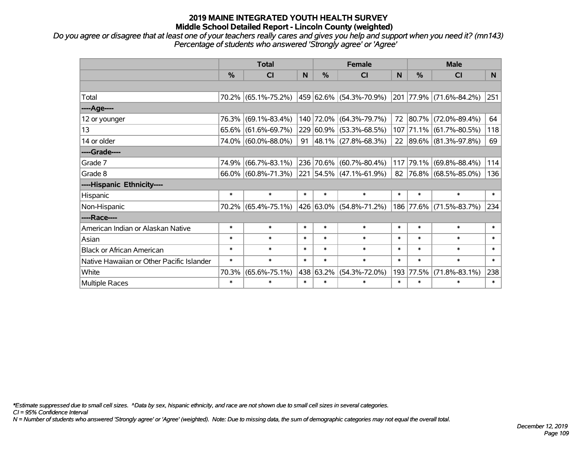# **2019 MAINE INTEGRATED YOUTH HEALTH SURVEY Middle School Detailed Report - Lincoln County (weighted)**

*Do you agree or disagree that at least one of your teachers really cares and gives you help and support when you need it? (mn143) Percentage of students who answered 'Strongly agree' or 'Agree'*

|                                           | <b>Total</b>  |                        |        | <b>Female</b> |                            |        | <b>Male</b> |                         |        |
|-------------------------------------------|---------------|------------------------|--------|---------------|----------------------------|--------|-------------|-------------------------|--------|
|                                           | $\frac{0}{0}$ | CI                     | N      | $\frac{9}{6}$ | <b>CI</b>                  | N      | %           | <b>CI</b>               | N.     |
|                                           |               |                        |        |               |                            |        |             |                         |        |
| Total                                     |               | 70.2% (65.1%-75.2%)    |        |               | 459 62.6% (54.3%-70.9%)    |        |             | 201 77.9% (71.6%-84.2%) | 251    |
| ----Age----                               |               |                        |        |               |                            |        |             |                         |        |
| 12 or younger                             | 76.3%         | $(69.1\% - 83.4\%)$    |        |               | 140 72.0% (64.3%-79.7%)    | 72     | 80.7%       | $(72.0\% - 89.4\%)$     | 64     |
| 13                                        |               | $65.6\%$ (61.6%-69.7%) |        |               | 229 60.9% (53.3%-68.5%)    |        |             | 107 71.1% (61.7%-80.5%) | 118    |
| 14 or older                               |               | 74.0% (60.0%-88.0%)    |        |               | 91   48.1%   (27.8%-68.3%) |        |             | 22 89.6% (81.3%-97.8%)  | 69     |
| ----Grade----                             |               |                        |        |               |                            |        |             |                         |        |
| Grade 7                                   | 74.9%         | $(66.7\% - 83.1\%)$    |        |               | 236 70.6% (60.7%-80.4%)    | 117    | 79.1%       | $(69.8\% - 88.4\%)$     | 114    |
| Grade 8                                   |               | 66.0% (60.8%-71.3%)    |        |               | 221 54.5% (47.1%-61.9%)    |        |             | 82 76.8% (68.5%-85.0%)  | 136    |
| ----Hispanic Ethnicity----                |               |                        |        |               |                            |        |             |                         |        |
| Hispanic                                  | $\ast$        | $\ast$                 | $\ast$ | $\ast$        | $\ast$                     | $\ast$ | $\ast$      | $\ast$                  | $\ast$ |
| Non-Hispanic                              |               | 70.2% (65.4%-75.1%)    |        |               | 426 63.0% (54.8%-71.2%)    |        |             | 186 77.6% (71.5%-83.7%) | 234    |
| ----Race----                              |               |                        |        |               |                            |        |             |                         |        |
| American Indian or Alaskan Native         | $\ast$        | $\ast$                 | $\ast$ | $\ast$        | $\ast$                     | $\ast$ | $\ast$      | $\ast$                  | $\ast$ |
| Asian                                     | $\ast$        | $\ast$                 | $\ast$ | $\ast$        | $\ast$                     | $\ast$ | $\ast$      | $\ast$                  | $\ast$ |
| <b>Black or African American</b>          | $\ast$        | $\ast$                 | $\ast$ | $\ast$        | $\ast$                     | $\ast$ | $\ast$      | $\ast$                  | $\ast$ |
| Native Hawaiian or Other Pacific Islander | $\ast$        | $\ast$                 | $\ast$ | $\ast$        | $\ast$                     | $\ast$ | $\ast$      | $\ast$                  | $\ast$ |
| White                                     | 70.3%         | $(65.6\% - 75.1\%)$    |        | 438 63.2%     | $(54.3\% - 72.0\%)$        | 193    | 77.5%       | $(71.8\% - 83.1\%)$     | 238    |
| Multiple Races                            | $\ast$        | $\ast$                 | $\ast$ | $\ast$        | $\ast$                     | $\ast$ | $\ast$      | *                       | $\ast$ |

*\*Estimate suppressed due to small cell sizes. ^Data by sex, hispanic ethnicity, and race are not shown due to small cell sizes in several categories.*

*CI = 95% Confidence Interval*

*N = Number of students who answered 'Strongly agree' or 'Agree' (weighted). Note: Due to missing data, the sum of demographic categories may not equal the overall total.*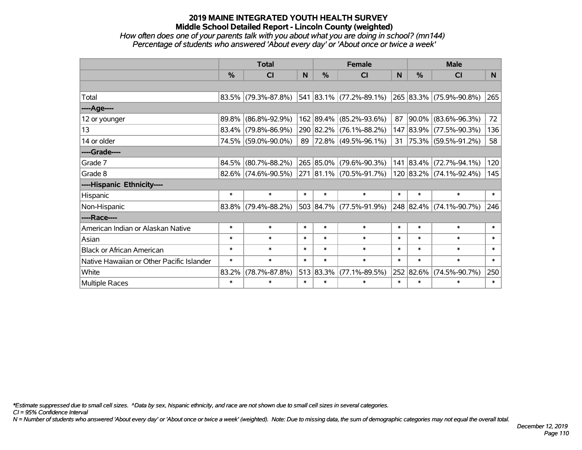# **2019 MAINE INTEGRATED YOUTH HEALTH SURVEY Middle School Detailed Report - Lincoln County (weighted)**

## *How often does one of your parents talk with you about what you are doing in school? (mn144) Percentage of students who answered 'About every day' or 'About once or twice a week'*

|                                           | <b>Total</b>  |                        |        |               | <b>Female</b>               |        | <b>Male</b>    |                          |        |
|-------------------------------------------|---------------|------------------------|--------|---------------|-----------------------------|--------|----------------|--------------------------|--------|
|                                           | $\frac{0}{0}$ | C <sub>l</sub>         | N      | $\frac{9}{6}$ | CI                          | N      | %              | <b>CI</b>                | N.     |
|                                           |               |                        |        |               |                             |        |                |                          |        |
| Total                                     |               | $83.5\%$ (79.3%-87.8%) |        |               | $541 83.1\% $ (77.2%-89.1%) |        |                | 265 83.3% (75.9%-90.8%)  | 265    |
| ----Age----                               |               |                        |        |               |                             |        |                |                          |        |
| 12 or younger                             | 89.8%         | $(86.8\% - 92.9\%)$    |        | 162 89.4%     | $(85.2\% - 93.6\%)$         | 87     | $90.0\%$       | $(83.6\% - 96.3\%)$      | 72     |
| 13                                        |               | 83.4% (79.8%-86.9%)    |        |               | 290 82.2% (76.1%-88.2%)     |        |                | 147 83.9% (77.5%-90.3%)  | 136    |
| 14 or older                               |               | 74.5% (59.0%-90.0%)    |        |               | 89 72.8% (49.5%-96.1%)      | 31     |                | $ 75.3\% $ (59.5%-91.2%) | 58     |
| ----Grade----                             |               |                        |        |               |                             |        |                |                          |        |
| Grade 7                                   | 84.5%         | $(80.7\% - 88.2\%)$    |        |               | 265 85.0% (79.6%-90.3%)     |        | 141 83.4%      | $(72.7\% - 94.1\%)$      | 120    |
| Grade 8                                   |               | $82.6\%$ (74.6%-90.5%) |        |               | 271 81.1% (70.5%-91.7%)     |        |                | 120 83.2% (74.1%-92.4%)  | 145    |
| ----Hispanic Ethnicity----                |               |                        |        |               |                             |        |                |                          |        |
| Hispanic                                  | $\ast$        | $\ast$                 | $\ast$ | $\ast$        | $\ast$                      | $\ast$ | $\ast$         | $\ast$                   | $\ast$ |
| Non-Hispanic                              |               | $83.8\%$ (79.4%-88.2%) |        |               | 503 84.7% (77.5%-91.9%)     |        | $ 248 82.4\% $ | $(74.1\% - 90.7\%)$      | 246    |
| ----Race----                              |               |                        |        |               |                             |        |                |                          |        |
| American Indian or Alaskan Native         | $\ast$        | $\ast$                 | $\ast$ | $\ast$        | $\ast$                      | $\ast$ | $\ast$         | $\ast$                   | $\ast$ |
| Asian                                     | $\ast$        | $\ast$                 | $\ast$ | $\ast$        | $\ast$                      | $\ast$ | $\ast$         | $\ast$                   | $\ast$ |
| <b>Black or African American</b>          | $\ast$        | $\ast$                 | $\ast$ | $\ast$        | $\ast$                      | $\ast$ | $\ast$         | $\ast$                   | $\ast$ |
| Native Hawaiian or Other Pacific Islander | $\ast$        | $\ast$                 | $\ast$ | $\ast$        | $\ast$                      | $\ast$ | $\ast$         | $\ast$                   | $\ast$ |
| White                                     | 83.2%         | $(78.7\% - 87.8\%)$    |        | 513 83.3%     | $(77.1\% - 89.5\%)$         |        | 252 82.6%      | $(74.5\% - 90.7\%)$      | 250    |
| <b>Multiple Races</b>                     | $\ast$        | $\ast$                 | $\ast$ | $\ast$        | $\ast$                      | $\ast$ | $\ast$         | *                        | $\ast$ |

*\*Estimate suppressed due to small cell sizes. ^Data by sex, hispanic ethnicity, and race are not shown due to small cell sizes in several categories.*

*CI = 95% Confidence Interval*

*N = Number of students who answered 'About every day' or 'About once or twice a week' (weighted). Note: Due to missing data, the sum of demographic categories may not equal the overall total.*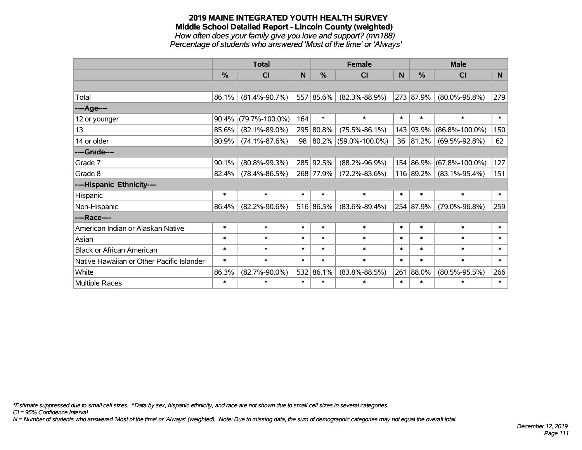#### **2019 MAINE INTEGRATED YOUTH HEALTH SURVEY Middle School Detailed Report - Lincoln County (weighted)** *How often does your family give you love and support? (mn188) Percentage of students who answered 'Most of the time' or 'Always'*

|                                           | <b>Total</b> |                      |        |           | <b>Female</b>           |        | <b>Male</b>   |                      |        |  |
|-------------------------------------------|--------------|----------------------|--------|-----------|-------------------------|--------|---------------|----------------------|--------|--|
|                                           | %            | C <sub>l</sub>       | N      | %         | <b>CI</b>               | N      | $\frac{0}{0}$ | <b>CI</b>            | N      |  |
|                                           |              |                      |        |           |                         |        |               |                      |        |  |
| Total                                     | 86.1%        | $(81.4\% - 90.7\%)$  |        | 557 85.6% | $(82.3\% - 88.9\%)$     |        | 273 87.9%     | $(80.0\% - 95.8\%)$  | 279    |  |
| ----Age----                               |              |                      |        |           |                         |        |               |                      |        |  |
| 12 or younger                             | 90.4%        | $(79.7\% - 100.0\%)$ | 164    | $\ast$    | $\ast$                  | $\ast$ | $\ast$        | $\ast$               | $\ast$ |  |
| 13                                        | 85.6%        | $(82.1\% - 89.0\%)$  |        | 295 80.8% | $(75.5\% - 86.1\%)$     |        | 143 93.9%     | $(86.8\% - 100.0\%)$ | 150    |  |
| 14 or older                               | 80.9%        | $(74.1\% - 87.6\%)$  |        |           | 98 80.2% (59.0%-100.0%) |        | 36 81.2%      | $(69.5\% - 92.8\%)$  | 62     |  |
| ----Grade----                             |              |                      |        |           |                         |        |               |                      |        |  |
| Grade 7                                   | 90.1%        | $(80.8\% - 99.3\%)$  |        | 285 92.5% | $(88.2\% - 96.9\%)$     |        | 154 86.9%     | $(67.8\% - 100.0\%)$ | 127    |  |
| Grade 8                                   | 82.4%        | $(78.4\% - 86.5\%)$  |        | 268 77.9% | $(72.2\% - 83.6\%)$     |        | 116 89.2%     | $(83.1\% - 95.4\%)$  | 151    |  |
| ----Hispanic Ethnicity----                |              |                      |        |           |                         |        |               |                      |        |  |
| Hispanic                                  | $\ast$       | $\ast$               | $\ast$ | $\ast$    | $\ast$                  | $\ast$ | $\ast$        | $\ast$               | $\ast$ |  |
| Non-Hispanic                              | 86.4%        | $(82.2\% - 90.6\%)$  |        | 516 86.5% | $(83.6\% - 89.4\%)$     |        | 254 87.9%     | $(79.0\% - 96.8\%)$  | 259    |  |
| ----Race----                              |              |                      |        |           |                         |        |               |                      |        |  |
| American Indian or Alaskan Native         | $\ast$       | $\ast$               | $\ast$ | $\ast$    | $\ast$                  | $\ast$ | $\ast$        | $\ast$               | $\ast$ |  |
| Asian                                     | $\ast$       | $\ast$               | $\ast$ | $\ast$    | $\ast$                  | $\ast$ | $\ast$        | $\ast$               | $\ast$ |  |
| <b>Black or African American</b>          | $\ast$       | $\ast$               | $\ast$ | $\ast$    | $\ast$                  | $\ast$ | $\ast$        | $\ast$               | $\ast$ |  |
| Native Hawaiian or Other Pacific Islander | $\ast$       | $\ast$               | $\ast$ | $\ast$    | $\ast$                  | $\ast$ | $\ast$        | $\ast$               | $\ast$ |  |
| White                                     | 86.3%        | $(82.7\% - 90.0\%)$  |        | 532 86.1% | $(83.8\% - 88.5\%)$     | 261    | 88.0%         | $(80.5\% - 95.5\%)$  | 266    |  |
| Multiple Races                            | $\ast$       | $\ast$               | $\ast$ | $\ast$    | $\ast$                  | $\ast$ | $\ast$        | $\ast$               | $\ast$ |  |

*\*Estimate suppressed due to small cell sizes. ^Data by sex, hispanic ethnicity, and race are not shown due to small cell sizes in several categories.*

*CI = 95% Confidence Interval*

*N = Number of students who answered 'Most of the time' or 'Always' (weighted). Note: Due to missing data, the sum of demographic categories may not equal the overall total.*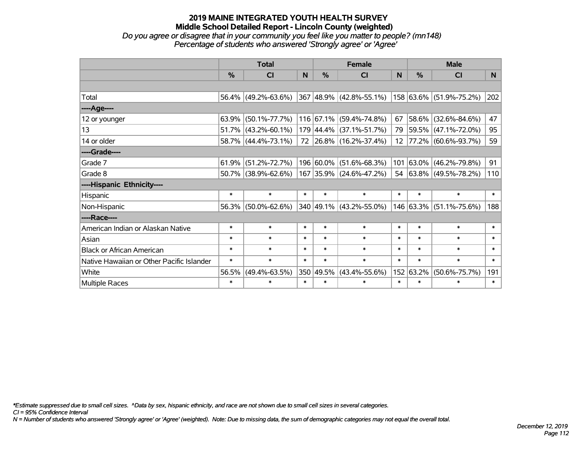### **2019 MAINE INTEGRATED YOUTH HEALTH SURVEY Middle School Detailed Report - Lincoln County (weighted)** *Do you agree or disagree that in your community you feel like you matter to people? (mn148) Percentage of students who answered 'Strongly agree' or 'Agree'*

|                                           | <b>Total</b>  |                     |        |               | <b>Female</b>           |          | <b>Male</b> |                         |                |  |
|-------------------------------------------|---------------|---------------------|--------|---------------|-------------------------|----------|-------------|-------------------------|----------------|--|
|                                           | $\frac{0}{0}$ | CI                  | N.     | $\frac{0}{0}$ | <b>CI</b>               | <b>N</b> | %           | <b>CI</b>               | N <sub>1</sub> |  |
|                                           |               |                     |        |               |                         |          |             |                         |                |  |
| Total                                     |               | 56.4% (49.2%-63.6%) |        |               | 367 48.9% (42.8%-55.1%) |          |             | 158 63.6% (51.9%-75.2%) | 202            |  |
| ----Age----                               |               |                     |        |               |                         |          |             |                         |                |  |
| 12 or younger                             | 63.9%         | $(50.1\% - 77.7\%)$ |        |               | 116 67.1% (59.4%-74.8%) | 67       | 58.6%       | $(32.6\% - 84.6\%)$     | 47             |  |
| 13                                        |               | 51.7% (43.2%-60.1%) |        |               | 179 44.4% (37.1%-51.7%) |          |             | 79 59.5% (47.1%-72.0%)  | 95             |  |
| 14 or older                               |               | 58.7% (44.4%-73.1%) |        |               | 72 26.8% (16.2%-37.4%)  |          |             | 12 77.2% (60.6%-93.7%)  | 59             |  |
| ----Grade----                             |               |                     |        |               |                         |          |             |                         |                |  |
| Grade 7                                   | 61.9%         | $(51.2\% - 72.7\%)$ |        |               | 196 60.0% (51.6%-68.3%) | 101      | 63.0%       | $(46.2\% - 79.8\%)$     | 91             |  |
| Grade 8                                   |               | 50.7% (38.9%-62.6%) |        |               | 167 35.9% (24.6%-47.2%) |          |             | 54 63.8% (49.5%-78.2%)  | 110            |  |
| ----Hispanic Ethnicity----                |               |                     |        |               |                         |          |             |                         |                |  |
| Hispanic                                  | $\ast$        | $\ast$              | $\ast$ | $\ast$        | $\ast$                  | $\ast$   | $\ast$      | $\ast$                  | $\ast$         |  |
| Non-Hispanic                              |               | 56.3% (50.0%-62.6%) |        |               | 340 49.1% (43.2%-55.0%) |          |             | 146 63.3% (51.1%-75.6%) | 188            |  |
| ----Race----                              |               |                     |        |               |                         |          |             |                         |                |  |
| American Indian or Alaskan Native         | $\ast$        | $\ast$              | $\ast$ | $\ast$        | $\ast$                  | $\ast$   | $\ast$      | $\ast$                  | $\ast$         |  |
| Asian                                     | $\ast$        | $\ast$              | $\ast$ | $\ast$        | $\ast$                  | $\ast$   | $\ast$      | $\ast$                  | $\ast$         |  |
| <b>Black or African American</b>          | $\ast$        | $\ast$              | $\ast$ | $\ast$        | $\ast$                  | $\ast$   | $\ast$      | $\ast$                  | $\ast$         |  |
| Native Hawaiian or Other Pacific Islander | $\ast$        | $\ast$              | $\ast$ | $\ast$        | $\ast$                  | $\ast$   | $\ast$      | $\ast$                  | $\ast$         |  |
| White                                     | 56.5%         | $(49.4\% - 63.5\%)$ |        | 350 49.5%     | $(43.4\% - 55.6\%)$     | 152      | 63.2%       | $(50.6\% - 75.7\%)$     | 191            |  |
| <b>Multiple Races</b>                     | $\ast$        | $\ast$              | $\ast$ | $\ast$        | $\ast$                  | $\ast$   | $\ast$      | $\ast$                  | $\ast$         |  |

*\*Estimate suppressed due to small cell sizes. ^Data by sex, hispanic ethnicity, and race are not shown due to small cell sizes in several categories.*

*CI = 95% Confidence Interval*

*N = Number of students who answered 'Strongly agree' or 'Agree' (weighted). Note: Due to missing data, the sum of demographic categories may not equal the overall total.*